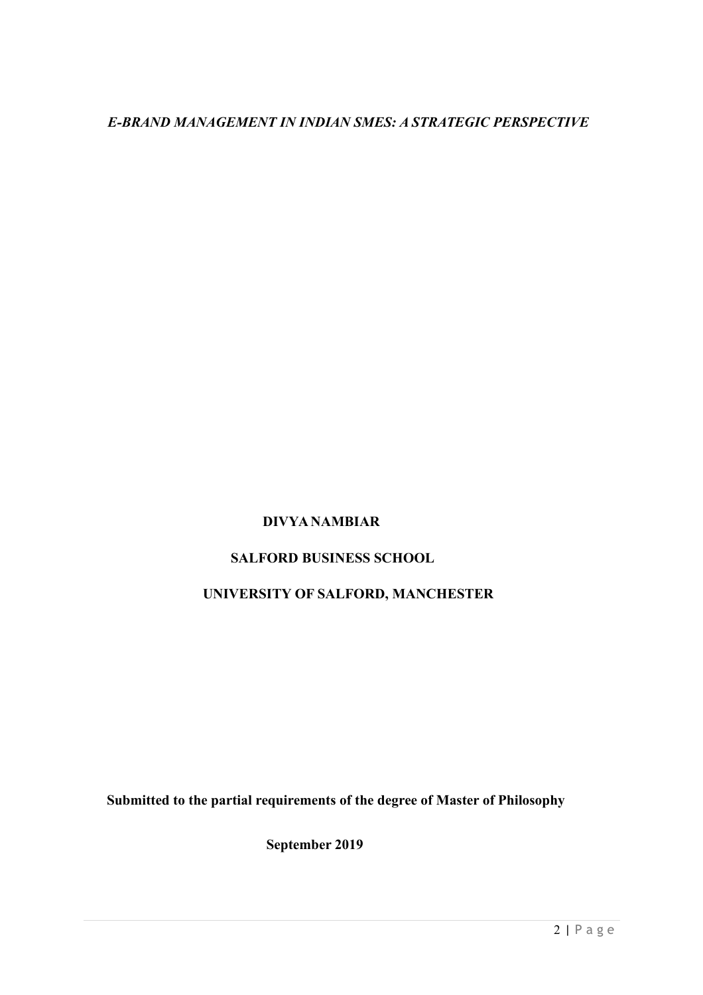# *E-BRAND MANAGEMENT IN INDIAN SMES: A STRATEGIC PERSPECTIVE*

# **DIVYA NAMBIAR**

# **SALFORD BUSINESS SCHOOL**

# **UNIVERSITY OF SALFORD, MANCHESTER**

**Submitted to the partial requirements of the degree of Master of Philosophy**

**September 2019**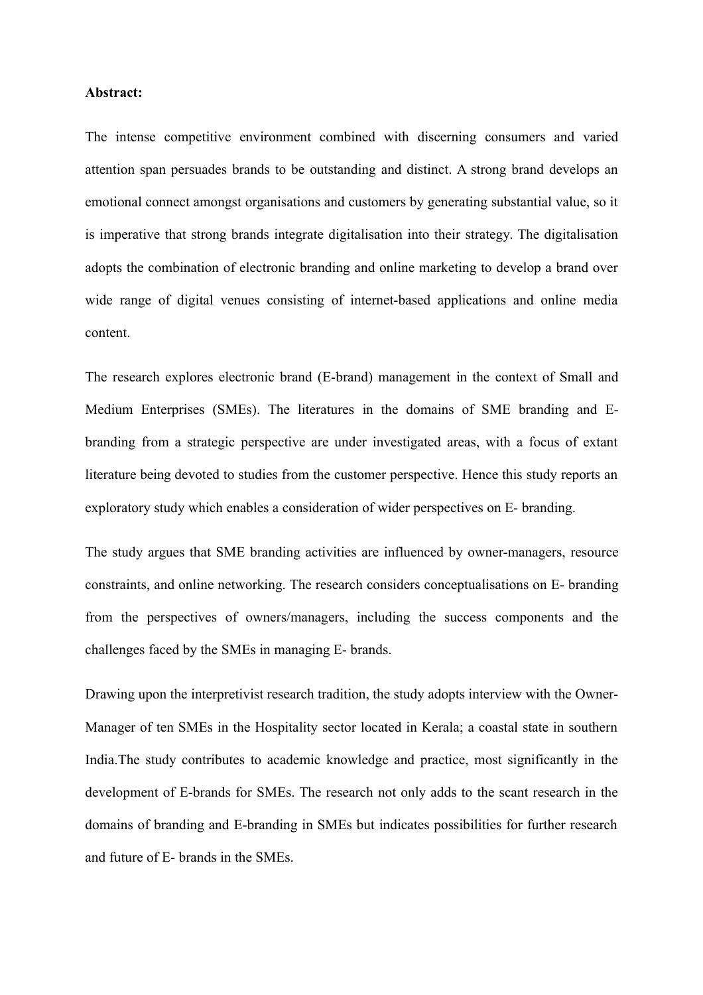#### **Abstract:**

The intense competitive environment combined with discerning consumers and varied attention span persuades brands to be outstanding and distinct. A strong brand develops an emotional connect amongst organisations and customers by generating substantial value, so it is imperative that strong brands integrate digitalisation into their strategy. The digitalisation adopts the combination of electronic branding and online marketing to develop a brand over wide range of digital venues consisting of internet-based applications and online media content.

The research explores electronic brand (E-brand) management in the context of Small and Medium Enterprises (SMEs). The literatures in the domains of SME branding and Ebranding from a strategic perspective are under investigated areas, with a focus of extant literature being devoted to studies from the customer perspective. Hence this study reports an exploratory study which enables a consideration of wider perspectives on E- branding.

The study argues that SME branding activities are influenced by owner-managers, resource constraints, and online networking. The research considers conceptualisations on E- branding from the perspectives of owners/managers, including the success components and the challenges faced by the SMEs in managing E- brands.

Drawing upon the interpretivist research tradition, the study adopts interview with the Owner-Manager of ten SMEs in the Hospitality sector located in Kerala; a coastal state in southern India.The study contributes to academic knowledge and practice, most significantly in the development of E-brands for SMEs. The research not only adds to the scant research in the domains of branding and E-branding in SMEs but indicates possibilities for further research and future of E- brands in the SMEs.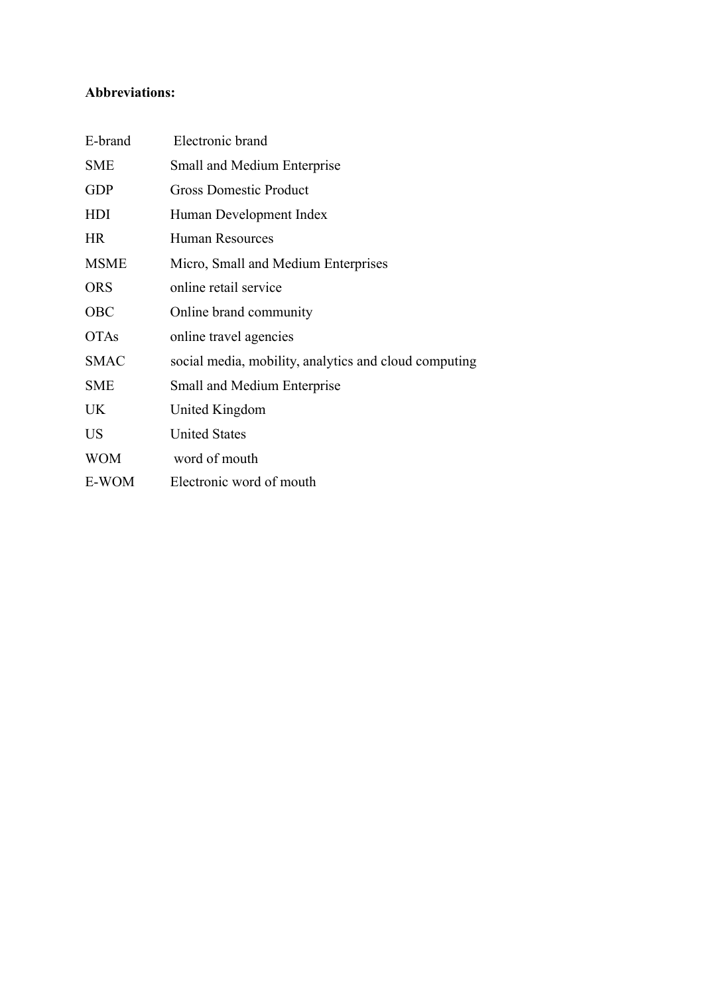# **Abbreviations:**

| E-brand     | Electronic brand                                      |
|-------------|-------------------------------------------------------|
| <b>SME</b>  | Small and Medium Enterprise                           |
| <b>GDP</b>  | <b>Gross Domestic Product</b>                         |
| HDI         | Human Development Index                               |
| <b>HR</b>   | <b>Human Resources</b>                                |
| <b>MSME</b> | Micro, Small and Medium Enterprises                   |
| <b>ORS</b>  | online retail service                                 |
| <b>OBC</b>  | Online brand community                                |
| <b>OTAs</b> | online travel agencies                                |
| <b>SMAC</b> | social media, mobility, analytics and cloud computing |
| <b>SME</b>  | Small and Medium Enterprise                           |
| UK.         | United Kingdom                                        |
| US          | <b>United States</b>                                  |
| <b>WOM</b>  | word of mouth                                         |
| E-WOM       | Electronic word of mouth                              |
|             |                                                       |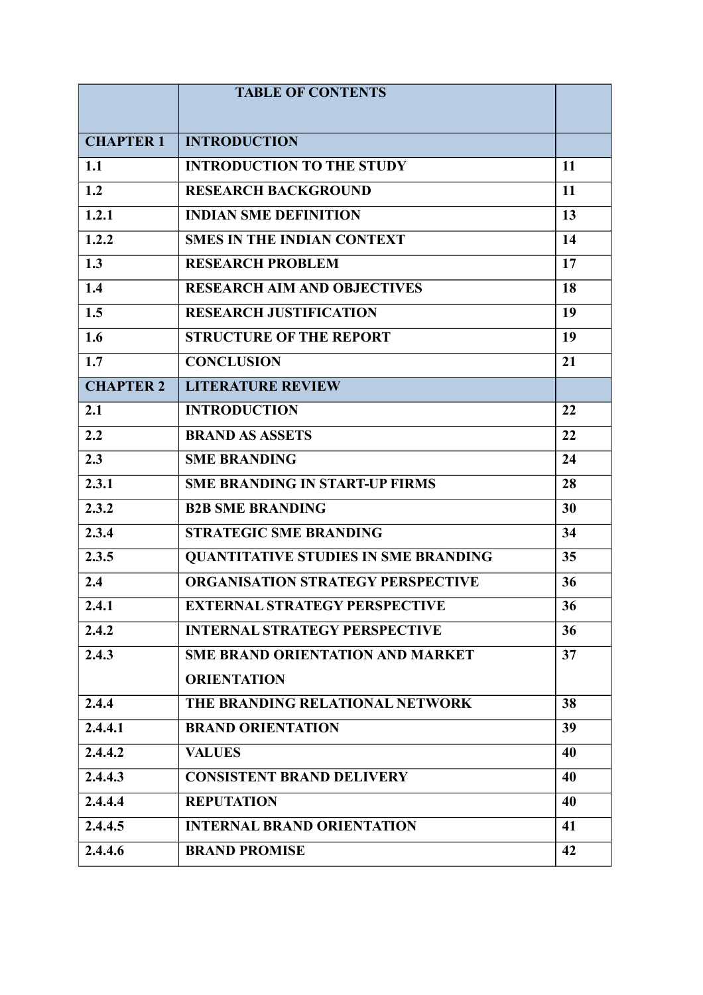|                  | <b>TABLE OF CONTENTS</b>                    |    |
|------------------|---------------------------------------------|----|
|                  |                                             |    |
| <b>CHAPTER 1</b> | <b>INTRODUCTION</b>                         |    |
| 1.1              | <b>INTRODUCTION TO THE STUDY</b>            | 11 |
| 1.2              | <b>RESEARCH BACKGROUND</b>                  | 11 |
| 1.2.1            | <b>INDIAN SME DEFINITION</b>                | 13 |
| 1.2.2            | <b>SMES IN THE INDIAN CONTEXT</b>           | 14 |
| 1.3              | <b>RESEARCH PROBLEM</b>                     | 17 |
| 1.4              | <b>RESEARCH AIM AND OBJECTIVES</b>          | 18 |
| 1.5              | <b>RESEARCH JUSTIFICATION</b>               | 19 |
| 1.6              | <b>STRUCTURE OF THE REPORT</b>              | 19 |
| 1.7              | <b>CONCLUSION</b>                           | 21 |
| <b>CHAPTER 2</b> | <b>LITERATURE REVIEW</b>                    |    |
| 2.1              | <b>INTRODUCTION</b>                         | 22 |
| 2.2              | <b>BRAND AS ASSETS</b>                      | 22 |
| 2.3              | <b>SME BRANDING</b>                         | 24 |
| 2.3.1            | <b>SME BRANDING IN START-UP FIRMS</b>       | 28 |
| 2.3.2            | <b>B2B SME BRANDING</b>                     | 30 |
| 2.3.4            | <b>STRATEGIC SME BRANDING</b>               | 34 |
| 2.3.5            | <b>QUANTITATIVE STUDIES IN SME BRANDING</b> | 35 |
| 2.4              | <b>ORGANISATION STRATEGY PERSPECTIVE</b>    | 36 |
| 2.4.1            | <b>EXTERNAL STRATEGY PERSPECTIVE</b>        | 36 |
| 2.4.2            | <b>INTERNAL STRATEGY PERSPECTIVE</b>        | 36 |
| 2.4.3            | <b>SME BRAND ORIENTATION AND MARKET</b>     | 37 |
|                  | <b>ORIENTATION</b>                          |    |
| 2.4.4            | THE BRANDING RELATIONAL NETWORK             | 38 |
| 2.4.4.1          | <b>BRAND ORIENTATION</b>                    | 39 |
| 2.4.4.2          | <b>VALUES</b>                               | 40 |
| 2.4.4.3          | <b>CONSISTENT BRAND DELIVERY</b>            | 40 |
| 2.4.4.4          | <b>REPUTATION</b>                           | 40 |
| 2.4.4.5          | <b>INTERNAL BRAND ORIENTATION</b>           | 41 |
| 2.4.4.6          | <b>BRAND PROMISE</b>                        | 42 |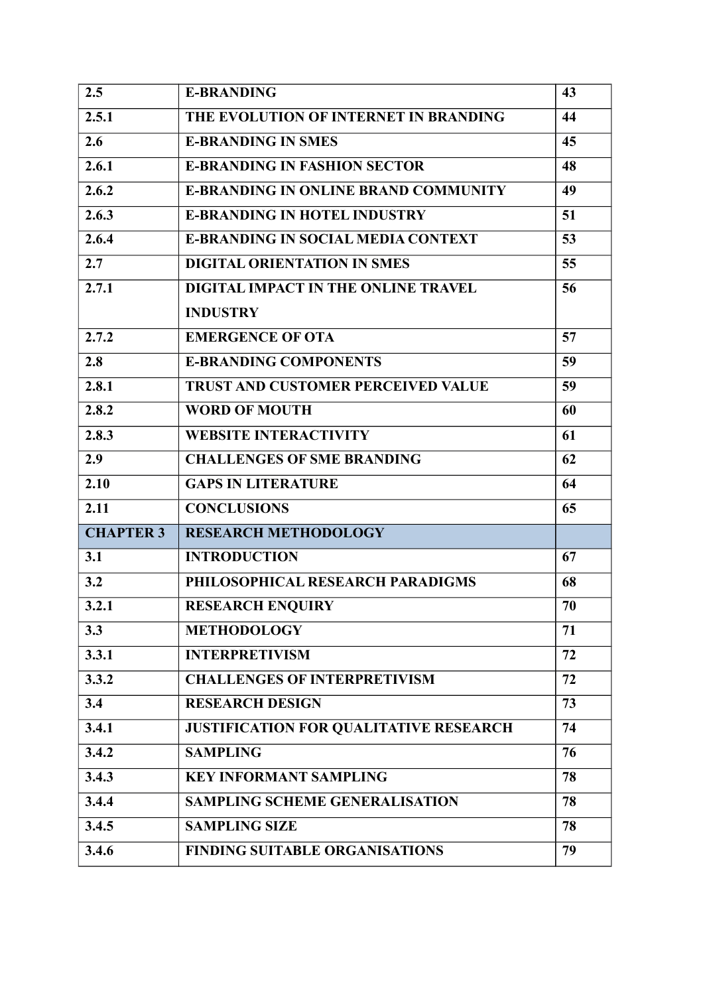| 2.5              | <b>E-BRANDING</b>                             | 43 |
|------------------|-----------------------------------------------|----|
| 2.5.1            | THE EVOLUTION OF INTERNET IN BRANDING         | 44 |
| 2.6              | <b>E-BRANDING IN SMES</b>                     | 45 |
| 2.6.1            | <b>E-BRANDING IN FASHION SECTOR</b>           | 48 |
| 2.6.2            | <b>E-BRANDING IN ONLINE BRAND COMMUNITY</b>   | 49 |
| 2.6.3            | <b>E-BRANDING IN HOTEL INDUSTRY</b>           | 51 |
| 2.6.4            | <b>E-BRANDING IN SOCIAL MEDIA CONTEXT</b>     | 53 |
| 2.7              | <b>DIGITAL ORIENTATION IN SMES</b>            | 55 |
| 2.7.1            | DIGITAL IMPACT IN THE ONLINE TRAVEL           | 56 |
|                  | <b>INDUSTRY</b>                               |    |
| 2.7.2            | <b>EMERGENCE OF OTA</b>                       | 57 |
| 2.8              | <b>E-BRANDING COMPONENTS</b>                  | 59 |
| 2.8.1            | <b>TRUST AND CUSTOMER PERCEIVED VALUE</b>     | 59 |
| 2.8.2            | <b>WORD OF MOUTH</b>                          | 60 |
| 2.8.3            | <b>WEBSITE INTERACTIVITY</b>                  | 61 |
| 2.9              | <b>CHALLENGES OF SME BRANDING</b>             | 62 |
| 2.10             | <b>GAPS IN LITERATURE</b>                     | 64 |
| 2.11             | <b>CONCLUSIONS</b>                            | 65 |
| <b>CHAPTER 3</b> | <b>RESEARCH METHODOLOGY</b>                   |    |
| 3.1              | <b>INTRODUCTION</b>                           | 67 |
| 3.2              | PHILOSOPHICAL RESEARCH PARADIGMS              | 68 |
| 3.2.1            | <b>RESEARCH ENQUIRY</b>                       | 70 |
| 3.3              | <b>METHODOLOGY</b>                            | 71 |
| 3.3.1            | <b>INTERPRETIVISM</b>                         | 72 |
| 3.3.2            | <b>CHALLENGES OF INTERPRETIVISM</b>           | 72 |
| 3.4              | <b>RESEARCH DESIGN</b>                        | 73 |
| 3.4.1            | <b>JUSTIFICATION FOR QUALITATIVE RESEARCH</b> | 74 |
| 3.4.2            | <b>SAMPLING</b>                               | 76 |
| 3.4.3            | <b>KEY INFORMANT SAMPLING</b>                 | 78 |
| 3.4.4            | <b>SAMPLING SCHEME GENERALISATION</b>         | 78 |
| 3.4.5            | <b>SAMPLING SIZE</b>                          | 78 |
| 3.4.6            | <b>FINDING SUITABLE ORGANISATIONS</b>         | 79 |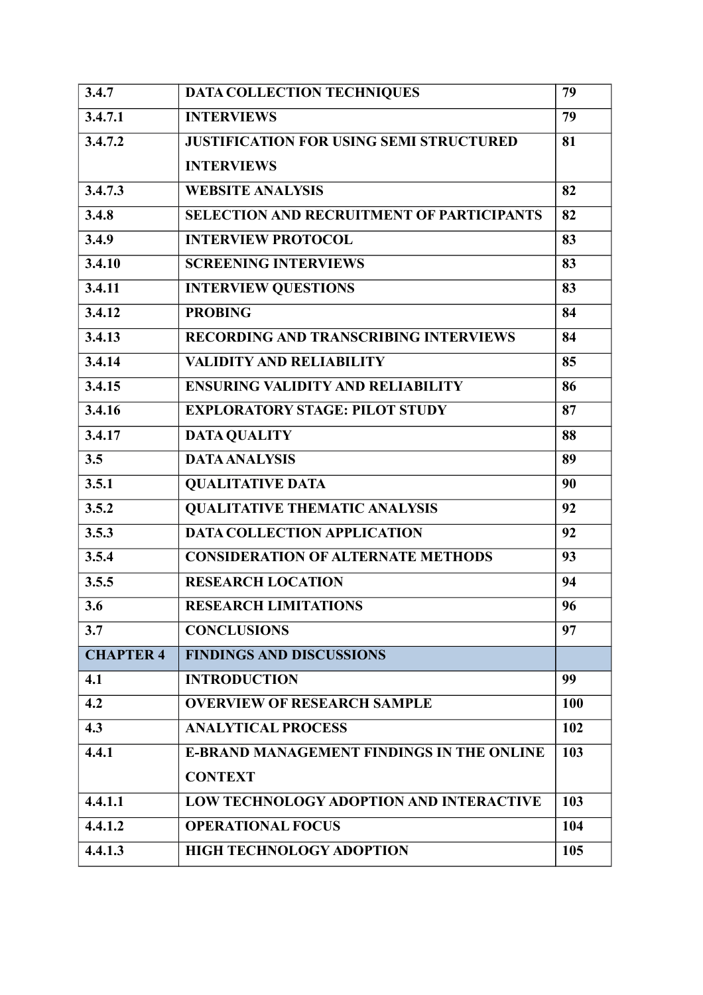| 3.4.7            | DATA COLLECTION TECHNIQUES                       | 79         |
|------------------|--------------------------------------------------|------------|
| 3.4.7.1          | <b>INTERVIEWS</b>                                | 79         |
| 3.4.7.2          | <b>JUSTIFICATION FOR USING SEMI STRUCTURED</b>   | 81         |
|                  | <b>INTERVIEWS</b>                                |            |
| 3.4.7.3          | <b>WEBSITE ANALYSIS</b>                          | 82         |
| 3.4.8            | <b>SELECTION AND RECRUITMENT OF PARTICIPANTS</b> | 82         |
| 3.4.9            | <b>INTERVIEW PROTOCOL</b>                        | 83         |
| 3.4.10           | <b>SCREENING INTERVIEWS</b>                      | 83         |
| 3.4.11           | <b>INTERVIEW QUESTIONS</b>                       | 83         |
| 3.4.12           | <b>PROBING</b>                                   | 84         |
| 3.4.13           | <b>RECORDING AND TRANSCRIBING INTERVIEWS</b>     | 84         |
| 3.4.14           | <b>VALIDITY AND RELIABILITY</b>                  | 85         |
| 3.4.15           | <b>ENSURING VALIDITY AND RELIABILITY</b>         | 86         |
| 3.4.16           | <b>EXPLORATORY STAGE: PILOT STUDY</b>            | 87         |
| 3.4.17           | <b>DATA QUALITY</b>                              | 88         |
| 3.5              | <b>DATA ANALYSIS</b>                             | 89         |
| 3.5.1            | <b>QUALITATIVE DATA</b>                          | 90         |
| 3.5.2            | <b>QUALITATIVE THEMATIC ANALYSIS</b>             | 92         |
| 3.5.3            | <b>DATA COLLECTION APPLICATION</b>               | 92         |
| 3.5.4            | <b>CONSIDERATION OF ALTERNATE METHODS</b>        | 93         |
| 3.5.5            | <b>RESEARCH LOCATION</b>                         | 94         |
| 3.6              | <b>RESEARCH LIMITATIONS</b>                      | 96         |
| 3.7              | <b>CONCLUSIONS</b>                               | 97         |
| <b>CHAPTER 4</b> | <b>FINDINGS AND DISCUSSIONS</b>                  |            |
| 4.1              | <b>INTRODUCTION</b>                              | 99         |
| 4.2              | <b>OVERVIEW OF RESEARCH SAMPLE</b>               | <b>100</b> |
| 4.3              | <b>ANALYTICAL PROCESS</b>                        | 102        |
| 4.4.1            | <b>E-BRAND MANAGEMENT FINDINGS IN THE ONLINE</b> | 103        |
|                  | <b>CONTEXT</b>                                   |            |
| 4.4.1.1          | <b>LOW TECHNOLOGY ADOPTION AND INTERACTIVE</b>   | 103        |
| 4.4.1.2          | <b>OPERATIONAL FOCUS</b>                         | 104        |
| 4.4.1.3          | <b>HIGH TECHNOLOGY ADOPTION</b>                  | 105        |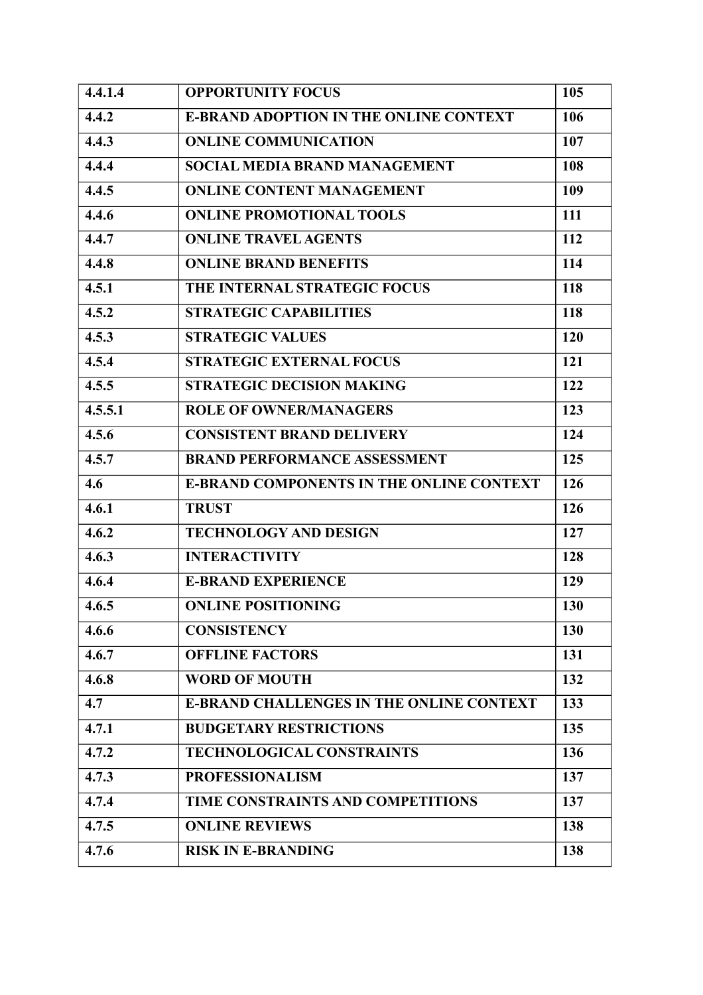| 4.4.1.4 | <b>OPPORTUNITY FOCUS</b>                        | 105 |
|---------|-------------------------------------------------|-----|
| 4.4.2   | <b>E-BRAND ADOPTION IN THE ONLINE CONTEXT</b>   | 106 |
| 4.4.3   | <b>ONLINE COMMUNICATION</b>                     | 107 |
| 4.4.4   | <b>SOCIAL MEDIA BRAND MANAGEMENT</b>            | 108 |
| 4.4.5   | <b>ONLINE CONTENT MANAGEMENT</b>                | 109 |
| 4.4.6   | <b>ONLINE PROMOTIONAL TOOLS</b>                 | 111 |
| 4.4.7   | <b>ONLINE TRAVEL AGENTS</b>                     | 112 |
| 4.4.8   | <b>ONLINE BRAND BENEFITS</b>                    | 114 |
| 4.5.1   | THE INTERNAL STRATEGIC FOCUS                    | 118 |
| 4.5.2   | <b>STRATEGIC CAPABILITIES</b>                   | 118 |
| 4.5.3   | <b>STRATEGIC VALUES</b>                         | 120 |
| 4.5.4   | <b>STRATEGIC EXTERNAL FOCUS</b>                 | 121 |
| 4.5.5   | <b>STRATEGIC DECISION MAKING</b>                | 122 |
| 4.5.5.1 | <b>ROLE OF OWNER/MANAGERS</b>                   | 123 |
| 4.5.6   | <b>CONSISTENT BRAND DELIVERY</b>                | 124 |
| 4.5.7   | <b>BRAND PERFORMANCE ASSESSMENT</b>             | 125 |
| 4.6     | <b>E-BRAND COMPONENTS IN THE ONLINE CONTEXT</b> | 126 |
| 4.6.1   | <b>TRUST</b>                                    | 126 |
| 4.6.2   | <b>TECHNOLOGY AND DESIGN</b>                    | 127 |
| 4.6.3   | <b>INTERACTIVITY</b>                            | 128 |
| 4.6.4   | <b>E-BRAND EXPERIENCE</b>                       | 129 |
| 4.6.5   | <b>ONLINE POSITIONING</b>                       | 130 |
| 4.6.6   | <b>CONSISTENCY</b>                              | 130 |
| 4.6.7   | <b>OFFLINE FACTORS</b>                          | 131 |
| 4.6.8   | <b>WORD OF MOUTH</b>                            | 132 |
| 4.7     | <b>E-BRAND CHALLENGES IN THE ONLINE CONTEXT</b> | 133 |
| 4.7.1   | <b>BUDGETARY RESTRICTIONS</b>                   | 135 |
| 4.7.2   | <b>TECHNOLOGICAL CONSTRAINTS</b>                | 136 |
| 4.7.3   | <b>PROFESSIONALISM</b>                          | 137 |
| 4.7.4   | TIME CONSTRAINTS AND COMPETITIONS               | 137 |
| 4.7.5   | <b>ONLINE REVIEWS</b>                           | 138 |
| 4.7.6   | <b>RISK IN E-BRANDING</b>                       | 138 |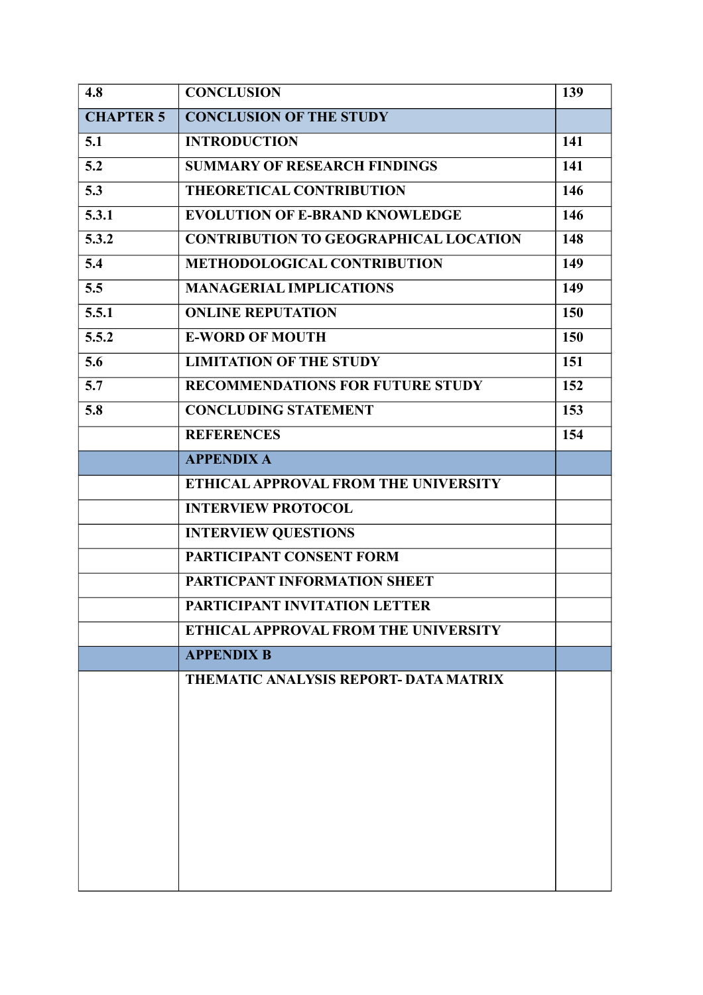| 4.8              | <b>CONCLUSION</b>                            | 139        |
|------------------|----------------------------------------------|------------|
| <b>CHAPTER 5</b> | <b>CONCLUSION OF THE STUDY</b>               |            |
| 5.1              | <b>INTRODUCTION</b>                          | 141        |
| 5.2              | <b>SUMMARY OF RESEARCH FINDINGS</b>          | 141        |
| 5.3              | <b>THEORETICAL CONTRIBUTION</b>              | 146        |
| 5.3.1            | <b>EVOLUTION OF E-BRAND KNOWLEDGE</b>        | 146        |
| 5.3.2            | <b>CONTRIBUTION TO GEOGRAPHICAL LOCATION</b> | 148        |
| 5.4              | <b>METHODOLOGICAL CONTRIBUTION</b>           | 149        |
| 5.5              | <b>MANAGERIAL IMPLICATIONS</b>               | 149        |
| 5.5.1            | <b>ONLINE REPUTATION</b>                     | <b>150</b> |
| 5.5.2            | <b>E-WORD OF MOUTH</b>                       | 150        |
| 5.6              | <b>LIMITATION OF THE STUDY</b>               | 151        |
| 5.7              | <b>RECOMMENDATIONS FOR FUTURE STUDY</b>      | 152        |
| 5.8              | <b>CONCLUDING STATEMENT</b>                  | 153        |
|                  | <b>REFERENCES</b>                            | 154        |
|                  | <b>APPENDIX A</b>                            |            |
|                  | ETHICAL APPROVAL FROM THE UNIVERSITY         |            |
|                  | <b>INTERVIEW PROTOCOL</b>                    |            |
|                  | <b>INTERVIEW QUESTIONS</b>                   |            |
|                  | PARTICIPANT CONSENT FORM                     |            |
|                  | PARTICPANT INFORMATION SHEET                 |            |
|                  | PARTICIPANT INVITATION LETTER                |            |
|                  | ETHICAL APPROVAL FROM THE UNIVERSITY         |            |
|                  | <b>APPENDIX B</b>                            |            |
|                  | <b>THEMATIC ANALYSIS REPORT- DATA MATRIX</b> |            |
|                  |                                              |            |
|                  |                                              |            |
|                  |                                              |            |
|                  |                                              |            |
|                  |                                              |            |
|                  |                                              |            |
|                  |                                              |            |
|                  |                                              |            |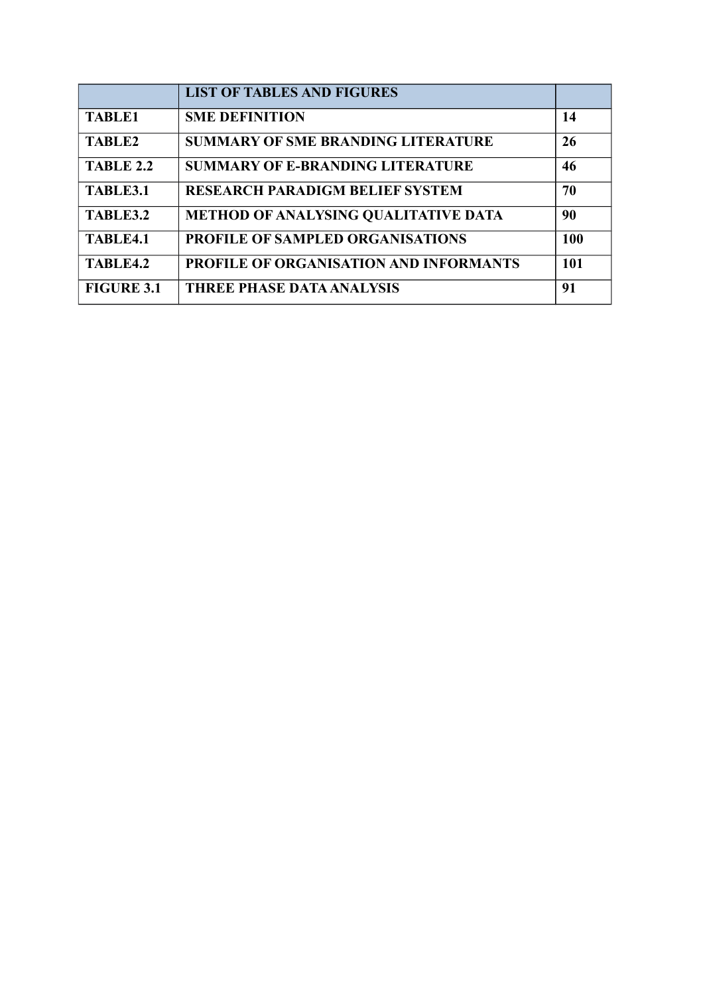|                   | <b>LIST OF TABLES AND FIGURES</b>             |     |
|-------------------|-----------------------------------------------|-----|
| <b>TABLE1</b>     | <b>SME DEFINITION</b>                         | 14  |
| TABLE2            | <b>SUMMARY OF SME BRANDING LITERATURE</b>     | 26  |
| <b>TABLE 2.2</b>  | <b>SUMMARY OF E-BRANDING LITERATURE</b>       | 46  |
| TABLE3.1          | <b>RESEARCH PARADIGM BELIEF SYSTEM</b>        | 70  |
| TABLE3.2          | <b>METHOD OF ANALYSING QUALITATIVE DATA</b>   | 90  |
| TABLE4.1          | <b>PROFILE OF SAMPLED ORGANISATIONS</b>       | 100 |
| TABLE4.2          | <b>PROFILE OF ORGANISATION AND INFORMANTS</b> | 101 |
| <b>FIGURE 3.1</b> | <b>THREE PHASE DATA ANALYSIS</b>              | 91  |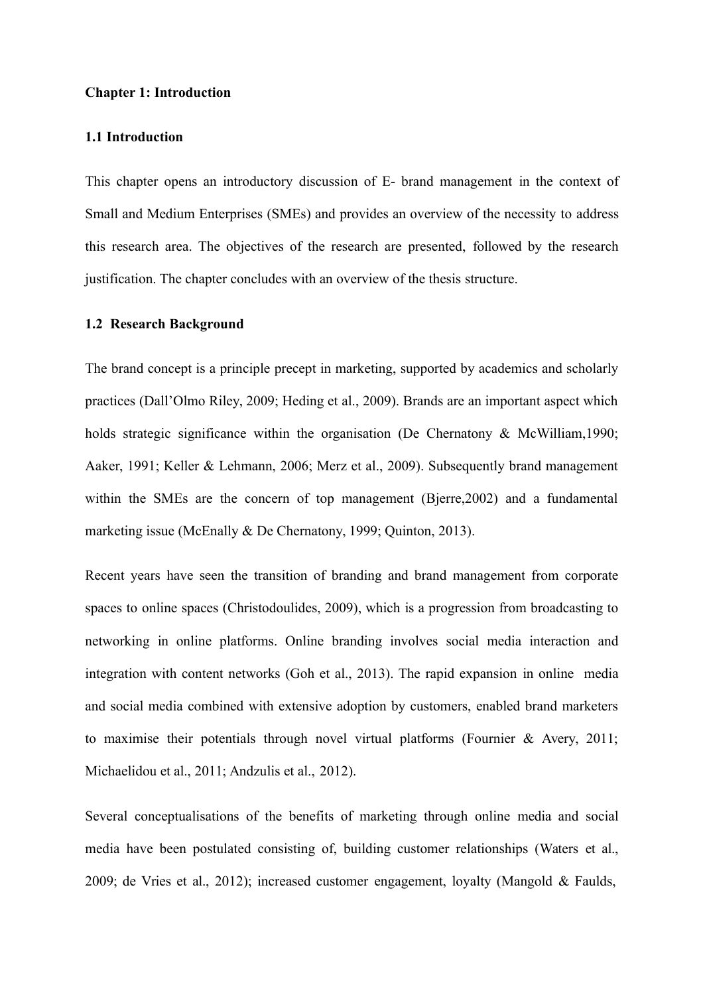#### **Chapter 1: Introduction**

### **1.1 Introduction**

This chapter opens an introductory discussion of E- brand management in the context of Small and Medium Enterprises (SMEs) and provides an overview of the necessity to address this research area. The objectives of the research are presented, followed by the research justification. The chapter concludes with an overview of the thesis structure.

#### **1.2 Research Background**

The brand concept is a principle precept in marketing, supported by academics and scholarly practices (Dall'Olmo Riley, 2009; Heding et al., 2009). Brands are an important aspect which holds strategic significance within the organisation (De Chernatony & McWilliam, 1990; Aaker, 1991; Keller & Lehmann, 2006; Merz et al., 2009). Subsequently brand management within the SMEs are the concern of top management (Bierre, 2002) and a fundamental marketing issue (McEnally & De Chernatony, 1999; Quinton, 2013).

Recent years have seen the transition of branding and brand management from corporate spaces to online spaces (Christodoulides, 2009), which is a progression from broadcasting to networking in online platforms. Online branding involves social media interaction and integration with content networks (Goh et al., 2013). The rapid expansion in online media and social media combined with extensive adoption by customers, enabled brand marketers to maximise their potentials through novel virtual platforms (Fournier & Avery, 2011; Michaelidou et al., 2011; Andzulis et al., 2012).

Several conceptualisations of the benefits of marketing through online media and social media have been postulated consisting of, building customer relationships (Waters et al., 2009; de Vries et al., 2012); increased customer engagement, loyalty (Mangold & Faulds,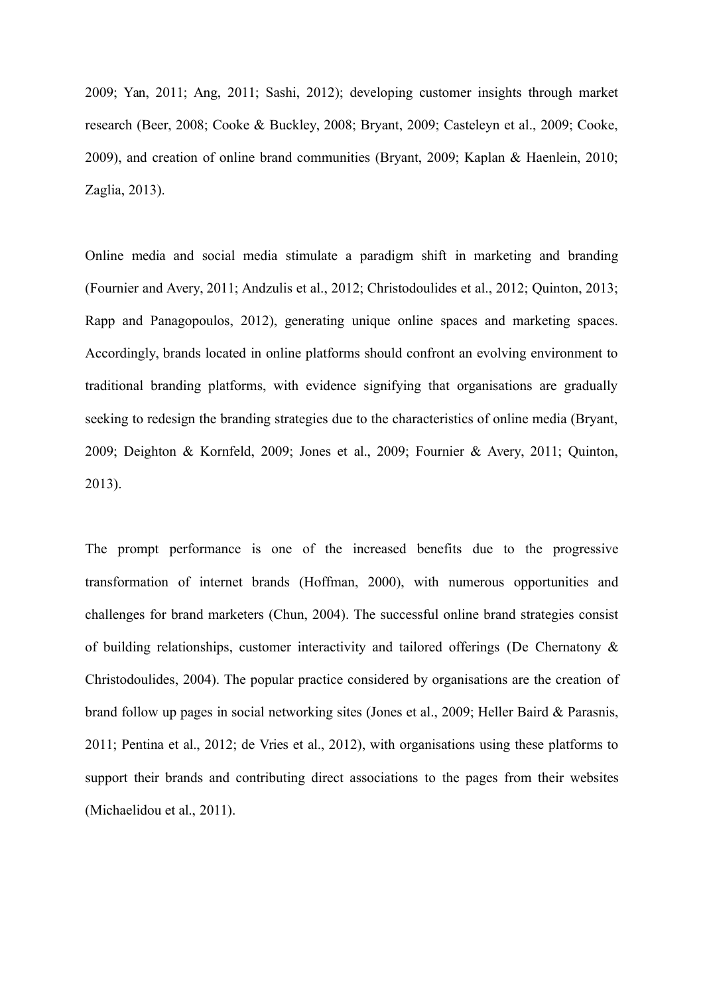2009; Yan, 2011; Ang, 2011; Sashi, 2012); developing customer insights through market research (Beer, 2008; Cooke & Buckley, 2008; Bryant, 2009; Casteleyn et al., 2009; Cooke, 2009), and creation of online brand communities (Bryant, 2009; Kaplan & Haenlein, 2010; Zaglia, 2013).

Online media and social media stimulate a paradigm shift in marketing and branding (Fournier and Avery, 2011; Andzulis et al., 2012; Christodoulides et al., 2012; Quinton, 2013; Rapp and Panagopoulos, 2012), generating unique online spaces and marketing spaces. Accordingly, brands located in online platforms should confront an evolving environment to traditional branding platforms, with evidence signifying that organisations are gradually seeking to redesign the branding strategies due to the characteristics of online media (Bryant, 2009; Deighton & Kornfeld, 2009; Jones et al., 2009; Fournier & Avery, 2011; Quinton, 2013).

The prompt performance is one of the increased benefits due to the progressive transformation of internet brands (Hoffman, 2000), with numerous opportunities and challenges for brand marketers (Chun, 2004). The successful online brand strategies consist of building relationships, customer interactivity and tailored offerings (De Chernatony & Christodoulides, 2004). The popular practice considered by organisations are the creation of brand follow up pages in social networking sites (Jones et al., 2009; Heller Baird & Parasnis, 2011; Pentina et al., 2012; de Vries et al., 2012), with organisations using these platforms to support their brands and contributing direct associations to the pages from their websites (Michaelidou et al., 2011).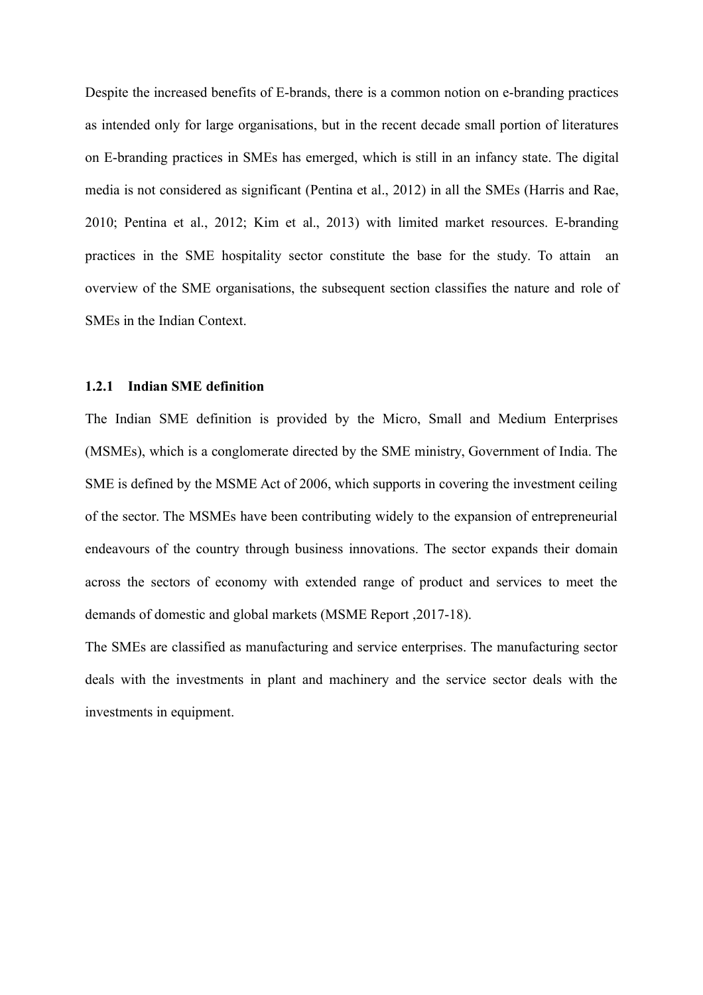Despite the increased benefits of E-brands, there is a common notion on e-branding practices as intended only for large organisations, but in the recent decade small portion of literatures on E-branding practices in SMEs has emerged, which is still in an infancy state. The digital media is not considered as significant (Pentina et al., 2012) in all the SMEs (Harris and Rae, 2010; Pentina et al., 2012; Kim et al., 2013) with limited market resources. E-branding practices in the SME hospitality sector constitute the base for the study. To attain an overview of the SME organisations, the subsequent section classifies the nature and role of SMEs in the Indian Context.

## **1.2.1 Indian SME definition**

The Indian SME definition is provided by the Micro, Small and Medium Enterprises (MSMEs), which is a conglomerate directed by the SME ministry, Government of India. The SME is defined by the MSME Act of 2006, which supports in covering the investment ceiling of the sector. The MSMEs have been contributing widely to the expansion of entrepreneurial endeavours of the country through business innovations. The sector expands their domain across the sectors of economy with extended range of product and services to meet the demands of domestic and global markets (MSME Report ,2017-18).

The SMEs are classified as manufacturing and service enterprises. The manufacturing sector deals with the investments in plant and machinery and the service sector deals with the investments in equipment.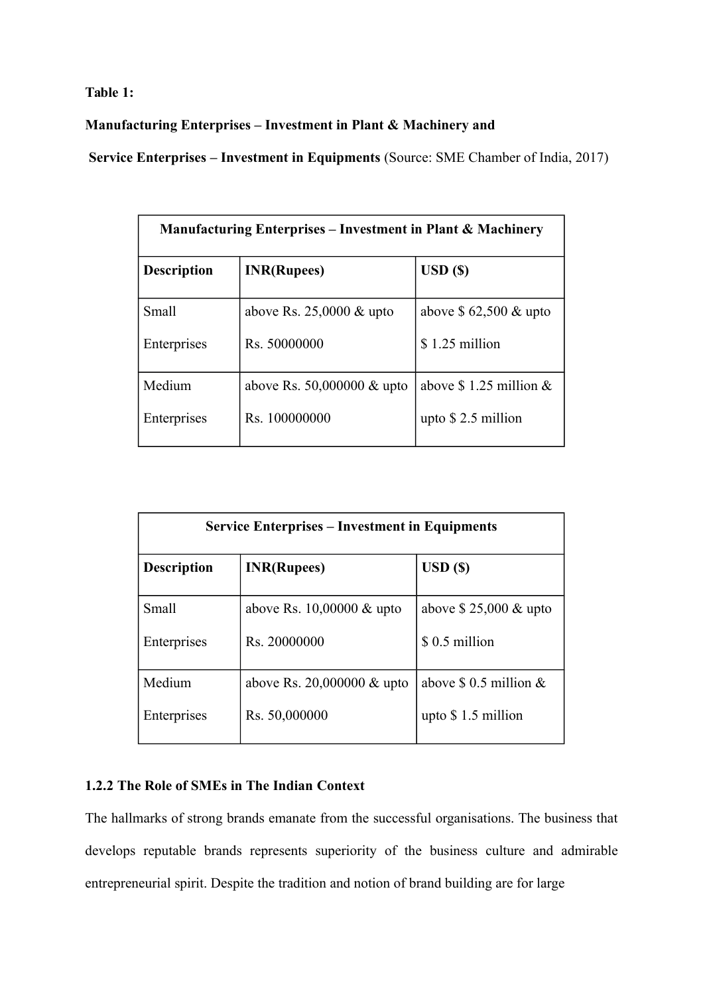**Table 1:**

**Manufacturing Enterprises – Investment in Plant & Machinery and**

**Service Enterprises – Investment in Equipments** (Source: SME Chamber of India, 2017)

| <b>Manufacturing Enterprises – Investment in Plant &amp; Machinery</b> |                                      |                                  |
|------------------------------------------------------------------------|--------------------------------------|----------------------------------|
| <b>Description</b>                                                     | <b>INR(Rupees)</b>                   | $\boldsymbol{\mathrm{USD}}$ (\$) |
| Small                                                                  | above Rs. $25,0000 \& \text{upto}$   | above $$62,500 \&$ upto          |
| Enterprises                                                            | Rs. 50000000                         | $$1.25$ million                  |
| Medium                                                                 | above Rs. $50,000000 \& \text{upto}$ | above $$1.25$ million $&$        |
| Enterprises                                                            | Rs. 100000000                        | upto $$2.5$ million              |

| <b>Service Enterprises – Investment in Equipments</b> |                                      |                           |
|-------------------------------------------------------|--------------------------------------|---------------------------|
| <b>Description</b>                                    | <b>INR(Rupees)</b>                   | USD( <sub>s</sub> )       |
| Small                                                 | above Rs. $10,00000 \& \text{upto}$  | above $$25,000 \&$ upto   |
| Enterprises                                           | Rs. 20000000                         | \$ 0.5 million            |
| Medium                                                | above Rs. $20,000000 \& \text{upto}$ | above $$ 0.5$ million $&$ |
| Enterprises                                           | Rs. 50,000000                        | upto $$1.5$ million       |

# **1.2.2 The Role of SMEs in The Indian Context**

The hallmarks of strong brands emanate from the successful organisations. The business that develops reputable brands represents superiority of the business culture and admirable entrepreneurial spirit. Despite the tradition and notion of brand building are for large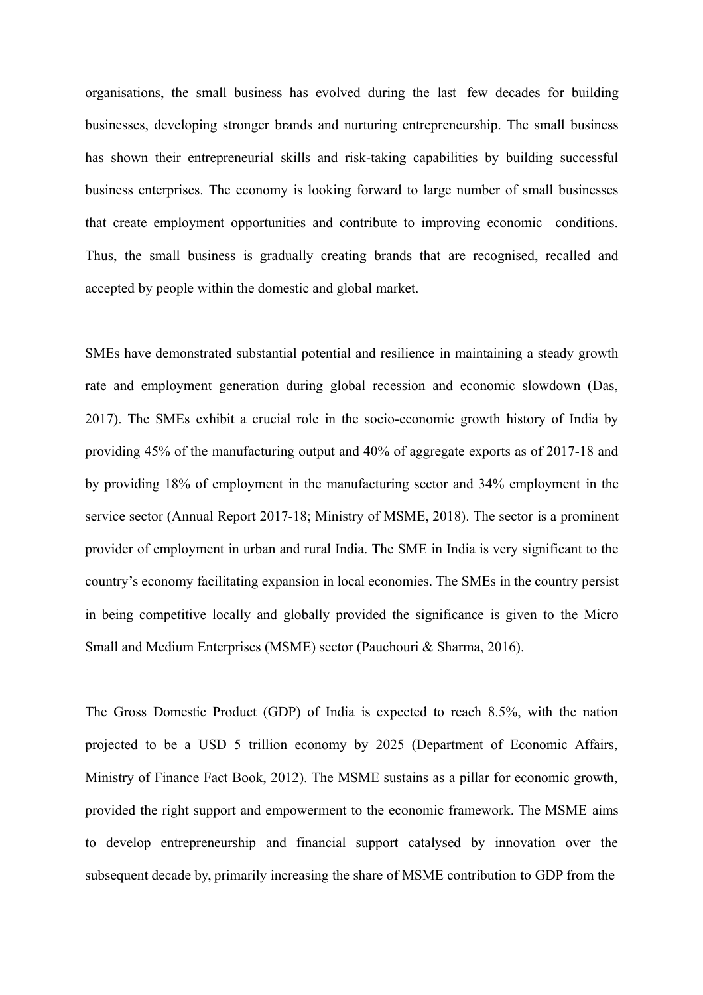organisations, the small business has evolved during the last few decades for building businesses, developing stronger brands and nurturing entrepreneurship. The small business has shown their entrepreneurial skills and risk-taking capabilities by building successful business enterprises. The economy is looking forward to large number of small businesses that create employment opportunities and contribute to improving economic conditions. Thus, the small business is gradually creating brands that are recognised, recalled and accepted by people within the domestic and global market.

SMEs have demonstrated substantial potential and resilience in maintaining a steady growth rate and employment generation during global recession and economic slowdown (Das, 2017). The SMEs exhibit a crucial role in the socio-economic growth history of India by providing 45% of the manufacturing output and 40% of aggregate exports as of 2017-18 and by providing 18% of employment in the manufacturing sector and 34% employment in the service sector (Annual Report 2017-18; Ministry of MSME, 2018). The sector is a prominent provider of employment in urban and rural India. The SME in India is very significant to the country's economy facilitating expansion in local economies. The SMEs in the country persist in being competitive locally and globally provided the significance is given to the Micro Small and Medium Enterprises (MSME) sector (Pauchouri & Sharma, 2016).

The Gross Domestic Product (GDP) of India is expected to reach 8.5%, with the nation projected to be a USD 5 trillion economy by 2025 (Department of Economic Affairs, Ministry of Finance Fact Book, 2012). The MSME sustains as a pillar for economic growth, provided the right support and empowerment to the economic framework. The MSME aims to develop entrepreneurship and financial support catalysed by innovation over the subsequent decade by, primarily increasing the share of MSME contribution to GDP from the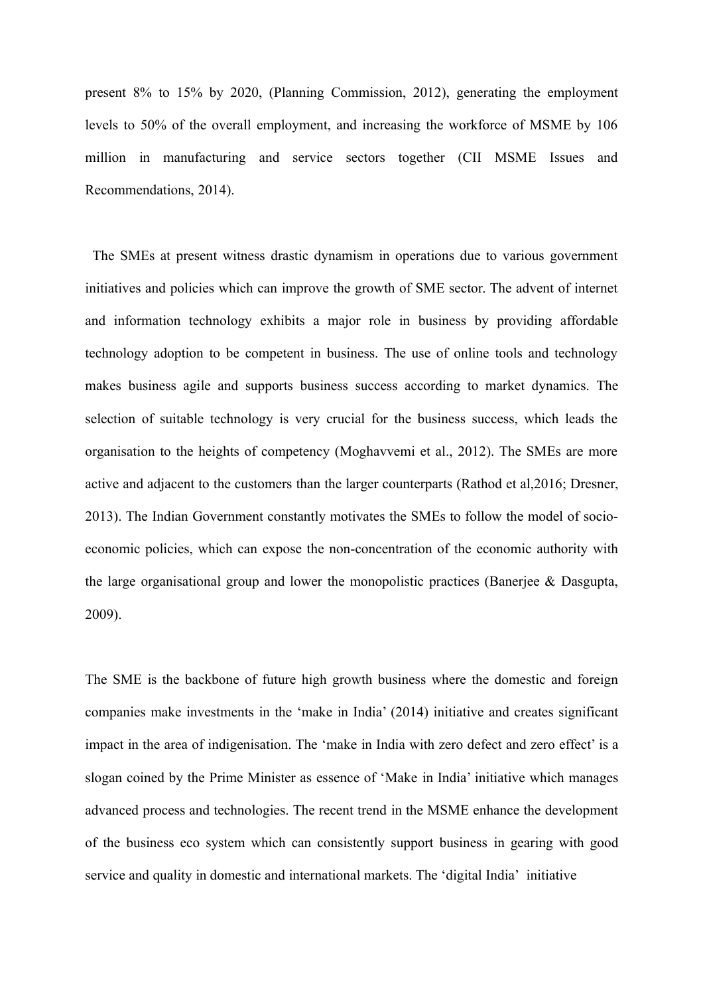present 8% to 15% by 2020, (Planning Commission, 2012), generating the employment levels to 50% of the overall employment, and increasing the workforce of MSME by 106 million in manufacturing and service sectors together (CII MSME Issues and Recommendations, 2014).

The SMEs at present witness drastic dynamism in operations due to various government initiatives and policies which can improve the growth of SME sector. The advent of internet and information technology exhibits a major role in business by providing affordable technology adoption to be competent in business. The use of online tools and technology makes business agile and supports business success according to market dynamics. The selection of suitable technology is very crucial for the business success, which leads the organisation to the heights of competency (Moghavvemi et al., 2012). The SMEs are more active and adjacent to the customers than the larger counterparts (Rathod et al,2016; Dresner, 2013). The Indian Government constantly motivates the SMEs to follow the model of socioeconomic policies, which can expose the non-concentration of the economic authority with the large organisational group and lower the monopolistic practices (Banerjee & Dasgupta, 2009).

The SME is the backbone of future high growth business where the domestic and foreign companies make investments in the 'make in India' (2014) initiative and creates significant impact in the area of indigenisation. The 'make in India with zero defect and zero effect' is a slogan coined by the Prime Minister as essence of 'Make in India' initiative which manages advanced process and technologies. The recent trend in the MSME enhance the development of the business eco system which can consistently support business in gearing with good service and quality in domestic and international markets. The 'digital India' initiative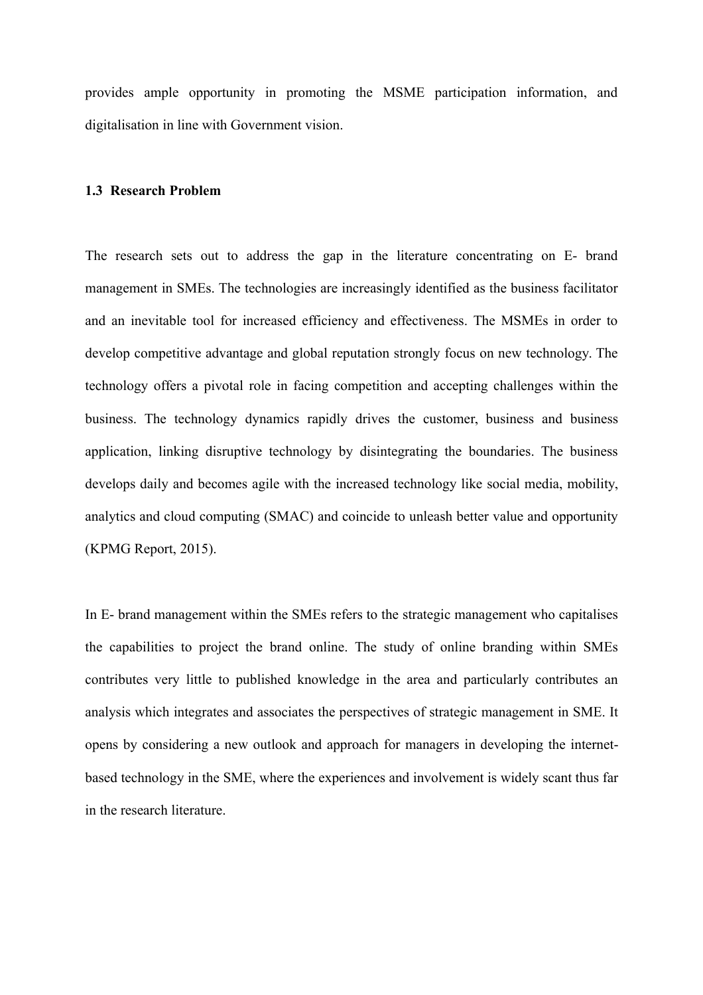provides ample opportunity in promoting the MSME participation information, and digitalisation in line with Government vision.

## **1.3 Research Problem**

The research sets out to address the gap in the literature concentrating on E- brand management in SMEs. The technologies are increasingly identified as the business facilitator and an inevitable tool for increased efficiency and effectiveness. The MSMEs in order to develop competitive advantage and global reputation strongly focus on new technology. The technology offers a pivotal role in facing competition and accepting challenges within the business. The technology dynamics rapidly drives the customer, business and business application, linking disruptive technology by disintegrating the boundaries. The business develops daily and becomes agile with the increased technology like social media, mobility, analytics and cloud computing (SMAC) and coincide to unleash better value and opportunity (KPMG Report, 2015).

In E- brand management within the SMEs refers to the strategic management who capitalises the capabilities to project the brand online. The study of online branding within SMEs contributes very little to published knowledge in the area and particularly contributes an analysis which integrates and associates the perspectives of strategic management in SME. It opens by considering a new outlook and approach for managers in developing the internetbased technology in the SME, where the experiences and involvement is widely scant thus far in the research literature.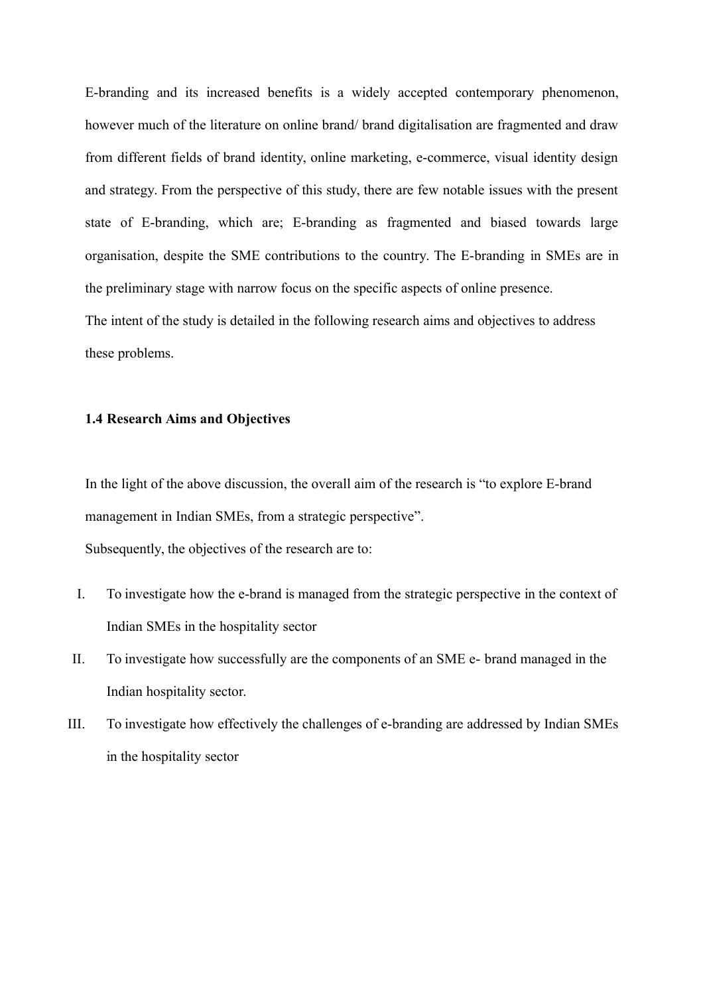E-branding and its increased benefits is a widely accepted contemporary phenomenon, however much of the literature on online brand/ brand digitalisation are fragmented and draw from different fields of brand identity, online marketing, e-commerce, visual identity design and strategy. From the perspective of this study, there are few notable issues with the present state of E-branding, which are; E-branding as fragmented and biased towards large organisation, despite the SME contributions to the country. The E-branding in SMEs are in the preliminary stage with narrow focus on the specific aspects of online presence. The intent of the study is detailed in the following research aims and objectives to address these problems.

#### **1.4 Research Aims and Objectives**

In the light of the above discussion, the overall aim of the research is "to explore E-brand management in Indian SMEs, from a strategic perspective".

Subsequently, the objectives of the research are to:

- I. To investigate how the e-brand is managed from the strategic perspective in the context of Indian SMEs in the hospitality sector
- II. To investigate how successfully are the components of an SME e- brand managed in the Indian hospitality sector.
- III. To investigate how effectively the challenges of e-branding are addressed by Indian SMEs in the hospitality sector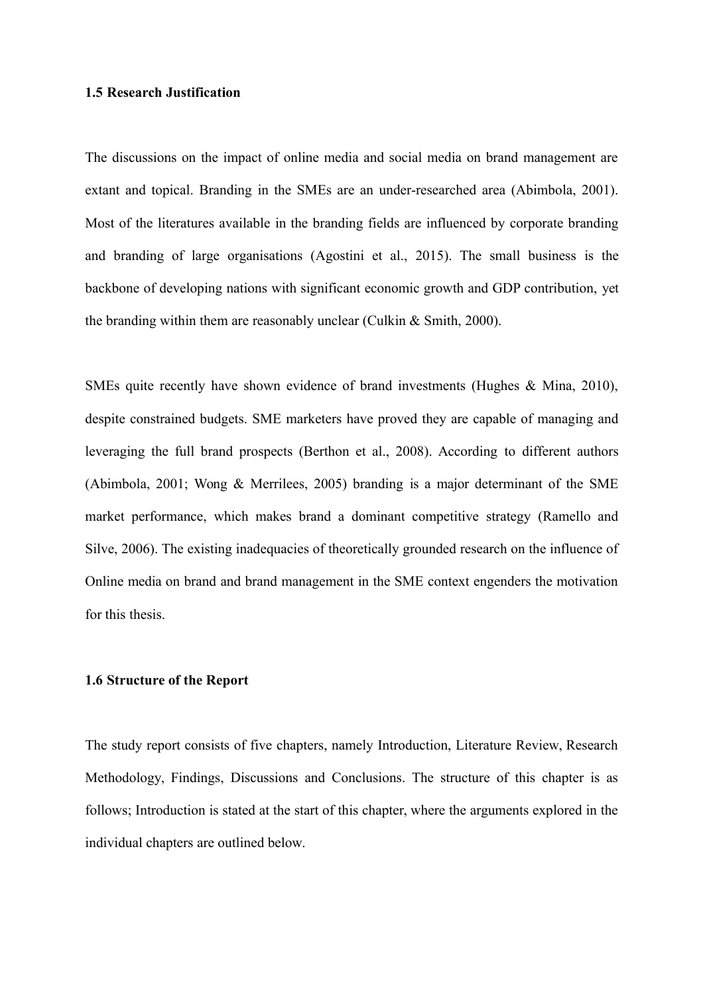#### **1.5 Research Justification**

The discussions on the impact of online media and social media on brand management are extant and topical. Branding in the SMEs are an under-researched area (Abimbola, 2001). Most of the literatures available in the branding fields are influenced by corporate branding and branding of large organisations (Agostini et al., 2015). The small business is the backbone of developing nations with significant economic growth and GDP contribution, yet the branding within them are reasonably unclear (Culkin & Smith, 2000).

SMEs quite recently have shown evidence of brand investments (Hughes & Mina, 2010), despite constrained budgets. SME marketers have proved they are capable of managing and leveraging the full brand prospects (Berthon et al., 2008). According to different authors (Abimbola, 2001; Wong & Merrilees, 2005) branding is a major determinant of the SME market performance, which makes brand a dominant competitive strategy (Ramello and Silve, 2006). The existing inadequacies of theoretically grounded research on the influence of Online media on brand and brand management in the SME context engenders the motivation for this thesis.

#### **1.6 Structure of the Report**

The study report consists of five chapters, namely Introduction, Literature Review, Research Methodology, Findings, Discussions and Conclusions. The structure of this chapter is as follows; Introduction is stated at the start of this chapter, where the arguments explored in the individual chapters are outlined below.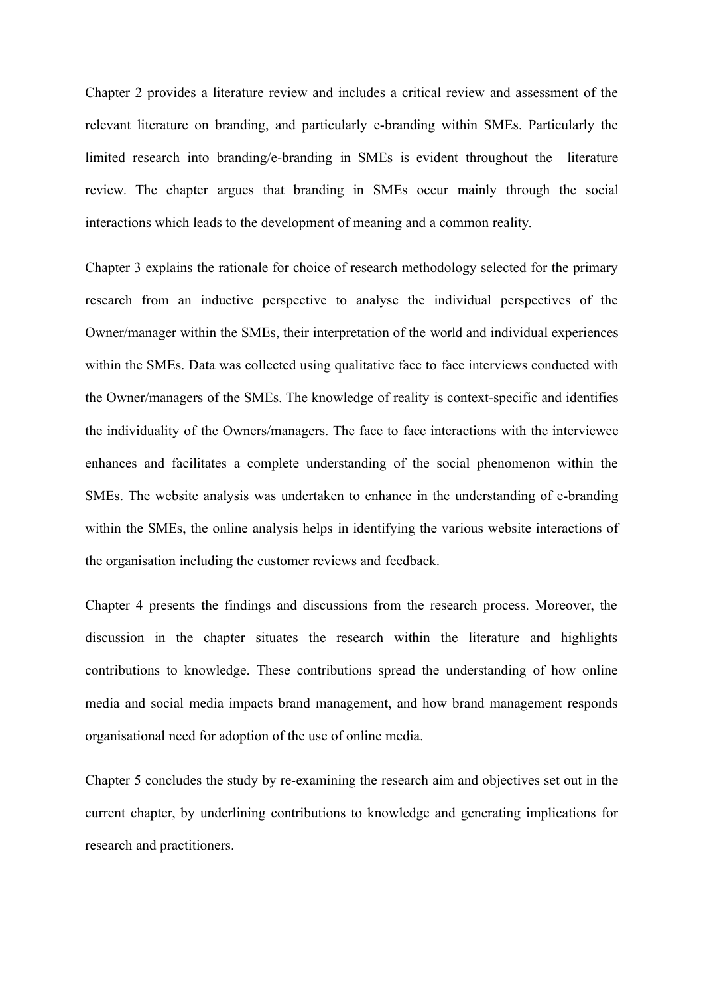Chapter 2 provides a literature review and includes a critical review and assessment of the relevant literature on branding, and particularly e-branding within SMEs. Particularly the limited research into branding/e-branding in SMEs is evident throughout the literature review. The chapter argues that branding in SMEs occur mainly through the social interactions which leads to the development of meaning and a common reality.

Chapter 3 explains the rationale for choice of research methodology selected for the primary research from an inductive perspective to analyse the individual perspectives of the Owner/manager within the SMEs, their interpretation of the world and individual experiences within the SMEs. Data was collected using qualitative face to face interviews conducted with the Owner/managers of the SMEs. The knowledge of reality is context-specific and identifies the individuality of the Owners/managers. The face to face interactions with the interviewee enhances and facilitates a complete understanding of the social phenomenon within the SMEs. The website analysis was undertaken to enhance in the understanding of e-branding within the SMEs, the online analysis helps in identifying the various website interactions of the organisation including the customer reviews and feedback.

Chapter 4 presents the findings and discussions from the research process. Moreover, the discussion in the chapter situates the research within the literature and highlights contributions to knowledge. These contributions spread the understanding of how online media and social media impacts brand management, and how brand management responds organisational need for adoption of the use of online media.

Chapter 5 concludes the study by re-examining the research aim and objectives set out in the current chapter, by underlining contributions to knowledge and generating implications for research and practitioners.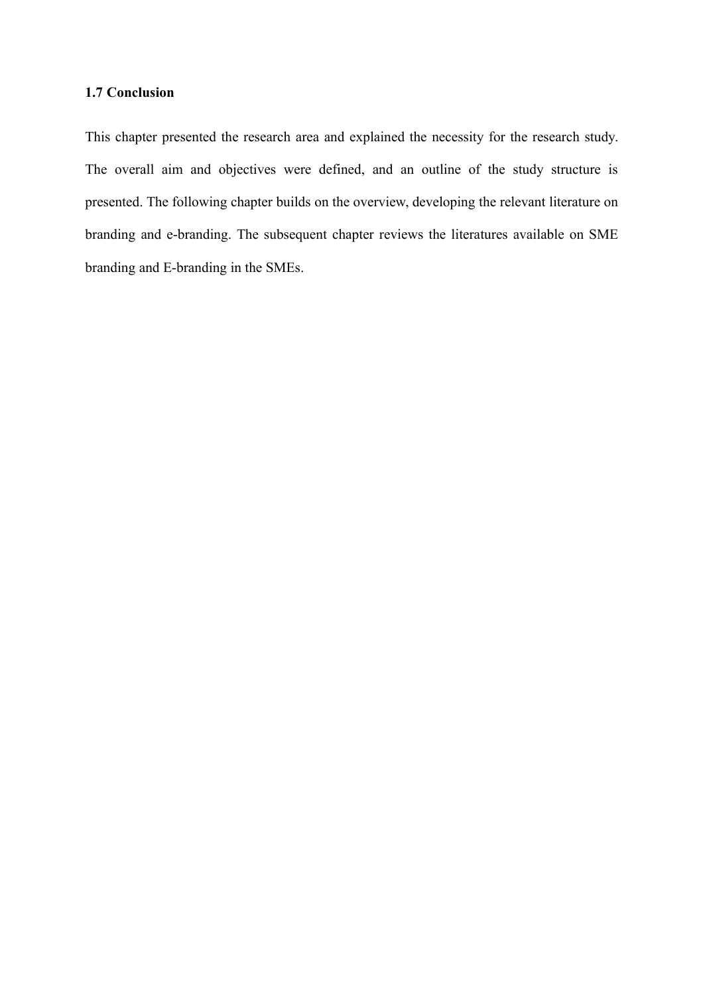## **1.7 Conclusion**

This chapter presented the research area and explained the necessity for the research study. The overall aim and objectives were defined, and an outline of the study structure is presented. The following chapter builds on the overview, developing the relevant literature on branding and e-branding. The subsequent chapter reviews the literatures available on SME branding and E-branding in the SMEs.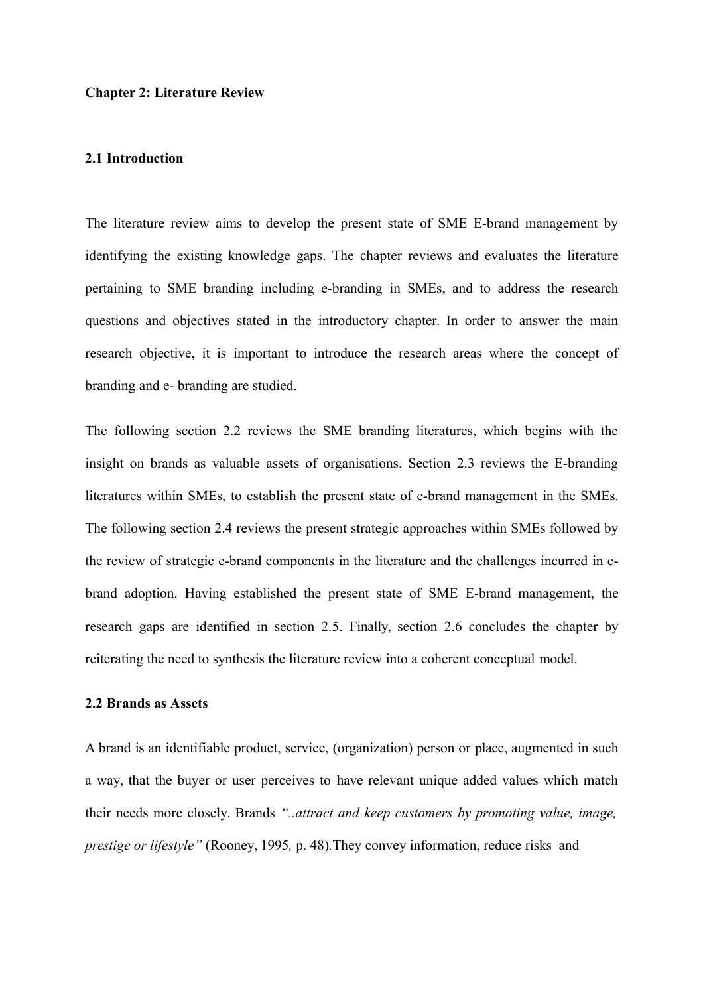#### **Chapter 2: Literature Review**

#### **2.1 Introduction**

The literature review aims to develop the present state of SME E-brand management by identifying the existing knowledge gaps. The chapter reviews and evaluates the literature pertaining to SME branding including e-branding in SMEs, and to address the research questions and objectives stated in the introductory chapter. In order to answer the main research objective, it is important to introduce the research areas where the concept of branding and e- branding are studied.

The following section 2.2 reviews the SME branding literatures, which begins with the insight on brands as valuable assets of organisations. Section 2.3 reviews the E-branding literatures within SMEs, to establish the present state of e-brand management in the SMEs. The following section 2.4 reviews the present strategic approaches within SMEs followed by the review of strategic e-brand components in the literature and the challenges incurred in ebrand adoption. Having established the present state of SME E-brand management, the research gaps are identified in section 2.5. Finally, section 2.6 concludes the chapter by reiterating the need to synthesis the literature review into a coherent conceptual model.

#### **2.2 Brands as Assets**

A brand is an identifiable product, service, (organization) person or place, augmented in such a way, that the buyer or user perceives to have relevant unique added values which match their needs more closely. Brands *"..attract and keep customers by promoting value, image, prestige or lifestyle"* (Rooney, 1995*,* p. 48)*.*They convey information, reduce risks and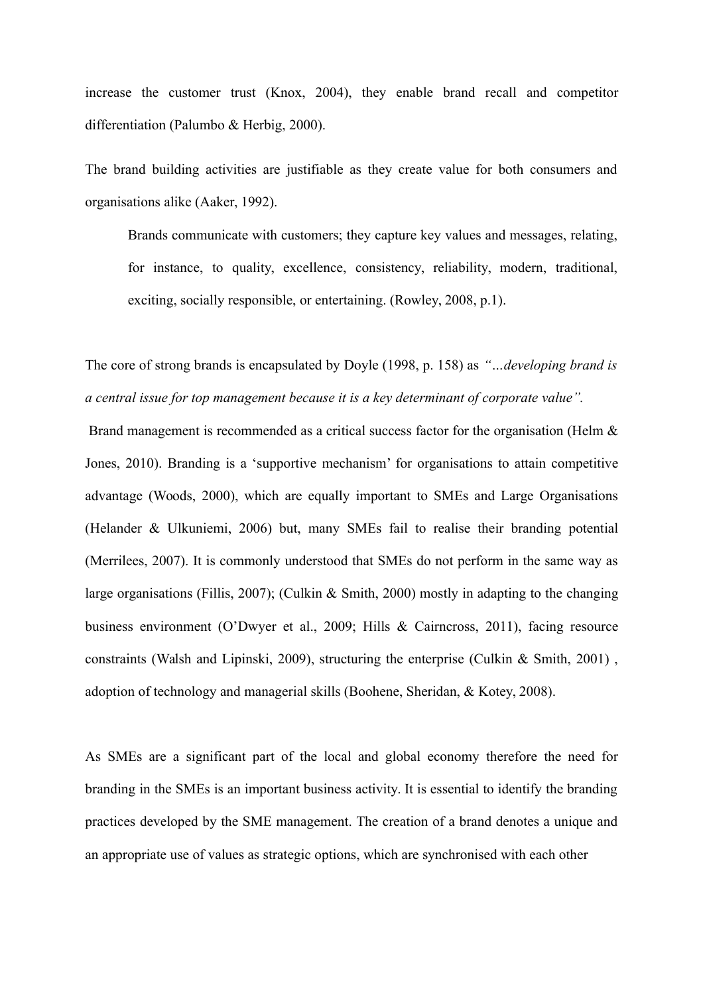increase the customer trust (Knox, 2004), they enable brand recall and competitor differentiation (Palumbo & Herbig, 2000).

The brand building activities are justifiable as they create value for both consumers and organisations alike (Aaker, 1992).

Brands communicate with customers; they capture key values and messages, relating, for instance, to quality, excellence, consistency, reliability, modern, traditional, exciting, socially responsible, or entertaining. (Rowley, 2008, p.1).

The core of strong brands is encapsulated by Doyle (1998, p. 158) as *"…developing brand is a central issue for top management because it is a key determinant of corporate value".*

Brand management is recommended as a critical success factor for the organisation (Helm & Jones, 2010). Branding is a 'supportive mechanism' for organisations to attain competitive advantage (Woods, 2000), which are equally important to SMEs and Large Organisations (Helander & Ulkuniemi, 2006) but, many SMEs fail to realise their branding potential (Merrilees, 2007). It is commonly understood that SMEs do not perform in the same way as large organisations (Fillis, 2007); (Culkin & Smith, 2000) mostly in adapting to the changing business environment (O'Dwyer et al., 2009; Hills & Cairncross, 2011), facing resource constraints (Walsh and Lipinski, 2009), structuring the enterprise (Culkin  $\&$  Smith, 2001), adoption of technology and managerial skills (Boohene, Sheridan, & Kotey, 2008).

As SMEs are a significant part of the local and global economy therefore the need for branding in the SMEs is an important business activity. It is essential to identify the branding practices developed by the SME management. The creation of a brand denotes a unique and an appropriate use of values as strategic options, which are synchronised with each other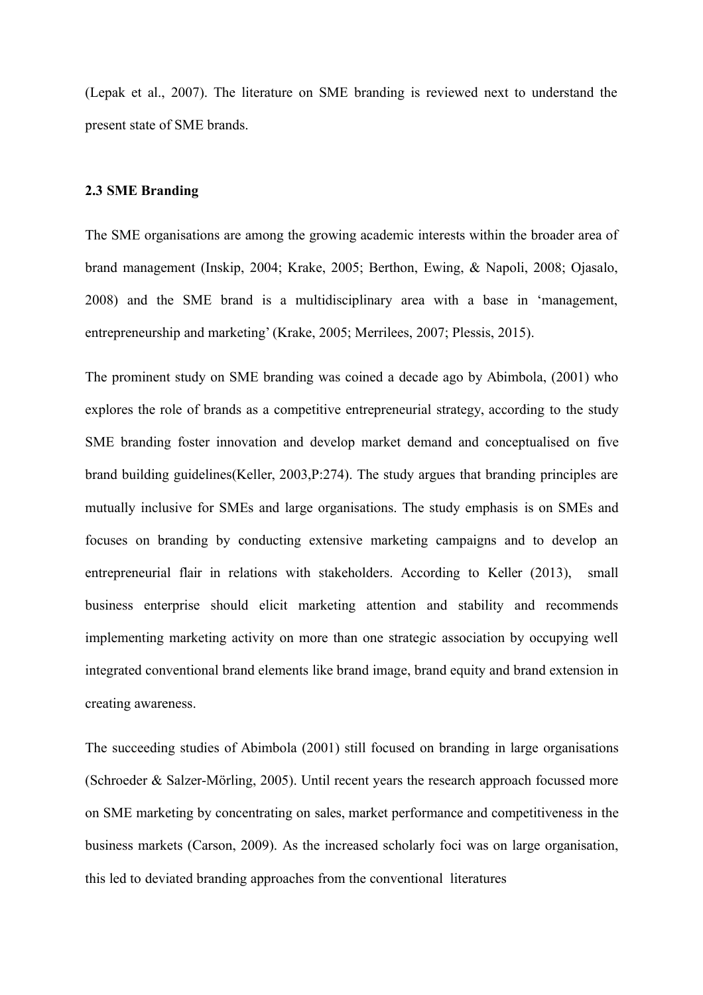(Lepak et al., 2007). The literature on SME branding is reviewed next to understand the present state of SME brands.

## **2.3 SME Branding**

The SME organisations are among the growing academic interests within the broader area of brand management (Inskip, 2004; Krake, 2005; Berthon, Ewing, & Napoli, 2008; Ojasalo, 2008) and the SME brand is a multidisciplinary area with a base in 'management, entrepreneurship and marketing' (Krake, 2005; Merrilees, 2007; Plessis, 2015).

The prominent study on SME branding was coined a decade ago by Abimbola, (2001) who explores the role of brands as a competitive entrepreneurial strategy, according to the study SME branding foster innovation and develop market demand and conceptualised on five brand building guidelines(Keller, 2003,P:274). The study argues that branding principles are mutually inclusive for SMEs and large organisations. The study emphasis is on SMEs and focuses on branding by conducting extensive marketing campaigns and to develop an entrepreneurial flair in relations with stakeholders. According to Keller (2013), small business enterprise should elicit marketing attention and stability and recommends implementing marketing activity on more than one strategic association by occupying well integrated conventional brand elements like brand image, brand equity and brand extension in creating awareness.

The succeeding studies of Abimbola (2001) still focused on branding in large organisations (Schroeder & Salzer-Mörling, 2005). Until recent years the research approach focussed more on SME marketing by concentrating on sales, market performance and competitiveness in the business markets (Carson, 2009). As the increased scholarly foci was on large organisation, this led to deviated branding approaches from the conventional literatures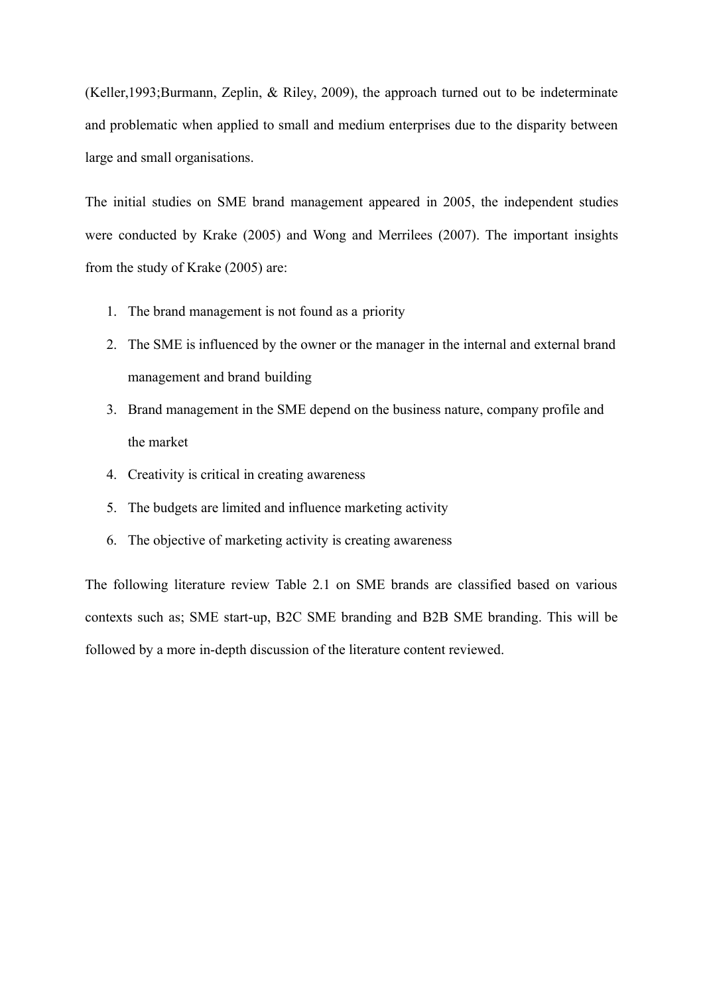(Keller,1993;Burmann, Zeplin, & Riley, 2009), the approach turned out to be indeterminate and problematic when applied to small and medium enterprises due to the disparity between large and small organisations.

The initial studies on SME brand management appeared in 2005, the independent studies were conducted by Krake (2005) and Wong and Merrilees (2007). The important insights from the study of Krake (2005) are:

- 1. The brand management is not found as a priority
- 2. The SME is influenced by the owner or the manager in the internal and external brand management and brand building
- 3. Brand management in the SME depend on the business nature, company profile and the market
- 4. Creativity is critical in creating awareness
- 5. The budgets are limited and influence marketing activity
- 6. The objective of marketing activity is creating awareness

The following literature review Table 2.1 on SME brands are classified based on various contexts such as; SME start-up, B2C SME branding and B2B SME branding. This will be followed by a more in-depth discussion of the literature content reviewed.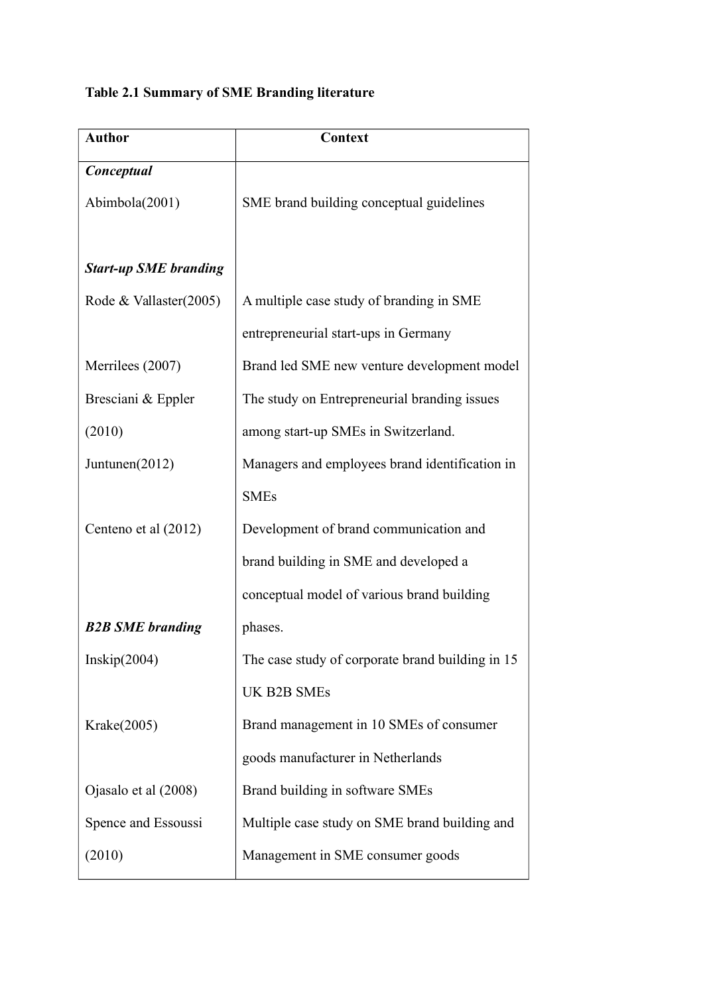# **Table 2.1 Summary of SME Branding literature**

| <b>Author</b>                | Context                                          |
|------------------------------|--------------------------------------------------|
| Conceptual                   |                                                  |
| Abimbola(2001)               | SME brand building conceptual guidelines         |
|                              |                                                  |
| <b>Start-up SME branding</b> |                                                  |
| Rode & Vallaster(2005)       | A multiple case study of branding in SME         |
|                              | entrepreneurial start-ups in Germany             |
| Merrilees (2007)             | Brand led SME new venture development model      |
| Bresciani & Eppler           | The study on Entrepreneurial branding issues     |
| (2010)                       | among start-up SMEs in Switzerland.              |
| Juntunen(2012)               | Managers and employees brand identification in   |
|                              | <b>SMEs</b>                                      |
| Centeno et al (2012)         | Development of brand communication and           |
|                              | brand building in SME and developed a            |
|                              | conceptual model of various brand building       |
| <b>B2B SME branding</b>      | phases.                                          |
| Inskip(2004)                 | The case study of corporate brand building in 15 |
|                              | UK B2B SMEs                                      |
| Krake(2005)                  | Brand management in 10 SMEs of consumer          |
|                              | goods manufacturer in Netherlands                |
| Ojasalo et al (2008)         | Brand building in software SMEs                  |
| Spence and Essoussi          | Multiple case study on SME brand building and    |
| (2010)                       | Management in SME consumer goods                 |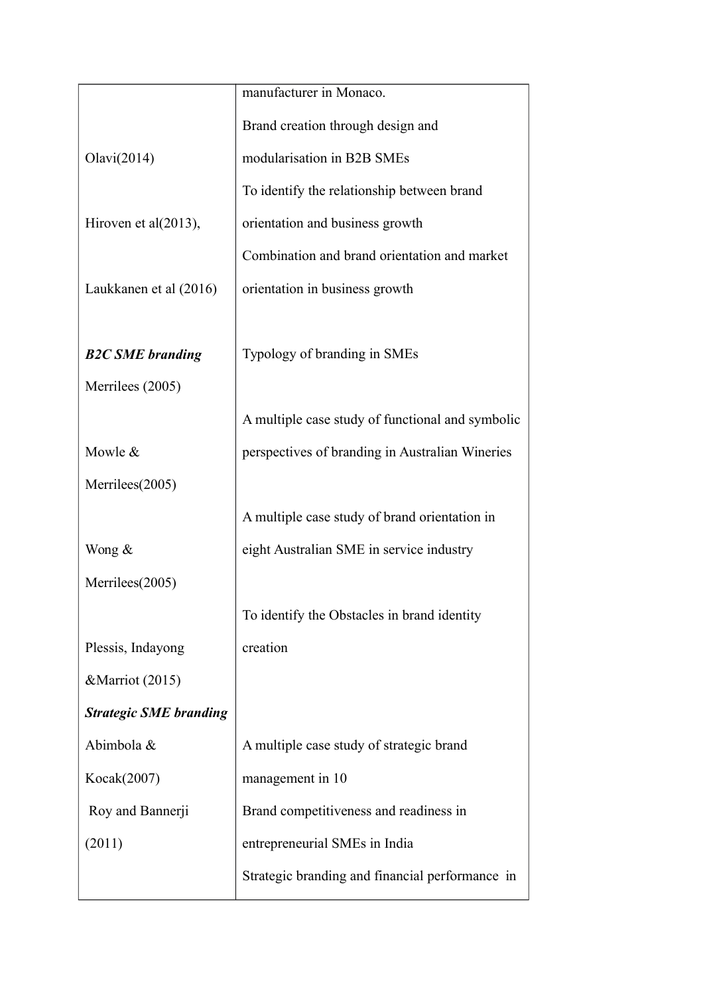|                               | manufacturer in Monaco.                          |
|-------------------------------|--------------------------------------------------|
|                               | Brand creation through design and                |
| Olavi(2014)                   | modularisation in B2B SMEs                       |
|                               | To identify the relationship between brand       |
| Hiroven et al(2013),          | orientation and business growth                  |
|                               | Combination and brand orientation and market     |
| Laukkanen et al (2016)        | orientation in business growth                   |
|                               |                                                  |
| <b>B2C SME</b> branding       | Typology of branding in SMEs                     |
| Merrilees (2005)              |                                                  |
|                               | A multiple case study of functional and symbolic |
| Mowle &                       | perspectives of branding in Australian Wineries  |
| Merrilees(2005)               |                                                  |
|                               | A multiple case study of brand orientation in    |
| Wong $\&$                     | eight Australian SME in service industry         |
| Merrilees(2005)               |                                                  |
|                               | To identify the Obstacles in brand identity      |
| Plessis, Indayong             | creation                                         |
| &Marriot (2015)               |                                                  |
| <b>Strategic SME branding</b> |                                                  |
| Abimbola &                    | A multiple case study of strategic brand         |
| Kocak(2007)                   | management in 10                                 |
| Roy and Bannerji              | Brand competitiveness and readiness in           |
| (2011)                        | entrepreneurial SMEs in India                    |
|                               | Strategic branding and financial performance in  |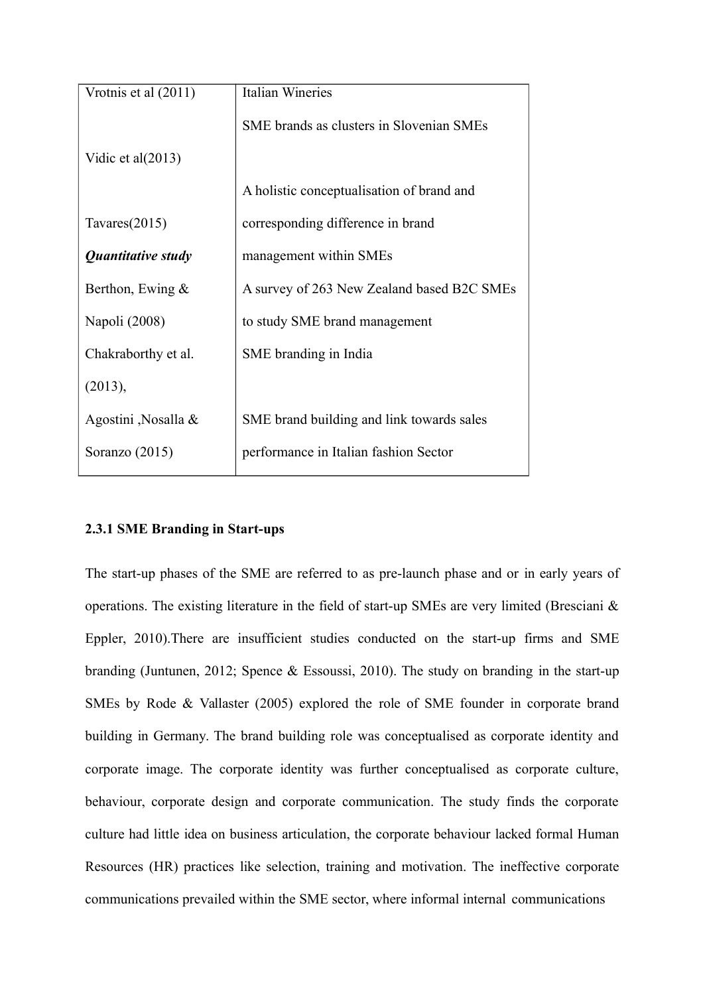| Vrotnis et al (2011)   | <b>Italian Wineries</b>                    |
|------------------------|--------------------------------------------|
|                        | SME brands as clusters in Slovenian SMEs   |
| Vidic et al $(2013)$   |                                            |
|                        | A holistic conceptualisation of brand and  |
| Tavares $(2015)$       | corresponding difference in brand          |
| Quantitative study     | management within SMEs                     |
| Berthon, Ewing $\&$    | A survey of 263 New Zealand based B2C SMEs |
| Napoli (2008)          | to study SME brand management              |
| Chakraborthy et al.    | SME branding in India                      |
| (2013),                |                                            |
| Agostini, Nosalla $\&$ | SME brand building and link towards sales  |
| Soranzo $(2015)$       | performance in Italian fashion Sector      |

## **2.3.1 SME Branding in Start-ups**

The start-up phases of the SME are referred to as pre-launch phase and or in early years of operations. The existing literature in the field of start-up SMEs are very limited (Bresciani & Eppler, 2010).There are insufficient studies conducted on the start-up firms and SME branding (Juntunen, 2012; Spence & Essoussi, 2010). The study on branding in the start-up SMEs by Rode & Vallaster (2005) explored the role of SME founder in corporate brand building in Germany. The brand building role was conceptualised as corporate identity and corporate image. The corporate identity was further conceptualised as corporate culture, behaviour, corporate design and corporate communication. The study finds the corporate culture had little idea on business articulation, the corporate behaviour lacked formal Human Resources (HR) practices like selection, training and motivation. The ineffective corporate communications prevailed within the SME sector, where informal internal communications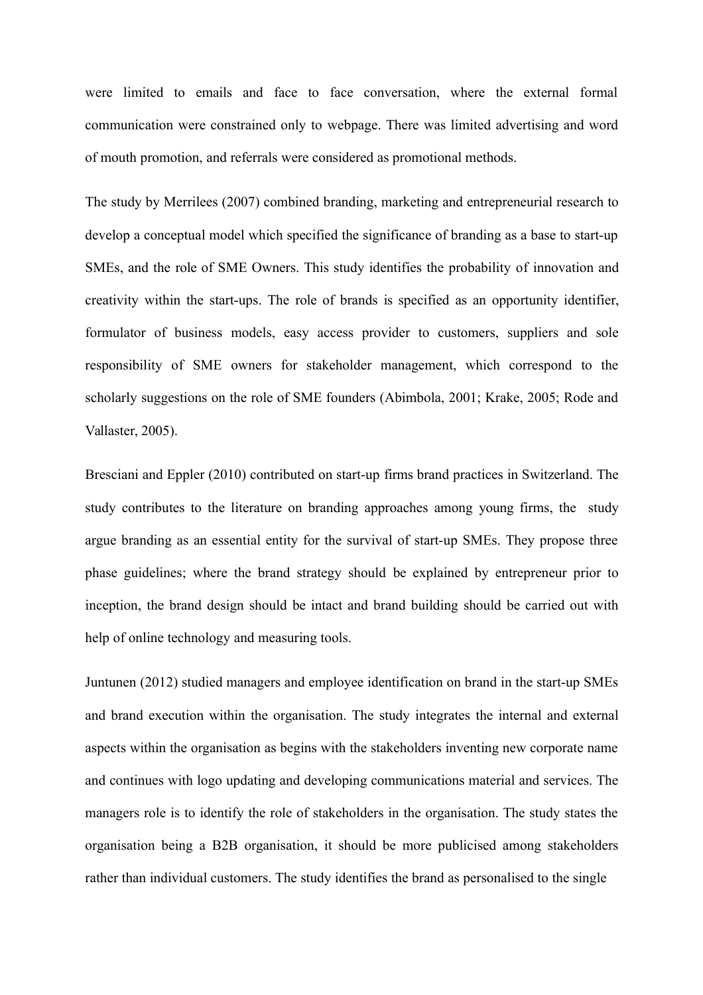were limited to emails and face to face conversation, where the external formal communication were constrained only to webpage. There was limited advertising and word of mouth promotion, and referrals were considered as promotional methods.

The study by Merrilees (2007) combined branding, marketing and entrepreneurial research to develop a conceptual model which specified the significance of branding as a base to start-up SMEs, and the role of SME Owners. This study identifies the probability of innovation and creativity within the start-ups. The role of brands is specified as an opportunity identifier, formulator of business models, easy access provider to customers, suppliers and sole responsibility of SME owners for stakeholder management, which correspond to the scholarly suggestions on the role of SME founders (Abimbola, 2001; Krake, 2005; Rode and Vallaster, 2005).

Bresciani and Eppler (2010) contributed on start-up firms brand practices in Switzerland. The study contributes to the literature on branding approaches among young firms, the study argue branding as an essential entity for the survival of start-up SMEs. They propose three phase guidelines; where the brand strategy should be explained by entrepreneur prior to inception, the brand design should be intact and brand building should be carried out with help of online technology and measuring tools.

Juntunen (2012) studied managers and employee identification on brand in the start-up SMEs and brand execution within the organisation. The study integrates the internal and external aspects within the organisation as begins with the stakeholders inventing new corporate name and continues with logo updating and developing communications material and services. The managers role is to identify the role of stakeholders in the organisation. The study states the organisation being a B2B organisation, it should be more publicised among stakeholders rather than individual customers. The study identifies the brand as personalised to the single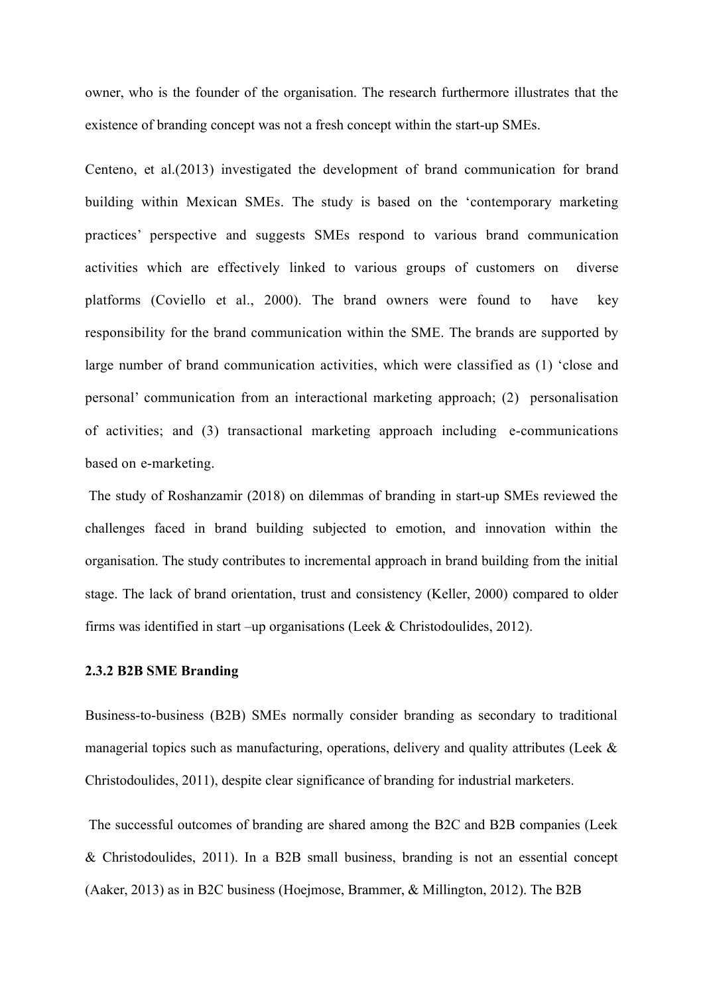owner, who is the founder of the organisation. The research furthermore illustrates that the existence of branding concept was not a fresh concept within the start-up SMEs.

Centeno, et al.(2013) investigated the development of brand communication for brand building within Mexican SMEs. The study is based on the 'contemporary marketing practices' perspective and suggests SMEs respond to various brand communication activities which are effectively linked to various groups of customers on diverse platforms (Coviello et al., 2000). The brand owners were found to have key responsibility for the brand communication within the SME. The brands are supported by large number of brand communication activities, which were classified as (1) 'close and personal' communication from an interactional marketing approach; (2) personalisation of activities; and (3) transactional marketing approach including e-communications based on e-marketing.

The study of Roshanzamir (2018) on dilemmas of branding in start-up SMEs reviewed the challenges faced in brand building subjected to emotion, and innovation within the organisation. The study contributes to incremental approach in brand building from the initial stage. The lack of brand orientation, trust and consistency (Keller, 2000) compared to older firms was identified in start –up organisations (Leek & Christodoulides, 2012).

#### **2.3.2 B2B SME Branding**

Business-to-business (B2B) SMEs normally consider branding as secondary to traditional managerial topics such as manufacturing, operations, delivery and quality attributes (Leek & Christodoulides, 2011), despite clear significance of branding for industrial marketers.

The successful outcomes of branding are shared among the B2C and B2B companies (Leek & Christodoulides, 2011). In a B2B small business, branding is not an essential concept (Aaker, 2013) as in B2C business (Hoejmose, Brammer, & Millington, 2012). The B2B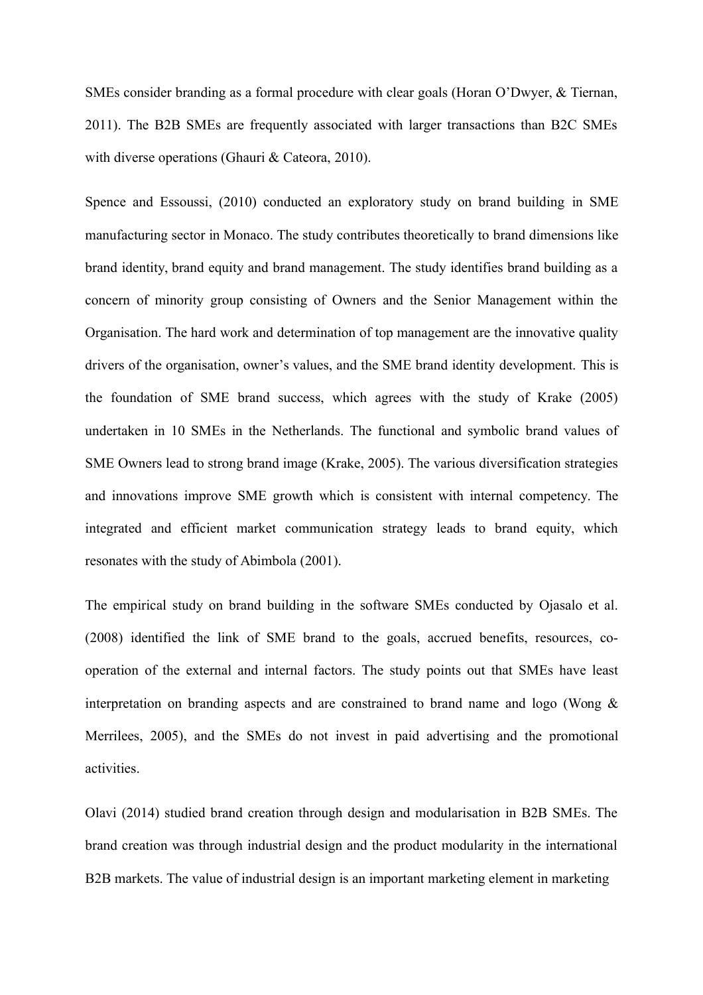SMEs consider branding as a formal procedure with clear goals (Horan O'Dwyer, & Tiernan, 2011). The B2B SMEs are frequently associated with larger transactions than B2C SMEs with diverse operations (Ghauri & Cateora, 2010).

Spence and Essoussi, (2010) conducted an exploratory study on brand building in SME manufacturing sector in Monaco. The study contributes theoretically to brand dimensions like brand identity, brand equity and brand management. The study identifies brand building as a concern of minority group consisting of Owners and the Senior Management within the Organisation. The hard work and determination of top management are the innovative quality drivers of the organisation, owner's values, and the SME brand identity development. This is the foundation of SME brand success, which agrees with the study of Krake (2005) undertaken in 10 SMEs in the Netherlands. The functional and symbolic brand values of SME Owners lead to strong brand image (Krake, 2005). The various diversification strategies and innovations improve SME growth which is consistent with internal competency. The integrated and efficient market communication strategy leads to brand equity, which resonates with the study of Abimbola (2001).

The empirical study on brand building in the software SMEs conducted by Ojasalo et al. (2008) identified the link of SME brand to the goals, accrued benefits, resources, cooperation of the external and internal factors. The study points out that SMEs have least interpretation on branding aspects and are constrained to brand name and logo (Wong & Merrilees, 2005), and the SMEs do not invest in paid advertising and the promotional activities.

Olavi (2014) studied brand creation through design and modularisation in B2B SMEs. The brand creation was through industrial design and the product modularity in the international B2B markets. The value of industrial design is an important marketing element in marketing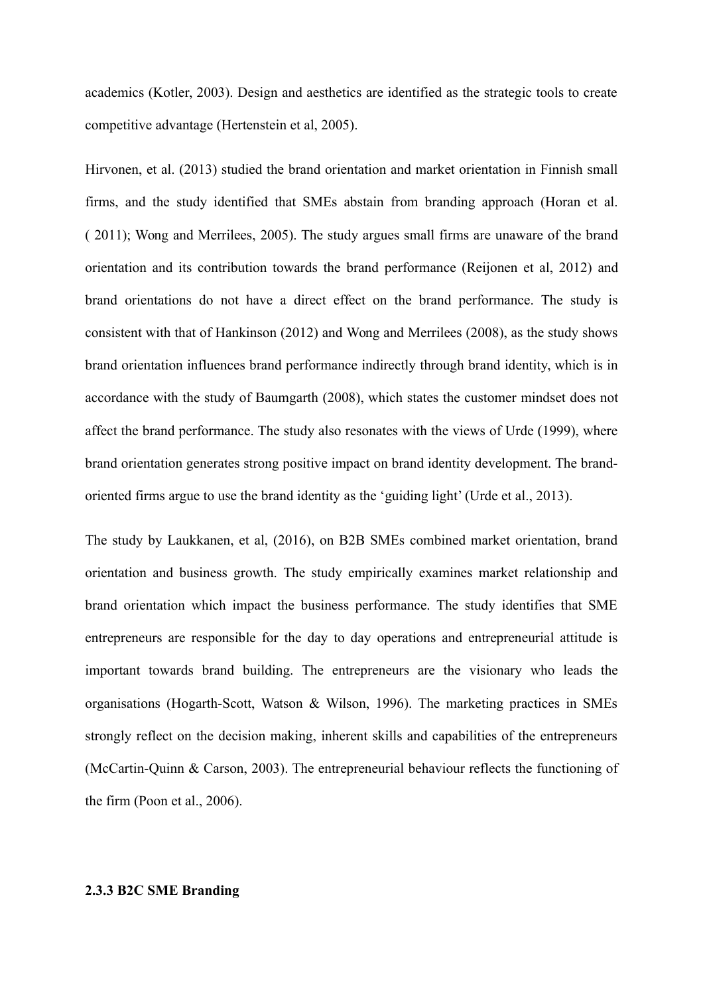academics (Kotler, 2003). Design and aesthetics are identified as the strategic tools to create competitive advantage (Hertenstein et al, 2005).

Hirvonen, et al. (2013) studied the brand orientation and market orientation in Finnish small firms, and the study identified that SMEs abstain from branding approach (Horan et al. ( 2011); Wong and Merrilees, 2005). The study argues small firms are unaware of the brand orientation and its contribution towards the brand performance (Reijonen et al, 2012) and brand orientations do not have a direct effect on the brand performance. The study is consistent with that of Hankinson (2012) and Wong and Merrilees (2008), as the study shows brand orientation influences brand performance indirectly through brand identity, which is in accordance with the study of Baumgarth (2008), which states the customer mindset does not affect the brand performance. The study also resonates with the views of Urde (1999), where brand orientation generates strong positive impact on brand identity development. The brandoriented firms argue to use the brand identity as the 'guiding light' (Urde et al., 2013).

The study by Laukkanen, et al, (2016), on B2B SMEs combined market orientation, brand orientation and business growth. The study empirically examines market relationship and brand orientation which impact the business performance. The study identifies that SME entrepreneurs are responsible for the day to day operations and entrepreneurial attitude is important towards brand building. The entrepreneurs are the visionary who leads the organisations (Hogarth-Scott, Watson & Wilson, 1996). The marketing practices in SMEs strongly reflect on the decision making, inherent skills and capabilities of the entrepreneurs (McCartin-Quinn & Carson, 2003). The entrepreneurial behaviour reflects the functioning of the firm (Poon et al., 2006).

## **2.3.3 B2C SME Branding**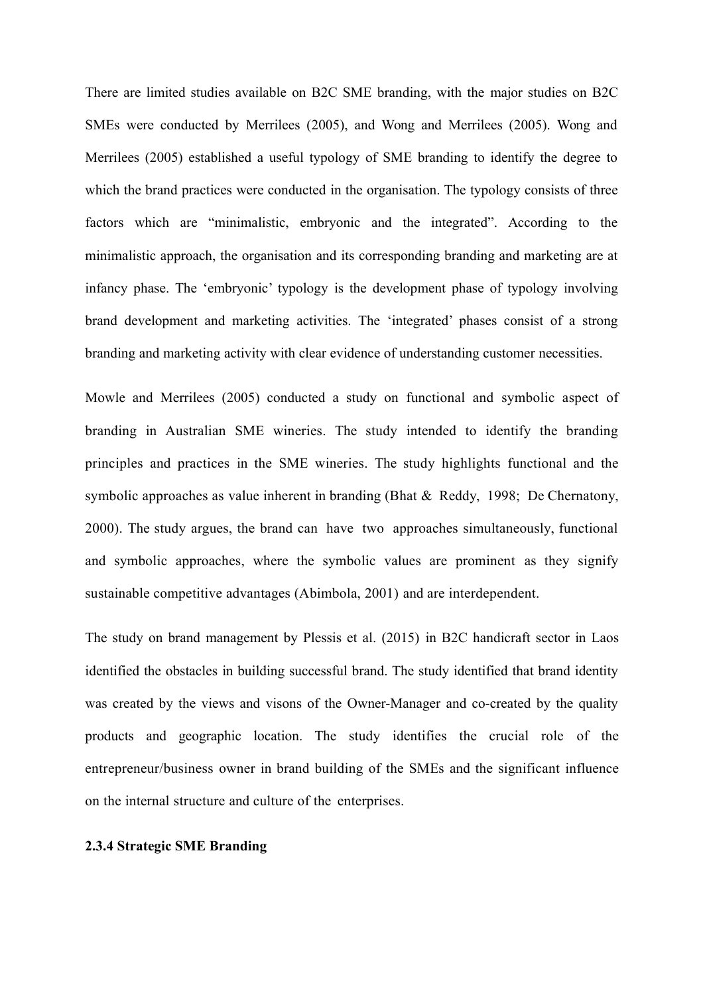There are limited studies available on B2C SME branding, with the major studies on B2C SMEs were conducted by Merrilees (2005), and Wong and Merrilees (2005). Wong and Merrilees (2005) established a useful typology of SME branding to identify the degree to which the brand practices were conducted in the organisation. The typology consists of three factors which are "minimalistic, embryonic and the integrated". According to the minimalistic approach, the organisation and its corresponding branding and marketing are at infancy phase. The 'embryonic' typology is the development phase of typology involving brand development and marketing activities. The 'integrated' phases consist of a strong branding and marketing activity with clear evidence of understanding customer necessities.

Mowle and Merrilees (2005) conducted a study on functional and symbolic aspect of branding in Australian SME wineries. The study intended to identify the branding principles and practices in the SME wineries. The study highlights functional and the symbolic approaches as value inherent in branding (Bhat & Reddy, 1998; De Chernatony, 2000). The study argues, the brand can have two approaches simultaneously, functional and symbolic approaches, where the symbolic values are prominent as they signify sustainable competitive advantages (Abimbola, 2001) and are interdependent.

The study on brand management by Plessis et al. (2015) in B2C handicraft sector in Laos identified the obstacles in building successful brand. The study identified that brand identity was created by the views and visons of the Owner-Manager and co-created by the quality products and geographic location. The study identifies the crucial role of the entrepreneur/business owner in brand building of the SMEs and the significant influence on the internal structure and culture of the enterprises.

## **2.3.4 Strategic SME Branding**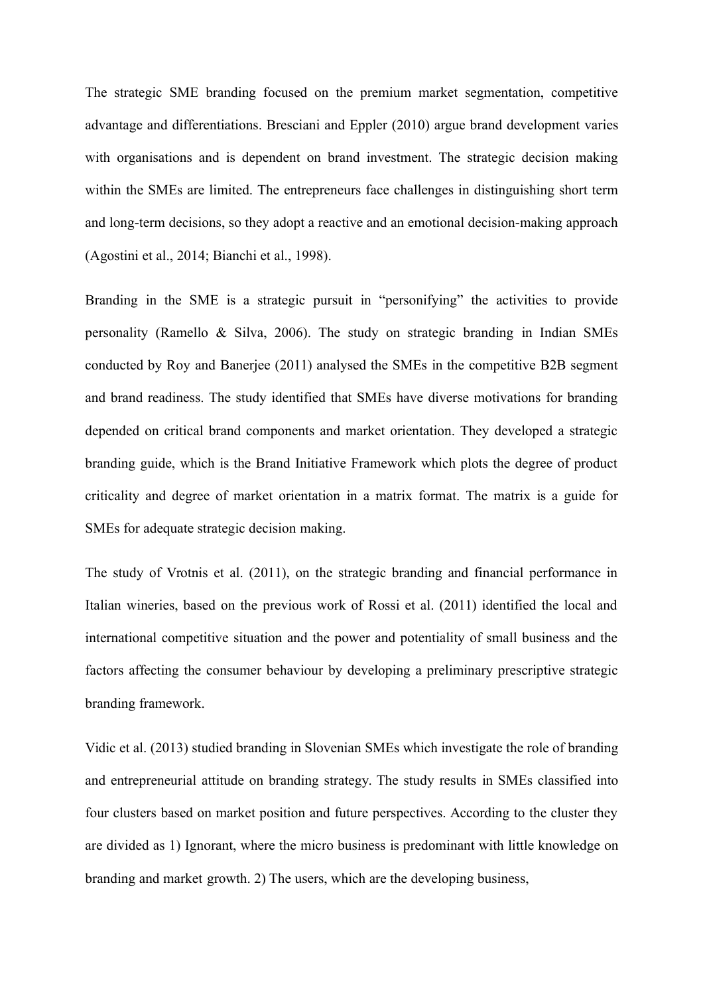The strategic SME branding focused on the premium market segmentation, competitive advantage and differentiations. Bresciani and Eppler (2010) argue brand development varies with organisations and is dependent on brand investment. The strategic decision making within the SMEs are limited. The entrepreneurs face challenges in distinguishing short term and long-term decisions, so they adopt a reactive and an emotional decision-making approach (Agostini et al., 2014; Bianchi et al., 1998).

Branding in the SME is a strategic pursuit in "personifying" the activities to provide personality (Ramello & Silva, 2006). The study on strategic branding in Indian SMEs conducted by Roy and Banerjee (2011) analysed the SMEs in the competitive B2B segment and brand readiness. The study identified that SMEs have diverse motivations for branding depended on critical brand components and market orientation. They developed a strategic branding guide, which is the Brand Initiative Framework which plots the degree of product criticality and degree of market orientation in a matrix format. The matrix is a guide for SMEs for adequate strategic decision making.

The study of Vrotnis et al. (2011), on the strategic branding and financial performance in Italian wineries, based on the previous work of Rossi et al. (2011) identified the local and international competitive situation and the power and potentiality of small business and the factors affecting the consumer behaviour by developing a preliminary prescriptive strategic branding framework.

Vidic et al. (2013) studied branding in Slovenian SMEs which investigate the role of branding and entrepreneurial attitude on branding strategy. The study results in SMEs classified into four clusters based on market position and future perspectives. According to the cluster they are divided as 1) Ignorant, where the micro business is predominant with little knowledge on branding and market growth. 2) The users, which are the developing business,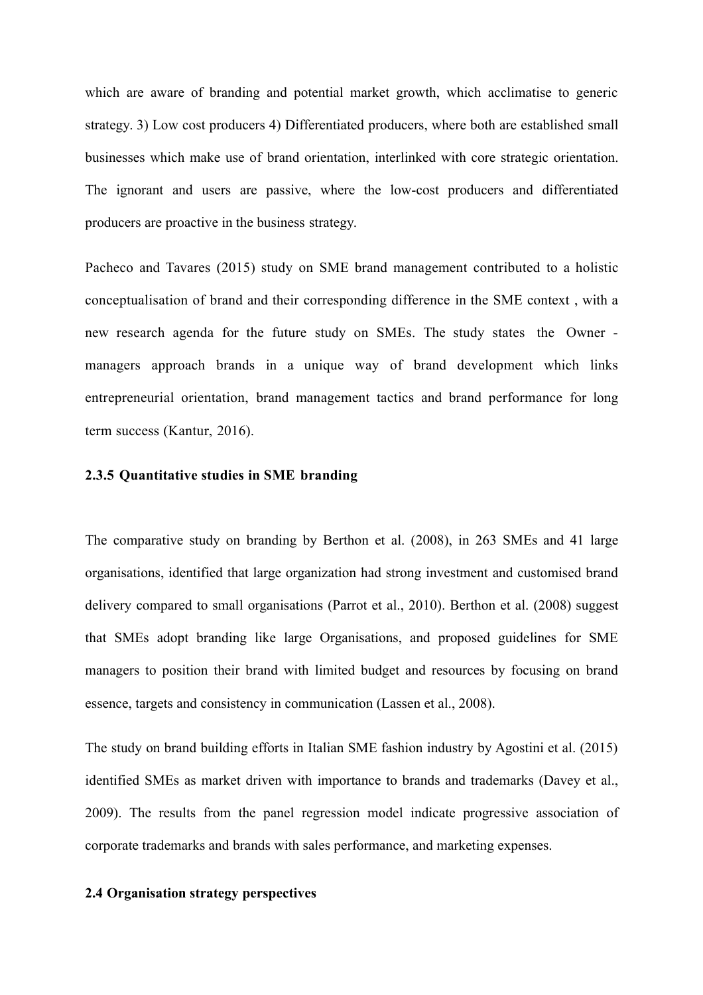which are aware of branding and potential market growth, which acclimatise to generic strategy. 3) Low cost producers 4) Differentiated producers, where both are established small businesses which make use of brand orientation, interlinked with core strategic orientation. The ignorant and users are passive, where the low-cost producers and differentiated producers are proactive in the business strategy.

Pacheco and Tavares (2015) study on SME brand management contributed to a holistic conceptualisation of brand and their corresponding difference in the SME context , with a new research agenda for the future study on SMEs. The study states the Owner managers approach brands in a unique way of brand development which links entrepreneurial orientation, brand management tactics and brand performance for long term success (Kantur, 2016).

#### **2.3.5 Quantitative studies in SME branding**

The comparative study on branding by Berthon et al. (2008), in 263 SMEs and 41 large organisations, identified that large organization had strong investment and customised brand delivery compared to small organisations (Parrot et al., 2010). Berthon et al. (2008) suggest that SMEs adopt branding like large Organisations, and proposed guidelines for SME managers to position their brand with limited budget and resources by focusing on brand essence, targets and consistency in communication (Lassen et al., 2008).

The study on brand building efforts in Italian SME fashion industry by Agostini et al. (2015) identified SMEs as market driven with importance to brands and trademarks (Davey et al., 2009). The results from the panel regression model indicate progressive association of corporate trademarks and brands with sales performance, and marketing expenses.

#### **2.4 Organisation strategy perspectives**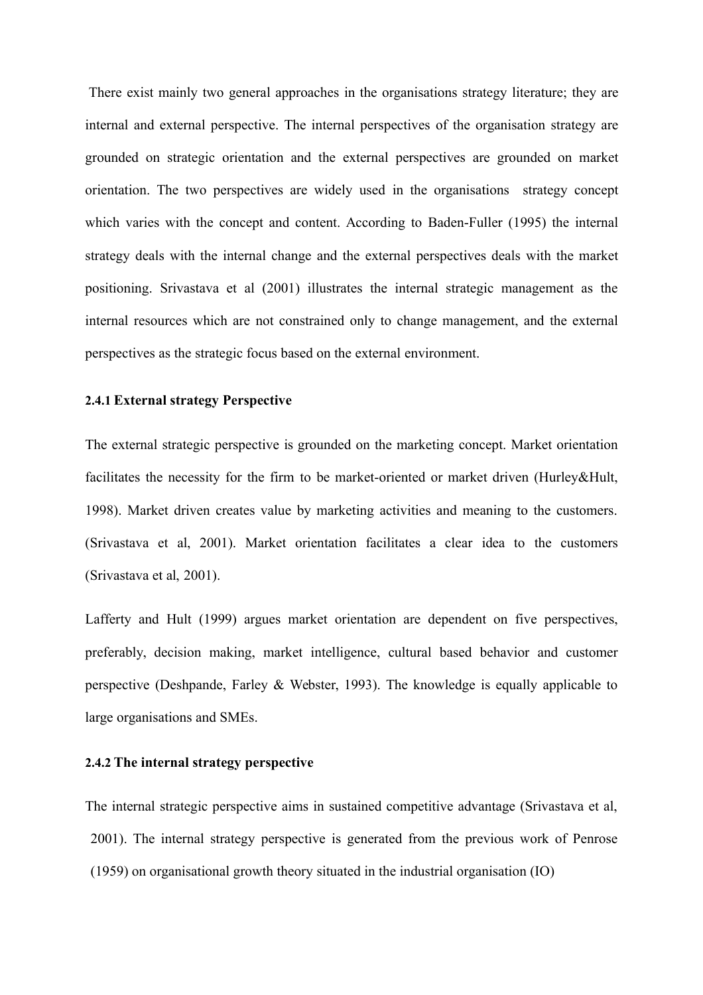There exist mainly two general approaches in the organisations strategy literature; they are internal and external perspective. The internal perspectives of the organisation strategy are grounded on strategic orientation and the external perspectives are grounded on market orientation. The two perspectives are widely used in the organisations strategy concept which varies with the concept and content. According to Baden-Fuller (1995) the internal strategy deals with the internal change and the external perspectives deals with the market positioning. Srivastava et al (2001) illustrates the internal strategic management as the internal resources which are not constrained only to change management, and the external perspectives as the strategic focus based on the external environment.

# **2.4.1 External strategy Perspective**

The external strategic perspective is grounded on the marketing concept. Market orientation facilitates the necessity for the firm to be market-oriented or market driven (Hurley&Hult, 1998). Market driven creates value by marketing activities and meaning to the customers. (Srivastava et al, 2001). Market orientation facilitates a clear idea to the customers (Srivastava et al, 2001).

Lafferty and Hult (1999) argues market orientation are dependent on five perspectives, preferably, decision making, market intelligence, cultural based behavior and customer perspective (Deshpande, Farley & Webster, 1993). The knowledge is equally applicable to large organisations and SMEs.

# **2.4.2 The internal strategy perspective**

The internal strategic perspective aims in sustained competitive advantage (Srivastava et al, 2001). The internal strategy perspective is generated from the previous work of Penrose (1959) on organisational growth theory situated in the industrial organisation (IO)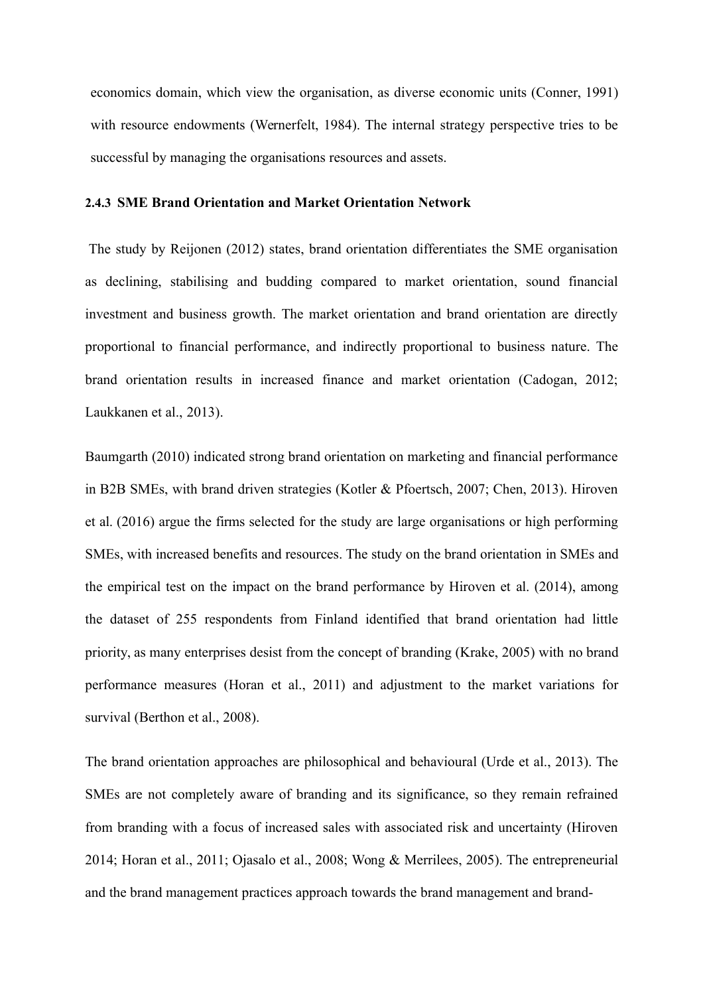economics domain, which view the organisation, as diverse economic units (Conner, 1991) with resource endowments (Wernerfelt, 1984). The internal strategy perspective tries to be successful by managing the organisations resources and assets.

# **2.4.3 SME Brand Orientation and Market Orientation Network**

The study by Reijonen (2012) states, brand orientation differentiates the SME organisation as declining, stabilising and budding compared to market orientation, sound financial investment and business growth. The market orientation and brand orientation are directly proportional to financial performance, and indirectly proportional to business nature. The brand orientation results in increased finance and market orientation (Cadogan, 2012; Laukkanen et al., 2013).

Baumgarth (2010) indicated strong brand orientation on marketing and financial performance in B2B SMEs, with brand driven strategies (Kotler & Pfoertsch, 2007; Chen, 2013). Hiroven et al. (2016) argue the firms selected for the study are large organisations or high performing SMEs, with increased benefits and resources. The study on the brand orientation in SMEs and the empirical test on the impact on the brand performance by Hiroven et al. (2014), among the dataset of 255 respondents from Finland identified that brand orientation had little priority, as many enterprises desist from the concept of branding (Krake, 2005) with no brand performance measures (Horan et al., 2011) and adjustment to the market variations for survival (Berthon et al., 2008).

The brand orientation approaches are philosophical and behavioural (Urde et al., 2013). The SMEs are not completely aware of branding and its significance, so they remain refrained from branding with a focus of increased sales with associated risk and uncertainty (Hiroven 2014; Horan et al., 2011; Ojasalo et al., 2008; Wong & Merrilees, 2005). The entrepreneurial and the brand management practices approach towards the brand management and brand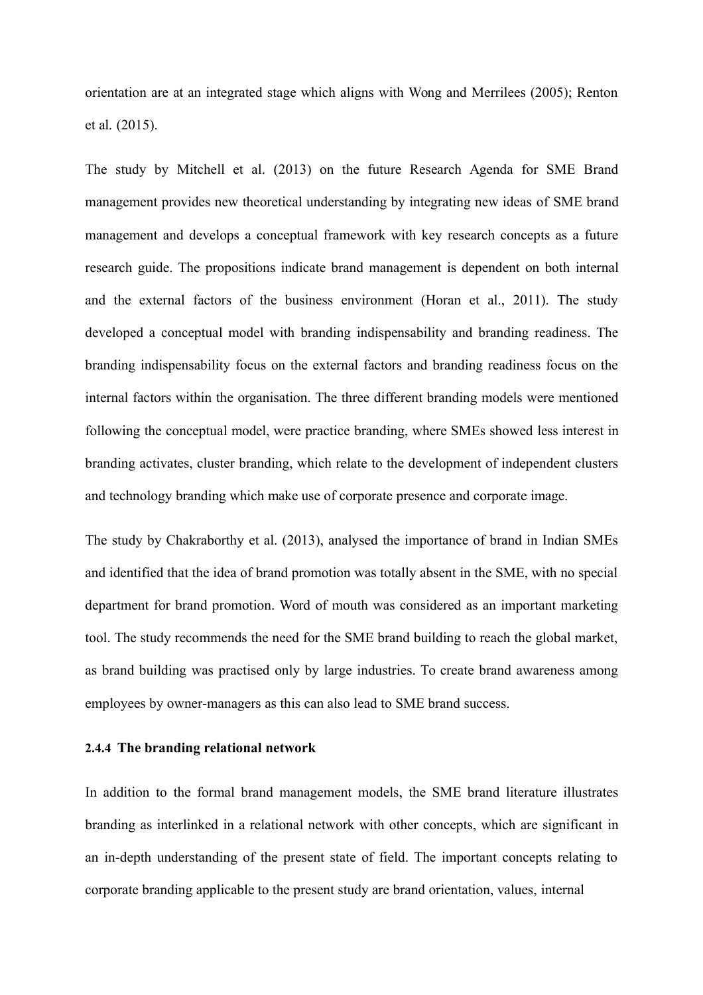orientation are at an integrated stage which aligns with Wong and Merrilees (2005); Renton et al. (2015).

The study by Mitchell et al. (2013) on the future Research Agenda for SME Brand management provides new theoretical understanding by integrating new ideas of SME brand management and develops a conceptual framework with key research concepts as a future research guide. The propositions indicate brand management is dependent on both internal and the external factors of the business environment (Horan et al., 2011). The study developed a conceptual model with branding indispensability and branding readiness. The branding indispensability focus on the external factors and branding readiness focus on the internal factors within the organisation. The three different branding models were mentioned following the conceptual model, were practice branding, where SMEs showed less interest in branding activates, cluster branding, which relate to the development of independent clusters and technology branding which make use of corporate presence and corporate image.

The study by Chakraborthy et al. (2013), analysed the importance of brand in Indian SMEs and identified that the idea of brand promotion was totally absent in the SME, with no special department for brand promotion. Word of mouth was considered as an important marketing tool. The study recommends the need for the SME brand building to reach the global market, as brand building was practised only by large industries. To create brand awareness among employees by owner-managers as this can also lead to SME brand success.

# **2.4.4 The branding relational network**

In addition to the formal brand management models, the SME brand literature illustrates branding as interlinked in a relational network with other concepts, which are significant in an in-depth understanding of the present state of field. The important concepts relating to corporate branding applicable to the present study are brand orientation, values, internal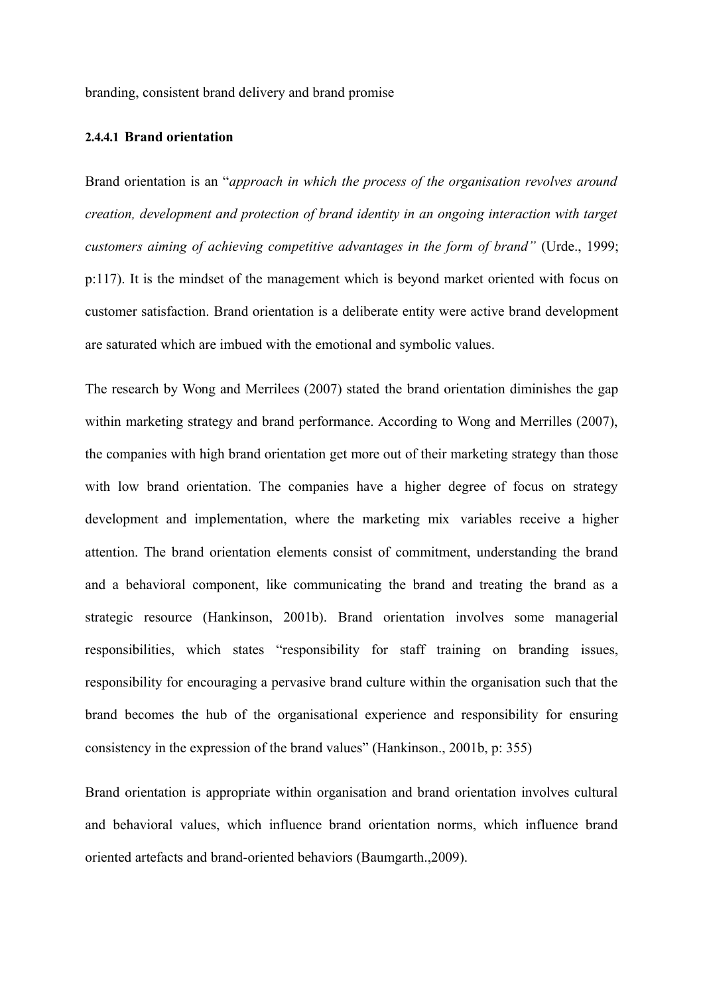branding, consistent brand delivery and brand promise

# **2.4.4.1 Brand orientation**

Brand orientation is an "*approach in which the process of the organisation revolves around creation, development and protection of brand identity in an ongoing interaction with target customers aiming of achieving competitive advantages in the form of brand"* (Urde., 1999; p:117). It is the mindset of the management which is beyond market oriented with focus on customer satisfaction. Brand orientation is a deliberate entity were active brand development are saturated which are imbued with the emotional and symbolic values.

The research by Wong and Merrilees (2007) stated the brand orientation diminishes the gap within marketing strategy and brand performance. According to Wong and Merrilles (2007), the companies with high brand orientation get more out of their marketing strategy than those with low brand orientation. The companies have a higher degree of focus on strategy development and implementation, where the marketing mix variables receive a higher attention. The brand orientation elements consist of commitment, understanding the brand and a behavioral component, like communicating the brand and treating the brand as a strategic resource (Hankinson, 2001b). Brand orientation involves some managerial responsibilities, which states "responsibility for staff training on branding issues, responsibility for encouraging a pervasive brand culture within the organisation such that the brand becomes the hub of the organisational experience and responsibility for ensuring consistency in the expression of the brand values" (Hankinson., 2001b, p: 355)

Brand orientation is appropriate within organisation and brand orientation involves cultural and behavioral values, which influence brand orientation norms, which influence brand oriented artefacts and brand-oriented behaviors (Baumgarth.,2009).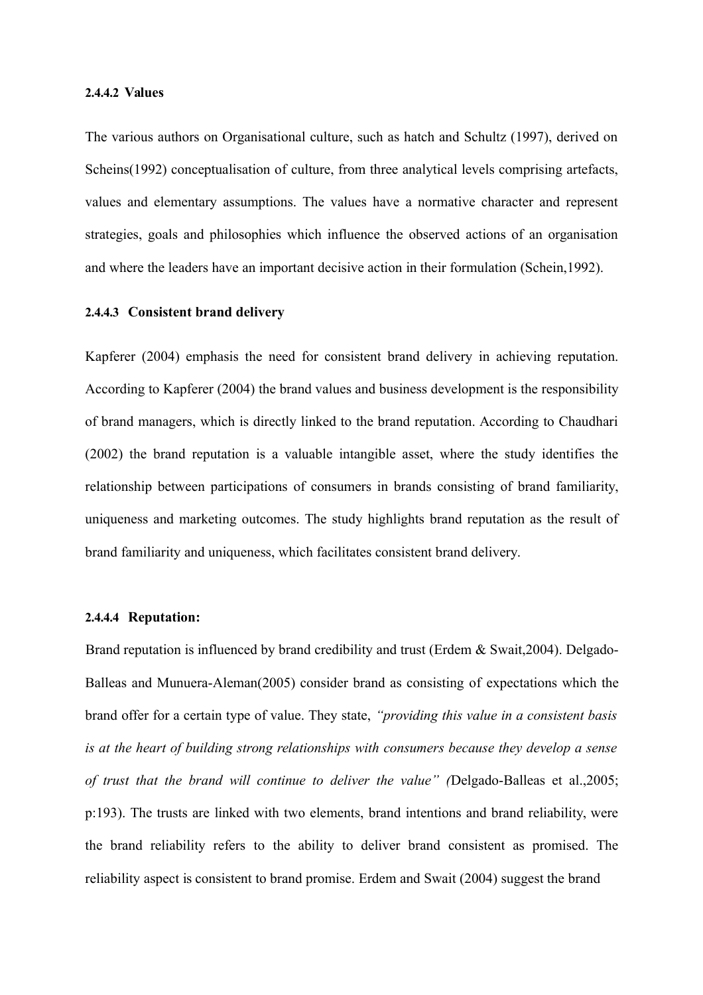#### **2.4.4.2 Values**

The various authors on Organisational culture, such as hatch and Schultz (1997), derived on Scheins(1992) conceptualisation of culture, from three analytical levels comprising artefacts, values and elementary assumptions. The values have a normative character and represent strategies, goals and philosophies which influence the observed actions of an organisation and where the leaders have an important decisive action in their formulation (Schein,1992).

# **2.4.4.3 Consistent brand delivery**

Kapferer (2004) emphasis the need for consistent brand delivery in achieving reputation. According to Kapferer (2004) the brand values and business development is the responsibility of brand managers, which is directly linked to the brand reputation. According to Chaudhari (2002) the brand reputation is a valuable intangible asset, where the study identifies the relationship between participations of consumers in brands consisting of brand familiarity, uniqueness and marketing outcomes. The study highlights brand reputation as the result of brand familiarity and uniqueness, which facilitates consistent brand delivery.

# **2.4.4.4 Reputation:**

Brand reputation is influenced by brand credibility and trust (Erdem & Swait, 2004). Delgado-Balleas and Munuera-Aleman(2005) consider brand as consisting of expectations which the brand offer for a certain type of value. They state, *"providing this value in a consistent basis is at the heart of building strong relationships with consumers because they develop a sense of trust that the brand will continue to deliver the value" (*Delgado-Balleas et al.,2005; p:193). The trusts are linked with two elements, brand intentions and brand reliability, were the brand reliability refers to the ability to deliver brand consistent as promised. The reliability aspect is consistent to brand promise. Erdem and Swait (2004) suggest the brand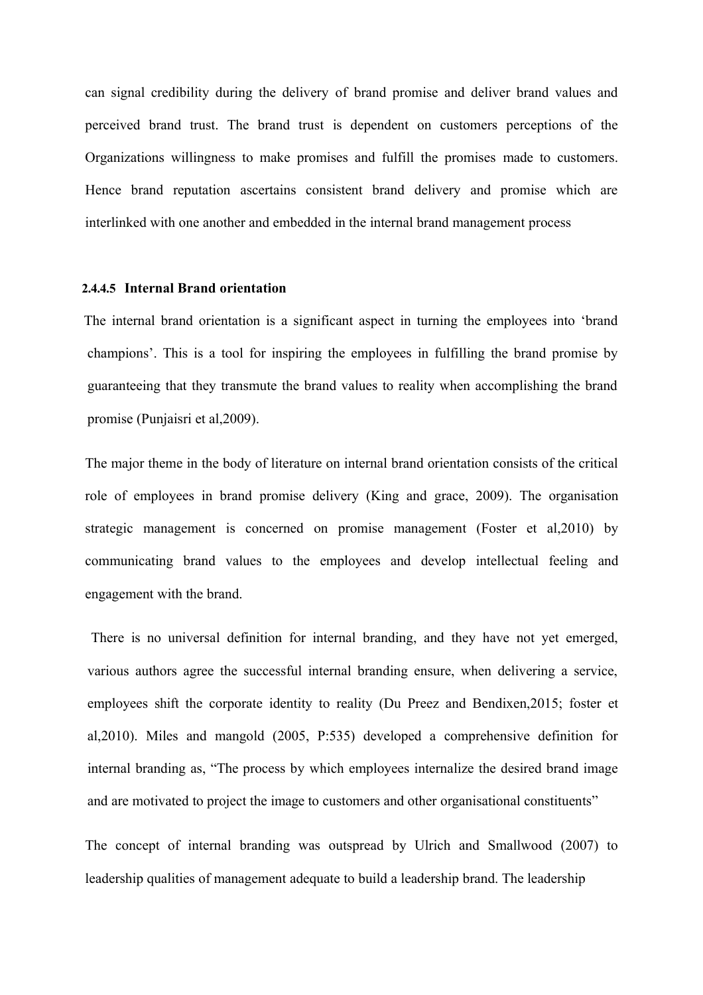can signal credibility during the delivery of brand promise and deliver brand values and perceived brand trust. The brand trust is dependent on customers perceptions of the Organizations willingness to make promises and fulfill the promises made to customers. Hence brand reputation ascertains consistent brand delivery and promise which are interlinked with one another and embedded in the internal brand management process

# **2.4.4.5 Internal Brand orientation**

The internal brand orientation is a significant aspect in turning the employees into 'brand champions'. This is a tool for inspiring the employees in fulfilling the brand promise by guaranteeing that they transmute the brand values to reality when accomplishing the brand promise (Punjaisri et al,2009).

The major theme in the body of literature on internal brand orientation consists of the critical role of employees in brand promise delivery (King and grace, 2009). The organisation strategic management is concerned on promise management (Foster et al,2010) by communicating brand values to the employees and develop intellectual feeling and engagement with the brand.

There is no universal definition for internal branding, and they have not yet emerged, various authors agree the successful internal branding ensure, when delivering a service, employees shift the corporate identity to reality (Du Preez and Bendixen,2015; foster et al,2010). Miles and mangold (2005, P:535) developed a comprehensive definition for internal branding as, "The process by which employees internalize the desired brand image and are motivated to project the image to customers and other organisational constituents"

The concept of internal branding was outspread by Ulrich and Smallwood (2007) to leadership qualities of management adequate to build a leadership brand. The leadership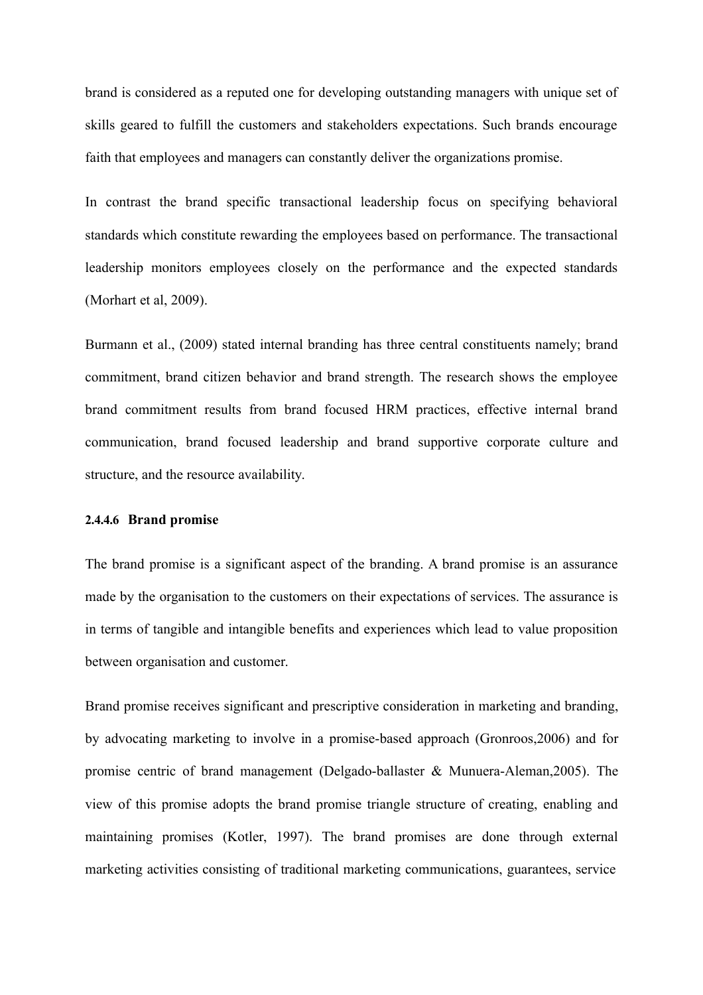brand is considered as a reputed one for developing outstanding managers with unique set of skills geared to fulfill the customers and stakeholders expectations. Such brands encourage faith that employees and managers can constantly deliver the organizations promise.

In contrast the brand specific transactional leadership focus on specifying behavioral standards which constitute rewarding the employees based on performance. The transactional leadership monitors employees closely on the performance and the expected standards (Morhart et al, 2009).

Burmann et al., (2009) stated internal branding has three central constituents namely; brand commitment, brand citizen behavior and brand strength. The research shows the employee brand commitment results from brand focused HRM practices, effective internal brand communication, brand focused leadership and brand supportive corporate culture and structure, and the resource availability.

# **2.4.4.6 Brand promise**

The brand promise is a significant aspect of the branding. A brand promise is an assurance made by the organisation to the customers on their expectations of services. The assurance is in terms of tangible and intangible benefits and experiences which lead to value proposition between organisation and customer.

Brand promise receives significant and prescriptive consideration in marketing and branding, by advocating marketing to involve in a promise-based approach (Gronroos,2006) and for promise centric of brand management (Delgado-ballaster & Munuera-Aleman,2005). The view of this promise adopts the brand promise triangle structure of creating, enabling and maintaining promises (Kotler, 1997). The brand promises are done through external marketing activities consisting of traditional marketing communications, guarantees, service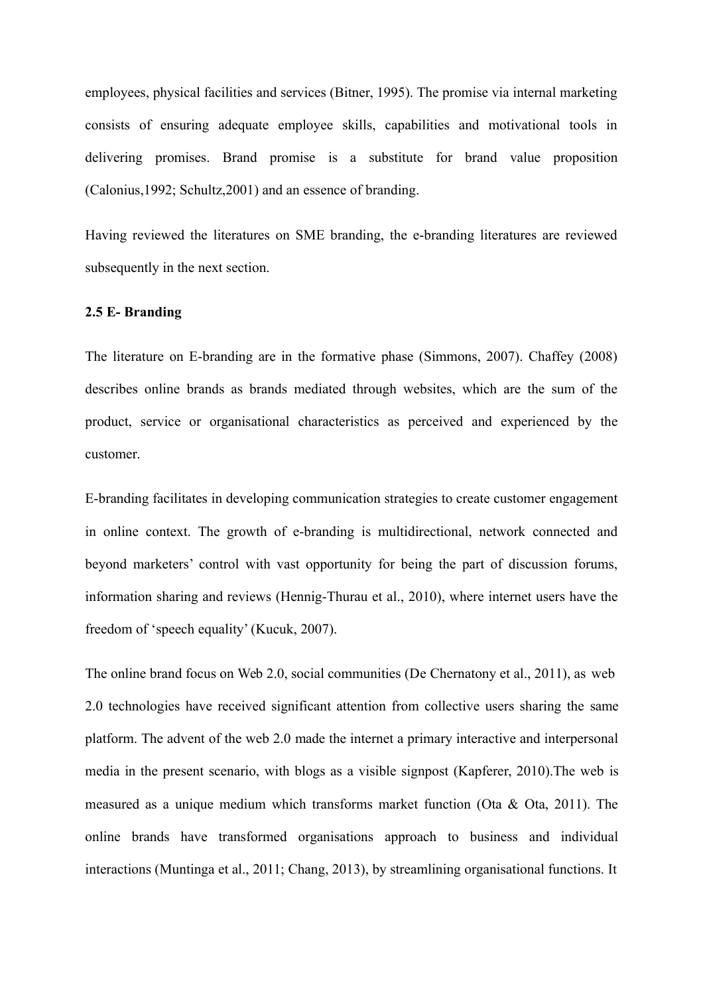employees, physical facilities and services (Bitner, 1995). The promise via internal marketing consists of ensuring adequate employee skills, capabilities and motivational tools in delivering promises. Brand promise is a substitute for brand value proposition (Calonius,1992; Schultz,2001) and an essence of branding.

Having reviewed the literatures on SME branding, the e-branding literatures are reviewed subsequently in the next section.

# **2.5 E- Branding**

The literature on E-branding are in the formative phase (Simmons, 2007). Chaffey (2008) describes online brands as brands mediated through websites, which are the sum of the product, service or organisational characteristics as perceived and experienced by the customer.

E-branding facilitates in developing communication strategies to create customer engagement in online context. The growth of e-branding is multidirectional, network connected and beyond marketers' control with vast opportunity for being the part of discussion forums, information sharing and reviews (Hennig-Thurau et al., 2010), where internet users have the freedom of 'speech equality' (Kucuk, 2007).

The online brand focus on Web 2.0, social communities (De Chernatony et al., 2011), as web 2.0 technologies have received significant attention from collective users sharing the same platform. The advent of the web 2.0 made the internet a primary interactive and interpersonal media in the present scenario, with blogs as a visible signpost (Kapferer, 2010).The web is measured as a unique medium which transforms market function (Ota & Ota, 2011). The online brands have transformed organisations approach to business and individual interactions (Muntinga et al., 2011; Chang, 2013), by streamlining organisational functions. It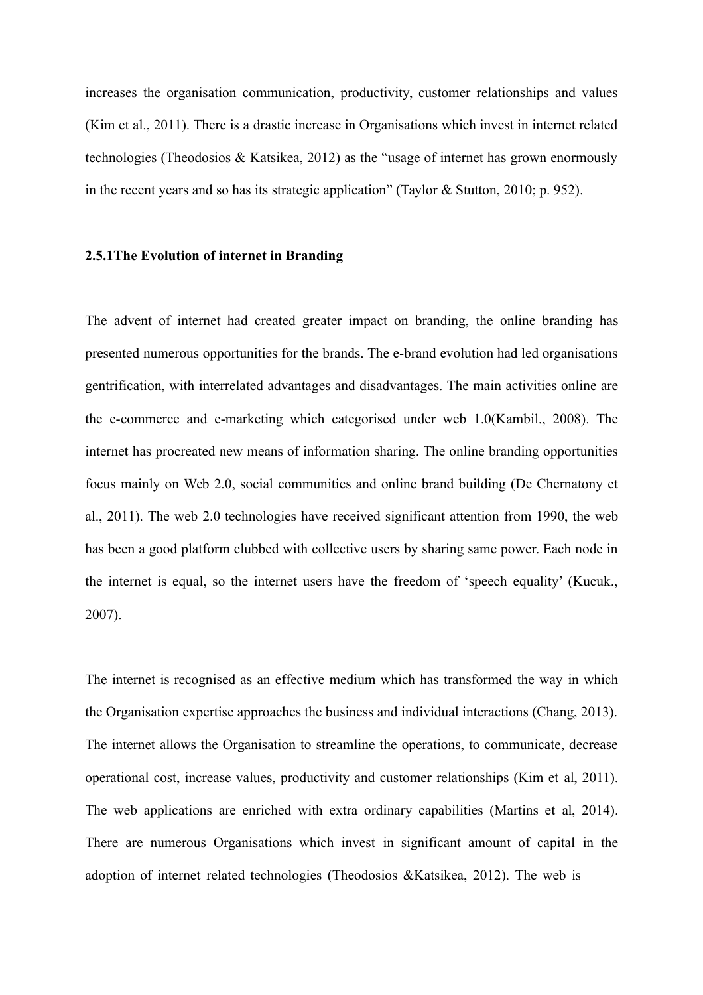increases the organisation communication, productivity, customer relationships and values (Kim et al., 2011). There is a drastic increase in Organisations which invest in internet related technologies (Theodosios & Katsikea, 2012) as the "usage of internet has grown enormously in the recent years and so has its strategic application" (Taylor & Stutton, 2010; p. 952).

#### **2.5.1The Evolution of internet in Branding**

The advent of internet had created greater impact on branding, the online branding has presented numerous opportunities for the brands. The e-brand evolution had led organisations gentrification, with interrelated advantages and disadvantages. The main activities online are the e-commerce and e-marketing which categorised under web 1.0(Kambil., 2008). The internet has procreated new means of information sharing. The online branding opportunities focus mainly on Web 2.0, social communities and online brand building (De Chernatony et al., 2011). The web 2.0 technologies have received significant attention from 1990, the web has been a good platform clubbed with collective users by sharing same power. Each node in the internet is equal, so the internet users have the freedom of 'speech equality' (Kucuk., 2007).

The internet is recognised as an effective medium which has transformed the way in which the Organisation expertise approaches the business and individual interactions (Chang, 2013). The internet allows the Organisation to streamline the operations, to communicate, decrease operational cost, increase values, productivity and customer relationships (Kim et al, 2011). The web applications are enriched with extra ordinary capabilities (Martins et al, 2014). There are numerous Organisations which invest in significant amount of capital in the adoption of internet related technologies (Theodosios &Katsikea, 2012). The web is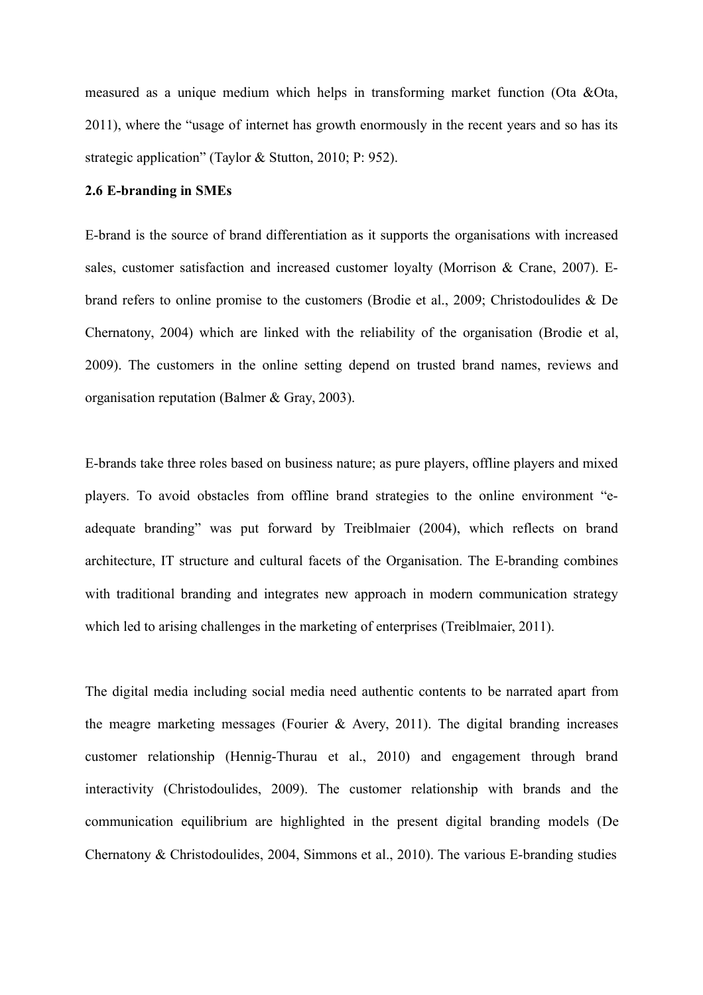measured as a unique medium which helps in transforming market function (Ota &Ota, 2011), where the "usage of internet has growth enormously in the recent years and so has its strategic application" (Taylor & Stutton, 2010; P: 952).

# **2.6 E-branding in SMEs**

E-brand is the source of brand differentiation as it supports the organisations with increased sales, customer satisfaction and increased customer loyalty (Morrison & Crane, 2007). Ebrand refers to online promise to the customers (Brodie et al., 2009; Christodoulides & De Chernatony, 2004) which are linked with the reliability of the organisation (Brodie et al, 2009). The customers in the online setting depend on trusted brand names, reviews and organisation reputation (Balmer & Gray, 2003).

E-brands take three roles based on business nature; as pure players, offline players and mixed players. To avoid obstacles from offline brand strategies to the online environment "eadequate branding" was put forward by Treiblmaier (2004), which reflects on brand architecture, IT structure and cultural facets of the Organisation. The E-branding combines with traditional branding and integrates new approach in modern communication strategy which led to arising challenges in the marketing of enterprises (Treiblmaier, 2011).

The digital media including social media need authentic contents to be narrated apart from the meagre marketing messages (Fourier & Avery, 2011). The digital branding increases customer relationship (Hennig-Thurau et al., 2010) and engagement through brand interactivity (Christodoulides, 2009). The customer relationship with brands and the communication equilibrium are highlighted in the present digital branding models (De Chernatony & Christodoulides, 2004, Simmons et al., 2010). The various E-branding studies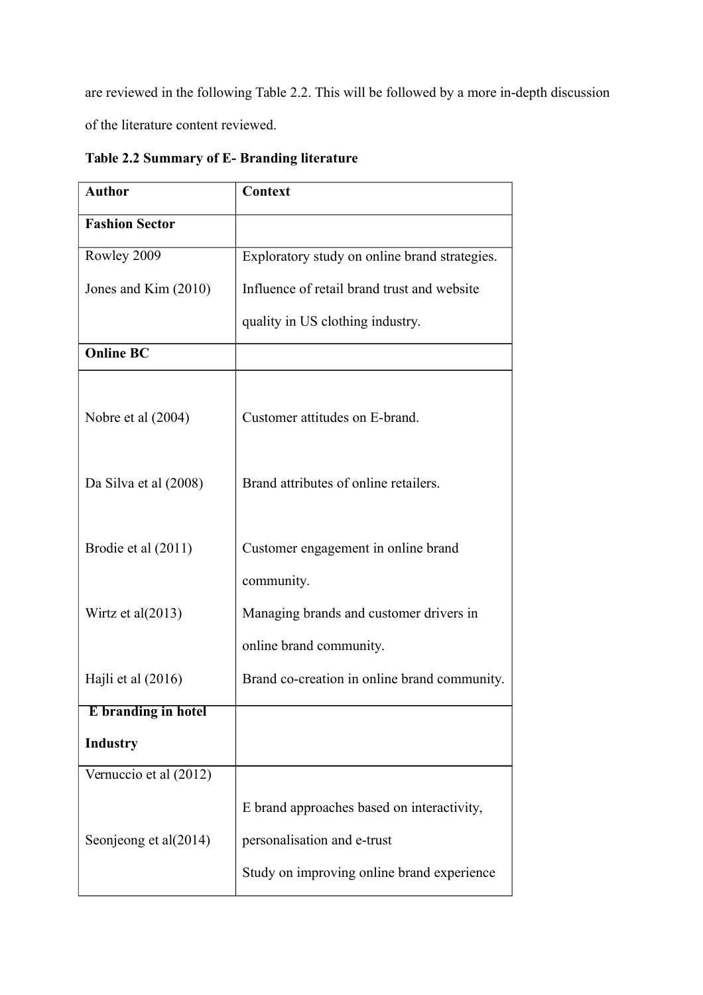are reviewed in the following Table 2.2. This will be followed by a more in-depth discussion of the literature content reviewed.

| <b>Author</b>          | Context                                       |  |  |
|------------------------|-----------------------------------------------|--|--|
| <b>Fashion Sector</b>  |                                               |  |  |
| Rowley 2009            | Exploratory study on online brand strategies. |  |  |
| Jones and Kim (2010)   | Influence of retail brand trust and website   |  |  |
|                        | quality in US clothing industry.              |  |  |
| <b>Online BC</b>       |                                               |  |  |
|                        |                                               |  |  |
| Nobre et al (2004)     | Customer attitudes on E-brand.                |  |  |
|                        |                                               |  |  |
| Da Silva et al (2008)  | Brand attributes of online retailers.         |  |  |
|                        |                                               |  |  |
| Brodie et al (2011)    | Customer engagement in online brand           |  |  |
|                        | community.                                    |  |  |
| Wirtz et al(2013)      | Managing brands and customer drivers in       |  |  |
|                        | online brand community.                       |  |  |
| Hajli et al (2016)     | Brand co-creation in online brand community.  |  |  |
| E branding in hotel    |                                               |  |  |
| <b>Industry</b>        |                                               |  |  |
| Vernuccio et al (2012) |                                               |  |  |
|                        | E brand approaches based on interactivity,    |  |  |
| Seonjeong et al(2014)  | personalisation and e-trust                   |  |  |
|                        | Study on improving online brand experience    |  |  |

**Table 2.2 Summary of E- Branding literature**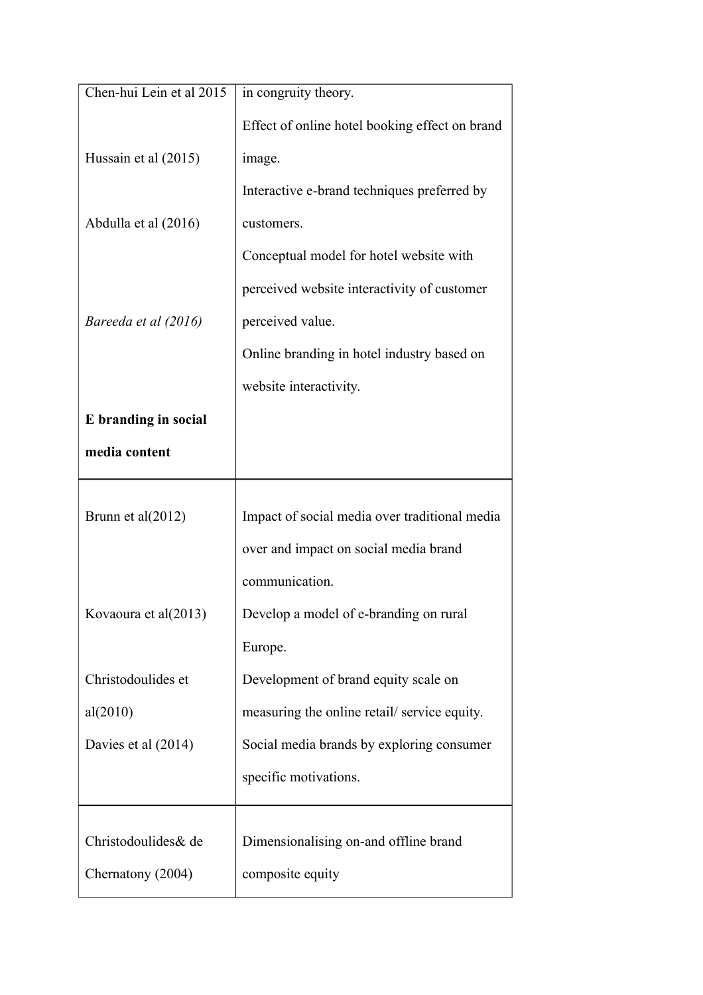| Chen-hui Lein et al 2015 | in congruity theory.                           |  |  |  |
|--------------------------|------------------------------------------------|--|--|--|
|                          | Effect of online hotel booking effect on brand |  |  |  |
| Hussain et al (2015)     | image.                                         |  |  |  |
|                          | Interactive e-brand techniques preferred by    |  |  |  |
| Abdulla et al (2016)     | customers.                                     |  |  |  |
|                          | Conceptual model for hotel website with        |  |  |  |
|                          | perceived website interactivity of customer    |  |  |  |
| Bareeda et al (2016)     | perceived value.                               |  |  |  |
|                          | Online branding in hotel industry based on     |  |  |  |
|                          | website interactivity.                         |  |  |  |
| E branding in social     |                                                |  |  |  |
| media content            |                                                |  |  |  |
|                          |                                                |  |  |  |
| Brunn et al $(2012)$     | Impact of social media over traditional media  |  |  |  |
|                          | over and impact on social media brand          |  |  |  |
|                          | communication.                                 |  |  |  |
| Kovaoura et al(2013)     | Develop a model of e-branding on rural         |  |  |  |
|                          | Europe.                                        |  |  |  |
| Christodoulides et       | Development of brand equity scale on           |  |  |  |
| al(2010)                 | measuring the online retail/service equity.    |  |  |  |
| Davies et al (2014)      | Social media brands by exploring consumer      |  |  |  |
|                          | specific motivations.                          |  |  |  |
|                          |                                                |  |  |  |
| Christodoulides & de     | Dimensionalising on-and offline brand          |  |  |  |
| Chernatony (2004)        | composite equity                               |  |  |  |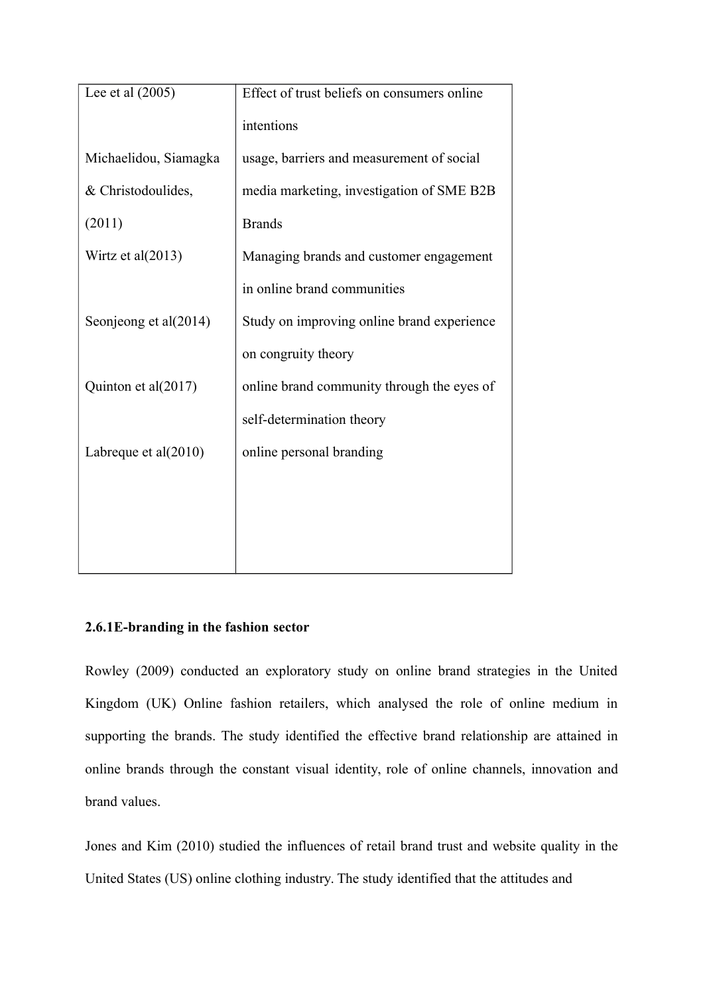| Lee et al $(2005)$      | Effect of trust beliefs on consumers online |  |  |
|-------------------------|---------------------------------------------|--|--|
|                         | intentions                                  |  |  |
| Michaelidou, Siamagka   | usage, barriers and measurement of social   |  |  |
| & Christodoulides,      | media marketing, investigation of SME B2B   |  |  |
| (2011)                  | <b>Brands</b>                               |  |  |
| Wirtz et al $(2013)$    | Managing brands and customer engagement     |  |  |
|                         | in online brand communities                 |  |  |
| Seonjeong et al(2014)   | Study on improving online brand experience  |  |  |
|                         | on congruity theory                         |  |  |
| Quinton et al(2017)     | online brand community through the eyes of  |  |  |
|                         | self-determination theory                   |  |  |
| Labreque et al $(2010)$ | online personal branding                    |  |  |
|                         |                                             |  |  |
|                         |                                             |  |  |
|                         |                                             |  |  |

# **2.6.1E-branding in the fashion sector**

Rowley (2009) conducted an exploratory study on online brand strategies in the United Kingdom (UK) Online fashion retailers, which analysed the role of online medium in supporting the brands. The study identified the effective brand relationship are attained in online brands through the constant visual identity, role of online channels, innovation and brand values.

Jones and Kim (2010) studied the influences of retail brand trust and website quality in the United States (US) online clothing industry. The study identified that the attitudes and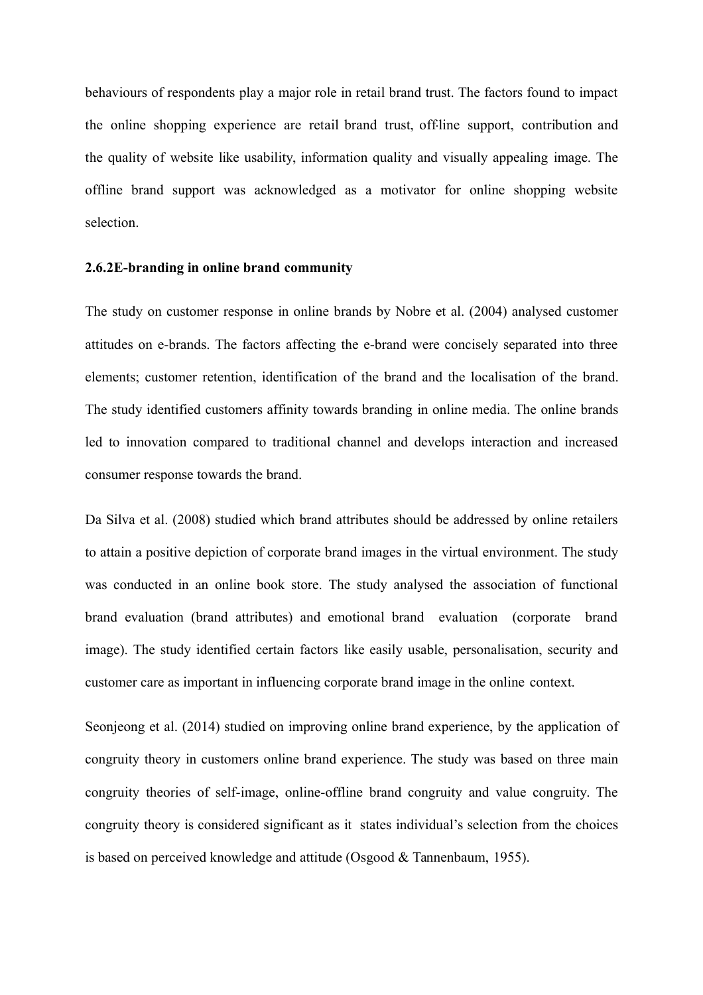behaviours of respondents play a major role in retail brand trust. The factors found to impact the online shopping experience are retail brand trust, off-line support, contribution and the quality of website like usability, information quality and visually appealing image. The offline brand support was acknowledged as a motivator for online shopping website selection.

# **2.6.2E-branding in online brand community**

The study on customer response in online brands by Nobre et al. (2004) analysed customer attitudes on e-brands. The factors affecting the e-brand were concisely separated into three elements; customer retention, identification of the brand and the localisation of the brand. The study identified customers affinity towards branding in online media. The online brands led to innovation compared to traditional channel and develops interaction and increased consumer response towards the brand.

Da Silva et al. (2008) studied which brand attributes should be addressed by online retailers to attain a positive depiction of corporate brand images in the virtual environment. The study was conducted in an online book store. The study analysed the association of functional brand evaluation (brand attributes) and emotional brand evaluation (corporate brand image). The study identified certain factors like easily usable, personalisation, security and customer care as important in influencing corporate brand image in the online context.

Seonjeong et al. (2014) studied on improving online brand experience, by the application of congruity theory in customers online brand experience. The study was based on three main congruity theories of self-image, online-offline brand congruity and value congruity. The congruity theory is considered significant as it states individual's selection from the choices is based on perceived knowledge and attitude (Osgood & Tannenbaum, 1955).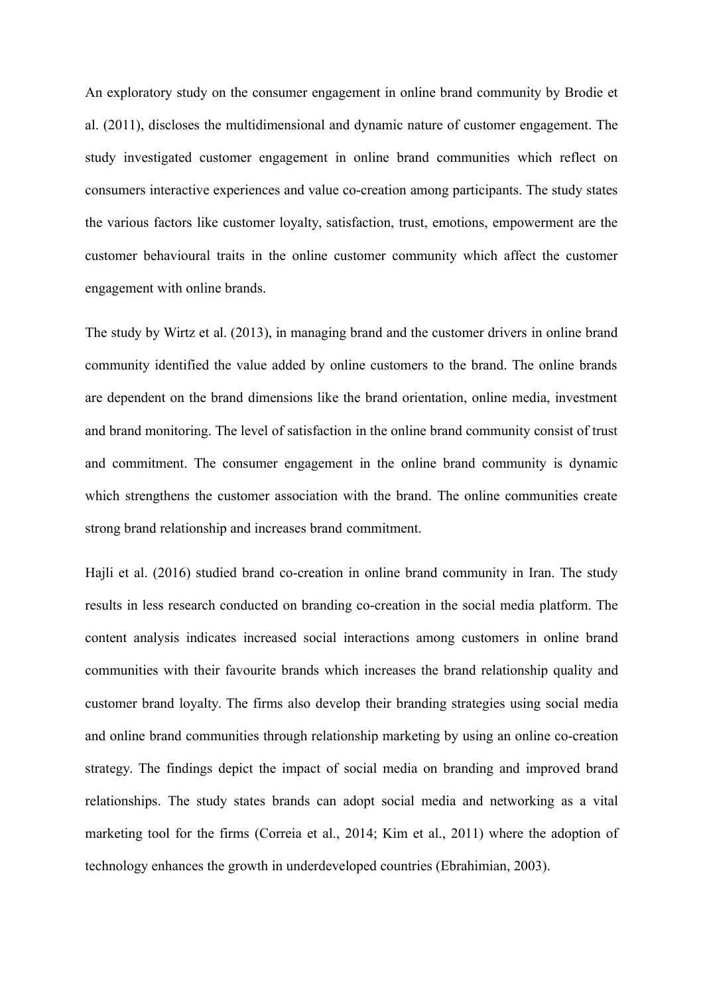An exploratory study on the consumer engagement in online brand community by Brodie et al. (2011), discloses the multidimensional and dynamic nature of customer engagement. The study investigated customer engagement in online brand communities which reflect on consumers interactive experiences and value co-creation among participants. The study states the various factors like customer loyalty, satisfaction, trust, emotions, empowerment are the customer behavioural traits in the online customer community which affect the customer engagement with online brands.

The study by Wirtz et al. (2013), in managing brand and the customer drivers in online brand community identified the value added by online customers to the brand. The online brands are dependent on the brand dimensions like the brand orientation, online media, investment and brand monitoring. The level of satisfaction in the online brand community consist of trust and commitment. The consumer engagement in the online brand community is dynamic which strengthens the customer association with the brand. The online communities create strong brand relationship and increases brand commitment.

Hajli et al. (2016) studied brand co-creation in online brand community in Iran. The study results in less research conducted on branding co-creation in the social media platform. The content analysis indicates increased social interactions among customers in online brand communities with their favourite brands which increases the brand relationship quality and customer brand loyalty. The firms also develop their branding strategies using social media and online brand communities through relationship marketing by using an online co-creation strategy. The findings depict the impact of social media on branding and improved brand relationships. The study states brands can adopt social media and networking as a vital marketing tool for the firms (Correia et al., 2014; Kim et al., 2011) where the adoption of technology enhances the growth in underdeveloped countries (Ebrahimian, 2003).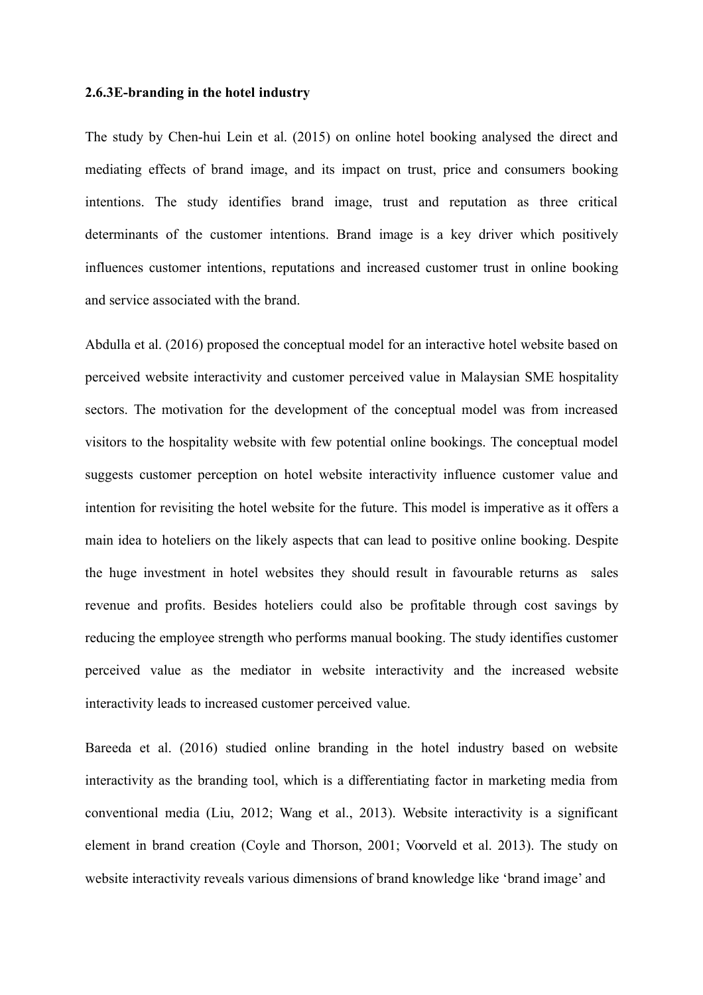# **2.6.3E-branding in the hotel industry**

The study by Chen-hui Lein et al. (2015) on online hotel booking analysed the direct and mediating effects of brand image, and its impact on trust, price and consumers booking intentions. The study identifies brand image, trust and reputation as three critical determinants of the customer intentions. Brand image is a key driver which positively influences customer intentions, reputations and increased customer trust in online booking and service associated with the brand.

Abdulla et al. (2016) proposed the conceptual model for an interactive hotel website based on perceived website interactivity and customer perceived value in Malaysian SME hospitality sectors. The motivation for the development of the conceptual model was from increased visitors to the hospitality website with few potential online bookings. The conceptual model suggests customer perception on hotel website interactivity influence customer value and intention for revisiting the hotel website for the future. This model is imperative as it offers a main idea to hoteliers on the likely aspects that can lead to positive online booking. Despite the huge investment in hotel websites they should result in favourable returns as sales revenue and profits. Besides hoteliers could also be profitable through cost savings by reducing the employee strength who performs manual booking. The study identifies customer perceived value as the mediator in website interactivity and the increased website interactivity leads to increased customer perceived value.

Bareeda et al. (2016) studied online branding in the hotel industry based on website interactivity as the branding tool, which is a differentiating factor in marketing media from conventional media (Liu, 2012; Wang et al., 2013). Website interactivity is a significant element in brand creation (Coyle and Thorson, 2001; Voorveld et al. 2013). The study on website interactivity reveals various dimensions of brand knowledge like 'brand image' and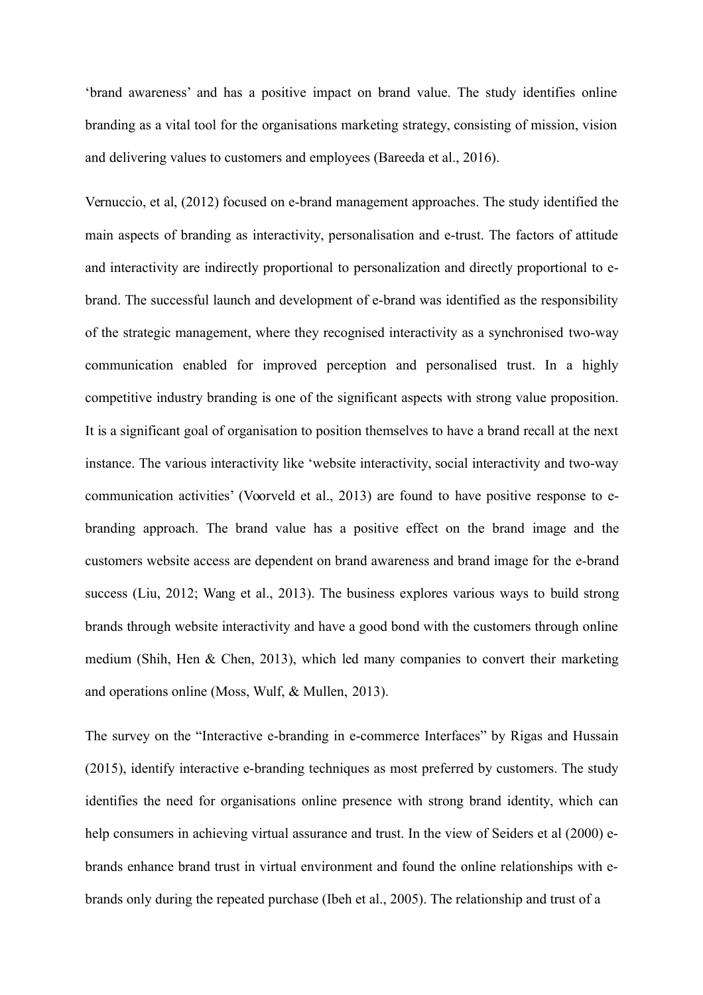'brand awareness' and has a positive impact on brand value. The study identifies online branding as a vital tool for the organisations marketing strategy, consisting of mission, vision and delivering values to customers and employees (Bareeda et al., 2016).

Vernuccio, et al, (2012) focused on e-brand management approaches. The study identified the main aspects of branding as interactivity, personalisation and e-trust. The factors of attitude and interactivity are indirectly proportional to personalization and directly proportional to ebrand. The successful launch and development of e-brand was identified as the responsibility of the strategic management, where they recognised interactivity as a synchronised two-way communication enabled for improved perception and personalised trust. In a highly competitive industry branding is one of the significant aspects with strong value proposition. It is a significant goal of organisation to position themselves to have a brand recall at the next instance. The various interactivity like 'website interactivity, social interactivity and two-way communication activities' (Voorveld et al., 2013) are found to have positive response to ebranding approach. The brand value has a positive effect on the brand image and the customers website access are dependent on brand awareness and brand image for the e-brand success (Liu, 2012; Wang et al., 2013). The business explores various ways to build strong brands through website interactivity and have a good bond with the customers through online medium (Shih, Hen & Chen, 2013), which led many companies to convert their marketing and operations online (Moss, Wulf, & Mullen, 2013).

The survey on the "Interactive e-branding in e-commerce Interfaces" by Rigas and Hussain (2015), identify interactive e-branding techniques as most preferred by customers. The study identifies the need for organisations online presence with strong brand identity, which can help consumers in achieving virtual assurance and trust. In the view of Seiders et al (2000) ebrands enhance brand trust in virtual environment and found the online relationships with ebrands only during the repeated purchase (Ibeh et al., 2005). The relationship and trust of a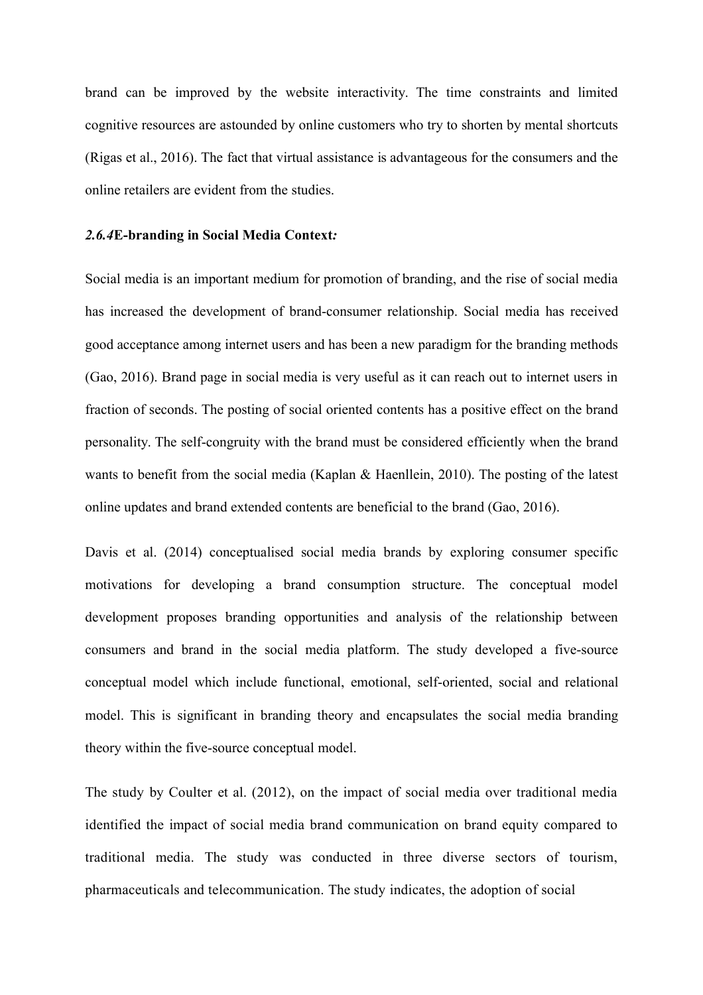brand can be improved by the website interactivity. The time constraints and limited cognitive resources are astounded by online customers who try to shorten by mental shortcuts (Rigas et al., 2016). The fact that virtual assistance is advantageous for the consumers and the online retailers are evident from the studies.

# *2.6.4***E-branding in Social Media Context***:*

Social media is an important medium for promotion of branding, and the rise of social media has increased the development of brand-consumer relationship. Social media has received good acceptance among internet users and has been a new paradigm for the branding methods (Gao, 2016). Brand page in social media is very useful as it can reach out to internet users in fraction of seconds. The posting of social oriented contents has a positive effect on the brand personality. The self-congruity with the brand must be considered efficiently when the brand wants to benefit from the social media (Kaplan & Haenllein, 2010). The posting of the latest online updates and brand extended contents are beneficial to the brand (Gao, 2016).

Davis et al. (2014) conceptualised social media brands by exploring consumer specific motivations for developing a brand consumption structure. The conceptual model development proposes branding opportunities and analysis of the relationship between consumers and brand in the social media platform. The study developed a five-source conceptual model which include functional, emotional, self-oriented, social and relational model. This is significant in branding theory and encapsulates the social media branding theory within the five-source conceptual model.

The study by Coulter et al. (2012), on the impact of social media over traditional media identified the impact of social media brand communication on brand equity compared to traditional media. The study was conducted in three diverse sectors of tourism, pharmaceuticals and telecommunication. The study indicates, the adoption of social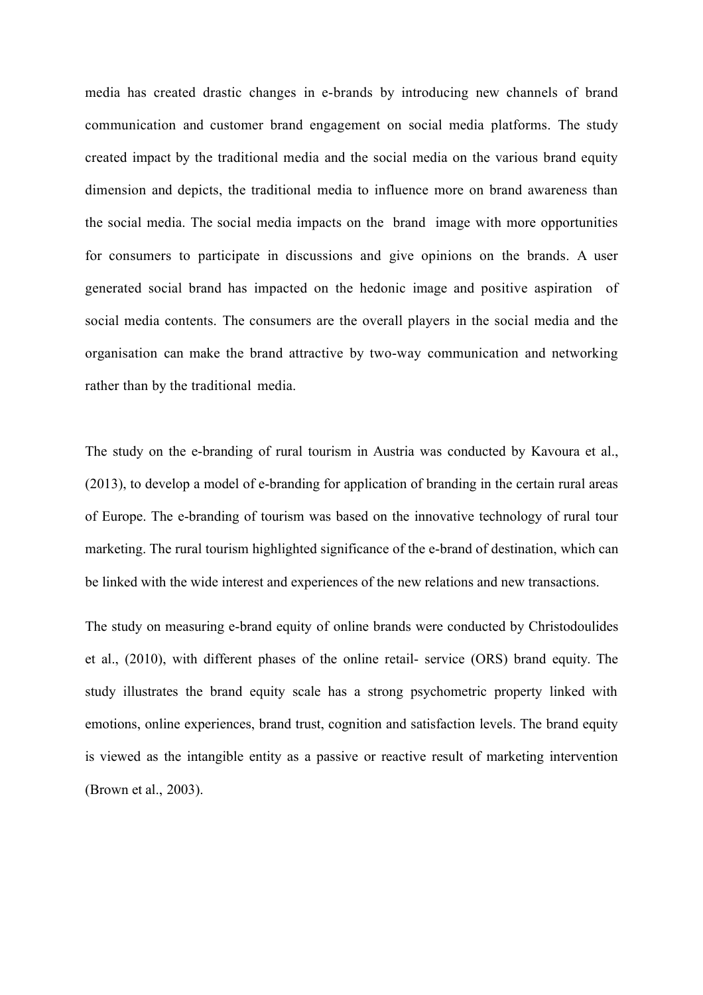media has created drastic changes in e-brands by introducing new channels of brand communication and customer brand engagement on social media platforms. The study created impact by the traditional media and the social media on the various brand equity dimension and depicts, the traditional media to influence more on brand awareness than the social media. The social media impacts on the brand image with more opportunities for consumers to participate in discussions and give opinions on the brands. A user generated social brand has impacted on the hedonic image and positive aspiration of social media contents. The consumers are the overall players in the social media and the organisation can make the brand attractive by two-way communication and networking rather than by the traditional media.

The study on the e-branding of rural tourism in Austria was conducted by Kavoura et al., (2013), to develop a model of e-branding for application of branding in the certain rural areas of Europe. The e-branding of tourism was based on the innovative technology of rural tour marketing. The rural tourism highlighted significance of the e-brand of destination, which can be linked with the wide interest and experiences of the new relations and new transactions.

The study on measuring e-brand equity of online brands were conducted by Christodoulides et al., (2010), with different phases of the online retail- service (ORS) brand equity. The study illustrates the brand equity scale has a strong psychometric property linked with emotions, online experiences, brand trust, cognition and satisfaction levels. The brand equity is viewed as the intangible entity as a passive or reactive result of marketing intervention (Brown et al., 2003).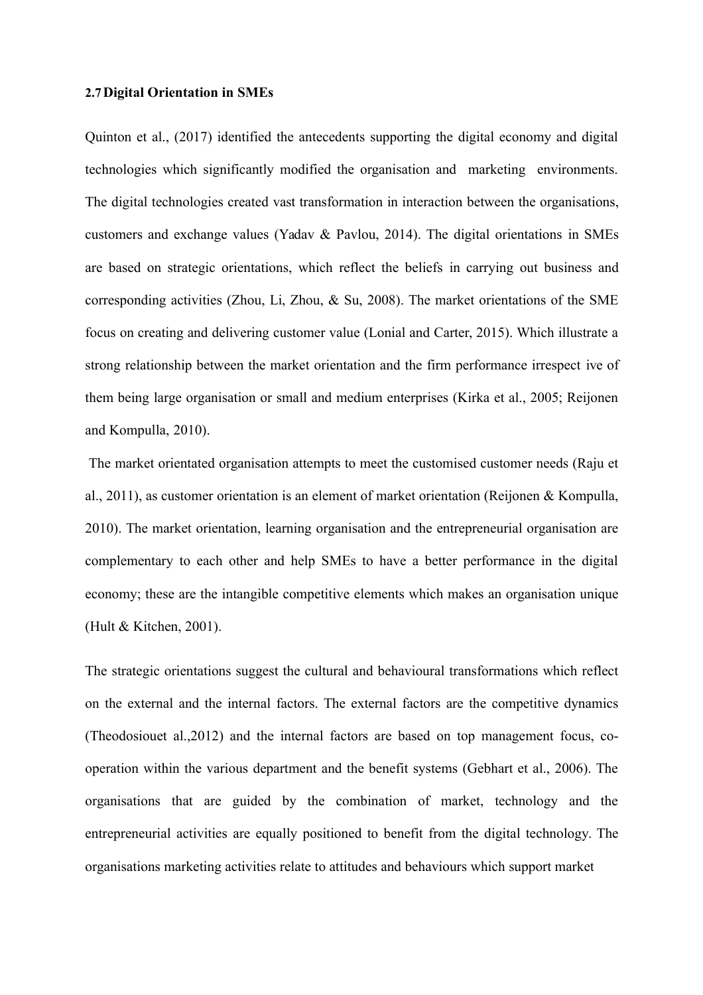#### **2.7Digital Orientation in SMEs**

Quinton et al., (2017) identified the antecedents supporting the digital economy and digital technologies which significantly modified the organisation and marketing environments. The digital technologies created vast transformation in interaction between the organisations, customers and exchange values (Yadav & Pavlou, 2014). The digital orientations in SMEs are based on strategic orientations, which reflect the beliefs in carrying out business and corresponding activities (Zhou, Li, Zhou, & Su, 2008). The market orientations of the SME focus on creating and delivering customer value (Lonial and Carter, 2015). Which illustrate a strong relationship between the market orientation and the firm performance irrespect ive of them being large organisation or small and medium enterprises (Kirka et al., 2005; Reijonen and Kompulla, 2010).

The market orientated organisation attempts to meet the customised customer needs (Raju et al., 2011), as customer orientation is an element of market orientation (Reijonen & Kompulla, 2010). The market orientation, learning organisation and the entrepreneurial organisation are complementary to each other and help SMEs to have a better performance in the digital economy; these are the intangible competitive elements which makes an organisation unique (Hult & Kitchen, 2001).

The strategic orientations suggest the cultural and behavioural transformations which reflect on the external and the internal factors. The external factors are the competitive dynamics (Theodosiouet al.,2012) and the internal factors are based on top management focus, cooperation within the various department and the benefit systems (Gebhart et al., 2006). The organisations that are guided by the combination of market, technology and the entrepreneurial activities are equally positioned to benefit from the digital technology. The organisations marketing activities relate to attitudes and behaviours which support market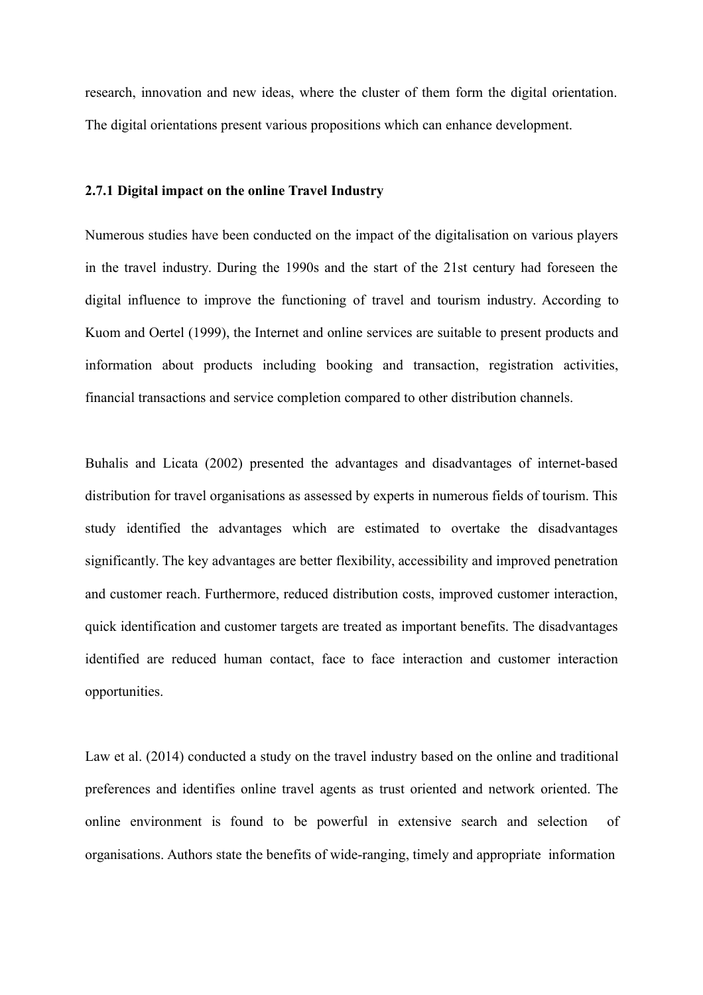research, innovation and new ideas, where the cluster of them form the digital orientation. The digital orientations present various propositions which can enhance development.

# **2.7.1 Digital impact on the online Travel Industry**

Numerous studies have been conducted on the impact of the digitalisation on various players in the travel industry. During the 1990s and the start of the 21st century had foreseen the digital influence to improve the functioning of travel and tourism industry. According to Kuom and Oertel (1999), the Internet and online services are suitable to present products and information about products including booking and transaction, registration activities, financial transactions and service completion compared to other distribution channels.

Buhalis and Licata (2002) presented the advantages and disadvantages of internet-based distribution for travel organisations as assessed by experts in numerous fields of tourism. This study identified the advantages which are estimated to overtake the disadvantages significantly. The key advantages are better flexibility, accessibility and improved penetration and customer reach. Furthermore, reduced distribution costs, improved customer interaction, quick identification and customer targets are treated as important benefits. The disadvantages identified are reduced human contact, face to face interaction and customer interaction opportunities.

Law et al. (2014) conducted a study on the travel industry based on the online and traditional preferences and identifies online travel agents as trust oriented and network oriented. The online environment is found to be powerful in extensive search and selection of organisations. Authors state the benefits of wide-ranging, timely and appropriate information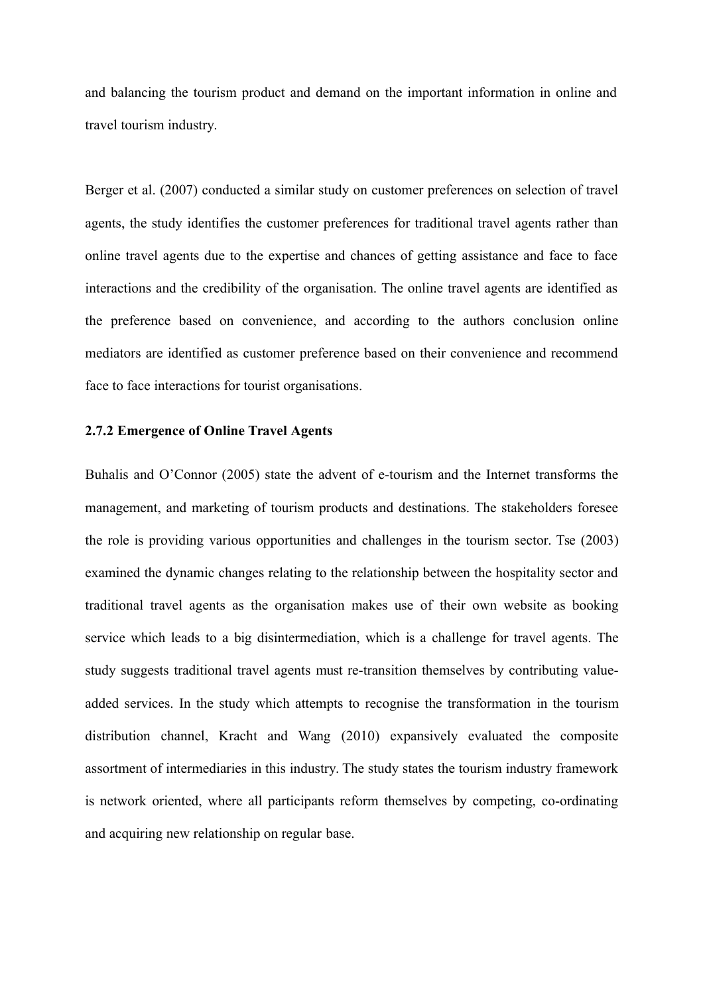and balancing the tourism product and demand on the important information in online and travel tourism industry.

Berger et al. (2007) conducted a similar study on customer preferences on selection of travel agents, the study identifies the customer preferences for traditional travel agents rather than online travel agents due to the expertise and chances of getting assistance and face to face interactions and the credibility of the organisation. The online travel agents are identified as the preference based on convenience, and according to the authors conclusion online mediators are identified as customer preference based on their convenience and recommend face to face interactions for tourist organisations.

# **2.7.2 Emergence of Online Travel Agents**

Buhalis and O'Connor (2005) state the advent of e-tourism and the Internet transforms the management, and marketing of tourism products and destinations. The stakeholders foresee the role is providing various opportunities and challenges in the tourism sector. Tse (2003) examined the dynamic changes relating to the relationship between the hospitality sector and traditional travel agents as the organisation makes use of their own website as booking service which leads to a big disintermediation, which is a challenge for travel agents. The study suggests traditional travel agents must re-transition themselves by contributing valueadded services. In the study which attempts to recognise the transformation in the tourism distribution channel, Kracht and Wang (2010) expansively evaluated the composite assortment of intermediaries in this industry. The study states the tourism industry framework is network oriented, where all participants reform themselves by competing, co-ordinating and acquiring new relationship on regular base.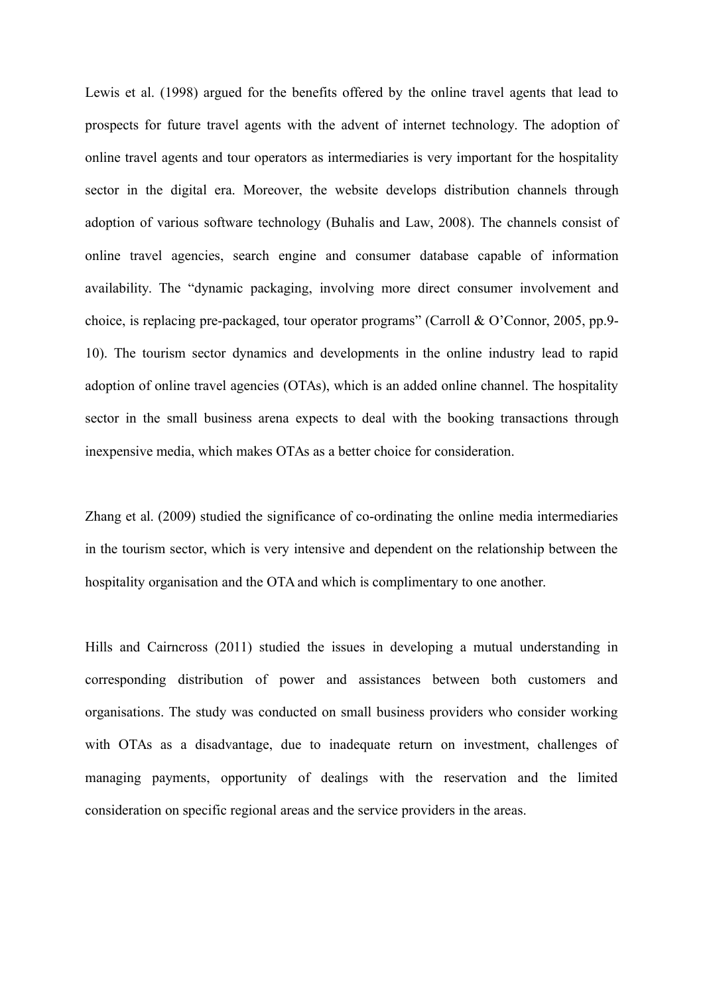Lewis et al. (1998) argued for the benefits offered by the online travel agents that lead to prospects for future travel agents with the advent of internet technology. The adoption of online travel agents and tour operators as intermediaries is very important for the hospitality sector in the digital era. Moreover, the website develops distribution channels through adoption of various software technology (Buhalis and Law, 2008). The channels consist of online travel agencies, search engine and consumer database capable of information availability. The "dynamic packaging, involving more direct consumer involvement and choice, is replacing pre-packaged, tour operator programs" (Carroll & O'Connor, 2005, pp.9- 10). The tourism sector dynamics and developments in the online industry lead to rapid adoption of online travel agencies (OTAs), which is an added online channel. The hospitality sector in the small business arena expects to deal with the booking transactions through inexpensive media, which makes OTAs as a better choice for consideration.

Zhang et al. (2009) studied the significance of co-ordinating the online media intermediaries in the tourism sector, which is very intensive and dependent on the relationship between the hospitality organisation and the OTA and which is complimentary to one another.

Hills and Cairncross (2011) studied the issues in developing a mutual understanding in corresponding distribution of power and assistances between both customers and organisations. The study was conducted on small business providers who consider working with OTAs as a disadvantage, due to inadequate return on investment, challenges of managing payments, opportunity of dealings with the reservation and the limited consideration on specific regional areas and the service providers in the areas.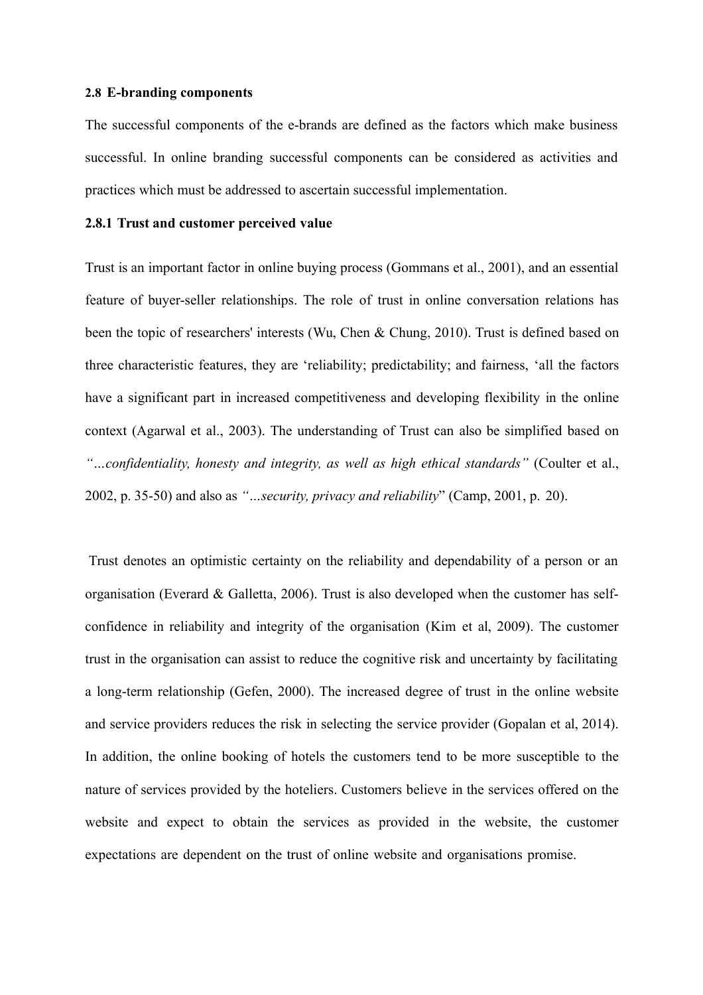### **2.8 E-branding components**

The successful components of the e-brands are defined as the factors which make business successful. In online branding successful components can be considered as activities and practices which must be addressed to ascertain successful implementation.

# **2.8.1 Trust and customer perceived value**

Trust is an important factor in online buying process (Gommans et al., 2001), and an essential feature of buyer-seller relationships. The role of trust in online conversation relations has been the topic of researchers' interests (Wu, Chen & Chung, 2010). Trust is defined based on three characteristic features, they are 'reliability; predictability; and fairness, 'all the factors have a significant part in increased competitiveness and developing flexibility in the online context (Agarwal et al., 2003). The understanding of Trust can also be simplified based on *"…confidentiality, honesty and integrity, as well as high ethical standards"* (Coulter et al., 2002, p. 35-50) and also as *"…security, privacy and reliability*" (Camp, 2001, p. 20).

Trust denotes an optimistic certainty on the reliability and dependability of a person or an organisation (Everard & Galletta, 2006). Trust is also developed when the customer has selfconfidence in reliability and integrity of the organisation (Kim et al, 2009). The customer trust in the organisation can assist to reduce the cognitive risk and uncertainty by facilitating a long-term relationship (Gefen, 2000). The increased degree of trust in the online website and service providers reduces the risk in selecting the service provider (Gopalan et al, 2014). In addition, the online booking of hotels the customers tend to be more susceptible to the nature of services provided by the hoteliers. Customers believe in the services offered on the website and expect to obtain the services as provided in the website, the customer expectations are dependent on the trust of online website and organisations promise.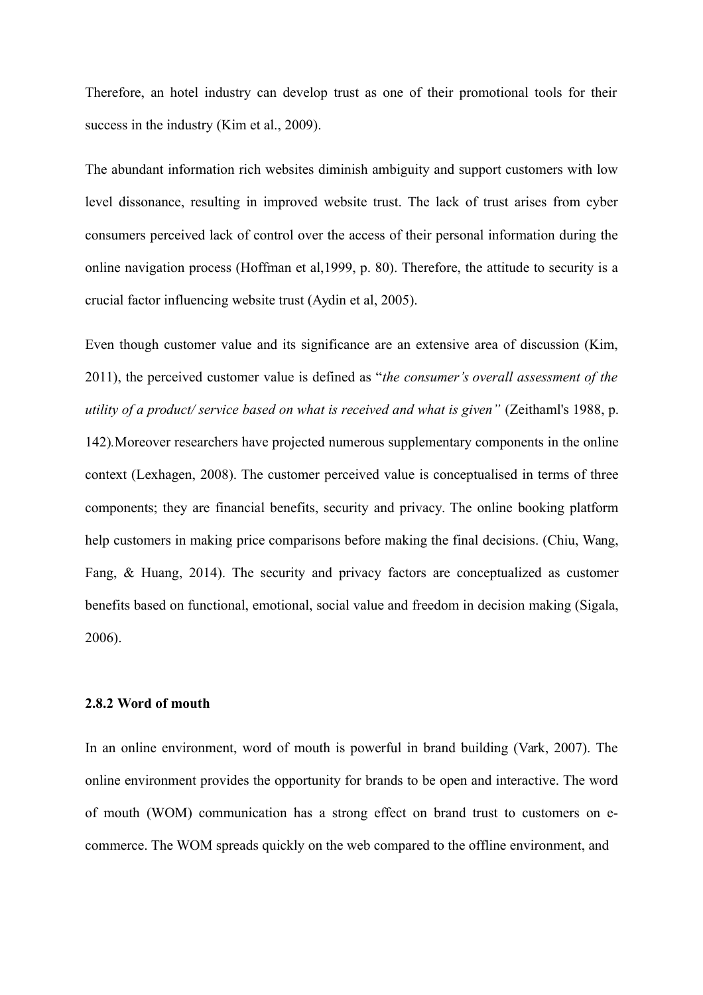Therefore, an hotel industry can develop trust as one of their promotional tools for their success in the industry (Kim et al., 2009).

The abundant information rich websites diminish ambiguity and support customers with low level dissonance, resulting in improved website trust. The lack of trust arises from cyber consumers perceived lack of control over the access of their personal information during the online navigation process (Hoffman et al,1999, p. 80). Therefore, the attitude to security is a crucial factor influencing website trust (Aydin et al, 2005).

Even though customer value and its significance are an extensive area of discussion (Kim, 2011), the perceived customer value is defined as "*the consumer's overall assessment of the utility of a product/ service based on what is received and what is given"* (Zeithaml's 1988, p. 142)*.*Moreover researchers have projected numerous supplementary components in the online context (Lexhagen, 2008). The customer perceived value is conceptualised in terms of three components; they are financial benefits, security and privacy. The online booking platform help customers in making price comparisons before making the final decisions. (Chiu, Wang, Fang, & Huang, 2014). The security and privacy factors are conceptualized as customer benefits based on functional, emotional, social value and freedom in decision making (Sigala, 2006).

# **2.8.2 Word of mouth**

In an online environment, word of mouth is powerful in brand building (Vark, 2007). The online environment provides the opportunity for brands to be open and interactive. The word of mouth (WOM) communication has a strong effect on brand trust to customers on ecommerce. The WOM spreads quickly on the web compared to the offline environment, and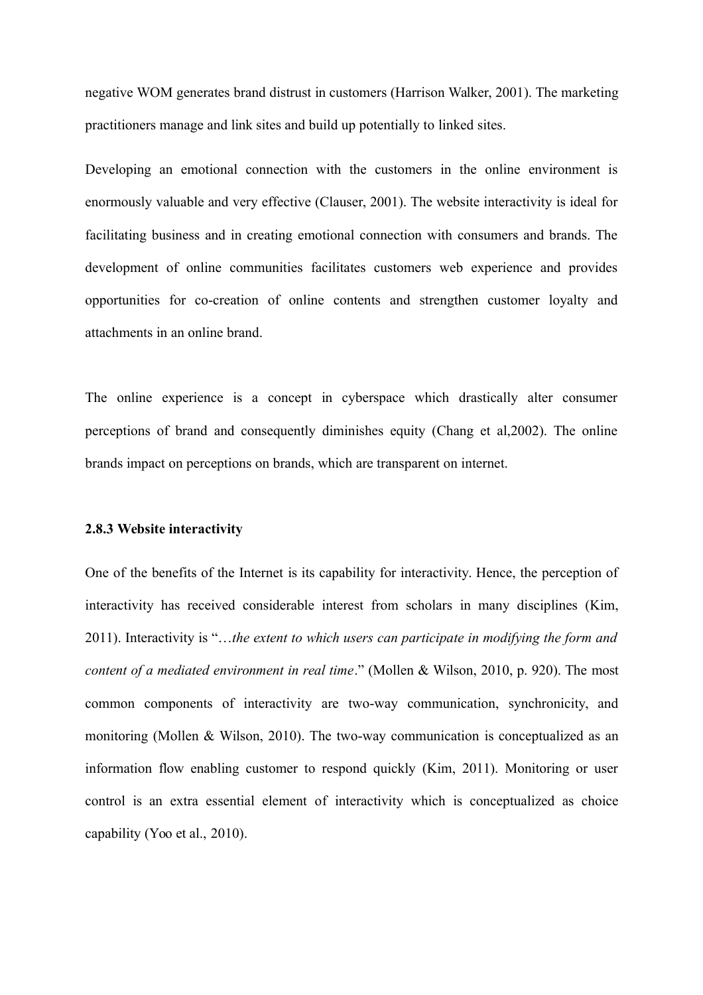negative WOM generates brand distrust in customers (Harrison Walker, 2001). The marketing practitioners manage and link sites and build up potentially to linked sites.

Developing an emotional connection with the customers in the online environment is enormously valuable and very effective (Clauser, 2001). The website interactivity is ideal for facilitating business and in creating emotional connection with consumers and brands. The development of online communities facilitates customers web experience and provides opportunities for co-creation of online contents and strengthen customer loyalty and attachments in an online brand.

The online experience is a concept in cyberspace which drastically alter consumer perceptions of brand and consequently diminishes equity (Chang et al,2002). The online brands impact on perceptions on brands, which are transparent on internet.

# **2.8.3 Website interactivity**

One of the benefits of the Internet is its capability for interactivity. Hence, the perception of interactivity has received considerable interest from scholars in many disciplines (Kim, 2011). Interactivity is "…*the extent to which users can participate in modifying the form and content of a mediated environment in real time*." (Mollen & Wilson, 2010, p. 920). The most common components of interactivity are two-way communication, synchronicity, and monitoring (Mollen & Wilson, 2010). The two-way communication is conceptualized as an information flow enabling customer to respond quickly (Kim, 2011). Monitoring or user control is an extra essential element of interactivity which is conceptualized as choice capability (Yoo et al., 2010).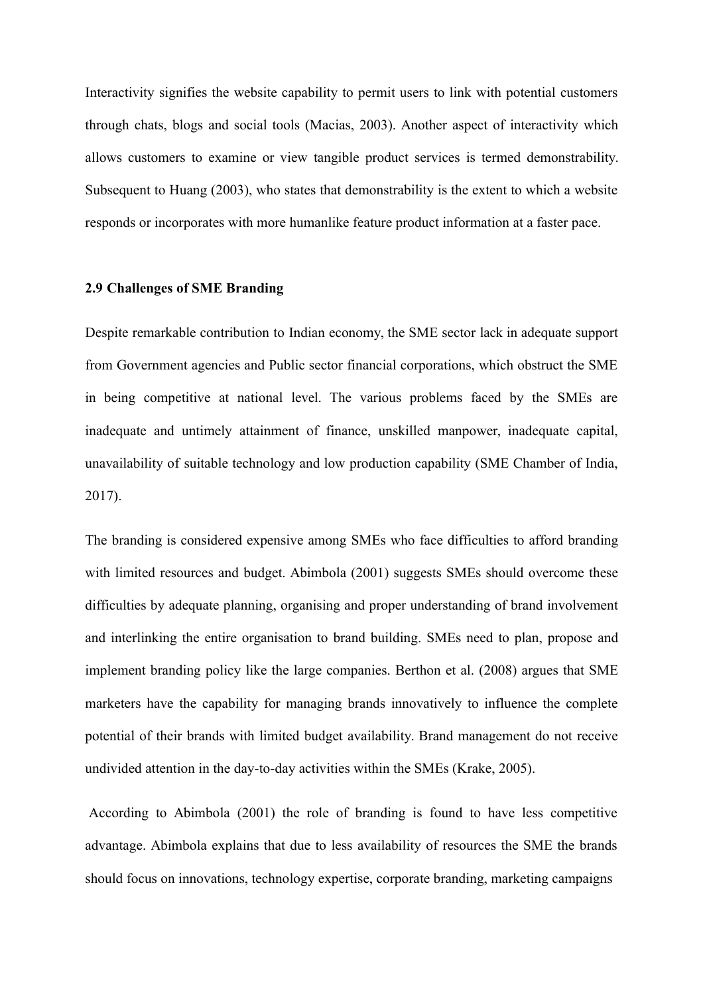Interactivity signifies the website capability to permit users to link with potential customers through chats, blogs and social tools (Macias, 2003). Another aspect of interactivity which allows customers to examine or view tangible product services is termed demonstrability. Subsequent to Huang (2003), who states that demonstrability is the extent to which a website responds or incorporates with more humanlike feature product information at a faster pace.

# **2.9 Challenges of SME Branding**

Despite remarkable contribution to Indian economy, the SME sector lack in adequate support from Government agencies and Public sector financial corporations, which obstruct the SME in being competitive at national level. The various problems faced by the SMEs are inadequate and untimely attainment of finance, unskilled manpower, inadequate capital, unavailability of suitable technology and low production capability (SME Chamber of India, 2017).

The branding is considered expensive among SMEs who face difficulties to afford branding with limited resources and budget. Abimbola (2001) suggests SMEs should overcome these difficulties by adequate planning, organising and proper understanding of brand involvement and interlinking the entire organisation to brand building. SMEs need to plan, propose and implement branding policy like the large companies. Berthon et al. (2008) argues that SME marketers have the capability for managing brands innovatively to influence the complete potential of their brands with limited budget availability. Brand management do not receive undivided attention in the day-to-day activities within the SMEs (Krake, 2005).

According to Abimbola (2001) the role of branding is found to have less competitive advantage. Abimbola explains that due to less availability of resources the SME the brands should focus on innovations, technology expertise, corporate branding, marketing campaigns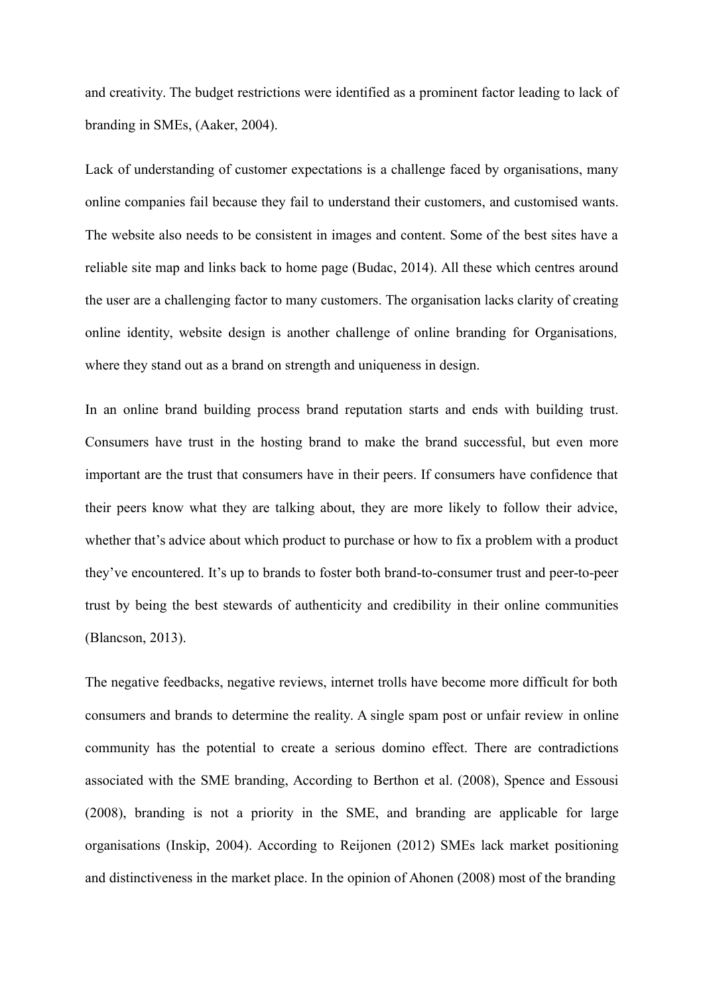and creativity. The budget restrictions were identified as a prominent factor leading to lack of branding in SMEs, (Aaker, 2004).

Lack of understanding of customer expectations is a challenge faced by organisations, many online companies fail because they fail to understand their customers, and customised wants. The website also needs to be consistent in images and content. Some of the best sites have a reliable site map and links back to home page (Budac, 2014). All these which centres around the user are a challenging factor to many customers. The organisation lacks clarity of creating online identity, website design is another challenge of online branding for Organisations*,* where they stand out as a brand on strength and uniqueness in design.

In an online brand building process brand reputation starts and ends with building trust. Consumers have trust in the hosting brand to make the brand successful, but even more important are the trust that consumers have in their peers. If consumers have confidence that their peers know what they are talking about, they are more likely to follow their advice, whether that's advice about which product to purchase or how to fix a problem with a product they've encountered. It's up to brands to foster both brand-to-consumer trust and peer-to-peer trust by being the best stewards of authenticity and credibility in their online communities (Blancson, 2013).

The negative feedbacks, negative reviews, internet trolls have become more difficult for both consumers and brands to determine the reality. A single spam post or unfair review in online community has the potential to create a serious domino effect. There are contradictions associated with the SME branding, According to Berthon et al. (2008), Spence and Essousi (2008), branding is not a priority in the SME, and branding are applicable for large organisations (Inskip, 2004). According to Reijonen (2012) SMEs lack market positioning and distinctiveness in the market place. In the opinion of Ahonen (2008) most of the branding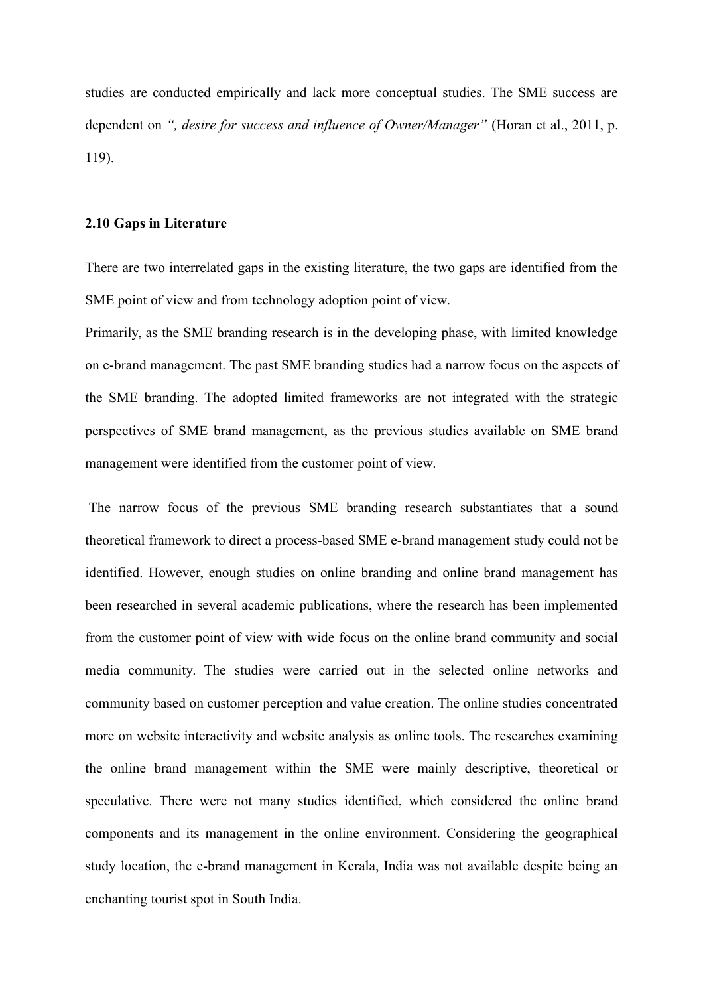studies are conducted empirically and lack more conceptual studies. The SME success are dependent on *", desire for success and influence of Owner/Manager"* (Horan et al., 2011, p. 119).

# **2.10 Gaps in Literature**

There are two interrelated gaps in the existing literature, the two gaps are identified from the SME point of view and from technology adoption point of view.

Primarily, as the SME branding research is in the developing phase, with limited knowledge on e-brand management. The past SME branding studies had a narrow focus on the aspects of the SME branding. The adopted limited frameworks are not integrated with the strategic perspectives of SME brand management, as the previous studies available on SME brand management were identified from the customer point of view.

The narrow focus of the previous SME branding research substantiates that a sound theoretical framework to direct a process-based SME e-brand management study could not be identified. However, enough studies on online branding and online brand management has been researched in several academic publications, where the research has been implemented from the customer point of view with wide focus on the online brand community and social media community. The studies were carried out in the selected online networks and community based on customer perception and value creation. The online studies concentrated more on website interactivity and website analysis as online tools. The researches examining the online brand management within the SME were mainly descriptive, theoretical or speculative. There were not many studies identified, which considered the online brand components and its management in the online environment. Considering the geographical study location, the e-brand management in Kerala, India was not available despite being an enchanting tourist spot in South India.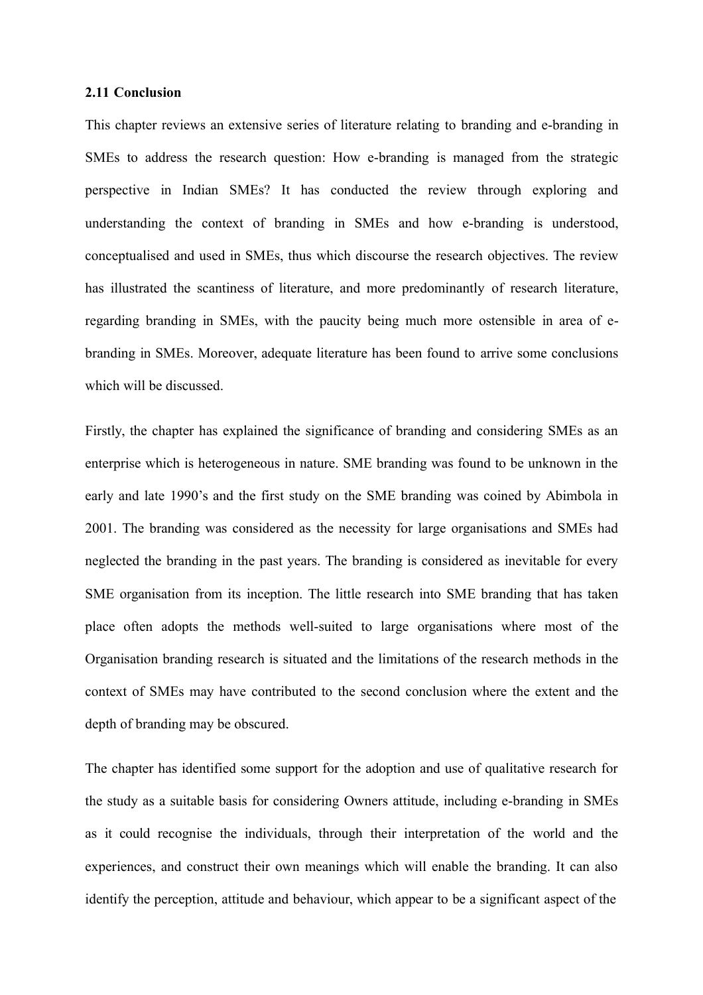# **2.11 Conclusion**

This chapter reviews an extensive series of literature relating to branding and e-branding in SMEs to address the research question: How e-branding is managed from the strategic perspective in Indian SMEs? It has conducted the review through exploring and understanding the context of branding in SMEs and how e-branding is understood, conceptualised and used in SMEs, thus which discourse the research objectives. The review has illustrated the scantiness of literature, and more predominantly of research literature, regarding branding in SMEs, with the paucity being much more ostensible in area of ebranding in SMEs. Moreover, adequate literature has been found to arrive some conclusions which will be discussed.

Firstly, the chapter has explained the significance of branding and considering SMEs as an enterprise which is heterogeneous in nature. SME branding was found to be unknown in the early and late 1990's and the first study on the SME branding was coined by Abimbola in 2001. The branding was considered as the necessity for large organisations and SMEs had neglected the branding in the past years. The branding is considered as inevitable for every SME organisation from its inception. The little research into SME branding that has taken place often adopts the methods well-suited to large organisations where most of the Organisation branding research is situated and the limitations of the research methods in the context of SMEs may have contributed to the second conclusion where the extent and the depth of branding may be obscured.

The chapter has identified some support for the adoption and use of qualitative research for the study as a suitable basis for considering Owners attitude, including e-branding in SMEs as it could recognise the individuals, through their interpretation of the world and the experiences, and construct their own meanings which will enable the branding. It can also identify the perception, attitude and behaviour, which appear to be a significant aspect of the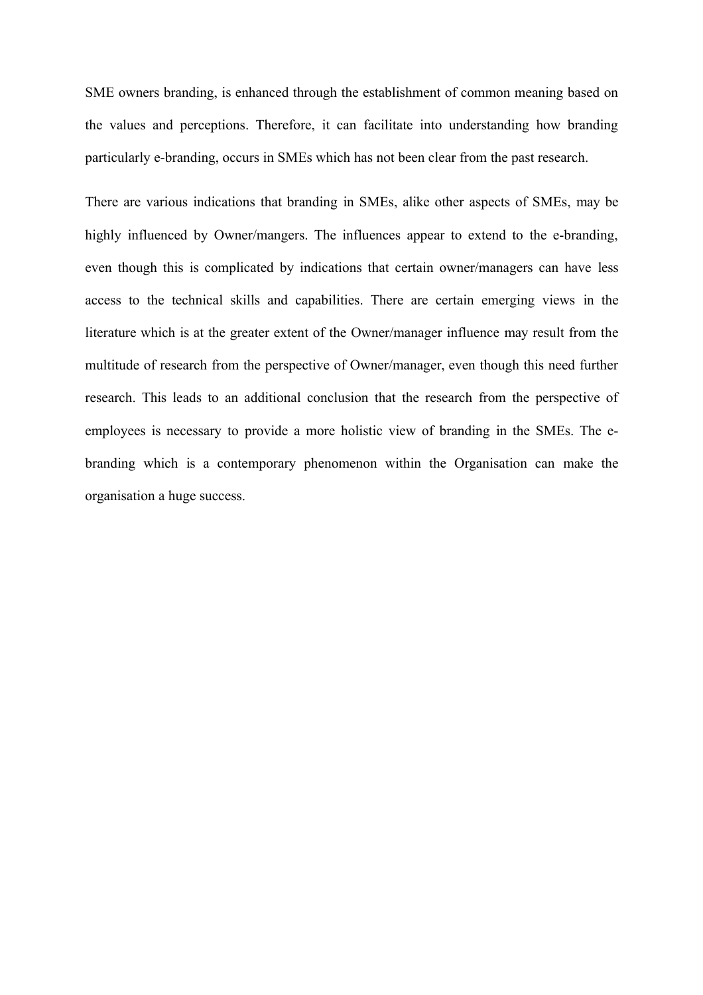SME owners branding, is enhanced through the establishment of common meaning based on the values and perceptions. Therefore, it can facilitate into understanding how branding particularly e-branding, occurs in SMEs which has not been clear from the past research.

There are various indications that branding in SMEs, alike other aspects of SMEs, may be highly influenced by Owner/mangers. The influences appear to extend to the e-branding, even though this is complicated by indications that certain owner/managers can have less access to the technical skills and capabilities. There are certain emerging views in the literature which is at the greater extent of the Owner/manager influence may result from the multitude of research from the perspective of Owner/manager, even though this need further research. This leads to an additional conclusion that the research from the perspective of employees is necessary to provide a more holistic view of branding in the SMEs. The ebranding which is a contemporary phenomenon within the Organisation can make the organisation a huge success.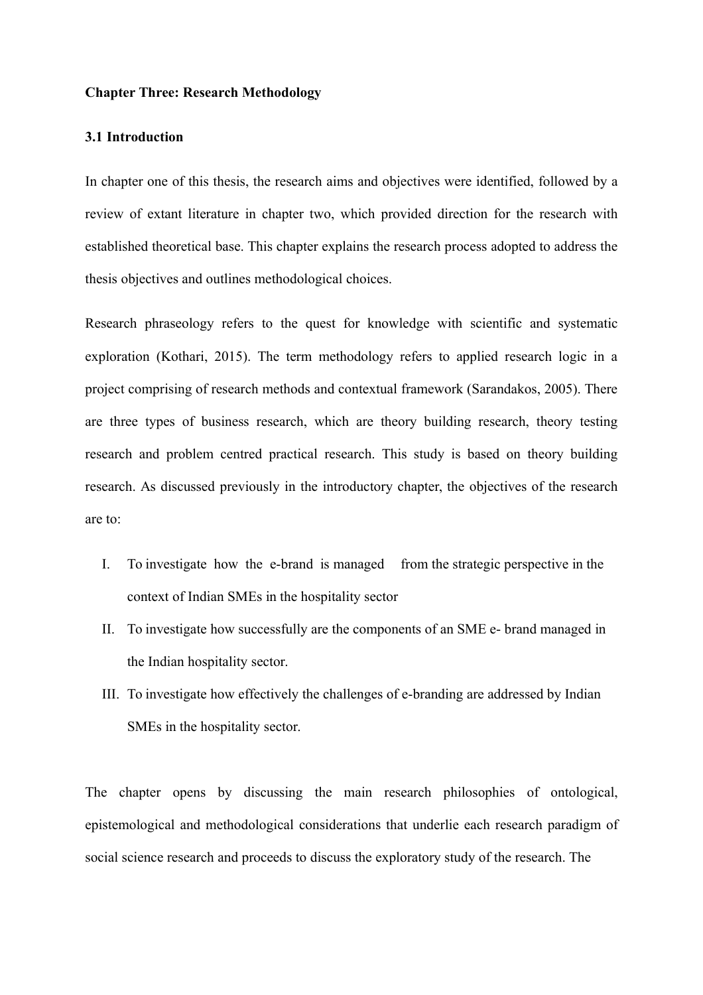# **Chapter Three: Research Methodology**

# **3.1 Introduction**

In chapter one of this thesis, the research aims and objectives were identified, followed by a review of extant literature in chapter two, which provided direction for the research with established theoretical base. This chapter explains the research process adopted to address the thesis objectives and outlines methodological choices.

Research phraseology refers to the quest for knowledge with scientific and systematic exploration (Kothari, 2015). The term methodology refers to applied research logic in a project comprising of research methods and contextual framework (Sarandakos, 2005). There are three types of business research, which are theory building research, theory testing research and problem centred practical research. This study is based on theory building research. As discussed previously in the introductory chapter, the objectives of the research are to:

- I. To investigate how the e-brand is managed from the strategic perspective in the context of Indian SMEs in the hospitality sector
- II. To investigate how successfully are the components of an SME e- brand managed in the Indian hospitality sector.
- III. To investigate how effectively the challenges of e-branding are addressed by Indian SMEs in the hospitality sector.

The chapter opens by discussing the main research philosophies of ontological, epistemological and methodological considerations that underlie each research paradigm of social science research and proceeds to discuss the exploratory study of the research. The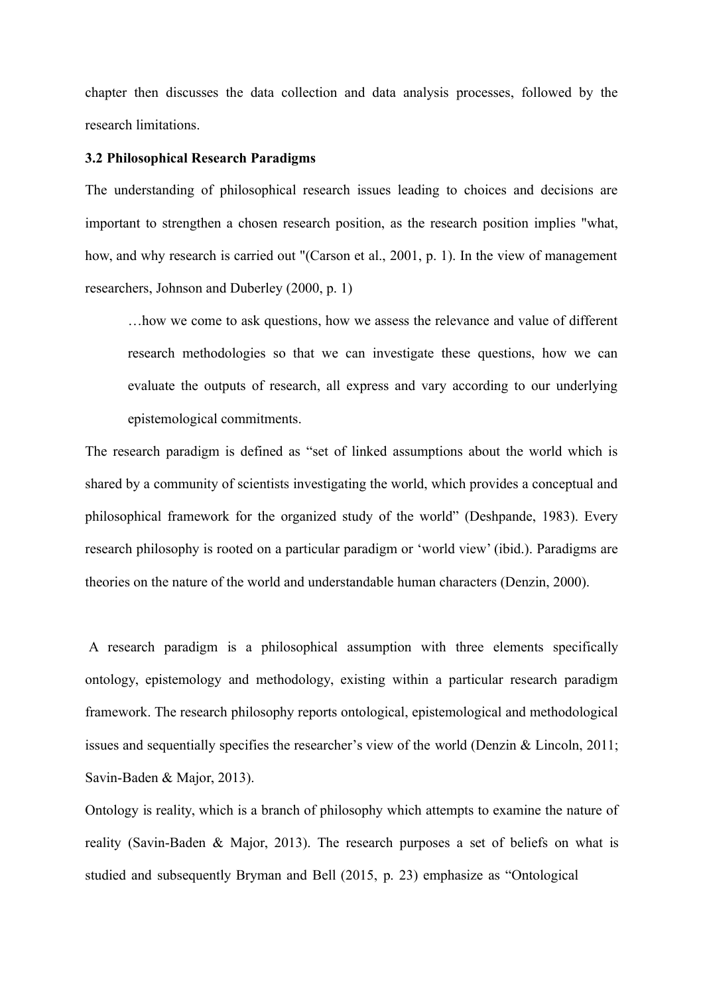chapter then discusses the data collection and data analysis processes, followed by the research limitations.

# **3.2 Philosophical Research Paradigms**

The understanding of philosophical research issues leading to choices and decisions are important to strengthen a chosen research position, as the research position implies "what, how, and why research is carried out "(Carson et al., 2001, p. 1). In the view of management researchers, Johnson and Duberley (2000, p. 1)

…how we come to ask questions, how we assess the relevance and value of different research methodologies so that we can investigate these questions, how we can evaluate the outputs of research, all express and vary according to our underlying epistemological commitments.

The research paradigm is defined as "set of linked assumptions about the world which is shared by a community of scientists investigating the world, which provides a conceptual and philosophical framework for the organized study of the world" (Deshpande, 1983). Every research philosophy is rooted on a particular paradigm or 'world view' (ibid.). Paradigms are theories on the nature of the world and understandable human characters (Denzin, 2000).

A research paradigm is a philosophical assumption with three elements specifically ontology, epistemology and methodology, existing within a particular research paradigm framework. The research philosophy reports ontological, epistemological and methodological issues and sequentially specifies the researcher's view of the world (Denzin & Lincoln, 2011; Savin-Baden & Major, 2013).

Ontology is reality, which is a branch of philosophy which attempts to examine the nature of reality (Savin-Baden & Major, 2013). The research purposes a set of beliefs on what is studied and subsequently Bryman and Bell (2015, p. 23) emphasize as "Ontological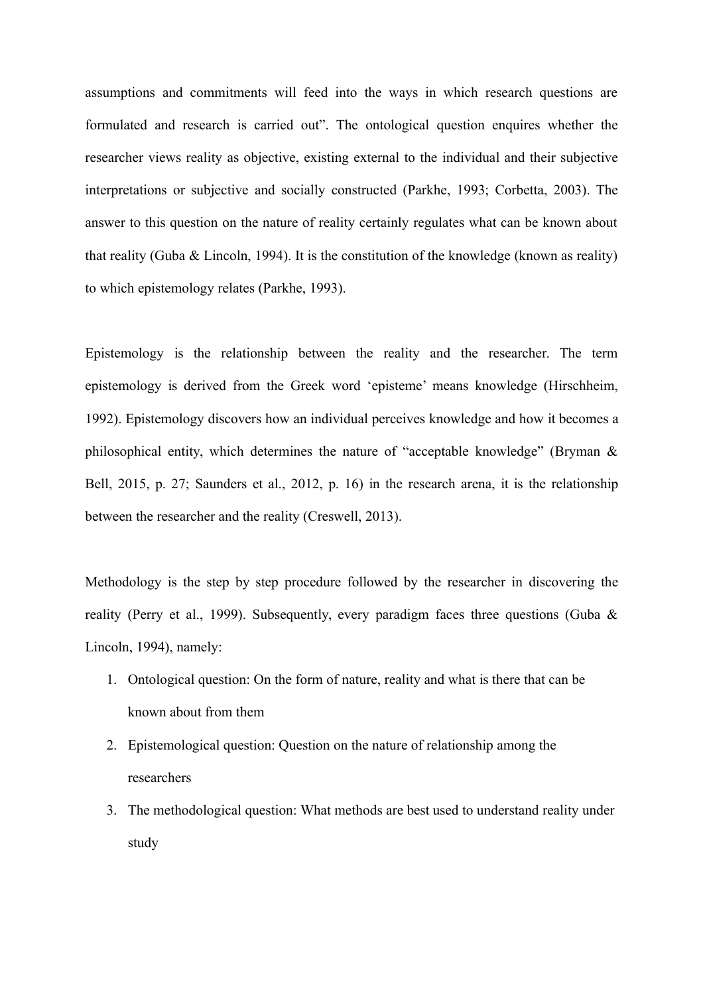assumptions and commitments will feed into the ways in which research questions are formulated and research is carried out". The ontological question enquires whether the researcher views reality as objective, existing external to the individual and their subjective interpretations or subjective and socially constructed (Parkhe, 1993; Corbetta, 2003). The answer to this question on the nature of reality certainly regulates what can be known about that reality (Guba & Lincoln, 1994). It is the constitution of the knowledge (known as reality) to which epistemology relates (Parkhe, 1993).

Epistemology is the relationship between the reality and the researcher. The term epistemology is derived from the Greek word 'episteme' means knowledge (Hirschheim, 1992). Epistemology discovers how an individual perceives knowledge and how it becomes a philosophical entity, which determines the nature of "acceptable knowledge" (Bryman & Bell, 2015, p. 27; Saunders et al., 2012, p. 16) in the research arena, it is the relationship between the researcher and the reality (Creswell, 2013).

Methodology is the step by step procedure followed by the researcher in discovering the reality (Perry et al., 1999). Subsequently, every paradigm faces three questions (Guba & Lincoln, 1994), namely:

- 1. Ontological question: On the form of nature, reality and what is there that can be known about from them
- 2. Epistemological question: Question on the nature of relationship among the researchers
- 3. The methodological question: What methods are best used to understand reality under study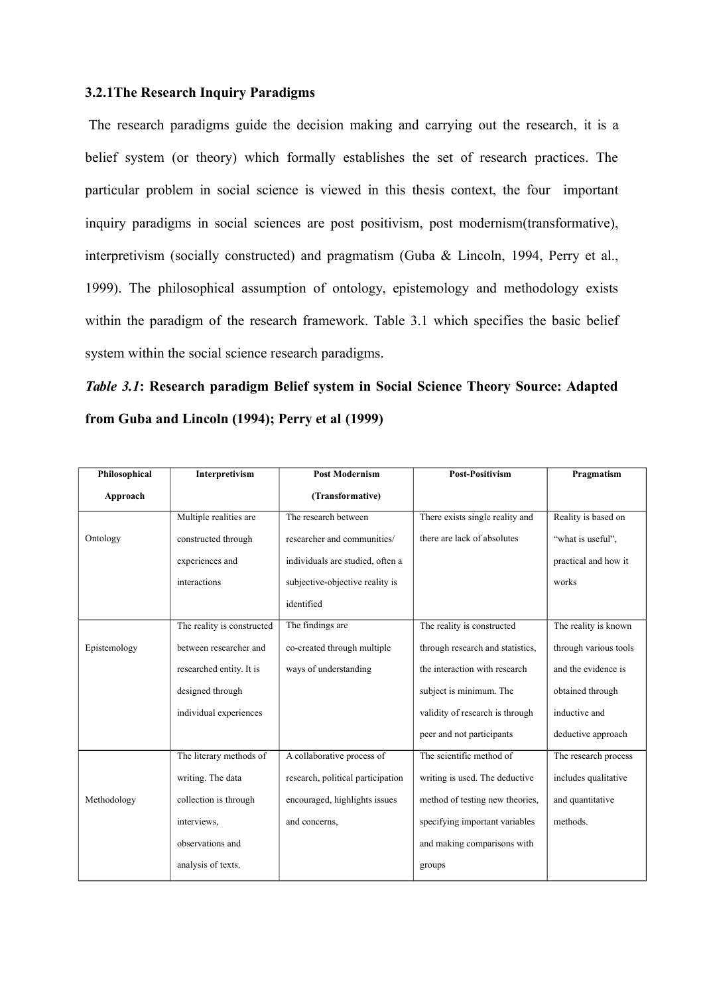# **3.2.1The Research Inquiry Paradigms**

The research paradigms guide the decision making and carrying out the research, it is a belief system (or theory) which formally establishes the set of research practices. The particular problem in social science is viewed in this thesis context, the four important inquiry paradigms in social sciences are post positivism, post modernism(transformative), interpretivism (socially constructed) and pragmatism (Guba & Lincoln, 1994, Perry et al., 1999). The philosophical assumption of ontology, epistemology and methodology exists within the paradigm of the research framework. Table 3.1 which specifies the basic belief system within the social science research paradigms.

*Table 3.1***: Research paradigm Belief system in Social Science Theory Source: Adapted from Guba and Lincoln (1994); Perry et al (1999)**

| Philosophical | Interpretivism             | <b>Post Modernism</b>             | <b>Post-Positivism</b>           | Pragmatism            |
|---------------|----------------------------|-----------------------------------|----------------------------------|-----------------------|
| Approach      |                            | (Transformative)                  |                                  |                       |
|               | Multiple realities are     | The research between              | There exists single reality and  | Reality is based on   |
| Ontology      | constructed through        | researcher and communities/       | there are lack of absolutes      | "what is useful".     |
|               | experiences and            | individuals are studied, often a  |                                  | practical and how it  |
|               | interactions               | subjective-objective reality is   |                                  | works                 |
|               |                            | identified                        |                                  |                       |
|               | The reality is constructed | The findings are                  | The reality is constructed       | The reality is known  |
| Epistemology  | between researcher and     | co-created through multiple       | through research and statistics, | through various tools |
|               | researched entity. It is   | ways of understanding             | the interaction with research    | and the evidence is   |
|               | designed through           |                                   | subject is minimum. The          | obtained through      |
|               | individual experiences     |                                   | validity of research is through  | inductive and         |
|               |                            |                                   | peer and not participants        | deductive approach    |
|               | The literary methods of    | A collaborative process of        | The scientific method of         | The research process  |
| Methodology   | writing. The data          | research, political participation | writing is used. The deductive   | includes qualitative  |
|               | collection is through      | encouraged, highlights issues     | method of testing new theories,  | and quantitative      |
|               | interviews,                | and concerns,                     | specifying important variables   | methods.              |
|               | observations and           |                                   | and making comparisons with      |                       |
|               | analysis of texts.         |                                   | groups                           |                       |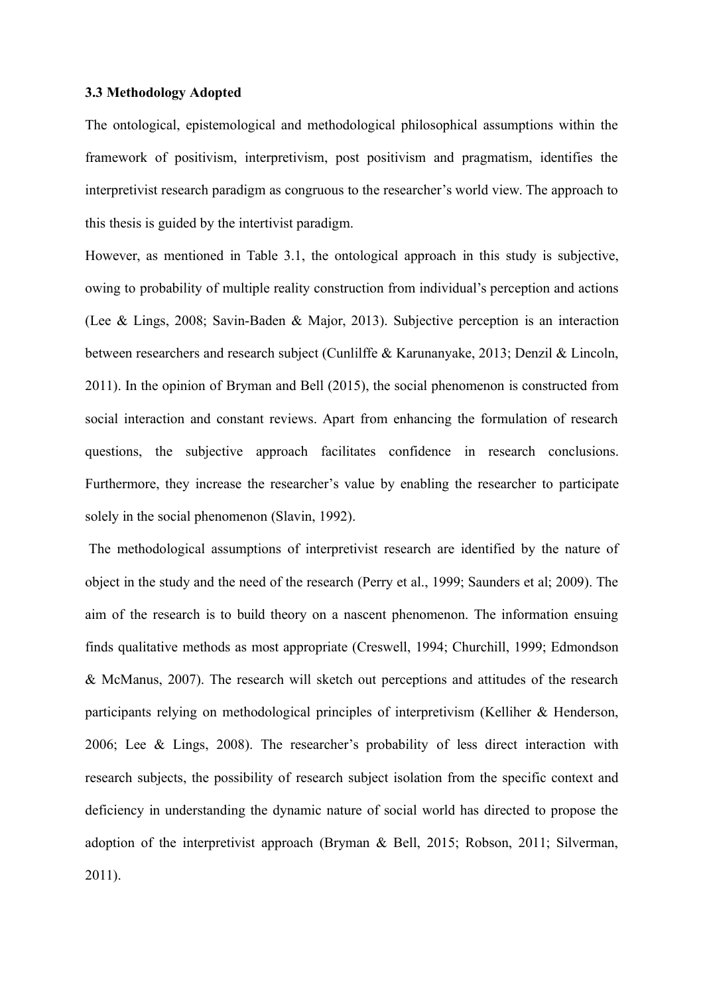#### **3.3 Methodology Adopted**

The ontological, epistemological and methodological philosophical assumptions within the framework of positivism, interpretivism, post positivism and pragmatism, identifies the interpretivist research paradigm as congruous to the researcher's world view. The approach to this thesis is guided by the intertivist paradigm.

However, as mentioned in Table 3.1, the ontological approach in this study is subjective, owing to probability of multiple reality construction from individual's perception and actions (Lee & Lings, 2008; Savin-Baden & Major, 2013). Subjective perception is an interaction between researchers and research subject (Cunlilffe & Karunanyake, 2013; Denzil & Lincoln, 2011). In the opinion of Bryman and Bell (2015), the social phenomenon is constructed from social interaction and constant reviews. Apart from enhancing the formulation of research questions, the subjective approach facilitates confidence in research conclusions. Furthermore, they increase the researcher's value by enabling the researcher to participate solely in the social phenomenon (Slavin, 1992).

The methodological assumptions of interpretivist research are identified by the nature of object in the study and the need of the research (Perry et al., 1999; Saunders et al; 2009). The aim of the research is to build theory on a nascent phenomenon. The information ensuing finds qualitative methods as most appropriate (Creswell, 1994; Churchill, 1999; Edmondson & McManus, 2007). The research will sketch out perceptions and attitudes of the research participants relying on methodological principles of interpretivism (Kelliher & Henderson, 2006; Lee & Lings, 2008). The researcher's probability of less direct interaction with research subjects, the possibility of research subject isolation from the specific context and deficiency in understanding the dynamic nature of social world has directed to propose the adoption of the interpretivist approach (Bryman & Bell, 2015; Robson, 2011; Silverman, 2011).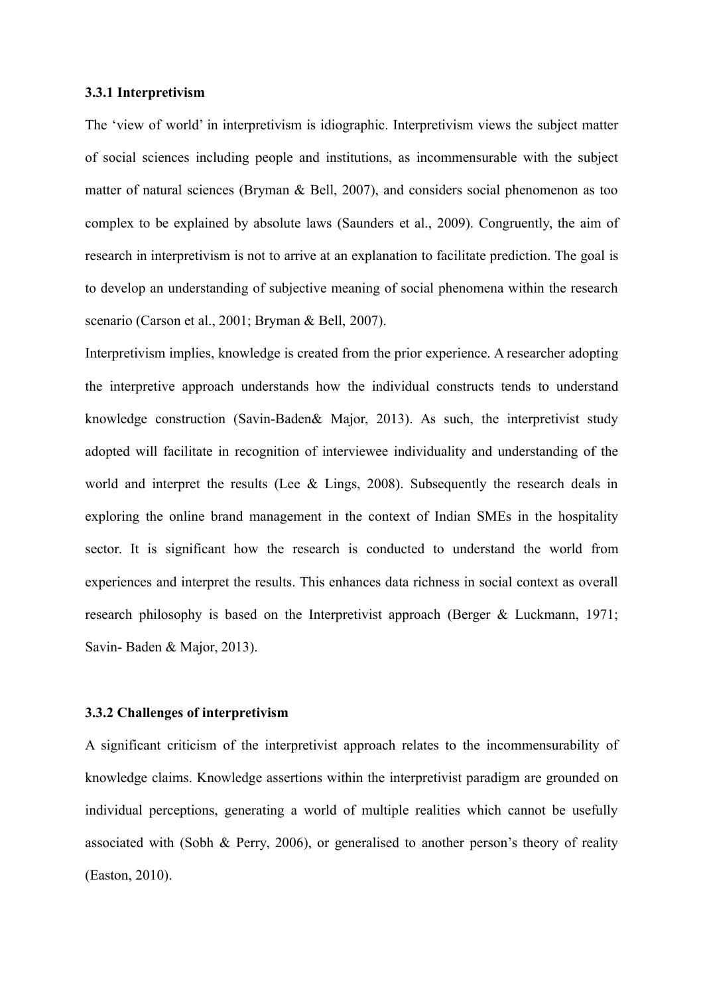#### **3.3.1 Interpretivism**

The 'view of world' in interpretivism is idiographic. Interpretivism views the subject matter of social sciences including people and institutions, as incommensurable with the subject matter of natural sciences (Bryman & Bell, 2007), and considers social phenomenon as too complex to be explained by absolute laws (Saunders et al., 2009). Congruently, the aim of research in interpretivism is not to arrive at an explanation to facilitate prediction. The goal is to develop an understanding of subjective meaning of social phenomena within the research scenario (Carson et al., 2001; Bryman & Bell, 2007).

Interpretivism implies, knowledge is created from the prior experience. A researcher adopting the interpretive approach understands how the individual constructs tends to understand knowledge construction (Savin-Baden& Major, 2013). As such, the interpretivist study adopted will facilitate in recognition of interviewee individuality and understanding of the world and interpret the results (Lee & Lings, 2008). Subsequently the research deals in exploring the online brand management in the context of Indian SMEs in the hospitality sector. It is significant how the research is conducted to understand the world from experiences and interpret the results. This enhances data richness in social context as overall research philosophy is based on the Interpretivist approach (Berger & Luckmann, 1971; Savin- Baden & Major, 2013).

#### **3.3.2 Challenges of interpretivism**

A significant criticism of the interpretivist approach relates to the incommensurability of knowledge claims. Knowledge assertions within the interpretivist paradigm are grounded on individual perceptions, generating a world of multiple realities which cannot be usefully associated with (Sobh & Perry, 2006), or generalised to another person's theory of reality (Easton, 2010).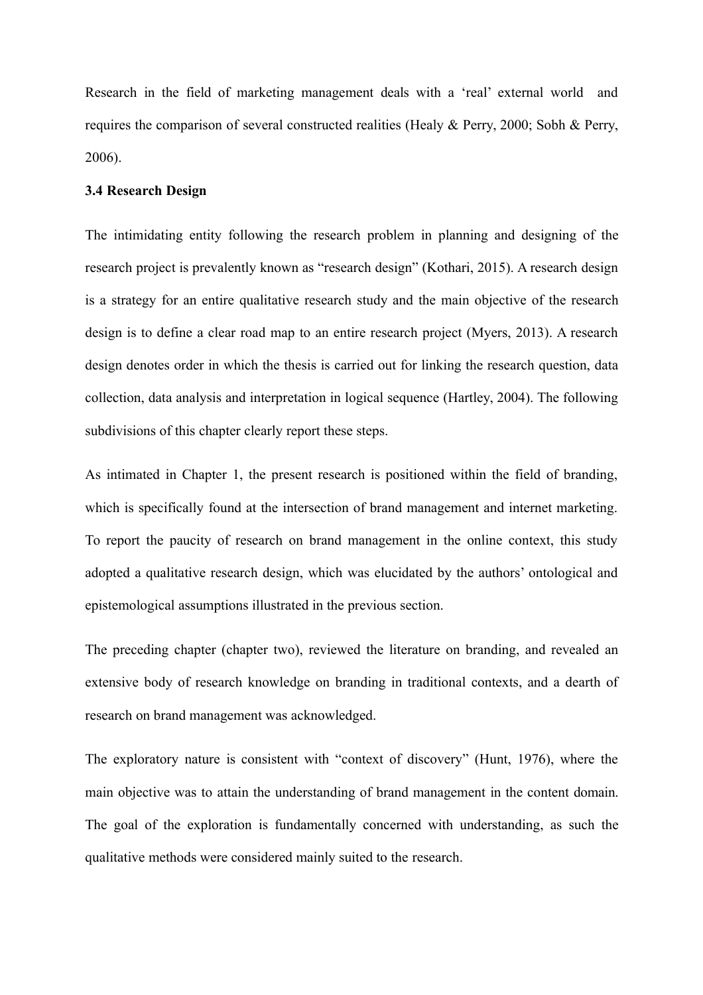Research in the field of marketing management deals with a 'real' external world and requires the comparison of several constructed realities (Healy & Perry, 2000; Sobh & Perry, 2006).

# **3.4 Research Design**

The intimidating entity following the research problem in planning and designing of the research project is prevalently known as "research design" (Kothari, 2015). A research design is a strategy for an entire qualitative research study and the main objective of the research design is to define a clear road map to an entire research project (Myers, 2013). A research design denotes order in which the thesis is carried out for linking the research question, data collection, data analysis and interpretation in logical sequence (Hartley, 2004). The following subdivisions of this chapter clearly report these steps.

As intimated in Chapter 1, the present research is positioned within the field of branding, which is specifically found at the intersection of brand management and internet marketing. To report the paucity of research on brand management in the online context, this study adopted a qualitative research design, which was elucidated by the authors' ontological and epistemological assumptions illustrated in the previous section.

The preceding chapter (chapter two), reviewed the literature on branding, and revealed an extensive body of research knowledge on branding in traditional contexts, and a dearth of research on brand management was acknowledged.

The exploratory nature is consistent with "context of discovery" (Hunt, 1976), where the main objective was to attain the understanding of brand management in the content domain. The goal of the exploration is fundamentally concerned with understanding, as such the qualitative methods were considered mainly suited to the research.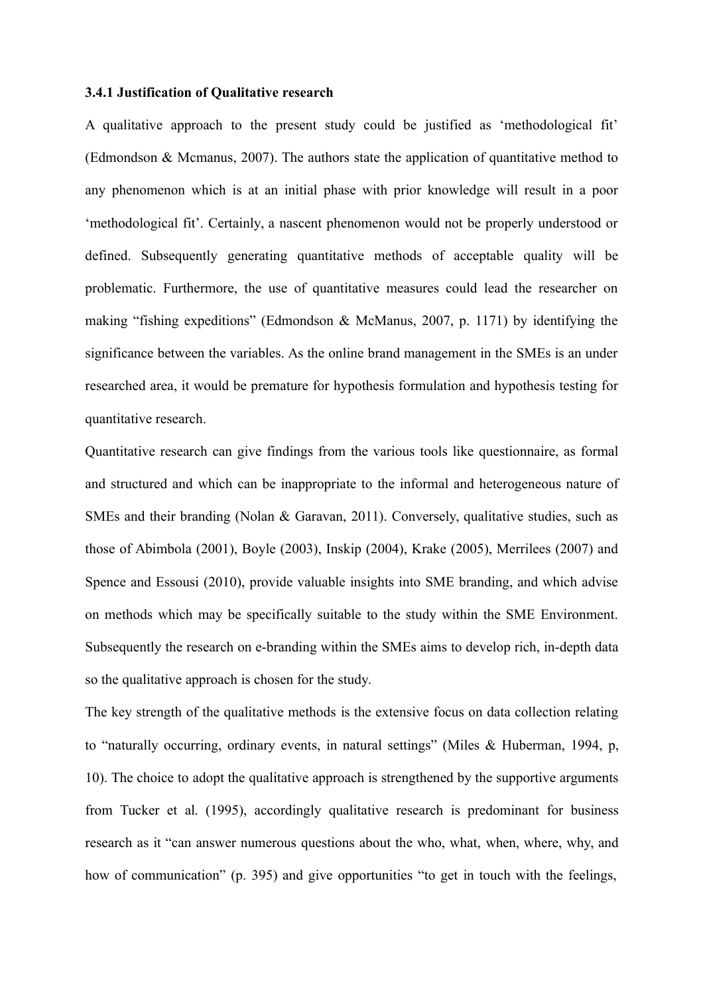#### **3.4.1 Justification of Qualitative research**

A qualitative approach to the present study could be justified as 'methodological fit' (Edmondson & Mcmanus, 2007). The authors state the application of quantitative method to any phenomenon which is at an initial phase with prior knowledge will result in a poor 'methodological fit'. Certainly, a nascent phenomenon would not be properly understood or defined. Subsequently generating quantitative methods of acceptable quality will be problematic. Furthermore, the use of quantitative measures could lead the researcher on making "fishing expeditions" (Edmondson & McManus, 2007, p. 1171) by identifying the significance between the variables. As the online brand management in the SMEs is an under researched area, it would be premature for hypothesis formulation and hypothesis testing for quantitative research.

Quantitative research can give findings from the various tools like questionnaire, as formal and structured and which can be inappropriate to the informal and heterogeneous nature of SMEs and their branding (Nolan & Garavan, 2011). Conversely, qualitative studies, such as those of Abimbola (2001), Boyle (2003), Inskip (2004), Krake (2005), Merrilees (2007) and Spence and Essousi (2010), provide valuable insights into SME branding, and which advise on methods which may be specifically suitable to the study within the SME Environment. Subsequently the research on e-branding within the SMEs aims to develop rich, in-depth data so the qualitative approach is chosen for the study.

The key strength of the qualitative methods is the extensive focus on data collection relating to "naturally occurring, ordinary events, in natural settings" (Miles & Huberman, 1994, p, 10). The choice to adopt the qualitative approach is strengthened by the supportive arguments from Tucker et al. (1995), accordingly qualitative research is predominant for business research as it "can answer numerous questions about the who, what, when, where, why, and how of communication" (p. 395) and give opportunities "to get in touch with the feelings,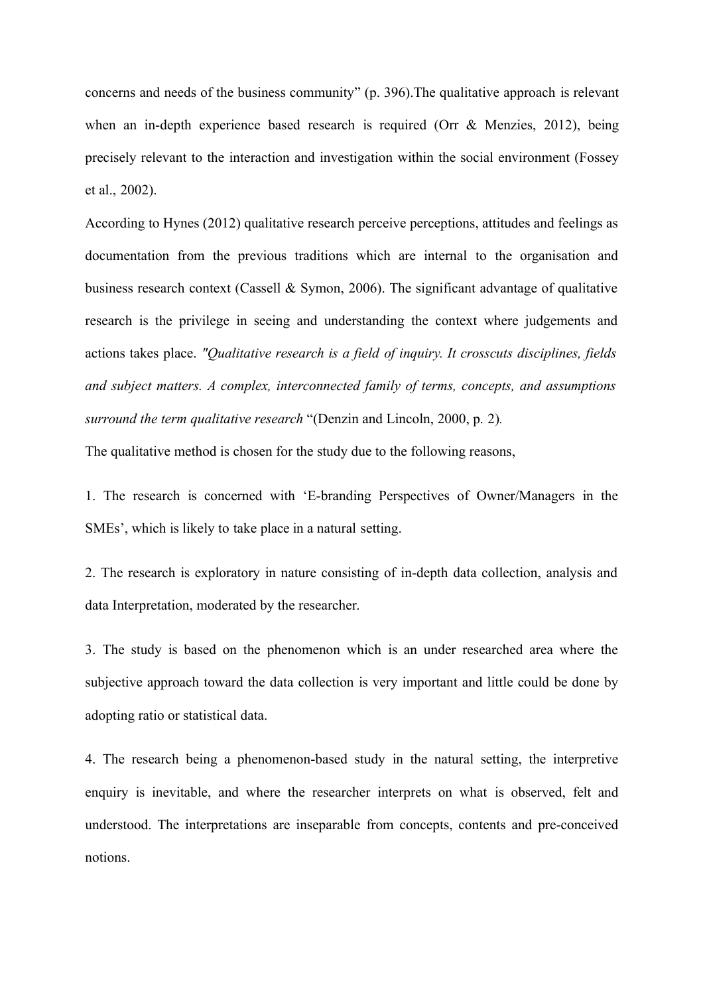concerns and needs of the business community" (p. 396).The qualitative approach is relevant when an in-depth experience based research is required (Orr & Menzies, 2012), being precisely relevant to the interaction and investigation within the social environment (Fossey et al., 2002).

According to Hynes (2012) qualitative research perceive perceptions, attitudes and feelings as documentation from the previous traditions which are internal to the organisation and business research context (Cassell & Symon, 2006). The significant advantage of qualitative research is the privilege in seeing and understanding the context where judgements and actions takes place. *"Qualitative research is a field of inquiry. It crosscuts disciplines, fields and subject matters. A complex, interconnected family of terms, concepts, and assumptions surround the term qualitative research* "(Denzin and Lincoln, 2000, p. 2)*.*

The qualitative method is chosen for the study due to the following reasons,

1. The research is concerned with 'E-branding Perspectives of Owner/Managers in the SMEs', which is likely to take place in a natural setting.

2. The research is exploratory in nature consisting of in-depth data collection, analysis and data Interpretation, moderated by the researcher.

3. The study is based on the phenomenon which is an under researched area where the subjective approach toward the data collection is very important and little could be done by adopting ratio or statistical data.

4. The research being a phenomenon-based study in the natural setting, the interpretive enquiry is inevitable, and where the researcher interprets on what is observed, felt and understood. The interpretations are inseparable from concepts, contents and pre-conceived notions.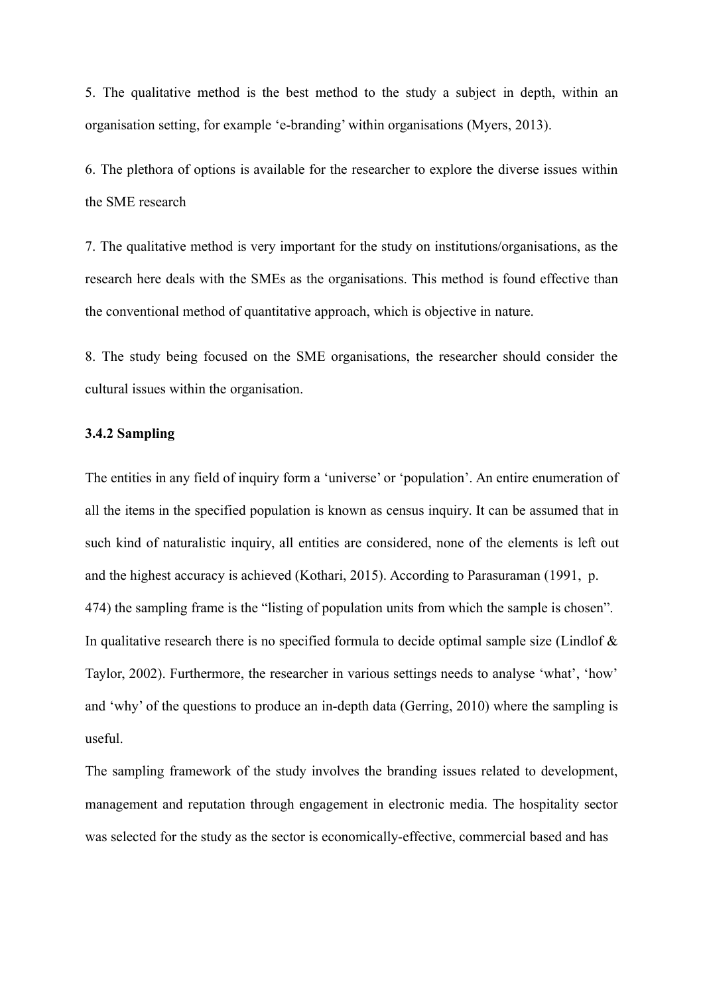5. The qualitative method is the best method to the study a subject in depth, within an organisation setting, for example 'e-branding' within organisations (Myers, 2013).

6. The plethora of options is available for the researcher to explore the diverse issues within the SME research

7. The qualitative method is very important for the study on institutions/organisations, as the research here deals with the SMEs as the organisations. This method is found effective than the conventional method of quantitative approach, which is objective in nature.

8. The study being focused on the SME organisations, the researcher should consider the cultural issues within the organisation.

#### **3.4.2 Sampling**

The entities in any field of inquiry form a 'universe' or 'population'. An entire enumeration of all the items in the specified population is known as census inquiry. It can be assumed that in such kind of naturalistic inquiry, all entities are considered, none of the elements is left out and the highest accuracy is achieved (Kothari, 2015). According to Parasuraman (1991, p. 474) the sampling frame is the "listing of population units from which the sample is chosen". In qualitative research there is no specified formula to decide optimal sample size (Lindlof  $\&$ Taylor, 2002). Furthermore, the researcher in various settings needs to analyse 'what', 'how' and 'why' of the questions to produce an in-depth data (Gerring, 2010) where the sampling is useful.

The sampling framework of the study involves the branding issues related to development, management and reputation through engagement in electronic media. The hospitality sector was selected for the study as the sector is economically-effective, commercial based and has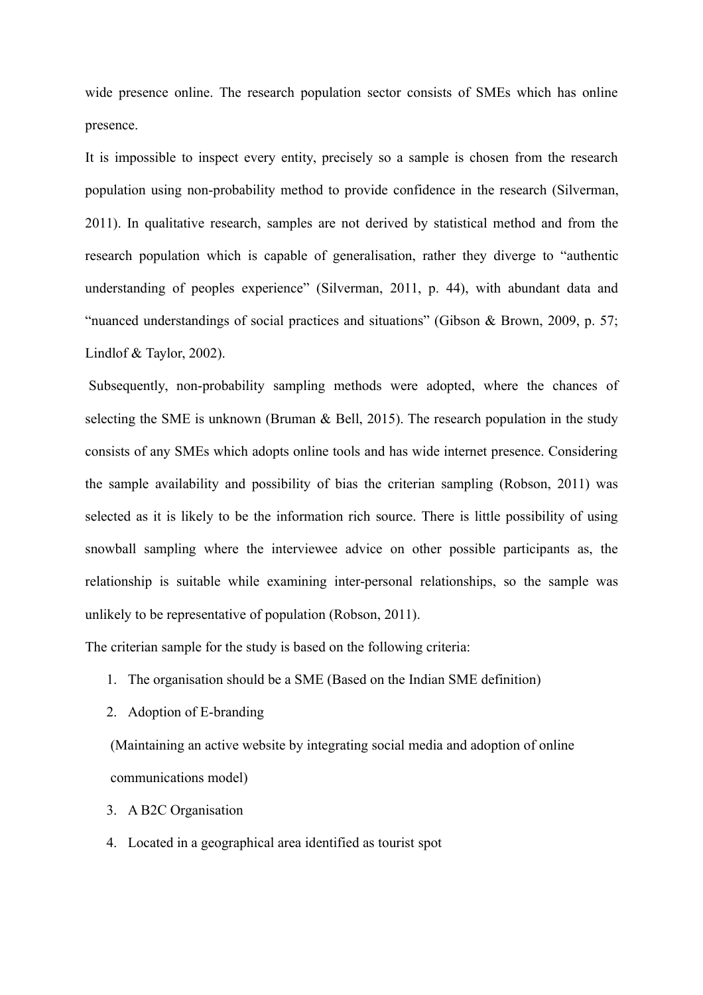wide presence online. The research population sector consists of SMEs which has online presence.

It is impossible to inspect every entity, precisely so a sample is chosen from the research population using non-probability method to provide confidence in the research (Silverman, 2011). In qualitative research, samples are not derived by statistical method and from the research population which is capable of generalisation, rather they diverge to "authentic understanding of peoples experience" (Silverman, 2011, p. 44), with abundant data and "nuanced understandings of social practices and situations" (Gibson & Brown, 2009, p. 57; Lindlof & Taylor, 2002).

Subsequently, non-probability sampling methods were adopted, where the chances of selecting the SME is unknown (Bruman  $\&$  Bell, 2015). The research population in the study consists of any SMEs which adopts online tools and has wide internet presence. Considering the sample availability and possibility of bias the criterian sampling (Robson, 2011) was selected as it is likely to be the information rich source. There is little possibility of using snowball sampling where the interviewee advice on other possible participants as, the relationship is suitable while examining inter-personal relationships, so the sample was unlikely to be representative of population (Robson, 2011).

The criterian sample for the study is based on the following criteria:

- 1. The organisation should be a SME (Based on the Indian SME definition)
- 2. Adoption of E-branding

(Maintaining an active website by integrating social media and adoption of online communications model)

- 3. A B2C Organisation
- 4. Located in a geographical area identified as tourist spot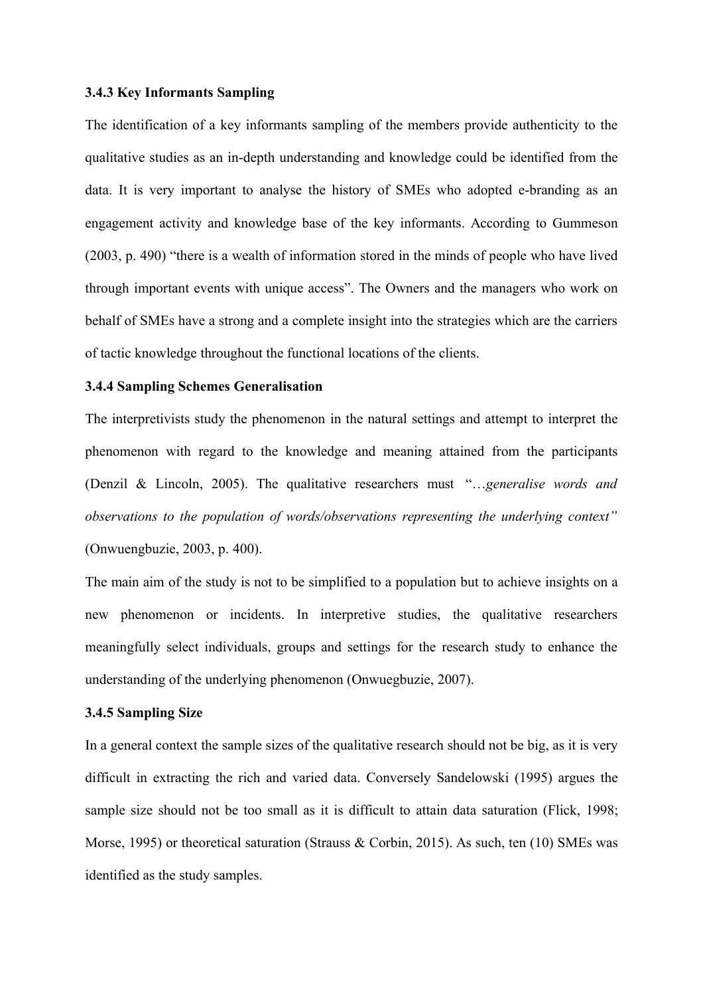#### **3.4.3 Key Informants Sampling**

The identification of a key informants sampling of the members provide authenticity to the qualitative studies as an in-depth understanding and knowledge could be identified from the data. It is very important to analyse the history of SMEs who adopted e-branding as an engagement activity and knowledge base of the key informants. According to Gummeson (2003, p. 490) "there is a wealth of information stored in the minds of people who have lived through important events with unique access". The Owners and the managers who work on behalf of SMEs have a strong and a complete insight into the strategies which are the carriers of tactic knowledge throughout the functional locations of the clients.

# **3.4.4 Sampling Schemes Generalisation**

The interpretivists study the phenomenon in the natural settings and attempt to interpret the phenomenon with regard to the knowledge and meaning attained from the participants (Denzil & Lincoln, 2005). The qualitative researchers must "…*generalise words and observations to the population of words/observations representing the underlying context"* (Onwuengbuzie, 2003, p. 400).

The main aim of the study is not to be simplified to a population but to achieve insights on a new phenomenon or incidents. In interpretive studies, the qualitative researchers meaningfully select individuals, groups and settings for the research study to enhance the understanding of the underlying phenomenon (Onwuegbuzie, 2007).

#### **3.4.5 Sampling Size**

In a general context the sample sizes of the qualitative research should not be big, as it is very difficult in extracting the rich and varied data. Conversely Sandelowski (1995) argues the sample size should not be too small as it is difficult to attain data saturation (Flick, 1998; Morse, 1995) or theoretical saturation (Strauss & Corbin, 2015). As such, ten (10) SMEs was identified as the study samples.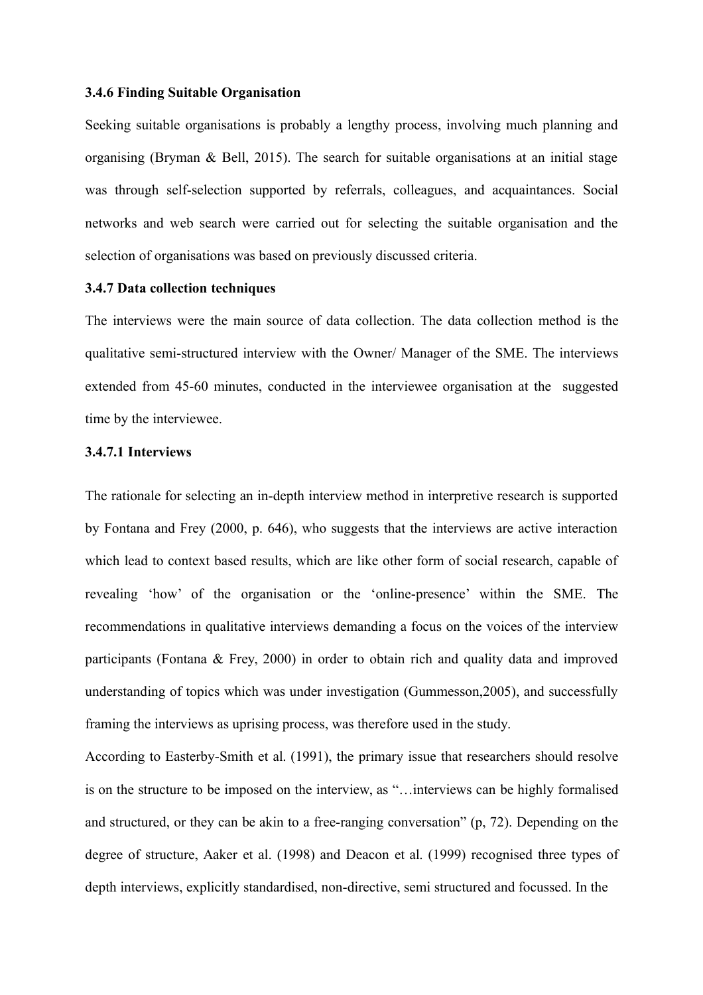#### **3.4.6 Finding Suitable Organisation**

Seeking suitable organisations is probably a lengthy process, involving much planning and organising (Bryman & Bell, 2015). The search for suitable organisations at an initial stage was through self-selection supported by referrals, colleagues, and acquaintances. Social networks and web search were carried out for selecting the suitable organisation and the selection of organisations was based on previously discussed criteria.

#### **3.4.7 Data collection techniques**

The interviews were the main source of data collection. The data collection method is the qualitative semi-structured interview with the Owner/ Manager of the SME. The interviews extended from 45-60 minutes, conducted in the interviewee organisation at the suggested time by the interviewee.

#### **3.4.7.1 Interviews**

The rationale for selecting an in-depth interview method in interpretive research is supported by Fontana and Frey (2000, p. 646), who suggests that the interviews are active interaction which lead to context based results, which are like other form of social research, capable of revealing 'how' of the organisation or the 'online-presence' within the SME. The recommendations in qualitative interviews demanding a focus on the voices of the interview participants (Fontana & Frey, 2000) in order to obtain rich and quality data and improved understanding of topics which was under investigation (Gummesson,2005), and successfully framing the interviews as uprising process, was therefore used in the study.

According to Easterby-Smith et al. (1991), the primary issue that researchers should resolve is on the structure to be imposed on the interview, as "…interviews can be highly formalised and structured, or they can be akin to a free-ranging conversation" (p, 72). Depending on the degree of structure, Aaker et al. (1998) and Deacon et al. (1999) recognised three types of depth interviews, explicitly standardised, non-directive, semi structured and focussed. In the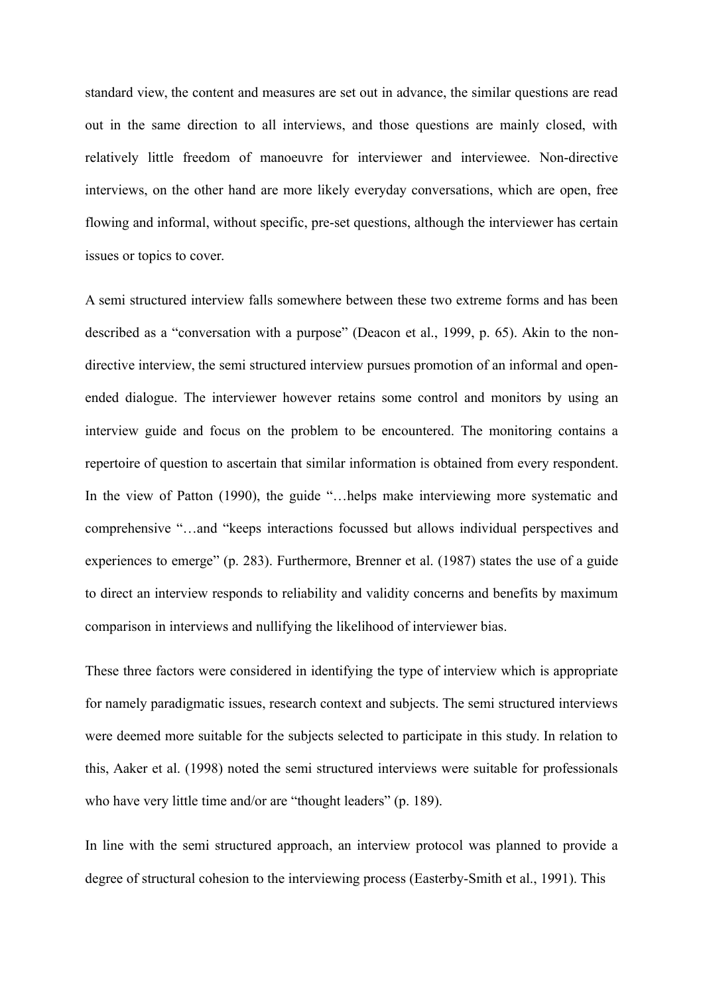standard view, the content and measures are set out in advance, the similar questions are read out in the same direction to all interviews, and those questions are mainly closed, with relatively little freedom of manoeuvre for interviewer and interviewee. Non-directive interviews, on the other hand are more likely everyday conversations, which are open, free flowing and informal, without specific, pre-set questions, although the interviewer has certain issues or topics to cover.

A semi structured interview falls somewhere between these two extreme forms and has been described as a "conversation with a purpose" (Deacon et al., 1999, p. 65). Akin to the nondirective interview, the semi structured interview pursues promotion of an informal and openended dialogue. The interviewer however retains some control and monitors by using an interview guide and focus on the problem to be encountered. The monitoring contains a repertoire of question to ascertain that similar information is obtained from every respondent. In the view of Patton (1990), the guide "...belps make interviewing more systematic and comprehensive "…and "keeps interactions focussed but allows individual perspectives and experiences to emerge" (p. 283). Furthermore, Brenner et al. (1987) states the use of a guide to direct an interview responds to reliability and validity concerns and benefits by maximum comparison in interviews and nullifying the likelihood of interviewer bias.

These three factors were considered in identifying the type of interview which is appropriate for namely paradigmatic issues, research context and subjects. The semi structured interviews were deemed more suitable for the subjects selected to participate in this study. In relation to this, Aaker et al. (1998) noted the semi structured interviews were suitable for professionals who have very little time and/or are "thought leaders" (p. 189).

In line with the semi structured approach, an interview protocol was planned to provide a degree of structural cohesion to the interviewing process (Easterby-Smith et al., 1991). This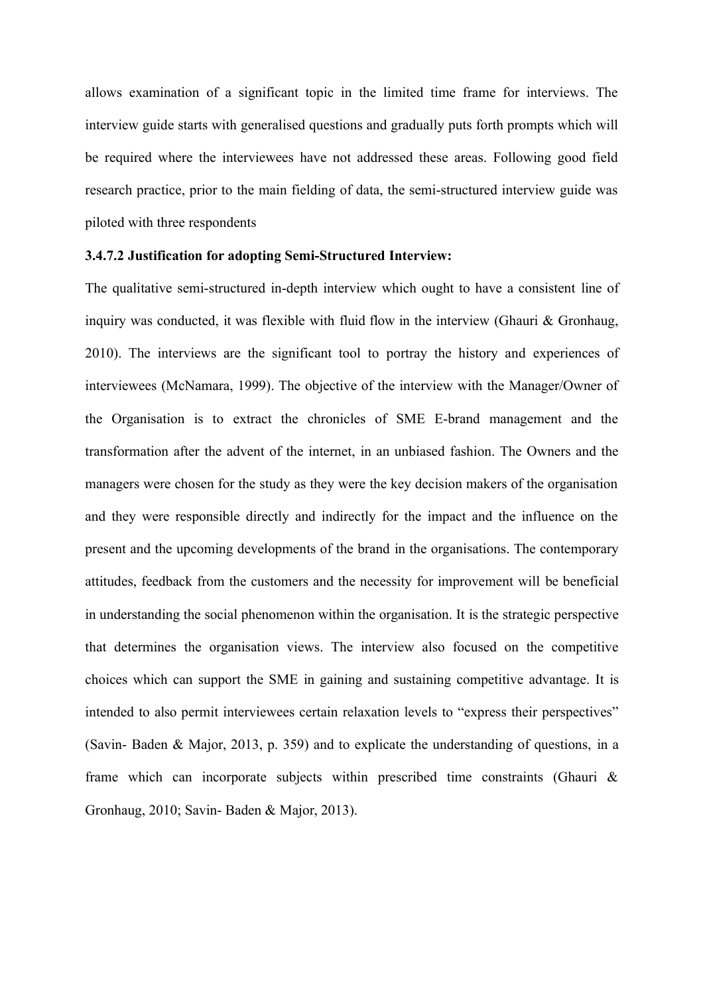allows examination of a significant topic in the limited time frame for interviews. The interview guide starts with generalised questions and gradually puts forth prompts which will be required where the interviewees have not addressed these areas. Following good field research practice, prior to the main fielding of data, the semi-structured interview guide was piloted with three respondents

# **3.4.7.2 Justification for adopting Semi-Structured Interview:**

The qualitative semi-structured in-depth interview which ought to have a consistent line of inquiry was conducted, it was flexible with fluid flow in the interview (Ghauri  $\&$  Gronhaug, 2010). The interviews are the significant tool to portray the history and experiences of interviewees (McNamara, 1999). The objective of the interview with the Manager/Owner of the Organisation is to extract the chronicles of SME E-brand management and the transformation after the advent of the internet, in an unbiased fashion. The Owners and the managers were chosen for the study as they were the key decision makers of the organisation and they were responsible directly and indirectly for the impact and the influence on the present and the upcoming developments of the brand in the organisations. The contemporary attitudes, feedback from the customers and the necessity for improvement will be beneficial in understanding the social phenomenon within the organisation. It is the strategic perspective that determines the organisation views. The interview also focused on the competitive choices which can support the SME in gaining and sustaining competitive advantage. It is intended to also permit interviewees certain relaxation levels to "express their perspectives" (Savin- Baden & Major, 2013, p. 359) and to explicate the understanding of questions, in a frame which can incorporate subjects within prescribed time constraints (Ghauri & Gronhaug, 2010; Savin- Baden & Major, 2013).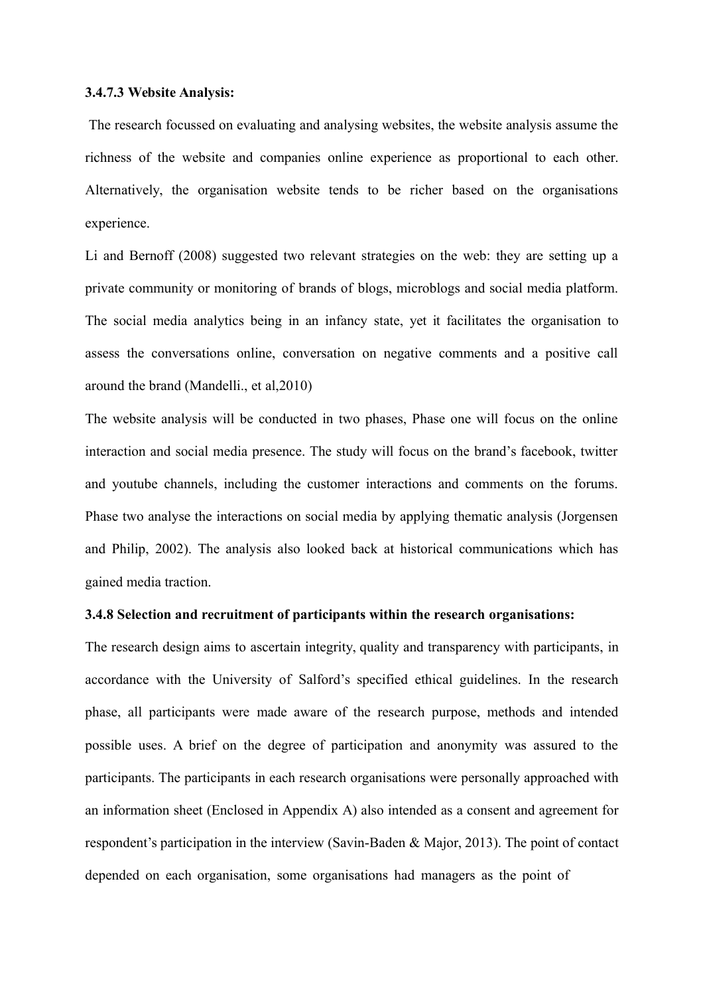#### **3.4.7.3 Website Analysis:**

The research focussed on evaluating and analysing websites, the website analysis assume the richness of the website and companies online experience as proportional to each other. Alternatively, the organisation website tends to be richer based on the organisations experience.

Li and Bernoff (2008) suggested two relevant strategies on the web: they are setting up a private community or monitoring of brands of blogs, microblogs and social media platform. The social media analytics being in an infancy state, yet it facilitates the organisation to assess the conversations online, conversation on negative comments and a positive call around the brand (Mandelli., et al,2010)

The website analysis will be conducted in two phases, Phase one will focus on the online interaction and social media presence. The study will focus on the brand's facebook, twitter and youtube channels, including the customer interactions and comments on the forums. Phase two analyse the interactions on social media by applying thematic analysis (Jorgensen and Philip, 2002). The analysis also looked back at historical communications which has gained media traction.

# **3.4.8 Selection and recruitment of participants within the research organisations:**

The research design aims to ascertain integrity, quality and transparency with participants, in accordance with the University of Salford's specified ethical guidelines. In the research phase, all participants were made aware of the research purpose, methods and intended possible uses. A brief on the degree of participation and anonymity was assured to the participants. The participants in each research organisations were personally approached with an information sheet (Enclosed in Appendix A) also intended as a consent and agreement for respondent's participation in the interview (Savin-Baden & Major, 2013). The point of contact depended on each organisation, some organisations had managers as the point of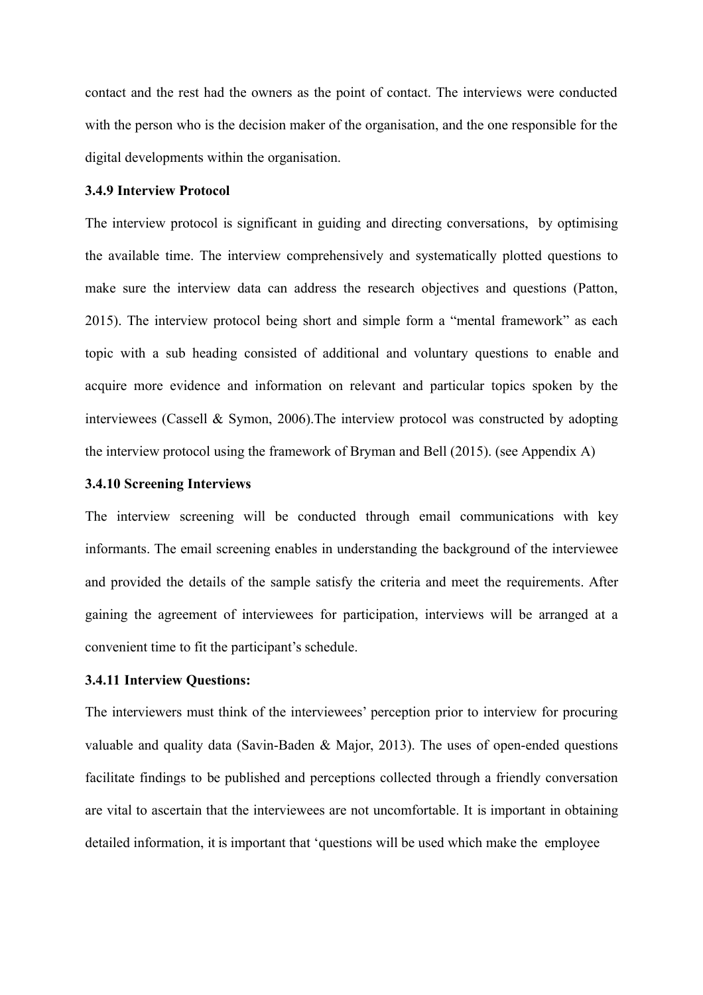contact and the rest had the owners as the point of contact. The interviews were conducted with the person who is the decision maker of the organisation, and the one responsible for the digital developments within the organisation.

# **3.4.9 Interview Protocol**

The interview protocol is significant in guiding and directing conversations, by optimising the available time. The interview comprehensively and systematically plotted questions to make sure the interview data can address the research objectives and questions (Patton, 2015). The interview protocol being short and simple form a "mental framework" as each topic with a sub heading consisted of additional and voluntary questions to enable and acquire more evidence and information on relevant and particular topics spoken by the interviewees (Cassell & Symon, 2006).The interview protocol was constructed by adopting the interview protocol using the framework of Bryman and Bell (2015). (see Appendix A)

# **3.4.10 Screening Interviews**

The interview screening will be conducted through email communications with key informants. The email screening enables in understanding the background of the interviewee and provided the details of the sample satisfy the criteria and meet the requirements. After gaining the agreement of interviewees for participation, interviews will be arranged at a convenient time to fit the participant's schedule.

# **3.4.11 Interview Questions:**

The interviewers must think of the interviewees' perception prior to interview for procuring valuable and quality data (Savin-Baden & Major, 2013). The uses of open-ended questions facilitate findings to be published and perceptions collected through a friendly conversation are vital to ascertain that the interviewees are not uncomfortable. It is important in obtaining detailed information, it is important that 'questions will be used which make the employee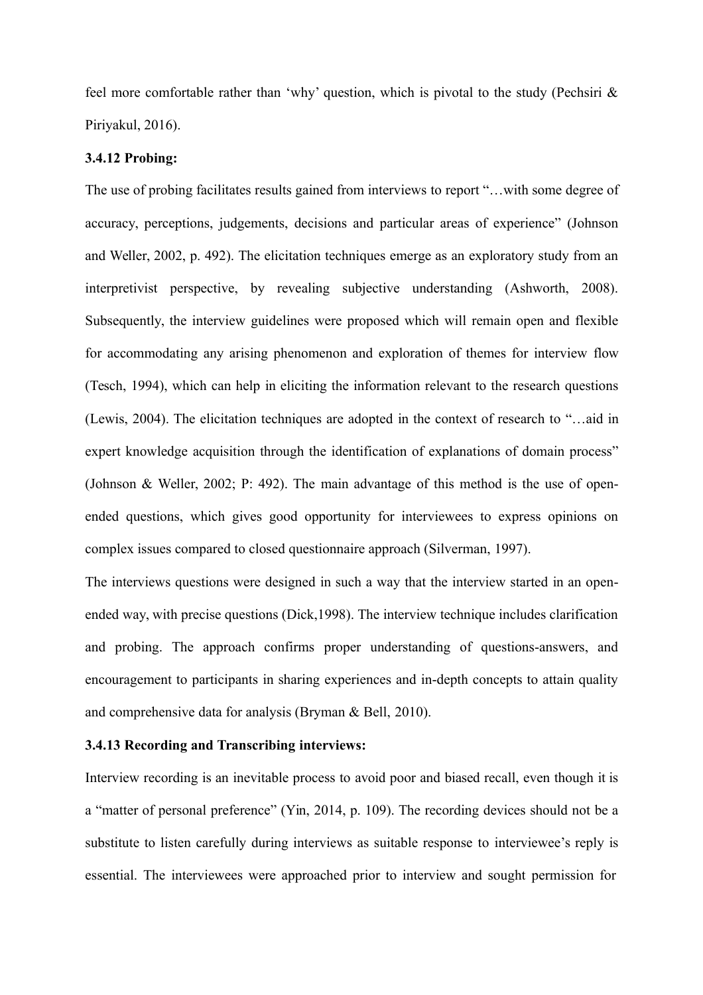feel more comfortable rather than 'why' question, which is pivotal to the study (Pechsiri & Piriyakul, 2016).

#### **3.4.12 Probing:**

The use of probing facilitates results gained from interviews to report "…with some degree of accuracy, perceptions, judgements, decisions and particular areas of experience" (Johnson and Weller, 2002, p. 492). The elicitation techniques emerge as an exploratory study from an interpretivist perspective, by revealing subjective understanding (Ashworth, 2008). Subsequently, the interview guidelines were proposed which will remain open and flexible for accommodating any arising phenomenon and exploration of themes for interview flow (Tesch, 1994), which can help in eliciting the information relevant to the research questions (Lewis, 2004). The elicitation techniques are adopted in the context of research to "…aid in expert knowledge acquisition through the identification of explanations of domain process" (Johnson & Weller, 2002; P: 492). The main advantage of this method is the use of openended questions, which gives good opportunity for interviewees to express opinions on complex issues compared to closed questionnaire approach (Silverman, 1997).

The interviews questions were designed in such a way that the interview started in an openended way, with precise questions (Dick,1998). The interview technique includes clarification and probing. The approach confirms proper understanding of questions-answers, and encouragement to participants in sharing experiences and in-depth concepts to attain quality and comprehensive data for analysis (Bryman & Bell, 2010).

# **3.4.13 Recording and Transcribing interviews:**

Interview recording is an inevitable process to avoid poor and biased recall, even though it is a "matter of personal preference" (Yin, 2014, p. 109). The recording devices should not be a substitute to listen carefully during interviews as suitable response to interviewee's reply is essential. The interviewees were approached prior to interview and sought permission for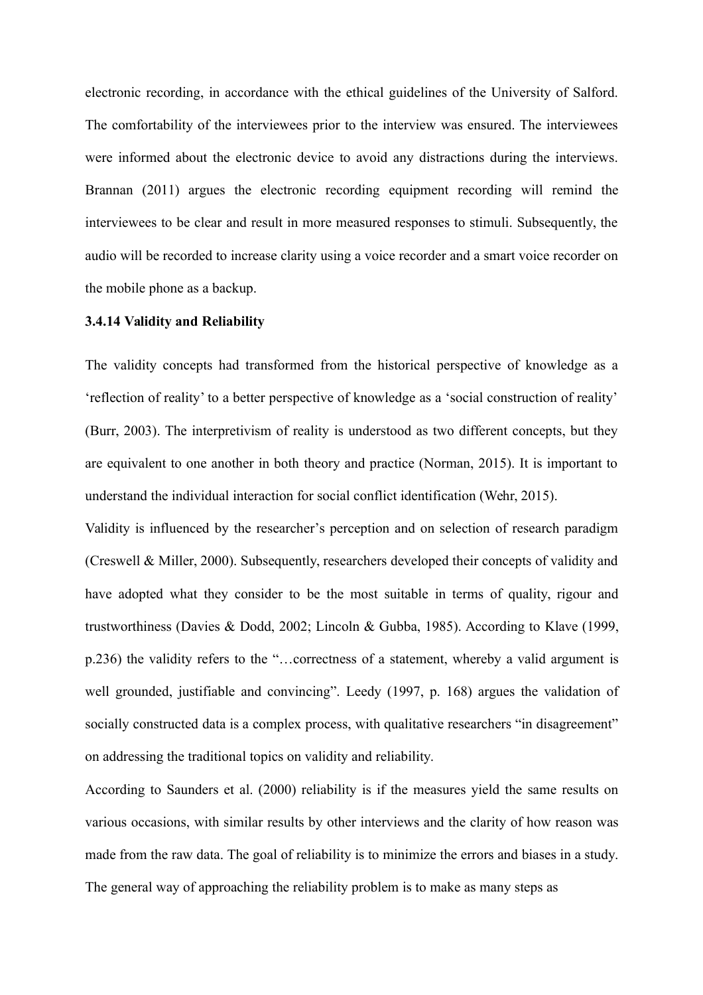electronic recording, in accordance with the ethical guidelines of the University of Salford. The comfortability of the interviewees prior to the interview was ensured. The interviewees were informed about the electronic device to avoid any distractions during the interviews. Brannan (2011) argues the electronic recording equipment recording will remind the interviewees to be clear and result in more measured responses to stimuli. Subsequently, the audio will be recorded to increase clarity using a voice recorder and a smart voice recorder on the mobile phone as a backup.

#### **3.4.14 Validity and Reliability**

The validity concepts had transformed from the historical perspective of knowledge as a 'reflection of reality' to a better perspective of knowledge as a 'social construction of reality' (Burr, 2003). The interpretivism of reality is understood as two different concepts, but they are equivalent to one another in both theory and practice (Norman, 2015). It is important to understand the individual interaction for social conflict identification (Wehr, 2015).

Validity is influenced by the researcher's perception and on selection of research paradigm (Creswell & Miller, 2000). Subsequently, researchers developed their concepts of validity and have adopted what they consider to be the most suitable in terms of quality, rigour and trustworthiness (Davies & Dodd, 2002; Lincoln & Gubba, 1985). According to Klave (1999, p.236) the validity refers to the "…correctness of a statement, whereby a valid argument is well grounded, justifiable and convincing". Leedy (1997, p. 168) argues the validation of socially constructed data is a complex process, with qualitative researchers "in disagreement" on addressing the traditional topics on validity and reliability.

According to Saunders et al. (2000) reliability is if the measures yield the same results on various occasions, with similar results by other interviews and the clarity of how reason was made from the raw data. The goal of reliability is to minimize the errors and biases in a study. The general way of approaching the reliability problem is to make as many steps as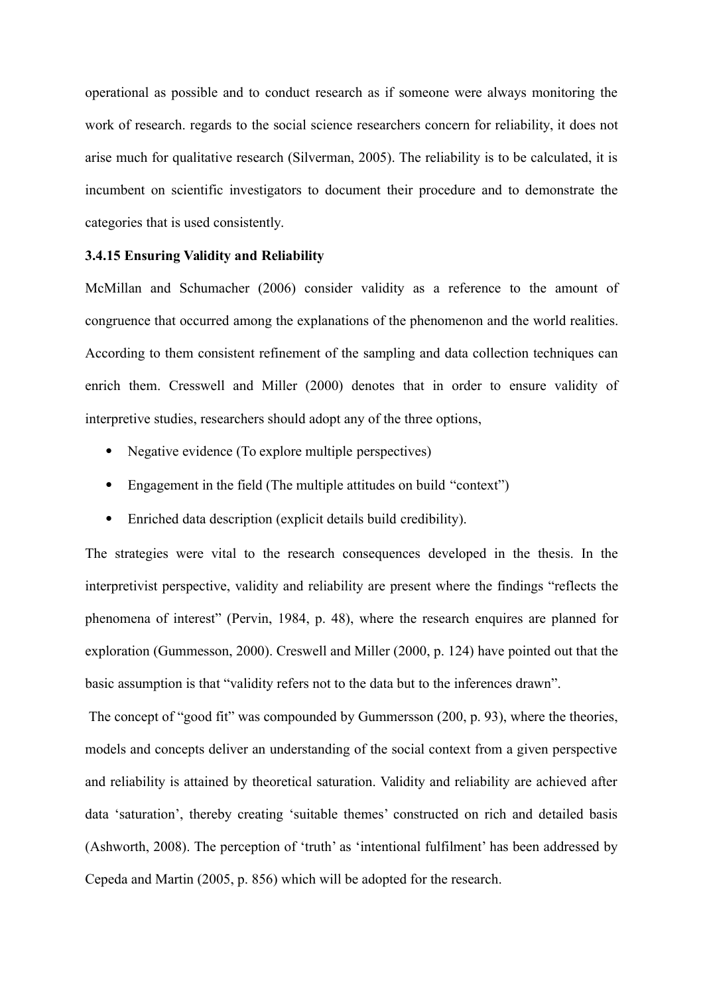operational as possible and to conduct research as if someone were always monitoring the work of research. regards to the social science researchers concern for reliability, it does not arise much for qualitative research (Silverman, 2005). The reliability is to be calculated, it is incumbent on scientific investigators to document their procedure and to demonstrate the categories that is used consistently.

# **3.4.15 Ensuring Validity and Reliability**

McMillan and Schumacher (2006) consider validity as a reference to the amount of congruence that occurred among the explanations of the phenomenon and the world realities. According to them consistent refinement of the sampling and data collection techniques can enrich them. Cresswell and Miller (2000) denotes that in order to ensure validity of interpretive studies, researchers should adopt any of the three options,

- Negative evidence (To explore multiple perspectives)
- Engagement in the field (The multiple attitudes on build "context")
- Enriched data description (explicit details build credibility).

The strategies were vital to the research consequences developed in the thesis. In the interpretivist perspective, validity and reliability are present where the findings "reflects the phenomena of interest" (Pervin, 1984, p. 48), where the research enquires are planned for exploration (Gummesson, 2000). Creswell and Miller (2000, p. 124) have pointed out that the basic assumption is that "validity refers not to the data but to the inferences drawn".

The concept of "good fit" was compounded by Gummersson (200, p. 93), where the theories, models and concepts deliver an understanding of the social context from a given perspective and reliability is attained by theoretical saturation. Validity and reliability are achieved after data 'saturation', thereby creating 'suitable themes' constructed on rich and detailed basis (Ashworth, 2008). The perception of 'truth' as 'intentional fulfilment' has been addressed by Cepeda and Martin (2005, p. 856) which will be adopted for the research.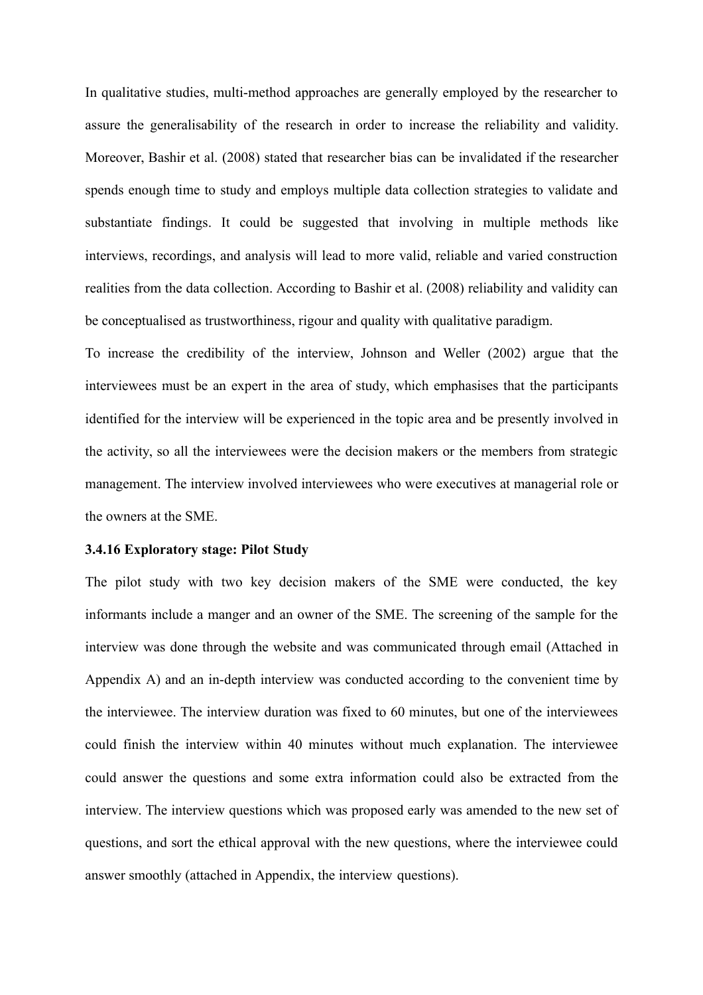In qualitative studies, multi-method approaches are generally employed by the researcher to assure the generalisability of the research in order to increase the reliability and validity. Moreover, Bashir et al. (2008) stated that researcher bias can be invalidated if the researcher spends enough time to study and employs multiple data collection strategies to validate and substantiate findings. It could be suggested that involving in multiple methods like interviews, recordings, and analysis will lead to more valid, reliable and varied construction realities from the data collection. According to Bashir et al. (2008) reliability and validity can be conceptualised as trustworthiness, rigour and quality with qualitative paradigm.

To increase the credibility of the interview, Johnson and Weller (2002) argue that the interviewees must be an expert in the area of study, which emphasises that the participants identified for the interview will be experienced in the topic area and be presently involved in the activity, so all the interviewees were the decision makers or the members from strategic management. The interview involved interviewees who were executives at managerial role or the owners at the SME.

#### **3.4.16 Exploratory stage: Pilot Study**

The pilot study with two key decision makers of the SME were conducted, the key informants include a manger and an owner of the SME. The screening of the sample for the interview was done through the website and was communicated through email (Attached in Appendix A) and an in-depth interview was conducted according to the convenient time by the interviewee. The interview duration was fixed to 60 minutes, but one of the interviewees could finish the interview within 40 minutes without much explanation. The interviewee could answer the questions and some extra information could also be extracted from the interview. The interview questions which was proposed early was amended to the new set of questions, and sort the ethical approval with the new questions, where the interviewee could answer smoothly (attached in Appendix, the interview questions).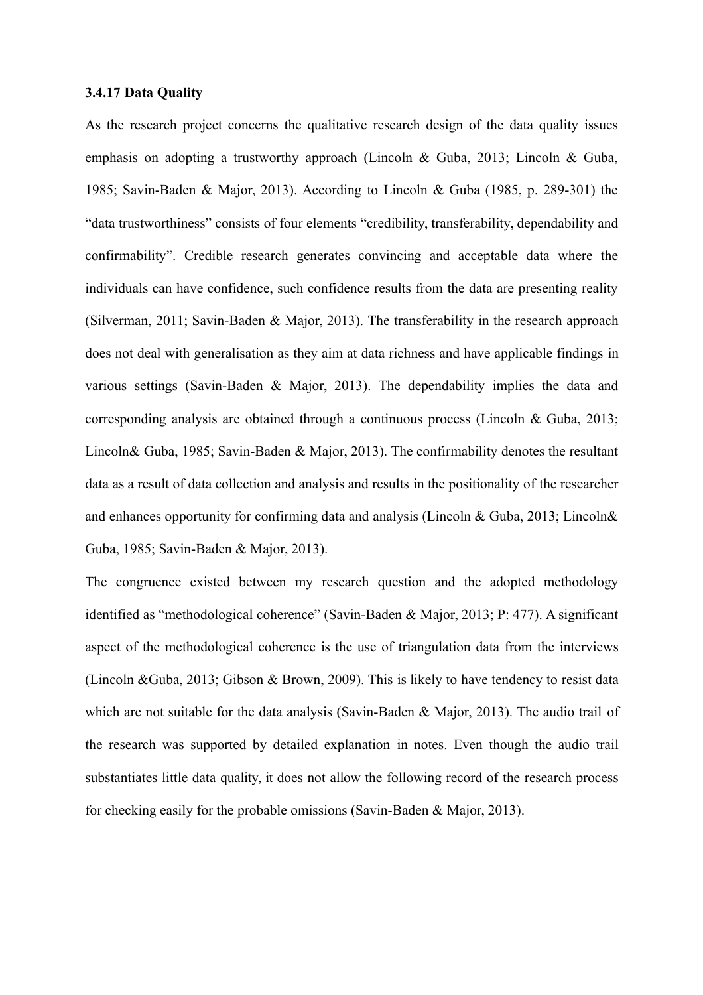#### **3.4.17 Data Quality**

As the research project concerns the qualitative research design of the data quality issues emphasis on adopting a trustworthy approach (Lincoln & Guba, 2013; Lincoln & Guba, 1985; Savin-Baden & Major, 2013). According to Lincoln & Guba (1985, p. 289-301) the "data trustworthiness" consists of four elements "credibility, transferability, dependability and confirmability". Credible research generates convincing and acceptable data where the individuals can have confidence, such confidence results from the data are presenting reality (Silverman, 2011; Savin-Baden & Major, 2013). The transferability in the research approach does not deal with generalisation as they aim at data richness and have applicable findings in various settings (Savin-Baden & Major, 2013). The dependability implies the data and corresponding analysis are obtained through a continuous process (Lincoln & Guba, 2013; Lincoln& Guba, 1985; Savin-Baden & Major, 2013). The confirmability denotes the resultant data as a result of data collection and analysis and results in the positionality of the researcher and enhances opportunity for confirming data and analysis (Lincoln & Guba, 2013; Lincoln& Guba, 1985; Savin-Baden & Major, 2013).

The congruence existed between my research question and the adopted methodology identified as "methodological coherence" (Savin-Baden & Major, 2013; P: 477). A significant aspect of the methodological coherence is the use of triangulation data from the interviews (Lincoln &Guba, 2013; Gibson & Brown, 2009). This is likely to have tendency to resist data which are not suitable for the data analysis (Savin-Baden & Major, 2013). The audio trail of the research was supported by detailed explanation in notes. Even though the audio trail substantiates little data quality, it does not allow the following record of the research process for checking easily for the probable omissions (Savin-Baden & Major, 2013).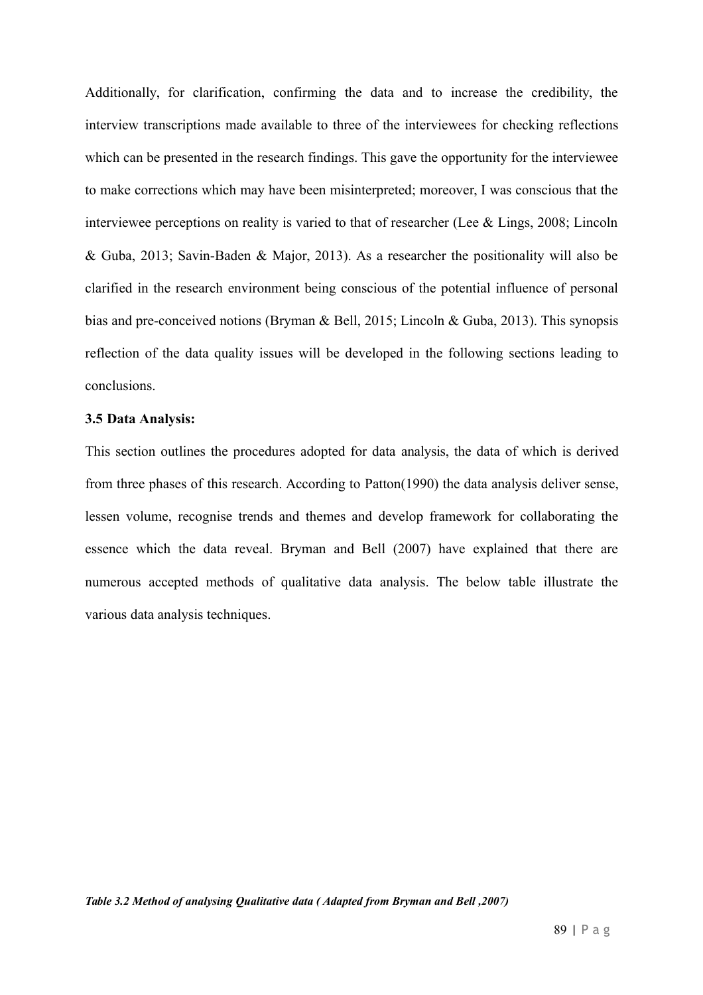Additionally, for clarification, confirming the data and to increase the credibility, the interview transcriptions made available to three of the interviewees for checking reflections which can be presented in the research findings. This gave the opportunity for the interviewee to make corrections which may have been misinterpreted; moreover, I was conscious that the interviewee perceptions on reality is varied to that of researcher (Lee & Lings, 2008; Lincoln & Guba, 2013; Savin-Baden & Major, 2013). As a researcher the positionality will also be clarified in the research environment being conscious of the potential influence of personal bias and pre-conceived notions (Bryman & Bell, 2015; Lincoln & Guba, 2013). This synopsis reflection of the data quality issues will be developed in the following sections leading to conclusions.

#### **3.5 Data Analysis:**

This section outlines the procedures adopted for data analysis, the data of which is derived from three phases of this research. According to Patton(1990) the data analysis deliver sense, lessen volume, recognise trends and themes and develop framework for collaborating the essence which the data reveal. Bryman and Bell (2007) have explained that there are numerous accepted methods of qualitative data analysis. The below table illustrate the various data analysis techniques.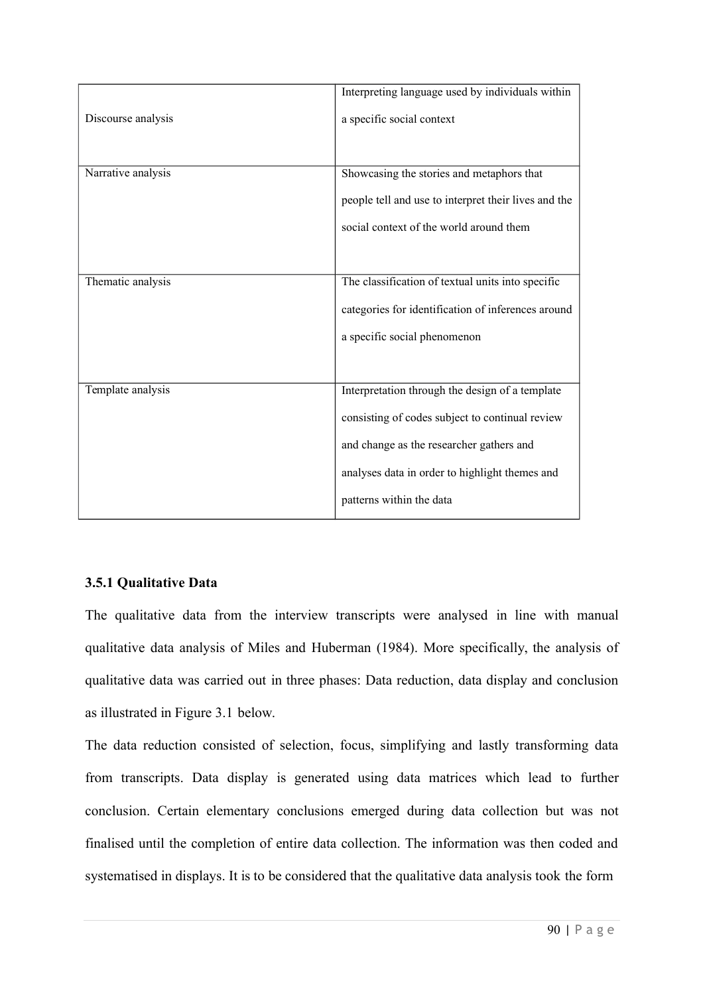|                    | Interpreting language used by individuals within     |
|--------------------|------------------------------------------------------|
| Discourse analysis | a specific social context                            |
|                    |                                                      |
| Narrative analysis | Showcasing the stories and metaphors that            |
|                    | people tell and use to interpret their lives and the |
|                    | social context of the world around them              |
|                    |                                                      |
| Thematic analysis  | The classification of textual units into specific    |
|                    | categories for identification of inferences around   |
|                    | a specific social phenomenon                         |
|                    |                                                      |
| Template analysis  | Interpretation through the design of a template      |
|                    | consisting of codes subject to continual review      |
|                    | and change as the researcher gathers and             |
|                    | analyses data in order to highlight themes and       |
|                    | patterns within the data                             |

# **3.5.1 Qualitative Data**

The qualitative data from the interview transcripts were analysed in line with manual qualitative data analysis of Miles and Huberman (1984). More specifically, the analysis of qualitative data was carried out in three phases: Data reduction, data display and conclusion as illustrated in Figure 3.1 below.

The data reduction consisted of selection, focus, simplifying and lastly transforming data from transcripts. Data display is generated using data matrices which lead to further conclusion. Certain elementary conclusions emerged during data collection but was not finalised until the completion of entire data collection. The information was then coded and systematised in displays. It is to be considered that the qualitative data analysis took the form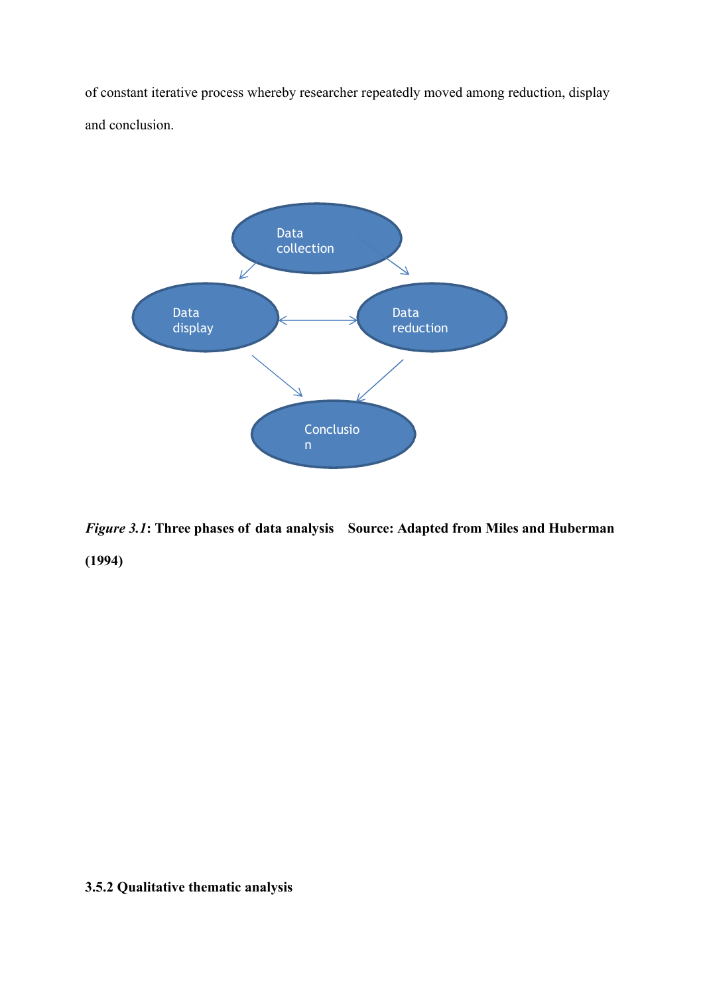of constant iterative process whereby researcher repeatedly moved among reduction, display and conclusion.



*Figure 3.1***: Three phases of data analysis Source: Adapted from Miles and Huberman (1994)**

# **3.5.2 Qualitative thematic analysis**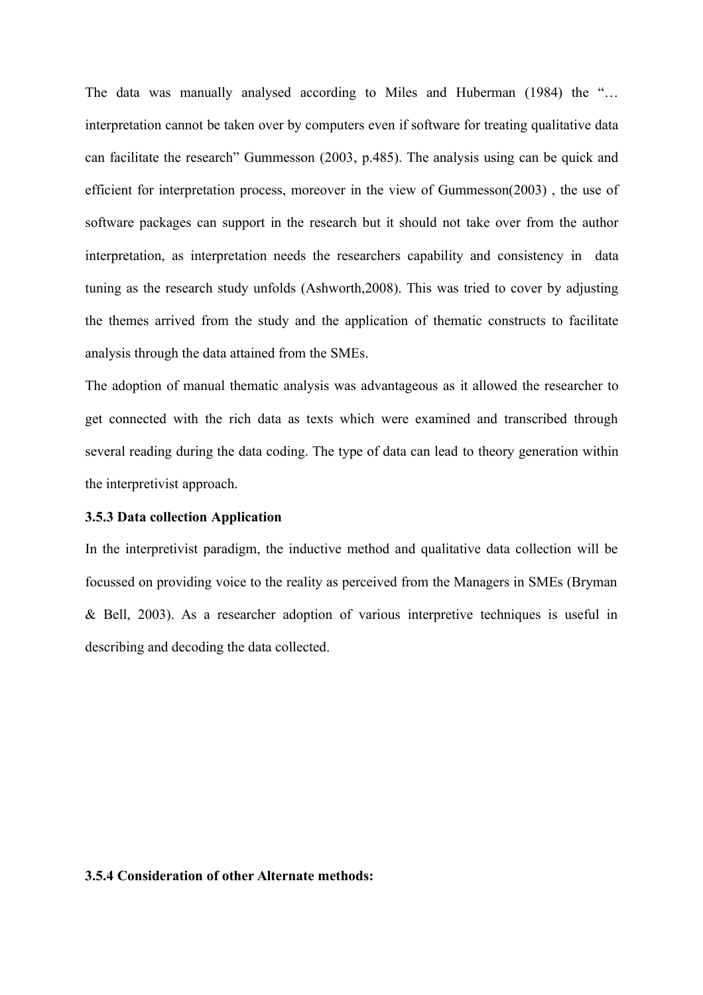The data was manually analysed according to Miles and Huberman (1984) the "… interpretation cannot be taken over by computers even if software for treating qualitative data can facilitate the research" Gummesson (2003, p.485). The analysis using can be quick and efficient for interpretation process, moreover in the view of Gummesson(2003) , the use of software packages can support in the research but it should not take over from the author interpretation, as interpretation needs the researchers capability and consistency in data tuning as the research study unfolds (Ashworth,2008). This was tried to cover by adjusting the themes arrived from the study and the application of thematic constructs to facilitate analysis through the data attained from the SMEs.

The adoption of manual thematic analysis was advantageous as it allowed the researcher to get connected with the rich data as texts which were examined and transcribed through several reading during the data coding. The type of data can lead to theory generation within the interpretivist approach.

# **3.5.3 Data collection Application**

In the interpretivist paradigm, the inductive method and qualitative data collection will be focussed on providing voice to the reality as perceived from the Managers in SMEs (Bryman & Bell, 2003). As a researcher adoption of various interpretive techniques is useful in describing and decoding the data collected.

# **3.5.4 Consideration of other Alternate methods:**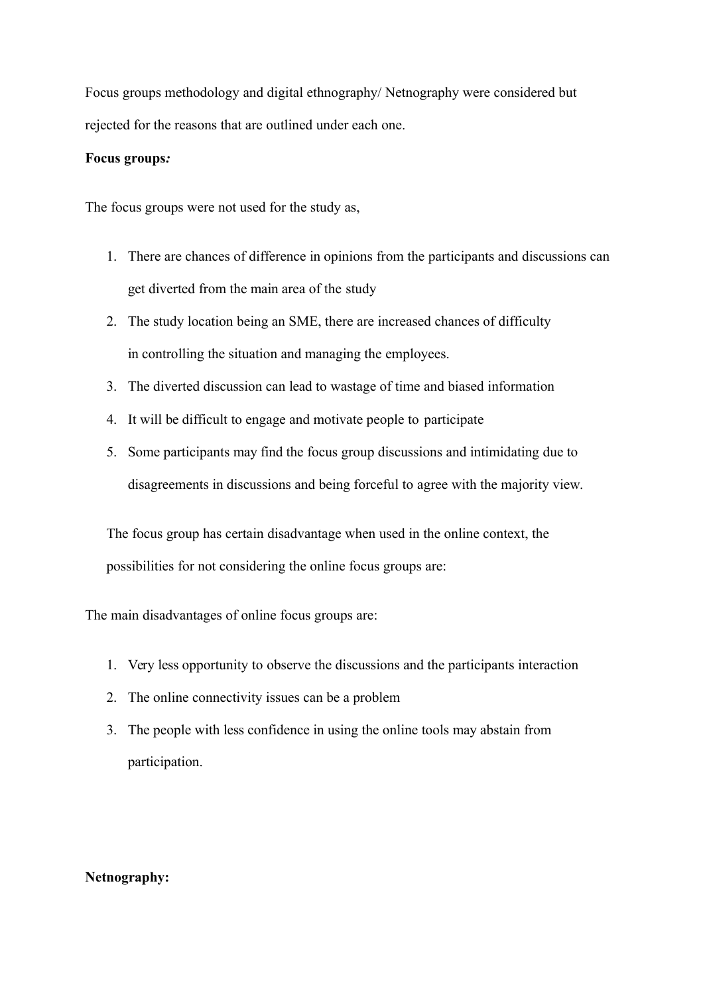Focus groups methodology and digital ethnography/ Netnography were considered but rejected for the reasons that are outlined under each one.

# **Focus groups***:*

The focus groups were not used for the study as,

- 1. There are chances of difference in opinions from the participants and discussions can get diverted from the main area of the study
- 2. The study location being an SME, there are increased chances of difficulty in controlling the situation and managing the employees.
- 3. The diverted discussion can lead to wastage of time and biased information
- 4. It will be difficult to engage and motivate people to participate
- 5. Some participants may find the focus group discussions and intimidating due to disagreements in discussions and being forceful to agree with the majority view.

The focus group has certain disadvantage when used in the online context, the possibilities for not considering the online focus groups are:

The main disadvantages of online focus groups are:

- 1. Very less opportunity to observe the discussions and the participants interaction
- 2. The online connectivity issues can be a problem
- 3. The people with less confidence in using the online tools may abstain from participation.

# **Netnography:**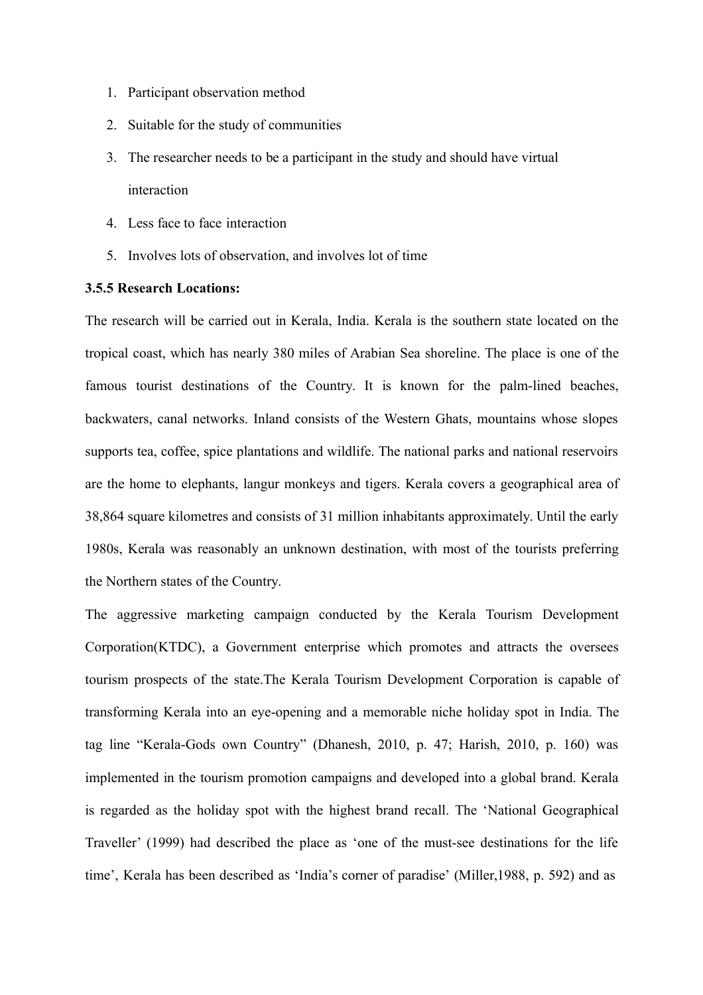- 1. Participant observation method
- 2. Suitable for the study of communities
- 3. The researcher needs to be a participant in the study and should have virtual interaction
- 4. Less face to face interaction
- 5. Involves lots of observation, and involves lot of time

# **3.5.5 Research Locations:**

The research will be carried out in Kerala, India. Kerala is the southern state located on the tropical coast, which has nearly 380 miles of Arabian Sea shoreline. The place is one of the famous tourist destinations of the Country. It is known for the palm-lined beaches, backwaters, canal networks. Inland consists of the Western Ghats, mountains whose slopes supports tea, coffee, spice plantations and wildlife. The national parks and national reservoirs are the home to elephants, langur monkeys and tigers. Kerala covers a geographical area of 38,864 square kilometres and consists of 31 million inhabitants approximately. Until the early 1980s, Kerala was reasonably an unknown destination, with most of the tourists preferring the Northern states of the Country.

The aggressive marketing campaign conducted by the Kerala Tourism Development Corporation(KTDC), a Government enterprise which promotes and attracts the oversees tourism prospects of the state.The Kerala Tourism Development Corporation is capable of transforming Kerala into an eye-opening and a memorable niche holiday spot in India. The tag line "Kerala-Gods own Country" (Dhanesh, 2010, p. 47; Harish, 2010, p. 160) was implemented in the tourism promotion campaigns and developed into a global brand. Kerala is regarded as the holiday spot with the highest brand recall. The 'National Geographical Traveller' (1999) had described the place as 'one of the must-see destinations for the life time', Kerala has been described as 'India's corner of paradise' (Miller,1988, p. 592) and as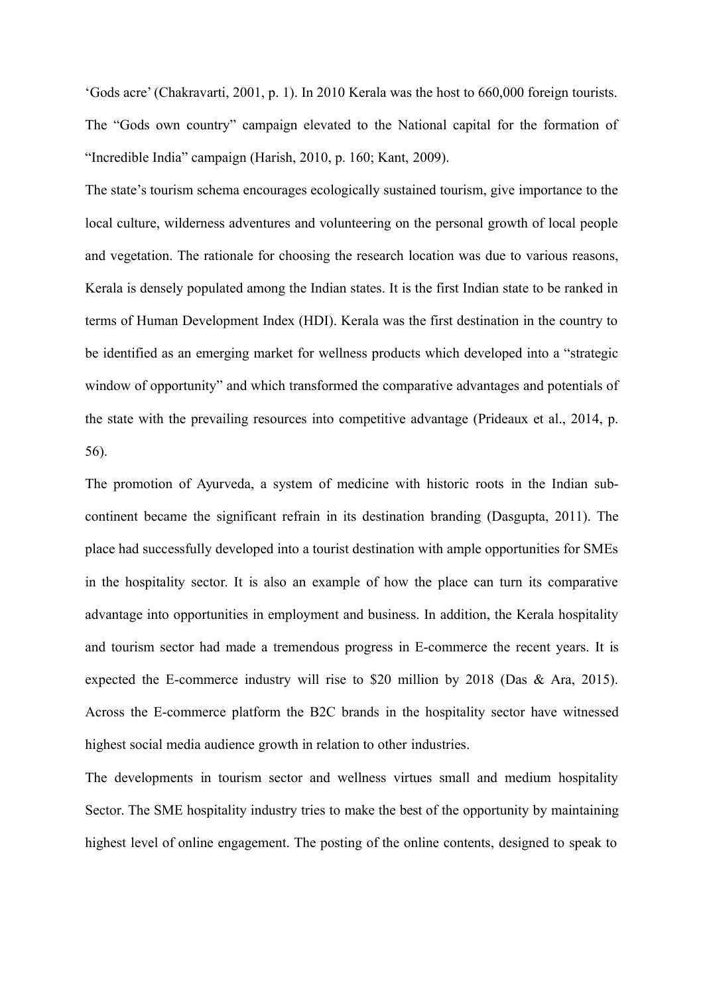'Gods acre' (Chakravarti, 2001, p. 1). In 2010 Kerala was the host to 660,000 foreign tourists. The "Gods own country" campaign elevated to the National capital for the formation of "Incredible India" campaign (Harish, 2010, p. 160; Kant, 2009).

The state's tourism schema encourages ecologically sustained tourism, give importance to the local culture, wilderness adventures and volunteering on the personal growth of local people and vegetation. The rationale for choosing the research location was due to various reasons, Kerala is densely populated among the Indian states. It is the first Indian state to be ranked in terms of Human Development Index (HDI). Kerala was the first destination in the country to be identified as an emerging market for wellness products which developed into a "strategic window of opportunity" and which transformed the comparative advantages and potentials of the state with the prevailing resources into competitive advantage (Prideaux et al., 2014, p. 56).

The promotion of Ayurveda, a system of medicine with historic roots in the Indian subcontinent became the significant refrain in its destination branding (Dasgupta, 2011). The place had successfully developed into a tourist destination with ample opportunities for SMEs in the hospitality sector. It is also an example of how the place can turn its comparative advantage into opportunities in employment and business. In addition, the Kerala hospitality and tourism sector had made a tremendous progress in E-commerce the recent years. It is expected the E-commerce industry will rise to \$20 million by 2018 (Das & Ara, 2015). Across the E-commerce platform the B2C brands in the hospitality sector have witnessed highest social media audience growth in relation to other industries.

The developments in tourism sector and wellness virtues small and medium hospitality Sector. The SME hospitality industry tries to make the best of the opportunity by maintaining highest level of online engagement. The posting of the online contents, designed to speak to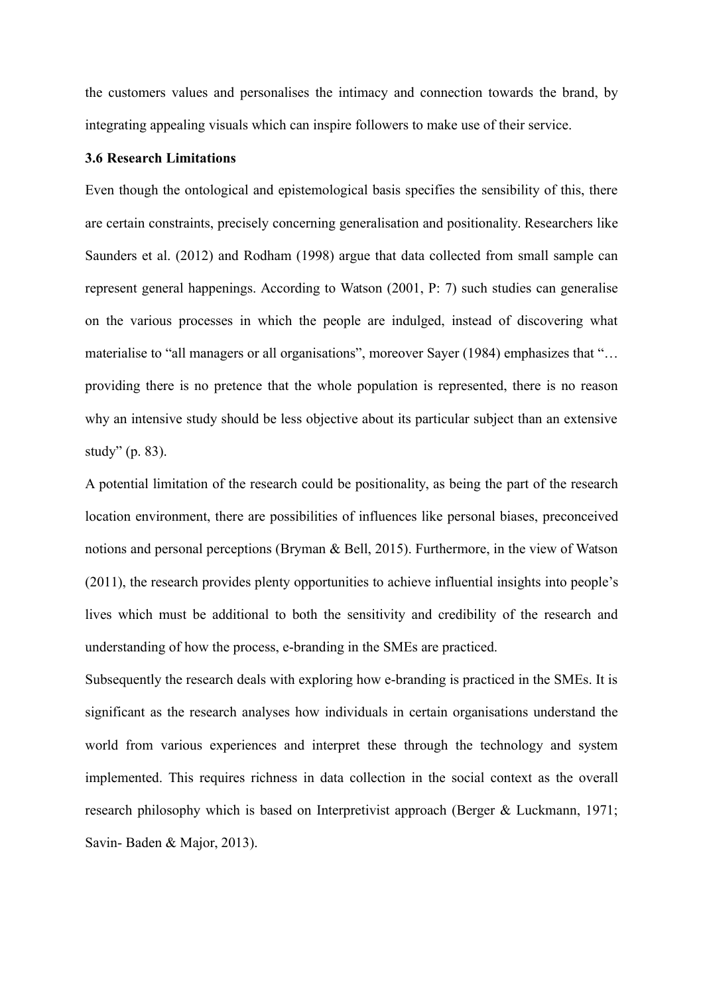the customers values and personalises the intimacy and connection towards the brand, by integrating appealing visuals which can inspire followers to make use of their service.

# **3.6 Research Limitations**

Even though the ontological and epistemological basis specifies the sensibility of this, there are certain constraints, precisely concerning generalisation and positionality. Researchers like Saunders et al. (2012) and Rodham (1998) argue that data collected from small sample can represent general happenings. According to Watson (2001, P: 7) such studies can generalise on the various processes in which the people are indulged, instead of discovering what materialise to "all managers or all organisations", moreover Sayer (1984) emphasizes that "... providing there is no pretence that the whole population is represented, there is no reason why an intensive study should be less objective about its particular subject than an extensive study" (p. 83).

A potential limitation of the research could be positionality, as being the part of the research location environment, there are possibilities of influences like personal biases, preconceived notions and personal perceptions (Bryman & Bell, 2015). Furthermore, in the view of Watson (2011), the research provides plenty opportunities to achieve influential insights into people's lives which must be additional to both the sensitivity and credibility of the research and understanding of how the process, e-branding in the SMEs are practiced.

Subsequently the research deals with exploring how e-branding is practiced in the SMEs. It is significant as the research analyses how individuals in certain organisations understand the world from various experiences and interpret these through the technology and system implemented. This requires richness in data collection in the social context as the overall research philosophy which is based on Interpretivist approach (Berger & Luckmann, 1971; Savin- Baden & Major, 2013).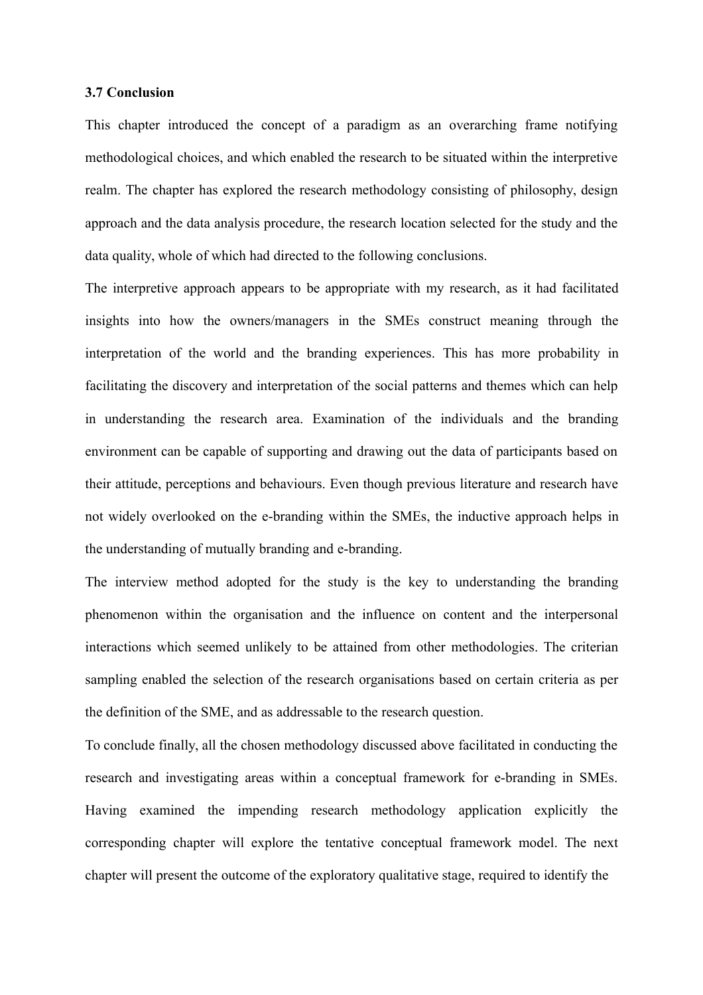#### **3.7 Conclusion**

This chapter introduced the concept of a paradigm as an overarching frame notifying methodological choices, and which enabled the research to be situated within the interpretive realm. The chapter has explored the research methodology consisting of philosophy, design approach and the data analysis procedure, the research location selected for the study and the data quality, whole of which had directed to the following conclusions.

The interpretive approach appears to be appropriate with my research, as it had facilitated insights into how the owners/managers in the SMEs construct meaning through the interpretation of the world and the branding experiences. This has more probability in facilitating the discovery and interpretation of the social patterns and themes which can help in understanding the research area. Examination of the individuals and the branding environment can be capable of supporting and drawing out the data of participants based on their attitude, perceptions and behaviours. Even though previous literature and research have not widely overlooked on the e-branding within the SMEs, the inductive approach helps in the understanding of mutually branding and e-branding.

The interview method adopted for the study is the key to understanding the branding phenomenon within the organisation and the influence on content and the interpersonal interactions which seemed unlikely to be attained from other methodologies. The criterian sampling enabled the selection of the research organisations based on certain criteria as per the definition of the SME, and as addressable to the research question.

To conclude finally, all the chosen methodology discussed above facilitated in conducting the research and investigating areas within a conceptual framework for e-branding in SMEs. Having examined the impending research methodology application explicitly the corresponding chapter will explore the tentative conceptual framework model. The next chapter will present the outcome of the exploratory qualitative stage, required to identify the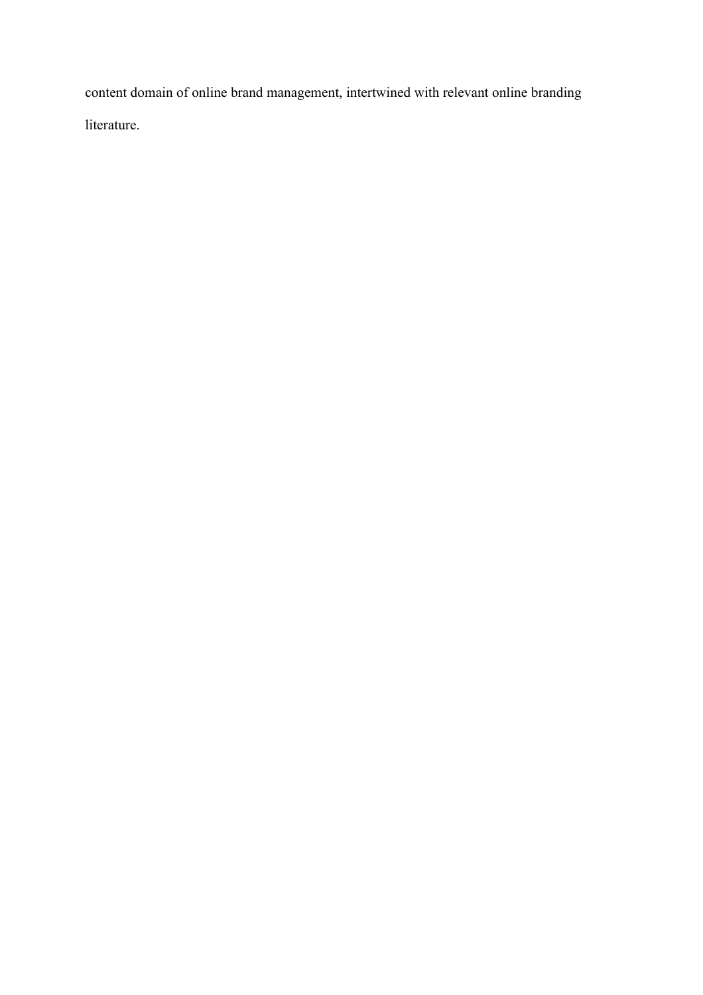content domain of online brand management, intertwined with relevant online branding literature.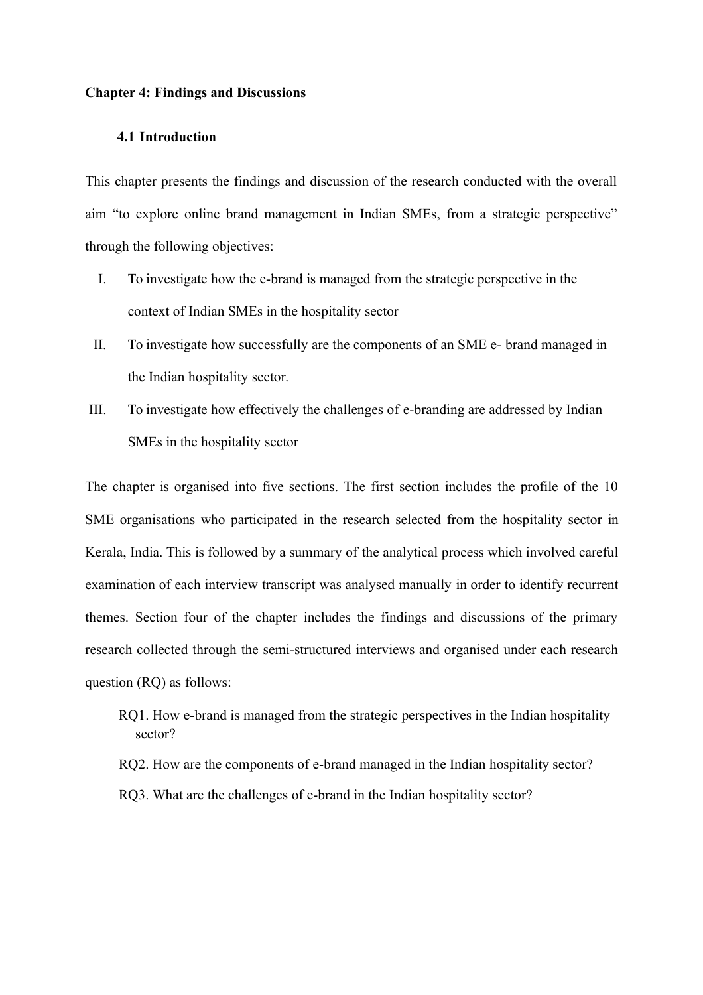#### **Chapter 4: Findings and Discussions**

# **4.1 Introduction**

This chapter presents the findings and discussion of the research conducted with the overall aim "to explore online brand management in Indian SMEs, from a strategic perspective" through the following objectives:

- I. To investigate how the e-brand is managed from the strategic perspective in the context of Indian SMEs in the hospitality sector
- II. To investigate how successfully are the components of an SME e- brand managed in the Indian hospitality sector.
- III. To investigate how effectively the challenges of e-branding are addressed by Indian SMEs in the hospitality sector

The chapter is organised into five sections. The first section includes the profile of the 10 SME organisations who participated in the research selected from the hospitality sector in Kerala, India. This is followed by a summary of the analytical process which involved careful examination of each interview transcript was analysed manually in order to identify recurrent themes. Section four of the chapter includes the findings and discussions of the primary research collected through the semi-structured interviews and organised under each research question (RQ) as follows:

- RQ1. How e-brand is managed from the strategic perspectives in the Indian hospitality sector?
- RQ2. How are the components of e-brand managed in the Indian hospitality sector?
- RQ3. What are the challenges of e-brand in the Indian hospitality sector?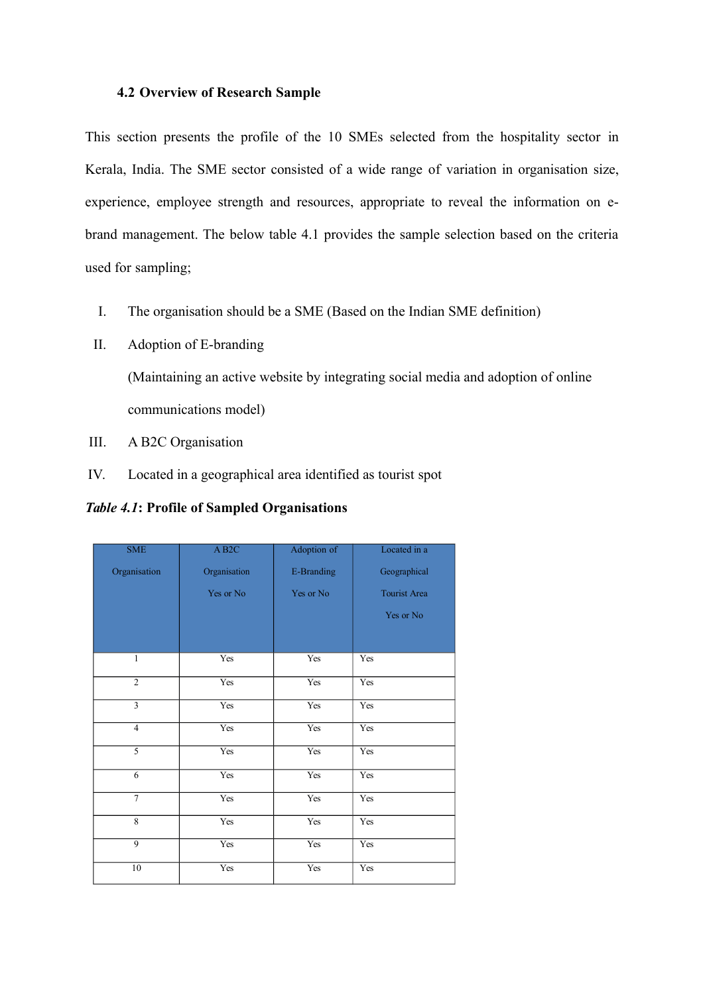# **4.2 Overview of Research Sample**

This section presents the profile of the 10 SMEs selected from the hospitality sector in Kerala, India. The SME sector consisted of a wide range of variation in organisation size, experience, employee strength and resources, appropriate to reveal the information on ebrand management. The below table 4.1 provides the sample selection based on the criteria used for sampling;

- I. The organisation should be a SME (Based on the Indian SME definition)
- II. Adoption of E-branding

(Maintaining an active website by integrating social media and adoption of online communications model)

- III. A B2C Organisation
- IV. Located in a geographical area identified as tourist spot

*Table 4.1***: Profile of Sampled Organisations**

| <b>SME</b>      | $\overline{AB2C}$ | Adoption of | Located in a        |
|-----------------|-------------------|-------------|---------------------|
| Organisation    | Organisation      | E-Branding  | Geographical        |
|                 | Yes or No         | Yes or No   | <b>Tourist Area</b> |
|                 |                   |             | Yes or No           |
|                 |                   |             |                     |
| 1               | Yes               | Yes         | Yes                 |
| $\overline{2}$  | Yes               | Yes         | Yes                 |
| $\overline{3}$  | Yes               | Yes         | Yes                 |
| $\overline{4}$  | Yes               | Yes         | Yes                 |
| $\overline{5}$  | Yes               | Yes         | Yes                 |
| 6               | Yes               | Yes         | Yes                 |
| $\overline{7}$  | Yes               | Yes         | Yes                 |
| 8               | Yes               | Yes         | Yes                 |
| $\overline{9}$  | Yes               | Yes         | Yes                 |
| $\overline{10}$ | Yes               | Yes         | Yes                 |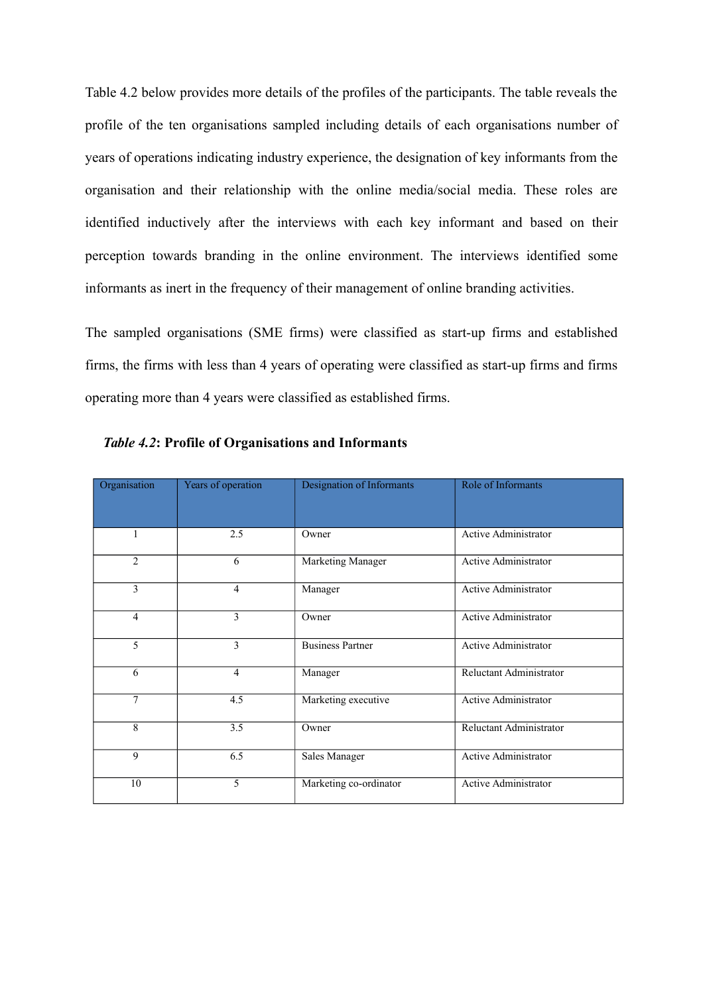Table 4.2 below provides more details of the profiles of the participants. The table reveals the profile of the ten organisations sampled including details of each organisations number of years of operations indicating industry experience, the designation of key informants from the organisation and their relationship with the online media/social media. These roles are identified inductively after the interviews with each key informant and based on their perception towards branding in the online environment. The interviews identified some informants as inert in the frequency of their management of online branding activities.

The sampled organisations (SME firms) were classified as start-up firms and established firms, the firms with less than 4 years of operating were classified as start-up firms and firms operating more than 4 years were classified as established firms.

| Organisation   | Years of operation | <b>Designation of Informants</b> | Role of Informants          |
|----------------|--------------------|----------------------------------|-----------------------------|
| 1              | 2.5                | Owner                            | <b>Active Administrator</b> |
| $\overline{c}$ | 6                  | Marketing Manager                | <b>Active Administrator</b> |
| 3              | 4                  | Manager                          | Active Administrator        |
| $\overline{4}$ | 3                  | Owner                            | <b>Active Administrator</b> |
| 5              | 3                  | <b>Business Partner</b>          | <b>Active Administrator</b> |
| 6              | 4                  | Manager                          | Reluctant Administrator     |
| 7              | 4.5                | Marketing executive              | Active Administrator        |
| 8              | 3.5                | Owner                            | Reluctant Administrator     |
| 9              | 6.5                | Sales Manager                    | Active Administrator        |
| 10             | 5                  | Marketing co-ordinator           | <b>Active Administrator</b> |

|  | <b>Table 4.2: Profile of Organisations and Informants</b> |
|--|-----------------------------------------------------------|
|  |                                                           |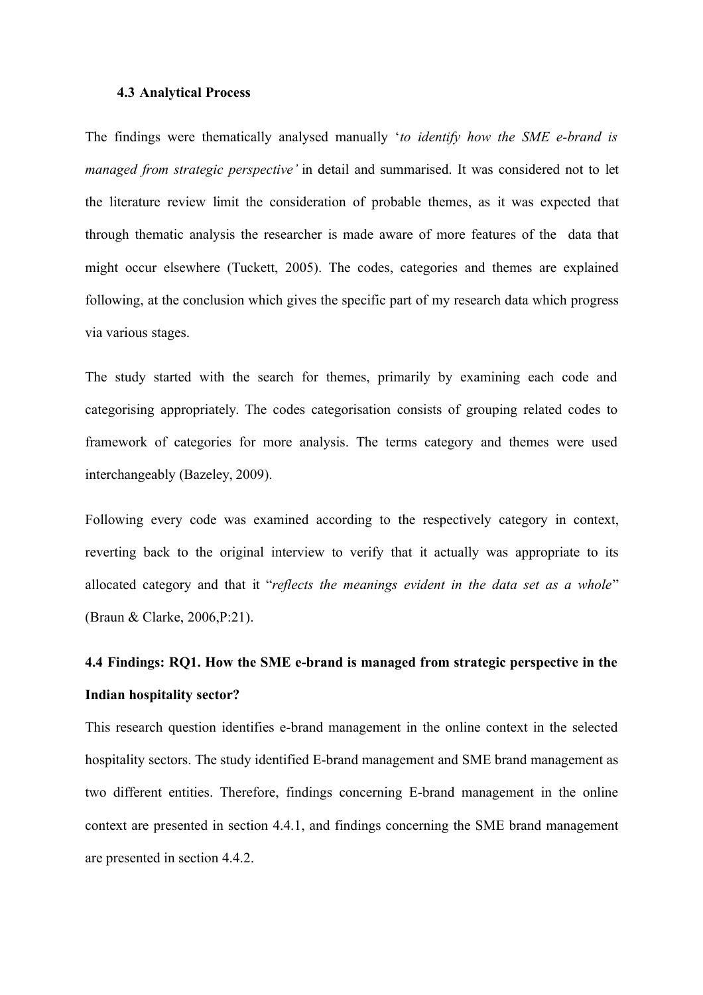#### **4.3 Analytical Process**

The findings were thematically analysed manually '*to identify how the SME e-brand is managed from strategic perspective'* in detail and summarised. It was considered not to let the literature review limit the consideration of probable themes, as it was expected that through thematic analysis the researcher is made aware of more features of the data that might occur elsewhere (Tuckett, 2005). The codes, categories and themes are explained following, at the conclusion which gives the specific part of my research data which progress via various stages.

The study started with the search for themes, primarily by examining each code and categorising appropriately. The codes categorisation consists of grouping related codes to framework of categories for more analysis. The terms category and themes were used interchangeably (Bazeley, 2009).

Following every code was examined according to the respectively category in context, reverting back to the original interview to verify that it actually was appropriate to its allocated category and that it "*reflects the meanings evident in the data set as a whole*" (Braun & Clarke, 2006,P:21).

# **4.4 Findings: RQ1. How the SME e-brand is managed from strategic perspective in the Indian hospitality sector?**

This research question identifies e-brand management in the online context in the selected hospitality sectors. The study identified E-brand management and SME brand management as two different entities. Therefore, findings concerning E-brand management in the online context are presented in section 4.4.1, and findings concerning the SME brand management are presented in section 4.4.2.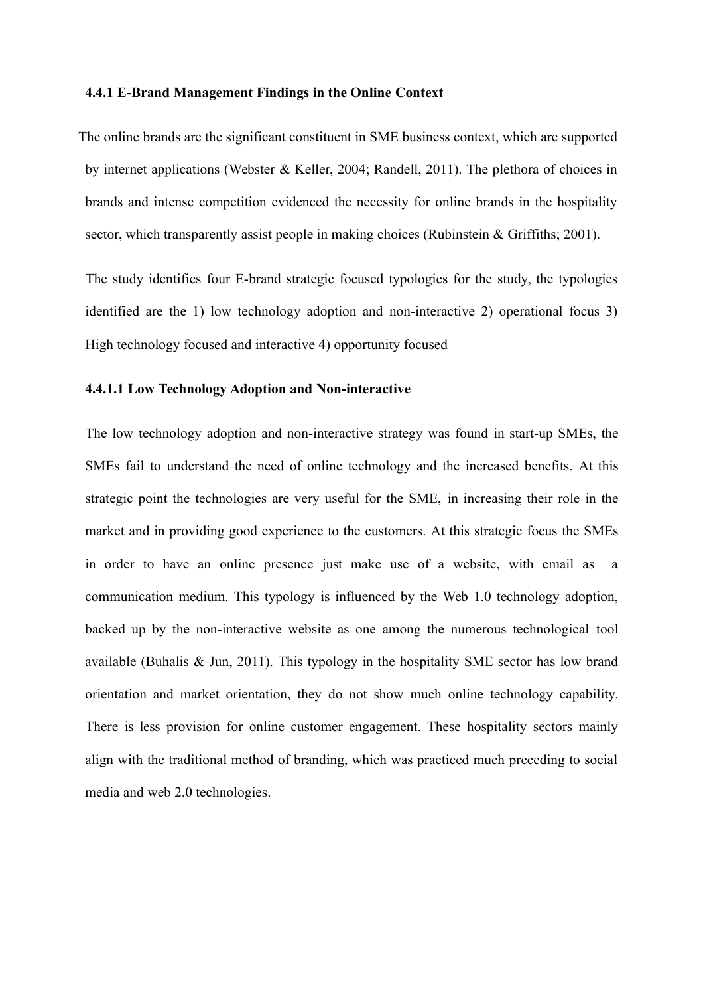#### **4.4.1 E-Brand Management Findings in the Online Context**

The online brands are the significant constituent in SME business context, which are supported by internet applications (Webster & Keller, 2004; Randell, 2011). The plethora of choices in brands and intense competition evidenced the necessity for online brands in the hospitality sector, which transparently assist people in making choices (Rubinstein & Griffiths; 2001).

The study identifies four E-brand strategic focused typologies for the study, the typologies identified are the 1) low technology adoption and non-interactive 2) operational focus 3) High technology focused and interactive 4) opportunity focused

#### **4.4.1.1 Low Technology Adoption and Non-interactive**

The low technology adoption and non-interactive strategy was found in start-up SMEs, the SMEs fail to understand the need of online technology and the increased benefits. At this strategic point the technologies are very useful for the SME, in increasing their role in the market and in providing good experience to the customers. At this strategic focus the SMEs in order to have an online presence just make use of a website, with email as a communication medium. This typology is influenced by the Web 1.0 technology adoption, backed up by the non-interactive website as one among the numerous technological tool available (Buhalis & Jun, 2011). This typology in the hospitality SME sector has low brand orientation and market orientation, they do not show much online technology capability. There is less provision for online customer engagement. These hospitality sectors mainly align with the traditional method of branding, which was practiced much preceding to social media and web 2.0 technologies.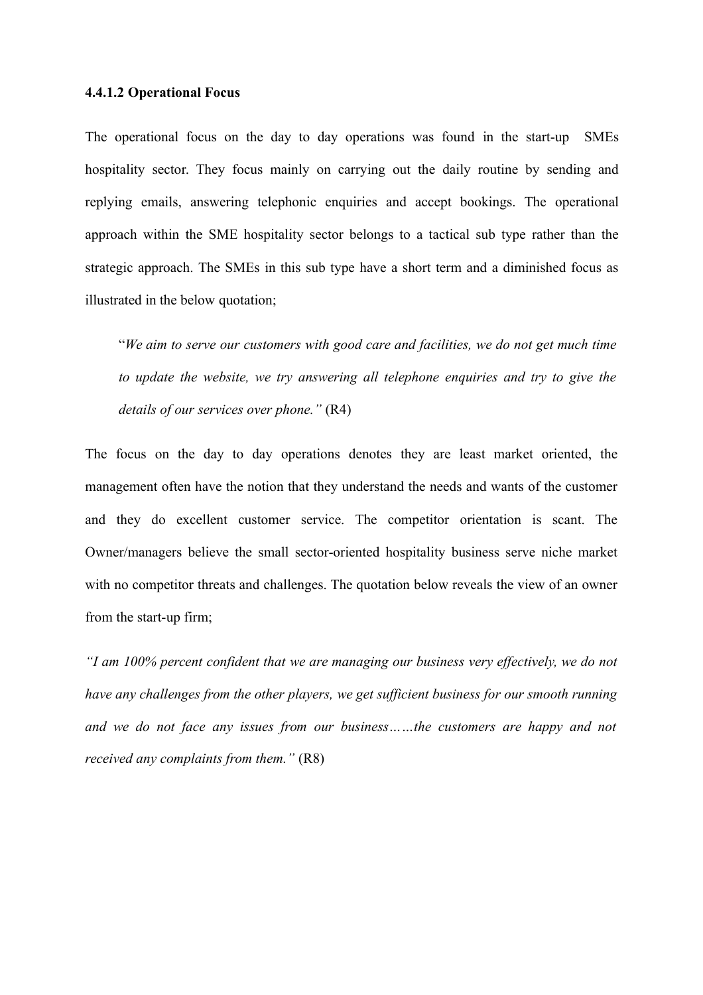#### **4.4.1.2 Operational Focus**

The operational focus on the day to day operations was found in the start-up SMEs hospitality sector. They focus mainly on carrying out the daily routine by sending and replying emails, answering telephonic enquiries and accept bookings. The operational approach within the SME hospitality sector belongs to a tactical sub type rather than the strategic approach. The SMEs in this sub type have a short term and a diminished focus as illustrated in the below quotation;

"*We aim to serve our customers with good care and facilities, we do not get much time to update the website, we try answering all telephone enquiries and try to give the details of our services over phone."* (R4)

The focus on the day to day operations denotes they are least market oriented, the management often have the notion that they understand the needs and wants of the customer and they do excellent customer service. The competitor orientation is scant. The Owner/managers believe the small sector-oriented hospitality business serve niche market with no competitor threats and challenges. The quotation below reveals the view of an owner from the start-up firm;

*"I am 100% percent confident that we are managing our business very effectively, we do not have any challenges from the other players, we get sufficient business for our smooth running and we do not face any issues from our business……the customers are happy and not received any complaints from them."* (R8)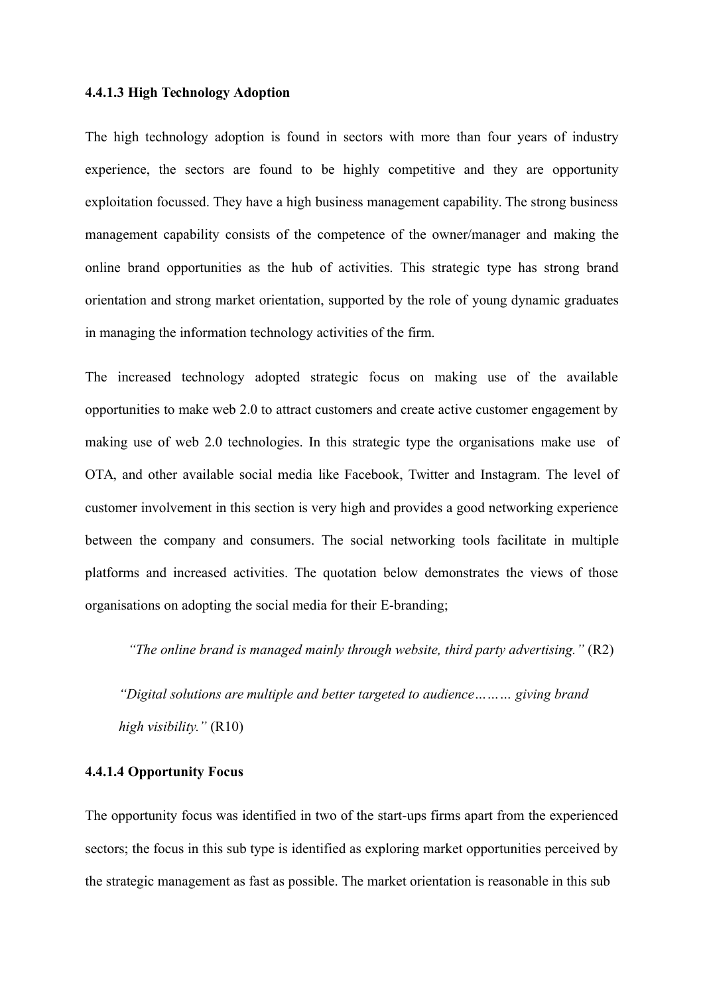#### **4.4.1.3 High Technology Adoption**

The high technology adoption is found in sectors with more than four years of industry experience, the sectors are found to be highly competitive and they are opportunity exploitation focussed. They have a high business management capability. The strong business management capability consists of the competence of the owner/manager and making the online brand opportunities as the hub of activities. This strategic type has strong brand orientation and strong market orientation, supported by the role of young dynamic graduates in managing the information technology activities of the firm.

The increased technology adopted strategic focus on making use of the available opportunities to make web 2.0 to attract customers and create active customer engagement by making use of web 2.0 technologies. In this strategic type the organisations make use of OTA, and other available social media like Facebook, Twitter and Instagram. The level of customer involvement in this section is very high and provides a good networking experience between the company and consumers. The social networking tools facilitate in multiple platforms and increased activities. The quotation below demonstrates the views of those organisations on adopting the social media for their E-branding;

*"The online brand is managed mainly through website, third party advertising."* (R2)

*"Digital solutions are multiple and better targeted to audience……… giving brand high visibility."* (R10)

# **4.4.1.4 Opportunity Focus**

The opportunity focus was identified in two of the start-ups firms apart from the experienced sectors; the focus in this sub type is identified as exploring market opportunities perceived by the strategic management as fast as possible. The market orientation is reasonable in this sub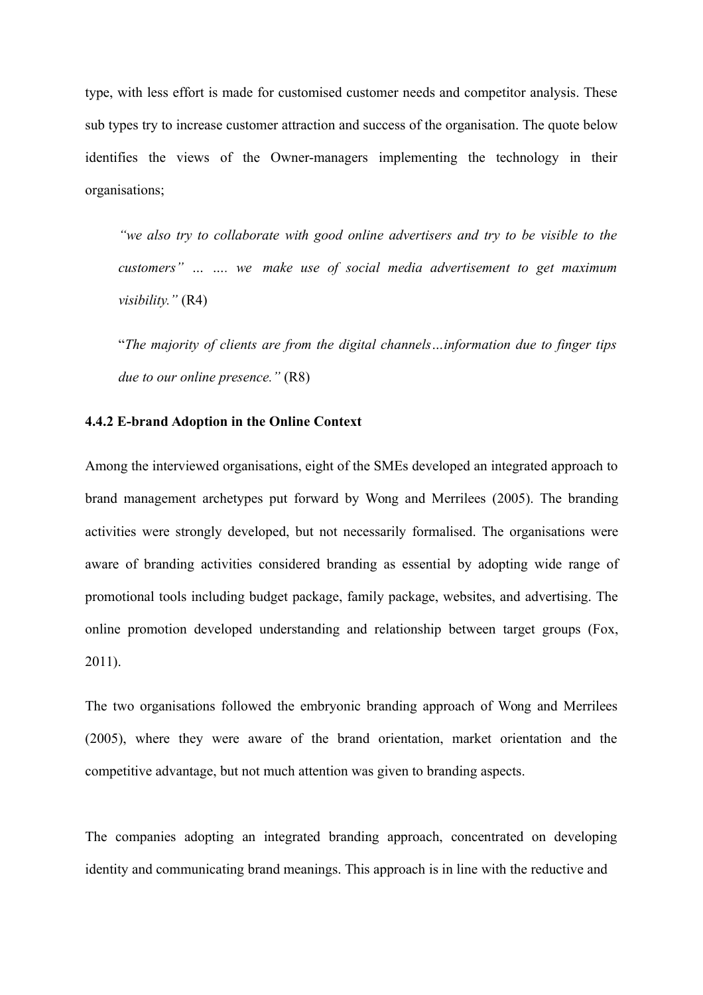type, with less effort is made for customised customer needs and competitor analysis. These sub types try to increase customer attraction and success of the organisation. The quote below identifies the views of the Owner-managers implementing the technology in their organisations;

*"we also try to collaborate with good online advertisers and try to be visible to the customers" … …. we make use of social media advertisement to get maximum visibility."* (R4)

"*The majority of clients are from the digital channels…information due to finger tips due to our online presence."* (R8)

# **4.4.2 E-brand Adoption in the Online Context**

Among the interviewed organisations, eight of the SMEs developed an integrated approach to brand management archetypes put forward by Wong and Merrilees (2005). The branding activities were strongly developed, but not necessarily formalised. The organisations were aware of branding activities considered branding as essential by adopting wide range of promotional tools including budget package, family package, websites, and advertising. The online promotion developed understanding and relationship between target groups (Fox, 2011).

The two organisations followed the embryonic branding approach of Wong and Merrilees (2005), where they were aware of the brand orientation, market orientation and the competitive advantage, but not much attention was given to branding aspects.

The companies adopting an integrated branding approach, concentrated on developing identity and communicating brand meanings. This approach is in line with the reductive and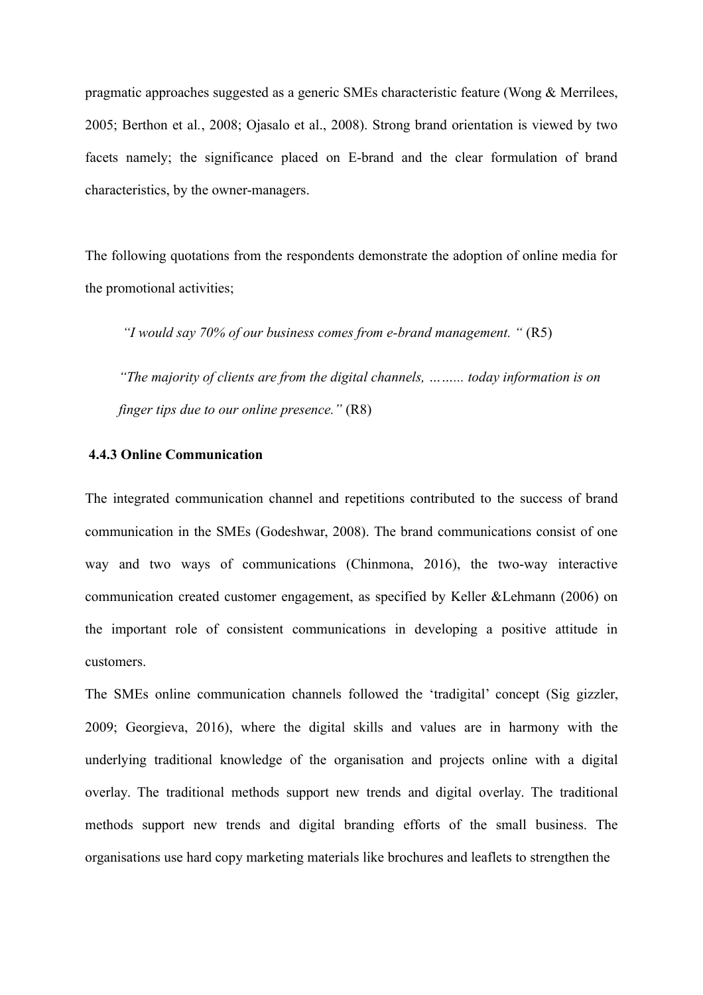pragmatic approaches suggested as a generic SMEs characteristic feature (Wong & Merrilees, 2005; Berthon et al*.*, 2008; Ojasalo et al., 2008). Strong brand orientation is viewed by two facets namely; the significance placed on E-brand and the clear formulation of brand characteristics, by the owner-managers.

The following quotations from the respondents demonstrate the adoption of online media for the promotional activities;

*"I would say 70% of our business comes from e-brand management. "* (R5)

*"The majority of clients are from the digital channels, ……... today information is on finger tips due to our online presence."* (R8)

# **4.4.3 Online Communication**

The integrated communication channel and repetitions contributed to the success of brand communication in the SMEs (Godeshwar, 2008). The brand communications consist of one way and two ways of communications (Chinmona, 2016), the two-way interactive communication created customer engagement, as specified by Keller &Lehmann (2006) on the important role of consistent communications in developing a positive attitude in customers.

The SMEs online communication channels followed the 'tradigital' concept (Sig gizzler, 2009; Georgieva, 2016), where the digital skills and values are in harmony with the underlying traditional knowledge of the organisation and projects online with a digital overlay. The traditional methods support new trends and digital overlay. The traditional methods support new trends and digital branding efforts of the small business. The organisations use hard copy marketing materials like brochures and leaflets to strengthen the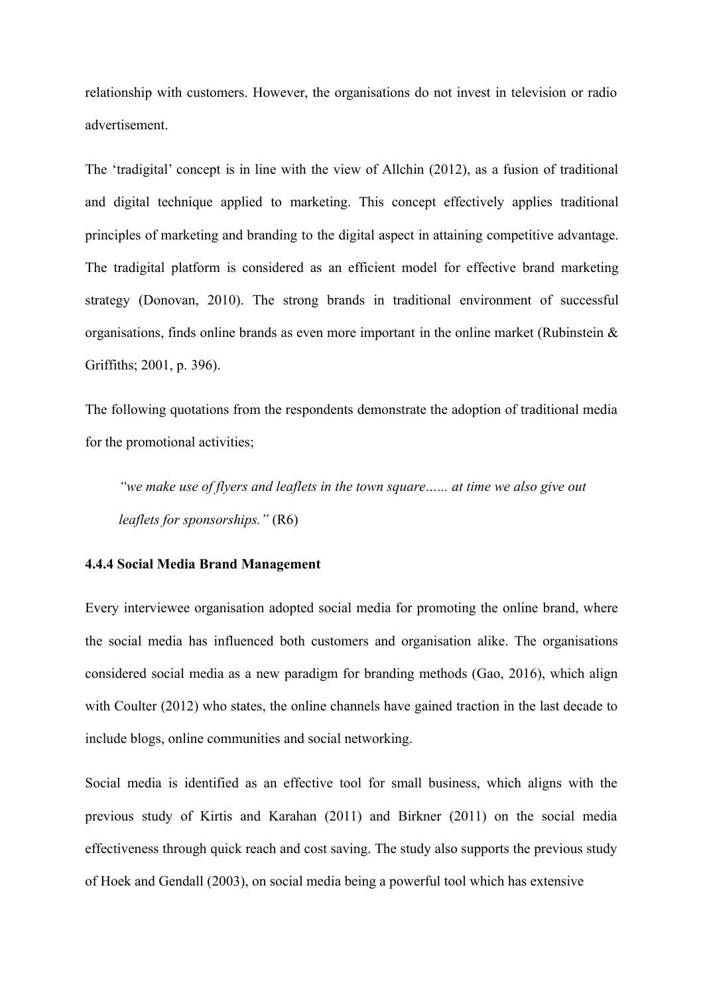relationship with customers. However, the organisations do not invest in television or radio advertisement.

The 'tradigital' concept is in line with the view of Allchin (2012), as a fusion of traditional and digital technique applied to marketing. This concept effectively applies traditional principles of marketing and branding to the digital aspect in attaining competitive advantage. The tradigital platform is considered as an efficient model for effective brand marketing strategy (Donovan, 2010). The strong brands in traditional environment of successful organisations, finds online brands as even more important in the online market (Rubinstein & Griffiths; 2001, p. 396).

The following quotations from the respondents demonstrate the adoption of traditional media for the promotional activities;

*"we make use of flyers and leaflets in the town square…... at time we also give out leaflets for sponsorships."* (R6)

# **4.4.4 Social Media Brand Management**

Every interviewee organisation adopted social media for promoting the online brand, where the social media has influenced both customers and organisation alike. The organisations considered social media as a new paradigm for branding methods (Gao, 2016), which align with Coulter (2012) who states, the online channels have gained traction in the last decade to include blogs, online communities and social networking.

Social media is identified as an effective tool for small business, which aligns with the previous study of Kirtis and Karahan (2011) and Birkner (2011) on the social media effectiveness through quick reach and cost saving. The study also supports the previous study of Hoek and Gendall (2003), on social media being a powerful tool which has extensive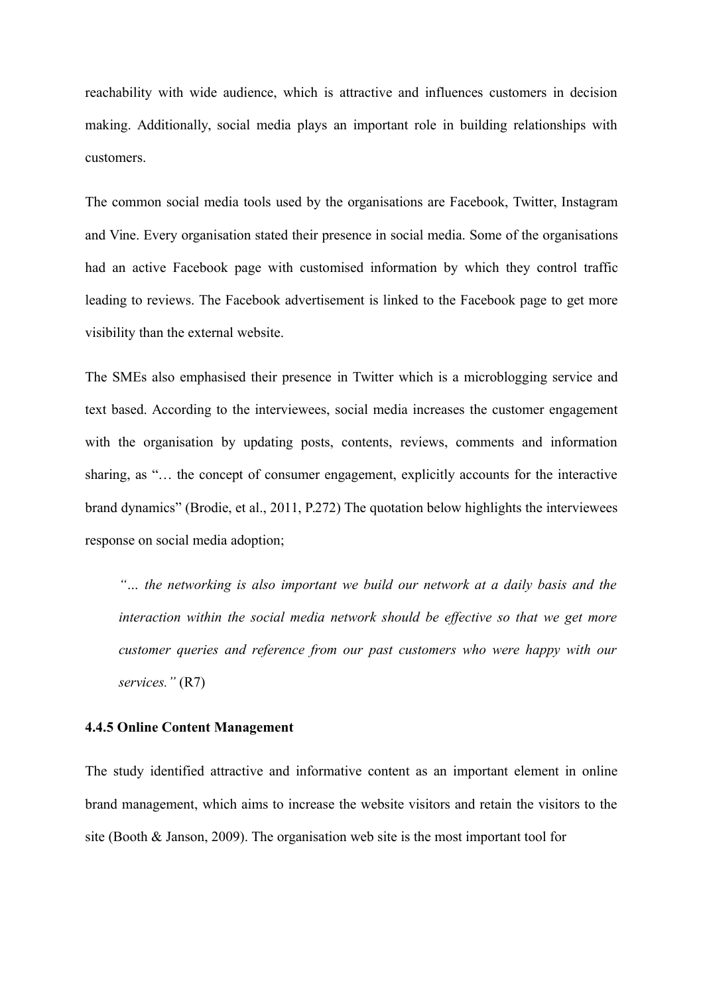reachability with wide audience, which is attractive and influences customers in decision making. Additionally, social media plays an important role in building relationships with customers.

The common social media tools used by the organisations are Facebook, Twitter, Instagram and Vine. Every organisation stated their presence in social media. Some of the organisations had an active Facebook page with customised information by which they control traffic leading to reviews. The Facebook advertisement is linked to the Facebook page to get more visibility than the external website.

The SMEs also emphasised their presence in Twitter which is a microblogging service and text based. According to the interviewees, social media increases the customer engagement with the organisation by updating posts, contents, reviews, comments and information sharing, as "… the concept of consumer engagement, explicitly accounts for the interactive brand dynamics" (Brodie, et al., 2011, P.272) The quotation below highlights the interviewees response on social media adoption;

*"… the networking is also important we build our network at a daily basis and the interaction within the social media network should be effective so that we get more customer queries and reference from our past customers who were happy with our services."* (R7)

## **4.4.5 Online Content Management**

The study identified attractive and informative content as an important element in online brand management, which aims to increase the website visitors and retain the visitors to the site (Booth & Janson, 2009). The organisation web site is the most important tool for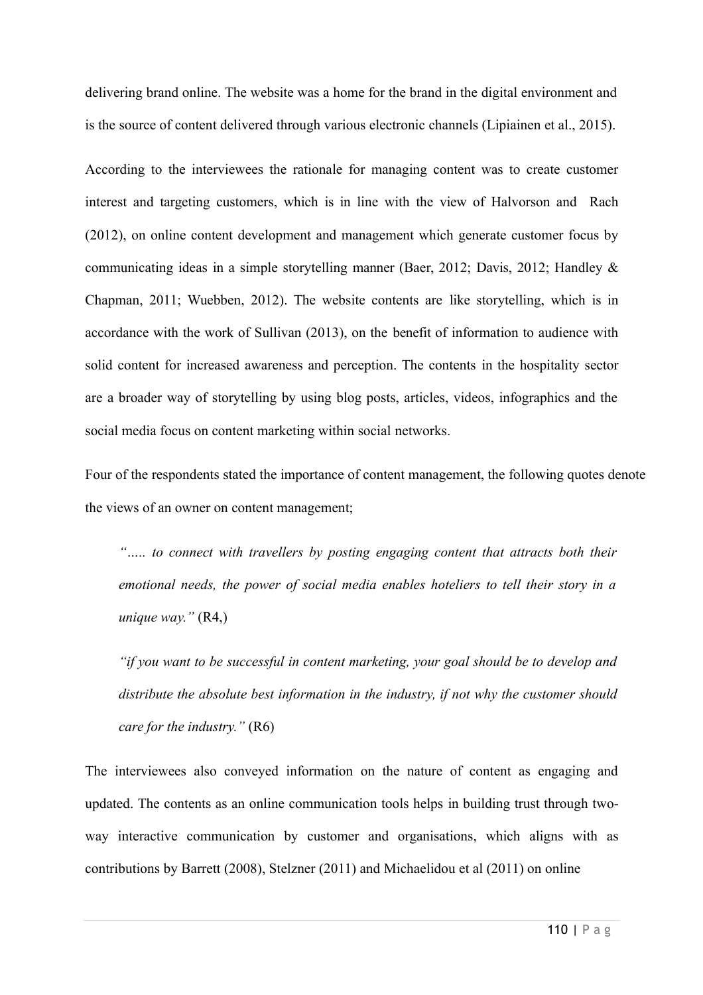delivering brand online. The website was a home for the brand in the digital environment and is the source of content delivered through various electronic channels (Lipiainen et al., 2015).

According to the interviewees the rationale for managing content was to create customer interest and targeting customers, which is in line with the view of Halvorson and Rach (2012), on online content development and management which generate customer focus by communicating ideas in a simple storytelling manner (Baer, 2012; Davis, 2012; Handley & Chapman, 2011; Wuebben, 2012). The website contents are like storytelling, which is in accordance with the work of Sullivan (2013), on the benefit of information to audience with solid content for increased awareness and perception. The contents in the hospitality sector are a broader way of storytelling by using blog posts, articles, videos, infographics and the social media focus on content marketing within social networks.

Four of the respondents stated the importance of content management, the following quotes denote the views of an owner on content management;

*"….. to connect with travellers by posting engaging content that attracts both their emotional needs, the power of social media enables hoteliers to tell their story in a unique way."* (R4,)

*"if you want to be successful in content marketing, your goal should be to develop and distribute the absolute best information in the industry, if not why the customer should care for the industry."* (R6)

The interviewees also conveyed information on the nature of content as engaging and updated. The contents as an online communication tools helps in building trust through twoway interactive communication by customer and organisations, which aligns with as contributions by Barrett (2008), Stelzner (2011) and Michaelidou et al (2011) on online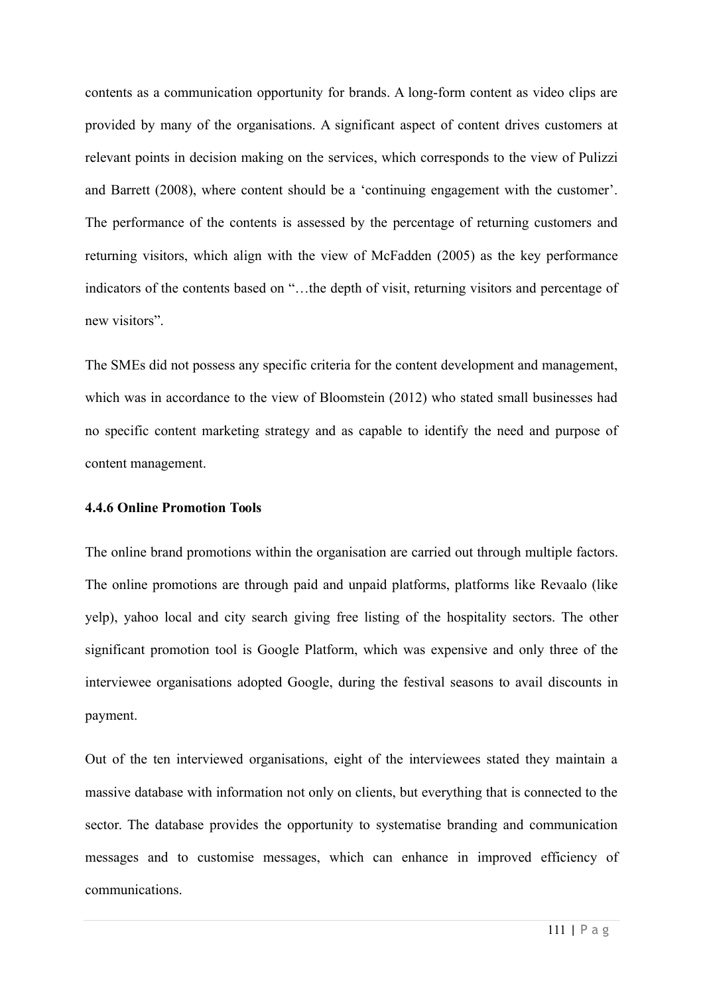contents as a communication opportunity for brands. A long-form content as video clips are provided by many of the organisations. A significant aspect of content drives customers at relevant points in decision making on the services, which corresponds to the view of Pulizzi and Barrett (2008), where content should be a 'continuing engagement with the customer'. The performance of the contents is assessed by the percentage of returning customers and returning visitors, which align with the view of McFadden (2005) as the key performance indicators of the contents based on "…the depth of visit, returning visitors and percentage of new visitors".

The SMEs did not possess any specific criteria for the content development and management, which was in accordance to the view of Bloomstein (2012) who stated small businesses had no specific content marketing strategy and as capable to identify the need and purpose of content management.

#### **4.4.6 Online Promotion Tools**

The online brand promotions within the organisation are carried out through multiple factors. The online promotions are through paid and unpaid platforms, platforms like Revaalo (like yelp), yahoo local and city search giving free listing of the hospitality sectors. The other significant promotion tool is Google Platform, which was expensive and only three of the interviewee organisations adopted Google, during the festival seasons to avail discounts in payment.

Out of the ten interviewed organisations, eight of the interviewees stated they maintain a massive database with information not only on clients, but everything that is connected to the sector. The database provides the opportunity to systematise branding and communication messages and to customise messages, which can enhance in improved efficiency of communications.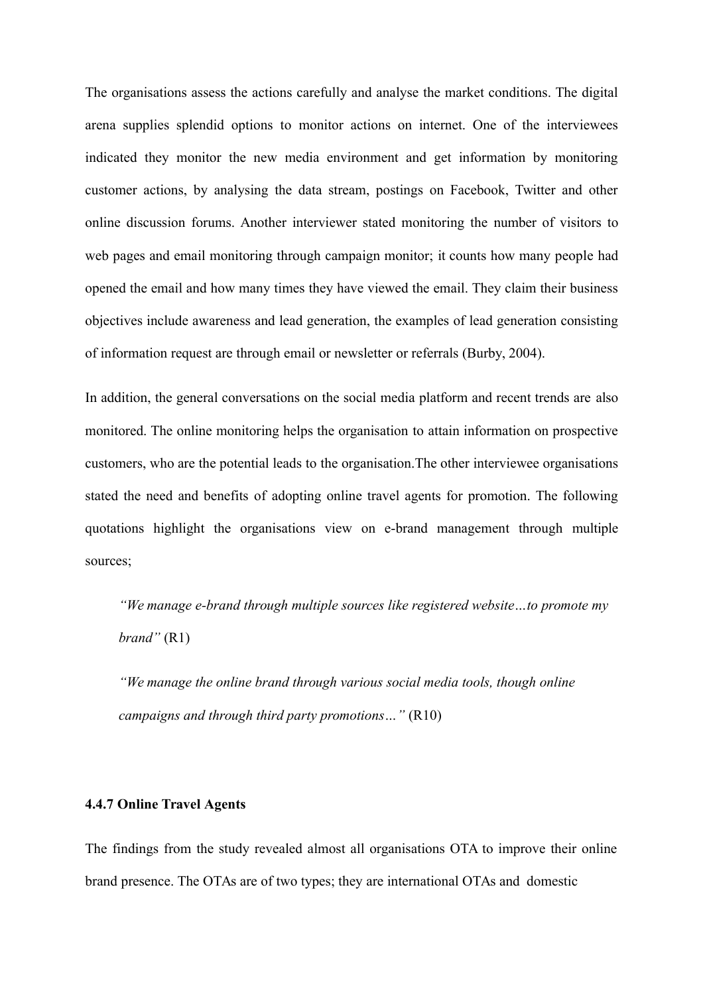The organisations assess the actions carefully and analyse the market conditions. The digital arena supplies splendid options to monitor actions on internet. One of the interviewees indicated they monitor the new media environment and get information by monitoring customer actions, by analysing the data stream, postings on Facebook, Twitter and other online discussion forums. Another interviewer stated monitoring the number of visitors to web pages and email monitoring through campaign monitor; it counts how many people had opened the email and how many times they have viewed the email. They claim their business objectives include awareness and lead generation, the examples of lead generation consisting of information request are through email or newsletter or referrals (Burby, 2004).

In addition, the general conversations on the social media platform and recent trends are also monitored. The online monitoring helps the organisation to attain information on prospective customers, who are the potential leads to the organisation.The other interviewee organisations stated the need and benefits of adopting online travel agents for promotion. The following quotations highlight the organisations view on e-brand management through multiple sources;

*"We manage e-brand through multiple sources like registered website…to promote my brand"* (R1)

*"We manage the online brand through various social media tools, though online campaigns and through third party promotions…"* (R10)

# **4.4.7 Online Travel Agents**

The findings from the study revealed almost all organisations OTA to improve their online brand presence. The OTAs are of two types; they are international OTAs and domestic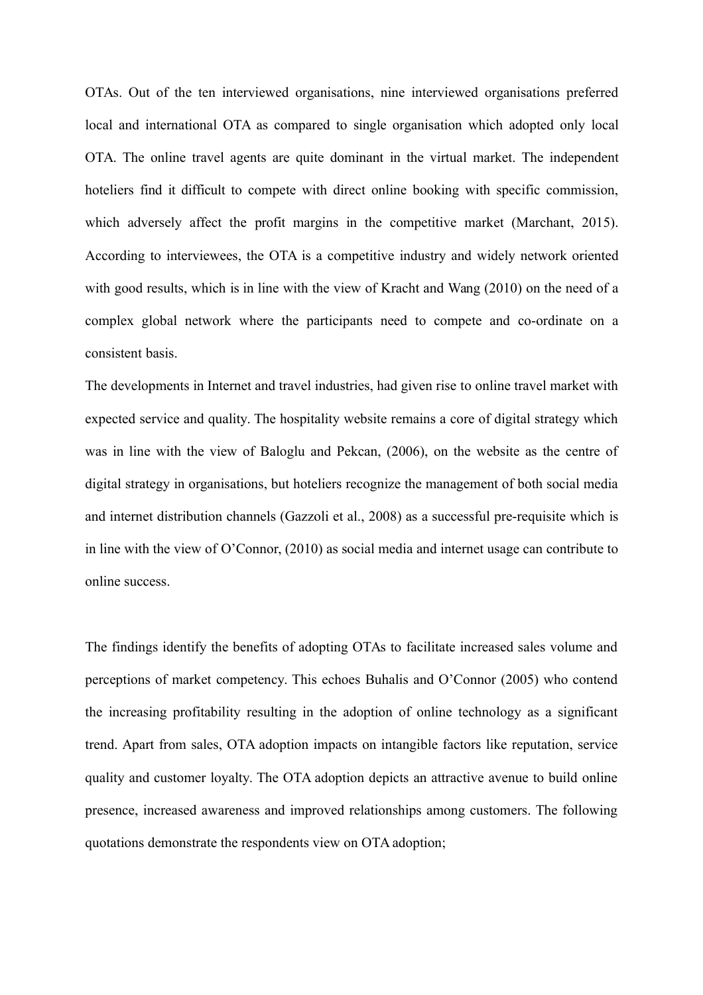OTAs. Out of the ten interviewed organisations, nine interviewed organisations preferred local and international OTA as compared to single organisation which adopted only local OTA. The online travel agents are quite dominant in the virtual market. The independent hoteliers find it difficult to compete with direct online booking with specific commission, which adversely affect the profit margins in the competitive market (Marchant, 2015). According to interviewees, the OTA is a competitive industry and widely network oriented with good results, which is in line with the view of Kracht and Wang (2010) on the need of a complex global network where the participants need to compete and co-ordinate on a consistent basis.

The developments in Internet and travel industries, had given rise to online travel market with expected service and quality. The hospitality website remains a core of digital strategy which was in line with the view of Baloglu and Pekcan, (2006), on the website as the centre of digital strategy in organisations, but hoteliers recognize the management of both social media and internet distribution channels (Gazzoli et al., 2008) as a successful pre-requisite which is in line with the view of O'Connor, (2010) as social media and internet usage can contribute to online success.

The findings identify the benefits of adopting OTAs to facilitate increased sales volume and perceptions of market competency. This echoes Buhalis and O'Connor (2005) who contend the increasing profitability resulting in the adoption of online technology as a significant trend. Apart from sales, OTA adoption impacts on intangible factors like reputation, service quality and customer loyalty. The OTA adoption depicts an attractive avenue to build online presence, increased awareness and improved relationships among customers. The following quotations demonstrate the respondents view on OTA adoption;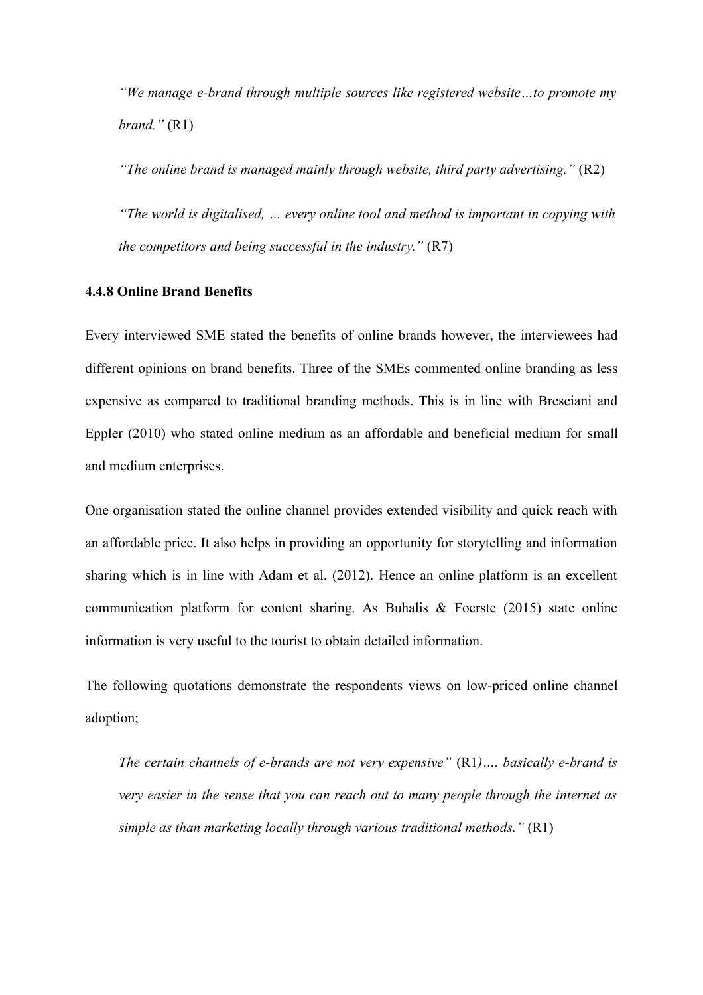*"We manage e-brand through multiple sources like registered website…to promote my brand."* (R1)

*"The online brand is managed mainly through website, third party advertising."* (R2) *"The world is digitalised, … every online tool and method is important in copying with the competitors and being successful in the industry."* (R7)

## **4.4.8 Online Brand Benefits**

Every interviewed SME stated the benefits of online brands however, the interviewees had different opinions on brand benefits. Three of the SMEs commented online branding as less expensive as compared to traditional branding methods. This is in line with Bresciani and Eppler (2010) who stated online medium as an affordable and beneficial medium for small and medium enterprises.

One organisation stated the online channel provides extended visibility and quick reach with an affordable price. It also helps in providing an opportunity for storytelling and information sharing which is in line with Adam et al. (2012). Hence an online platform is an excellent communication platform for content sharing. As Buhalis & Foerste (2015) state online information is very useful to the tourist to obtain detailed information.

The following quotations demonstrate the respondents views on low-priced online channel adoption;

*The certain channels of e-brands are not very expensive"* (R1*)…. basically e-brand is very easier in the sense that you can reach out to many people through the internet as simple as than marketing locally through various traditional methods."* (R1)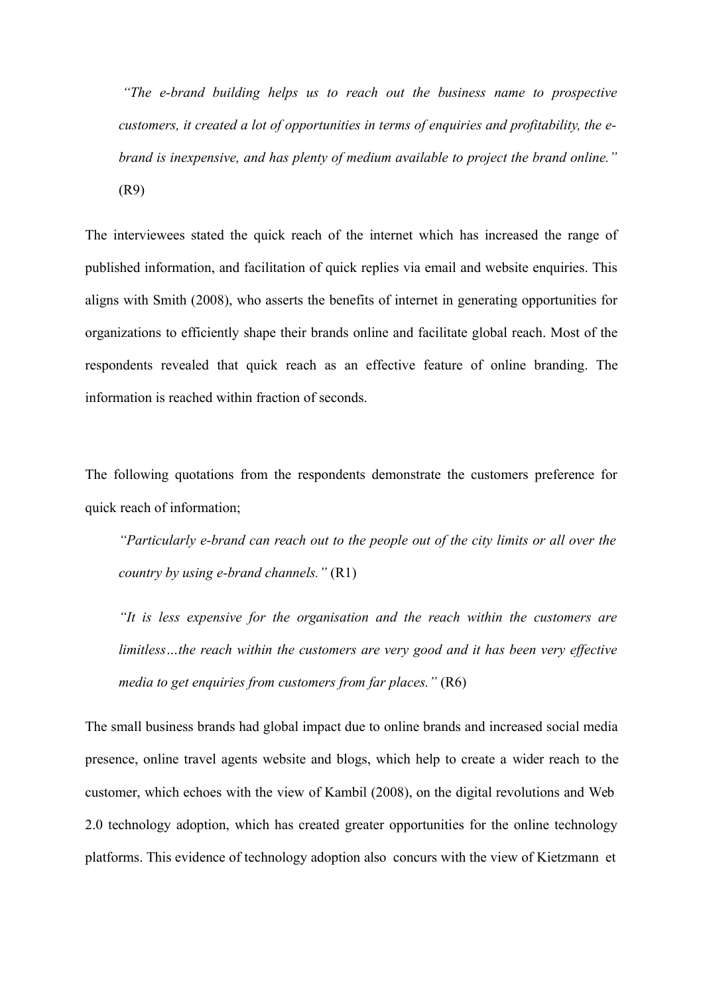*"The e-brand building helps us to reach out the business name to prospective customers, it created a lot of opportunities in terms of enquiries and profitability, the ebrand is inexpensive, and has plenty of medium available to project the brand online."* (R9)

The interviewees stated the quick reach of the internet which has increased the range of published information, and facilitation of quick replies via email and website enquiries. This aligns with Smith (2008), who asserts the benefits of internet in generating opportunities for organizations to efficiently shape their brands online and facilitate global reach. Most of the respondents revealed that quick reach as an effective feature of online branding. The information is reached within fraction of seconds.

The following quotations from the respondents demonstrate the customers preference for quick reach of information;

*"Particularly e-brand can reach out to the people out of the city limits or all over the country by using e-brand channels."* (R1)

*"It is less expensive for the organisation and the reach within the customers are limitless…the reach within the customers are very good and it has been very effective media to get enquiries from customers from far places."* (R6)

The small business brands had global impact due to online brands and increased social media presence, online travel agents website and blogs, which help to create a wider reach to the customer, which echoes with the view of Kambil (2008), on the digital revolutions and Web 2.0 technology adoption, which has created greater opportunities for the online technology platforms. This evidence of technology adoption also concurs with the view of Kietzmann et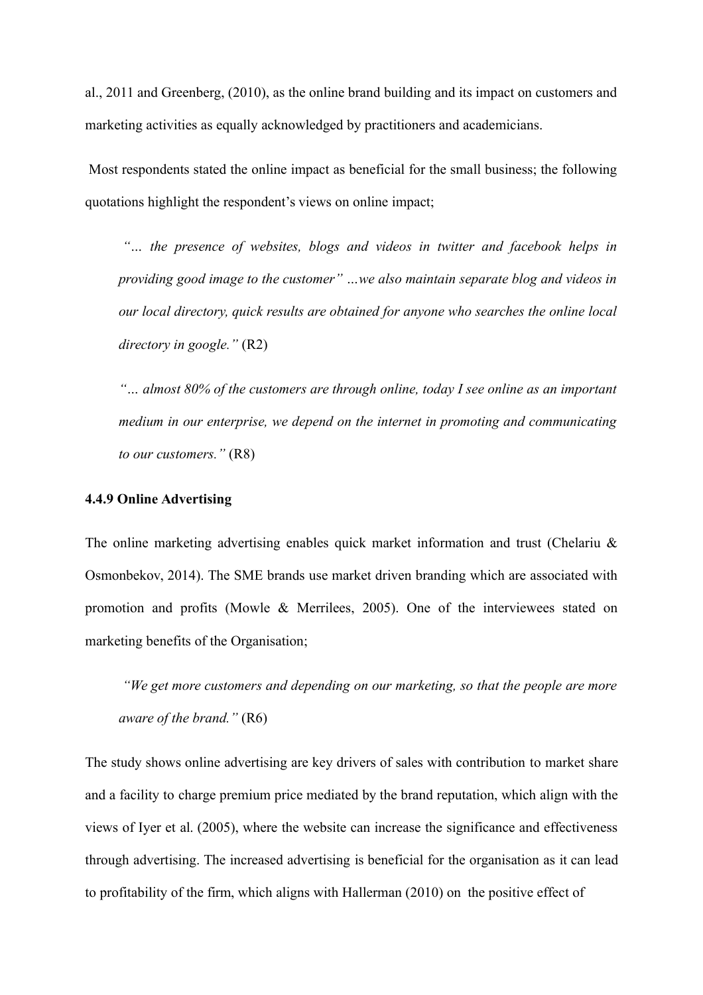al., 2011 and Greenberg, (2010), as the online brand building and its impact on customers and marketing activities as equally acknowledged by practitioners and academicians.

Most respondents stated the online impact as beneficial for the small business; the following quotations highlight the respondent's views on online impact;

*"… the presence of websites, blogs and videos in twitter and facebook helps in providing good image to the customer" …we also maintain separate blog and videos in our local directory, quick results are obtained for anyone who searches the online local directory in google."* (R2)

*"… almost 80% of the customers are through online, today I see online as an important medium in our enterprise, we depend on the internet in promoting and communicating to our customers."* (R8)

# **4.4.9 Online Advertising**

The online marketing advertising enables quick market information and trust (Chelariu & Osmonbekov, 2014). The SME brands use market driven branding which are associated with promotion and profits (Mowle & Merrilees, 2005). One of the interviewees stated on marketing benefits of the Organisation;

*"We get more customers and depending on our marketing, so that the people are more aware of the brand."* (R6)

The study shows online advertising are key drivers of sales with contribution to market share and a facility to charge premium price mediated by the brand reputation, which align with the views of Iyer et al. (2005), where the website can increase the significance and effectiveness through advertising. The increased advertising is beneficial for the organisation as it can lead to profitability of the firm, which aligns with Hallerman (2010) on the positive effect of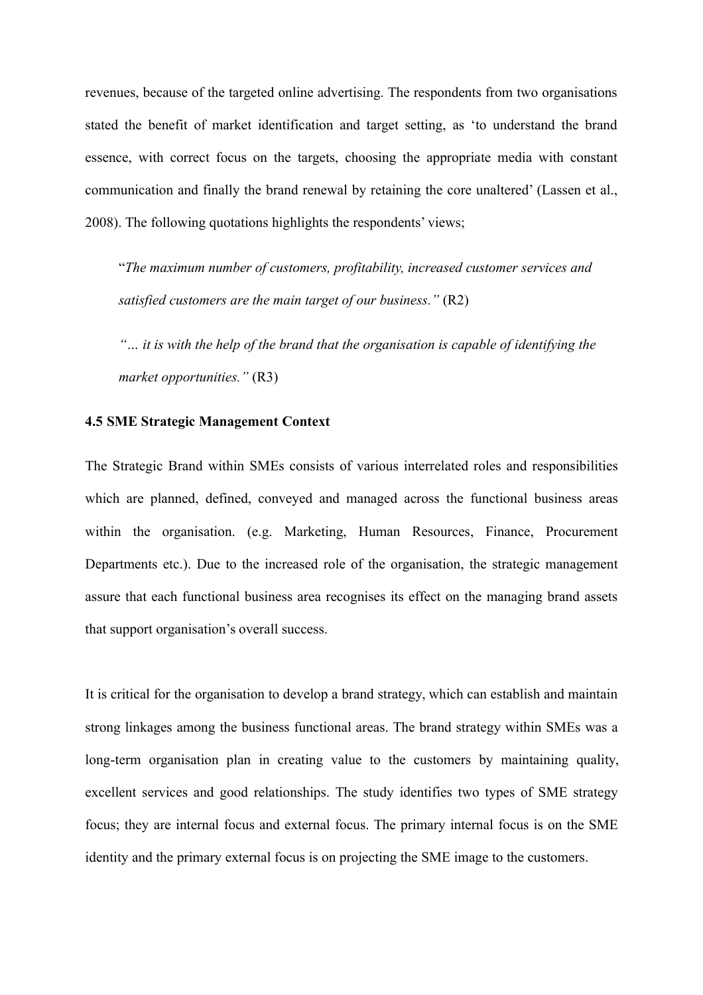revenues, because of the targeted online advertising. The respondents from two organisations stated the benefit of market identification and target setting, as 'to understand the brand essence, with correct focus on the targets, choosing the appropriate media with constant communication and finally the brand renewal by retaining the core unaltered' (Lassen et al., 2008). The following quotations highlights the respondents' views;

"*The maximum number of customers, profitability, increased customer services and satisfied customers are the main target of our business."* (R2)

*"… it is with the help of the brand that the organisation is capable of identifying the market opportunities."* (R3)

## **4.5 SME Strategic Management Context**

The Strategic Brand within SMEs consists of various interrelated roles and responsibilities which are planned, defined, conveyed and managed across the functional business areas within the organisation. (e.g. Marketing, Human Resources, Finance, Procurement Departments etc.). Due to the increased role of the organisation, the strategic management assure that each functional business area recognises its effect on the managing brand assets that support organisation's overall success.

It is critical for the organisation to develop a brand strategy, which can establish and maintain strong linkages among the business functional areas. The brand strategy within SMEs was a long-term organisation plan in creating value to the customers by maintaining quality, excellent services and good relationships. The study identifies two types of SME strategy focus; they are internal focus and external focus. The primary internal focus is on the SME identity and the primary external focus is on projecting the SME image to the customers.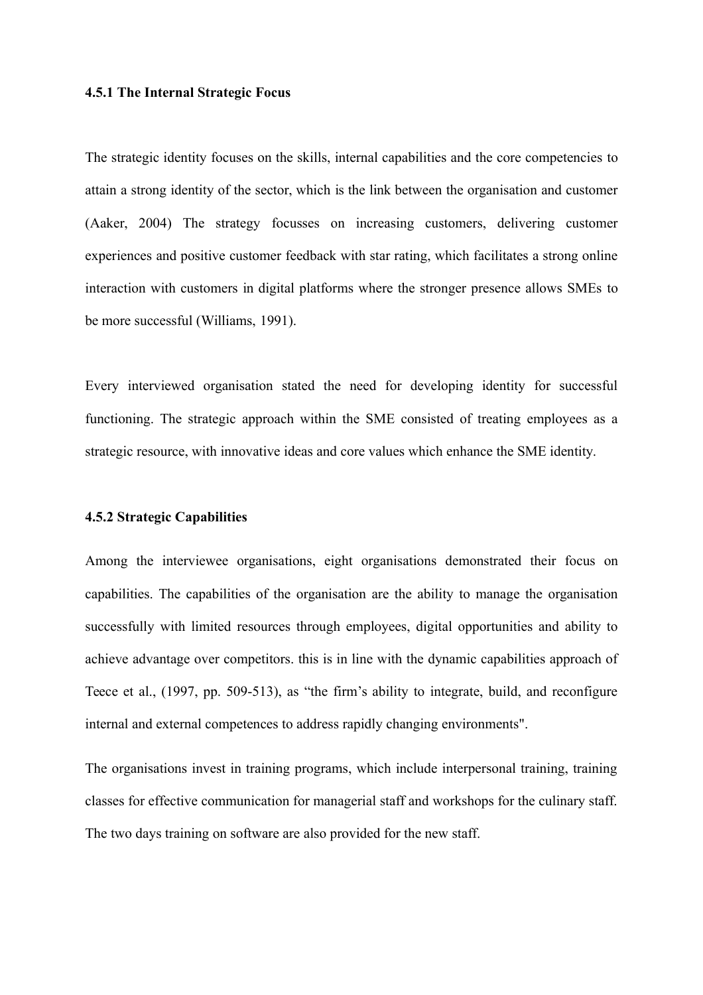#### **4.5.1 The Internal Strategic Focus**

The strategic identity focuses on the skills, internal capabilities and the core competencies to attain a strong identity of the sector, which is the link between the organisation and customer (Aaker, 2004) The strategy focusses on increasing customers, delivering customer experiences and positive customer feedback with star rating, which facilitates a strong online interaction with customers in digital platforms where the stronger presence allows SMEs to be more successful (Williams, 1991).

Every interviewed organisation stated the need for developing identity for successful functioning. The strategic approach within the SME consisted of treating employees as a strategic resource, with innovative ideas and core values which enhance the SME identity.

#### **4.5.2 Strategic Capabilities**

Among the interviewee organisations, eight organisations demonstrated their focus on capabilities. The capabilities of the organisation are the ability to manage the organisation successfully with limited resources through employees, digital opportunities and ability to achieve advantage over competitors. this is in line with the dynamic capabilities approach of Teece et al., (1997, pp. 509-513), as "the firm's ability to integrate, build, and reconfigure internal and external competences to address rapidly changing environments".

The organisations invest in training programs, which include interpersonal training, training classes for effective communication for managerial staff and workshops for the culinary staff. The two days training on software are also provided for the new staff.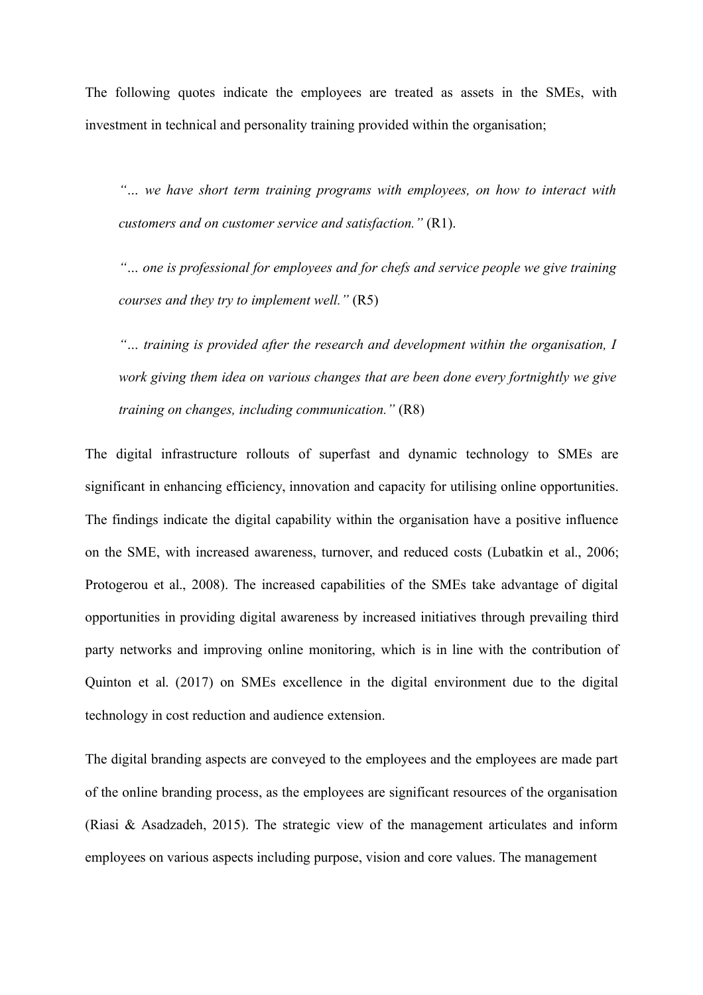The following quotes indicate the employees are treated as assets in the SMEs, with investment in technical and personality training provided within the organisation;

*"… we have short term training programs with employees, on how to interact with customers and on customer service and satisfaction."* (R1).

*"… one is professional for employees and for chefs and service people we give training courses and they try to implement well."* (R5)

*"… training is provided after the research and development within the organisation, I work giving them idea on various changes that are been done every fortnightly we give training on changes, including communication."* (R8)

The digital infrastructure rollouts of superfast and dynamic technology to SMEs are significant in enhancing efficiency, innovation and capacity for utilising online opportunities. The findings indicate the digital capability within the organisation have a positive influence on the SME, with increased awareness, turnover, and reduced costs (Lubatkin et al., 2006; Protogerou et al., 2008). The increased capabilities of the SMEs take advantage of digital opportunities in providing digital awareness by increased initiatives through prevailing third party networks and improving online monitoring, which is in line with the contribution of Quinton et al. (2017) on SMEs excellence in the digital environment due to the digital technology in cost reduction and audience extension.

The digital branding aspects are conveyed to the employees and the employees are made part of the online branding process, as the employees are significant resources of the organisation (Riasi & Asadzadeh, 2015). The strategic view of the management articulates and inform employees on various aspects including purpose, vision and core values. The management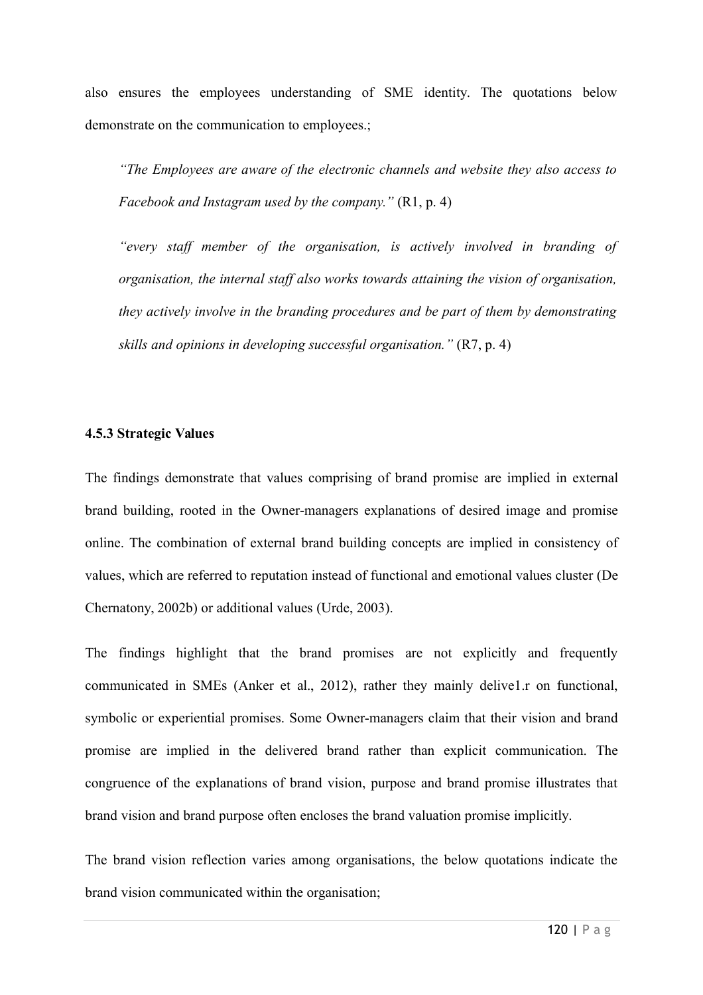also ensures the employees understanding of SME identity. The quotations below demonstrate on the communication to employees.;

*"The Employees are aware of the electronic channels and website they also access to Facebook and Instagram used by the company."* (R1, p. 4)

*"every staff member of the organisation, is actively involved in branding of organisation, the internal staff also works towards attaining the vision of organisation, they actively involve in the branding procedures and be part of them by demonstrating skills and opinions in developing successful organisation."* (R7, p. 4)

#### **4.5.3 Strategic Values**

The findings demonstrate that values comprising of brand promise are implied in external brand building, rooted in the Owner-managers explanations of desired image and promise online. The combination of external brand building concepts are implied in consistency of values, which are referred to reputation instead of functional and emotional values cluster (De Chernatony, 2002b) or additional values (Urde, 2003).

The findings highlight that the brand promises are not explicitly and frequently communicated in SMEs (Anker et al., 2012), rather they mainly delive1.r on functional, symbolic or experiential promises. Some Owner-managers claim that their vision and brand promise are implied in the delivered brand rather than explicit communication. The congruence of the explanations of brand vision, purpose and brand promise illustrates that brand vision and brand purpose often encloses the brand valuation promise implicitly.

The brand vision reflection varies among organisations, the below quotations indicate the brand vision communicated within the organisation;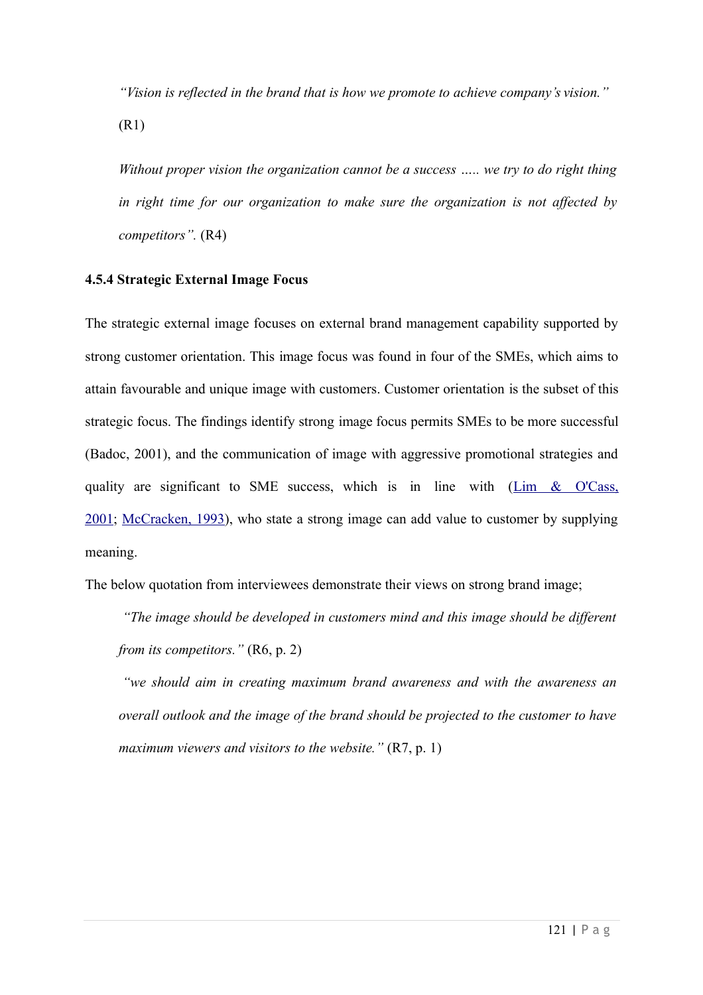*"Vision is reflected in the brand that is how we promote to achieve company's vision."* (R1)

*Without proper vision the organization cannot be a success ….. we try to do right thing in right time for our organization to make sure the organization is not affected by competitors".* (R4)

# **4.5.4 Strategic External Image Focus**

The strategic external image focuses on external brand management capability supported by strong customer orientation. This image focus was found in four of the SMEs, which aims to attain favourable and unique image with customers. Customer orientation is the subset of this strategic focus. The findings identify strong image focus permits SMEs to be more successful (Badoc, 2001), and the communication of image with aggressive promotional strategies and quality are significant to SME success, which is in line with [\(Lim & O'Cass,](https://www.emerald.com/insight/content/doi/10.1108/08876041111119831/full/html#b24) [2001;](https://www.emerald.com/insight/content/doi/10.1108/08876041111119831/full/html#b24) [McCracken, 1993\)](https://www.emerald.com/insight/content/doi/10.1108/08876041111119831/full/html#b25), who state a strong image can add value to customer by supplying meaning.

The below quotation from interviewees demonstrate their views on strong brand image;

*"The image should be developed in customers mind and this image should be different from its competitors.*" (R6, p. 2)

*"we should aim in creating maximum brand awareness and with the awareness an overall outlook and the image of the brand should be projected to the customer to have maximum viewers and visitors to the website."* (R7, p. 1)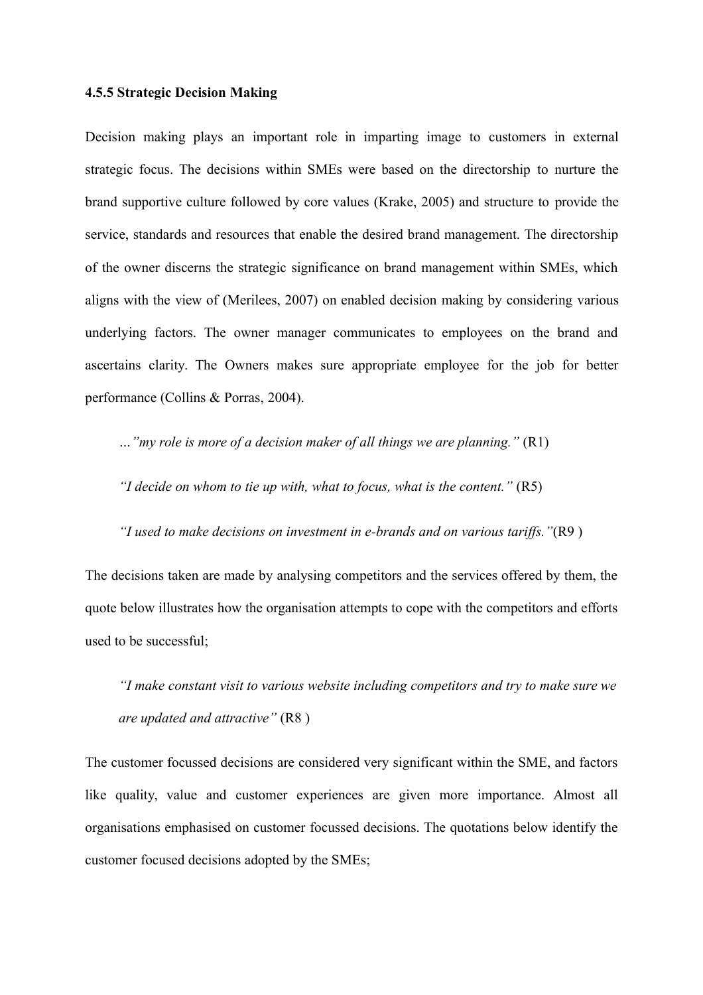#### **4.5.5 Strategic Decision Making**

Decision making plays an important role in imparting image to customers in external strategic focus. The decisions within SMEs were based on the directorship to nurture the brand supportive culture followed by core values (Krake, 2005) and structure to provide the service, standards and resources that enable the desired brand management. The directorship of the owner discerns the strategic significance on brand management within SMEs, which aligns with the view of (Merilees, 2007) on enabled decision making by considering various underlying factors. The owner manager communicates to employees on the brand and ascertains clarity. The Owners makes sure appropriate employee for the job for better performance (Collins & Porras, 2004).

*…"my role is more of a decision maker of all things we are planning."* (R1)

*"I decide on whom to tie up with, what to focus, what is the content."* (R5)

*"I used to make decisions on investment in e-brands and on various tariffs."*(R9 )

The decisions taken are made by analysing competitors and the services offered by them, the quote below illustrates how the organisation attempts to cope with the competitors and efforts used to be successful;

*"I make constant visit to various website including competitors and try to make sure we are updated and attractive"* (R8 )

The customer focussed decisions are considered very significant within the SME, and factors like quality, value and customer experiences are given more importance. Almost all organisations emphasised on customer focussed decisions. The quotations below identify the customer focused decisions adopted by the SMEs;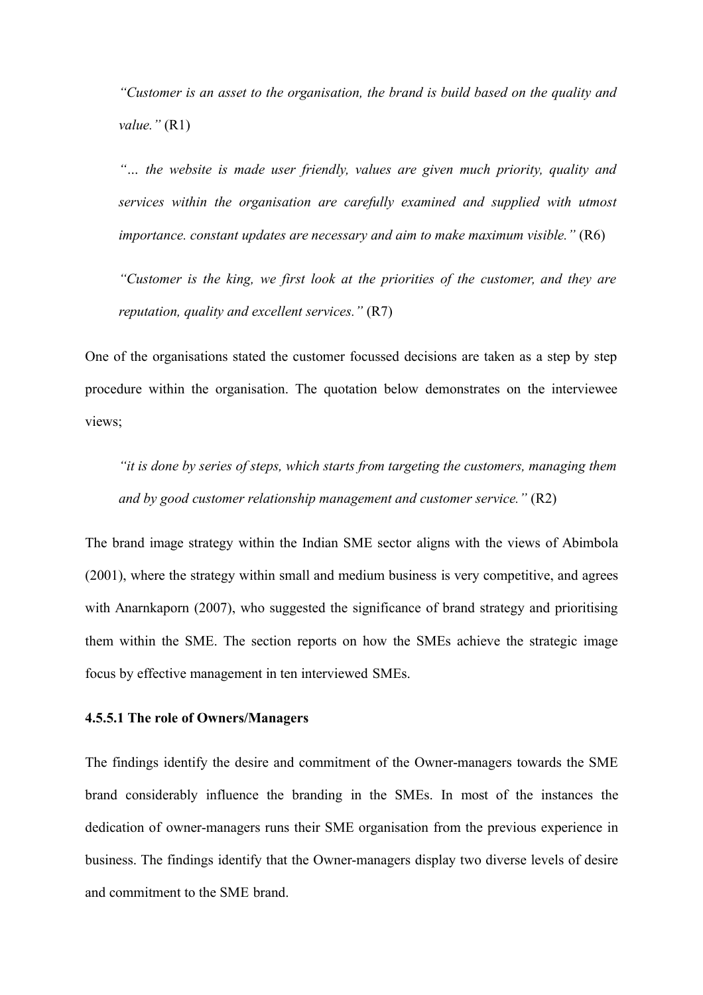*"Customer is an asset to the organisation, the brand is build based on the quality and value."* (R1)

*"… the website is made user friendly, values are given much priority, quality and services within the organisation are carefully examined and supplied with utmost importance. constant updates are necessary and aim to make maximum visible."* (R6)

*"Customer is the king, we first look at the priorities of the customer, and they are reputation, quality and excellent services."* (R7)

One of the organisations stated the customer focussed decisions are taken as a step by step procedure within the organisation. The quotation below demonstrates on the interviewee views;

*"it is done by series of steps, which starts from targeting the customers, managing them and by good customer relationship management and customer service."* (R2)

The brand image strategy within the Indian SME sector aligns with the views of Abimbola (2001), where the strategy within small and medium business is very competitive, and agrees with Anarnkaporn (2007), who suggested the significance of brand strategy and prioritising them within the SME. The section reports on how the SMEs achieve the strategic image focus by effective management in ten interviewed SMEs.

# **4.5.5.1 The role of Owners/Managers**

The findings identify the desire and commitment of the Owner-managers towards the SME brand considerably influence the branding in the SMEs. In most of the instances the dedication of owner-managers runs their SME organisation from the previous experience in business. The findings identify that the Owner-managers display two diverse levels of desire and commitment to the SME brand.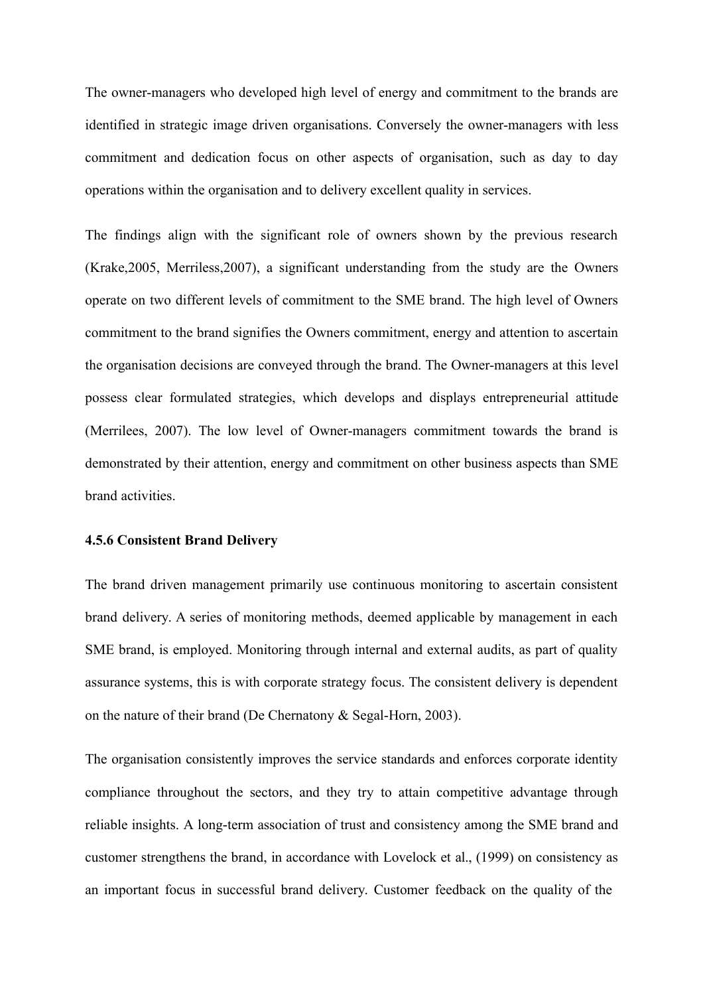The owner-managers who developed high level of energy and commitment to the brands are identified in strategic image driven organisations. Conversely the owner-managers with less commitment and dedication focus on other aspects of organisation, such as day to day operations within the organisation and to delivery excellent quality in services.

The findings align with the significant role of owners shown by the previous research (Krake,2005, Merriless,2007), a significant understanding from the study are the Owners operate on two different levels of commitment to the SME brand. The high level of Owners commitment to the brand signifies the Owners commitment, energy and attention to ascertain the organisation decisions are conveyed through the brand. The Owner-managers at this level possess clear formulated strategies, which develops and displays entrepreneurial attitude (Merrilees, 2007). The low level of Owner-managers commitment towards the brand is demonstrated by their attention, energy and commitment on other business aspects than SME brand activities.

## **4.5.6 Consistent Brand Delivery**

The brand driven management primarily use continuous monitoring to ascertain consistent brand delivery. A series of monitoring methods, deemed applicable by management in each SME brand, is employed. Monitoring through internal and external audits, as part of quality assurance systems, this is with corporate strategy focus. The consistent delivery is dependent on the nature of their brand (De Chernatony & Segal-Horn, 2003).

The organisation consistently improves the service standards and enforces corporate identity compliance throughout the sectors, and they try to attain competitive advantage through reliable insights. A long-term association of trust and consistency among the SME brand and customer strengthens the brand, in accordance with Lovelock et al., (1999) on consistency as an important focus in successful brand delivery. Customer feedback on the quality of the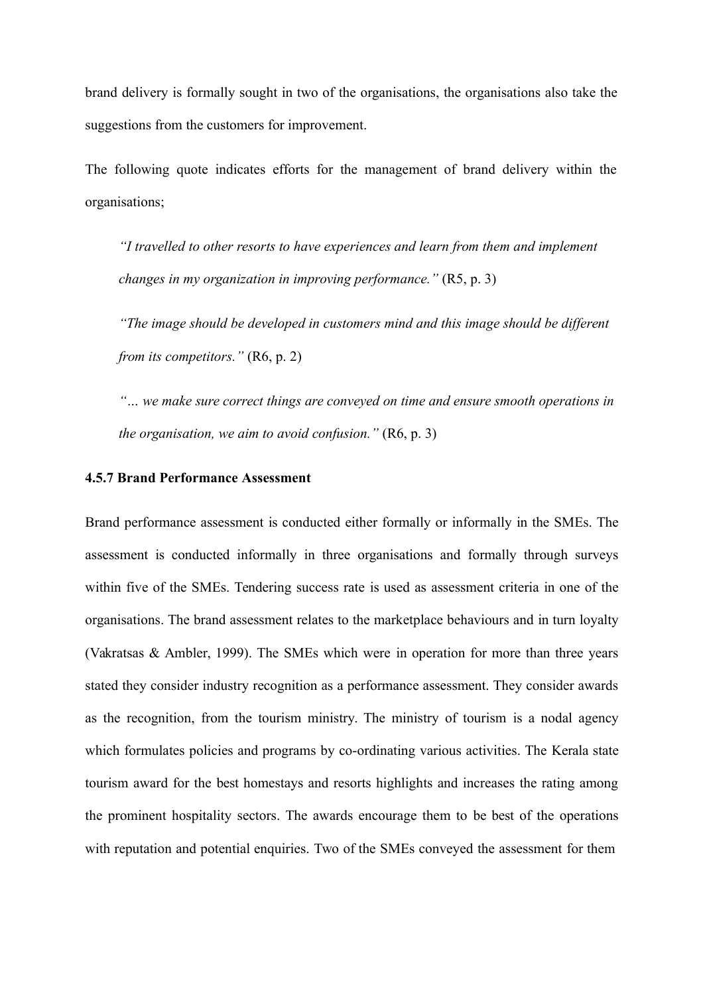brand delivery is formally sought in two of the organisations, the organisations also take the suggestions from the customers for improvement.

The following quote indicates efforts for the management of brand delivery within the organisations;

*"I travelled to other resorts to have experiences and learn from them and implement changes in my organization in improving performance."* (R5, p. 3)

*"The image should be developed in customers mind and this image should be different from its competitors."* (R6, p. 2)

*"… we make sure correct things are conveyed on time and ensure smooth operations in the organisation, we aim to avoid confusion."* (R6, p. 3)

# **4.5.7 Brand Performance Assessment**

Brand performance assessment is conducted either formally or informally in the SMEs. The assessment is conducted informally in three organisations and formally through surveys within five of the SMEs. Tendering success rate is used as assessment criteria in one of the organisations. The brand assessment relates to the marketplace behaviours and in turn loyalty (Vakratsas & Ambler, 1999). The SMEs which were in operation for more than three years stated they consider industry recognition as a performance assessment. They consider awards as the recognition, from the tourism ministry. The ministry of tourism is a nodal agency which formulates policies and programs by co-ordinating various activities. The Kerala state tourism award for the best homestays and resorts highlights and increases the rating among the prominent hospitality sectors. The awards encourage them to be best of the operations with reputation and potential enquiries. Two of the SMEs conveyed the assessment for them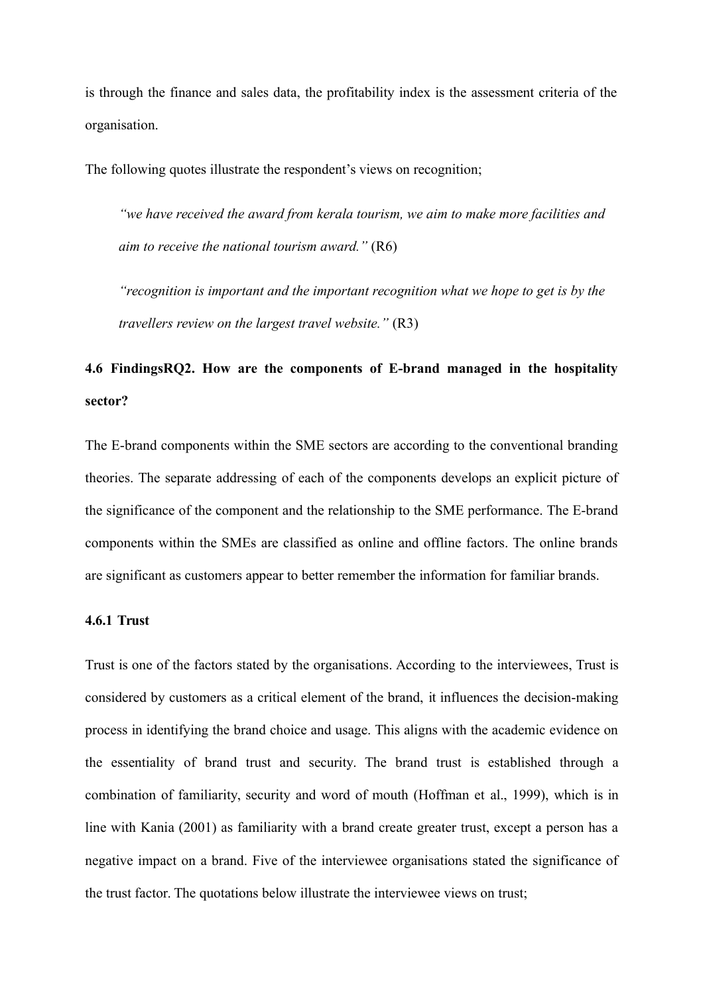is through the finance and sales data, the profitability index is the assessment criteria of the organisation.

The following quotes illustrate the respondent's views on recognition;

*"we have received the award from kerala tourism, we aim to make more facilities and aim to receive the national tourism award."* (R6)

*"recognition is important and the important recognition what we hope to get is by the travellers review on the largest travel website."* (R3)

# **4.6 FindingsRQ2. How are the components of E-brand managed in the hospitality sector?**

The E-brand components within the SME sectors are according to the conventional branding theories. The separate addressing of each of the components develops an explicit picture of the significance of the component and the relationship to the SME performance. The E-brand components within the SMEs are classified as online and offline factors. The online brands are significant as customers appear to better remember the information for familiar brands.

# **4.6.1 Trust**

Trust is one of the factors stated by the organisations. According to the interviewees, Trust is considered by customers as a critical element of the brand, it influences the decision-making process in identifying the brand choice and usage. This aligns with the academic evidence on the essentiality of brand trust and security. The brand trust is established through a combination of familiarity, security and word of mouth (Hoffman et al., 1999), which is in line with Kania (2001) as familiarity with a brand create greater trust, except a person has a negative impact on a brand. Five of the interviewee organisations stated the significance of the trust factor. The quotations below illustrate the interviewee views on trust;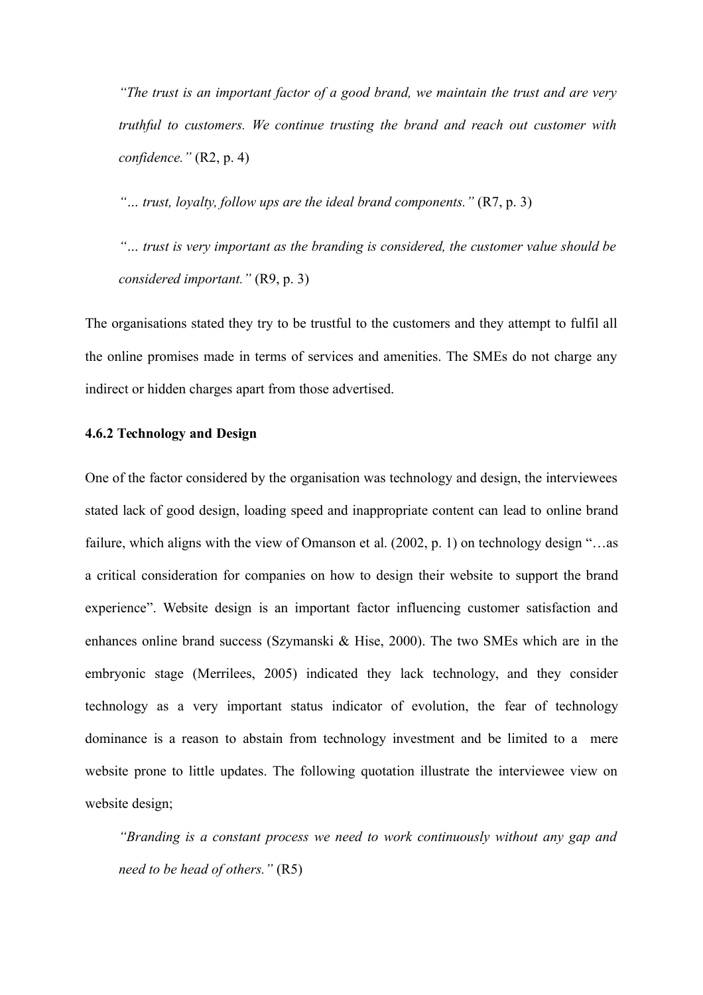*"The trust is an important factor of a good brand, we maintain the trust and are very truthful to customers. We continue trusting the brand and reach out customer with confidence."* (R2, p. 4)

*"… trust, loyalty, follow ups are the ideal brand components."* (R7, p. 3)

*"… trust is very important as the branding is considered, the customer value should be considered important."* (R9, p. 3)

The organisations stated they try to be trustful to the customers and they attempt to fulfil all the online promises made in terms of services and amenities. The SMEs do not charge any indirect or hidden charges apart from those advertised.

# **4.6.2 Technology and Design**

One of the factor considered by the organisation was technology and design, the interviewees stated lack of good design, loading speed and inappropriate content can lead to online brand failure, which aligns with the view of Omanson et al. (2002, p. 1) on technology design "...as a critical consideration for companies on how to design their website to support the brand experience". Website design is an important factor influencing customer satisfaction and enhances online brand success (Szymanski & Hise, 2000). The two SMEs which are in the embryonic stage (Merrilees, 2005) indicated they lack technology, and they consider technology as a very important status indicator of evolution, the fear of technology dominance is a reason to abstain from technology investment and be limited to a mere website prone to little updates. The following quotation illustrate the interviewee view on website design;

*"Branding is a constant process we need to work continuously without any gap and need to be head of others."* (R5)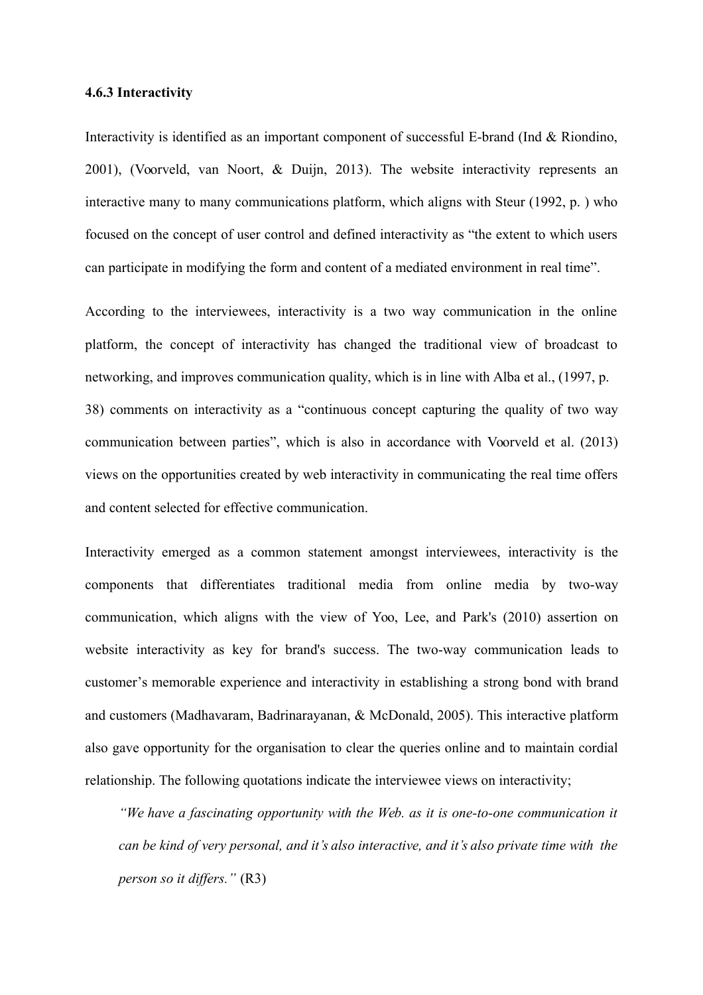#### **4.6.3 Interactivity**

Interactivity is identified as an important component of successful E-brand (Ind & Riondino, 2001), (Voorveld, van Noort, & Duijn, 2013). The website interactivity represents an interactive many to many communications platform, which aligns with Steur (1992, p. ) who focused on the concept of user control and defined interactivity as "the extent to which users can participate in modifying the form and content of a mediated environment in real time".

According to the interviewees, interactivity is a two way communication in the online platform, the concept of interactivity has changed the traditional view of broadcast to networking, and improves communication quality, which is in line with Alba et al., (1997, p. 38) comments on interactivity as a "continuous concept capturing the quality of two way communication between parties", which is also in accordance with Voorveld et al. (2013) views on the opportunities created by web interactivity in communicating the real time offers and content selected for effective communication.

Interactivity emerged as a common statement amongst interviewees, interactivity is the components that differentiates traditional media from online media by two-way communication, which aligns with the view of Yoo, Lee, and Park's (2010) assertion on website interactivity as key for brand's success. The two-way communication leads to customer's memorable experience and interactivity in establishing a strong bond with brand and customers (Madhavaram, Badrinarayanan, & McDonald, 2005). This interactive platform also gave opportunity for the organisation to clear the queries online and to maintain cordial relationship. The following quotations indicate the interviewee views on interactivity;

*"We have a fascinating opportunity with the Web. as it is one-to-one communication it can be kind of very personal, and it's also interactive, and it's also private time with the person so it differs."* (R3)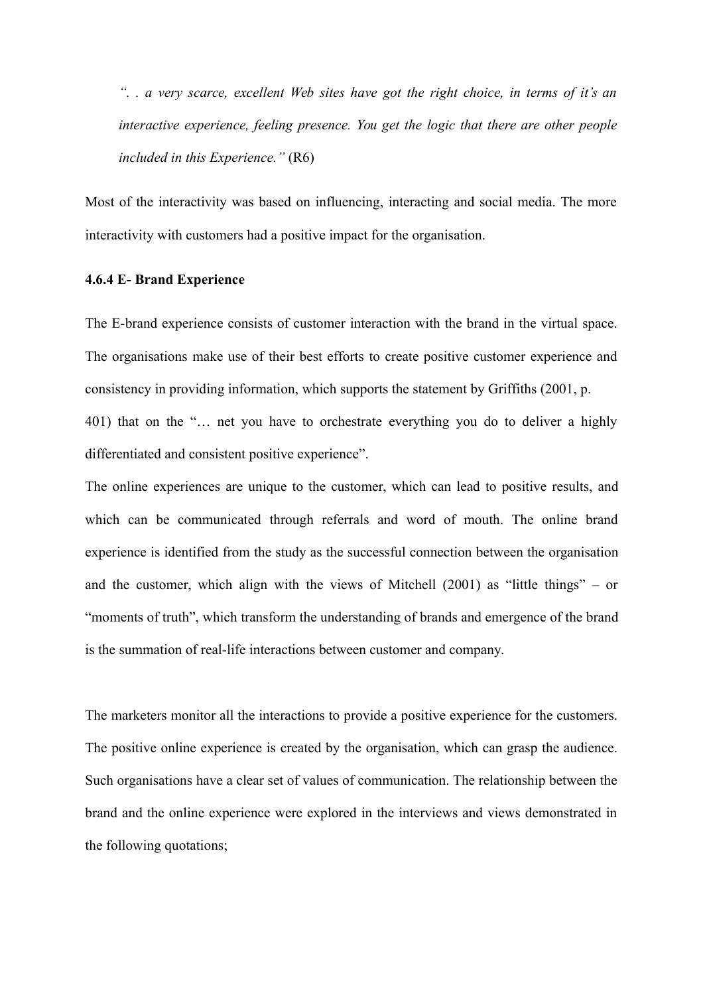*". . a very scarce, excellent Web sites have got the right choice, in terms of it's an interactive experience, feeling presence. You get the logic that there are other people included in this Experience."* (R6)

Most of the interactivity was based on influencing, interacting and social media. The more interactivity with customers had a positive impact for the organisation.

## **4.6.4 E- Brand Experience**

The E-brand experience consists of customer interaction with the brand in the virtual space. The organisations make use of their best efforts to create positive customer experience and consistency in providing information, which supports the statement by Griffiths (2001, p. 401) that on the "… net you have to orchestrate everything you do to deliver a highly

differentiated and consistent positive experience".

The online experiences are unique to the customer, which can lead to positive results, and which can be communicated through referrals and word of mouth. The online brand experience is identified from the study as the successful connection between the organisation and the customer, which align with the views of Mitchell (2001) as "little things" – or "moments of truth", which transform the understanding of brands and emergence of the brand is the summation of real-life interactions between customer and company.

The marketers monitor all the interactions to provide a positive experience for the customers. The positive online experience is created by the organisation, which can grasp the audience. Such organisations have a clear set of values of communication. The relationship between the brand and the online experience were explored in the interviews and views demonstrated in the following quotations;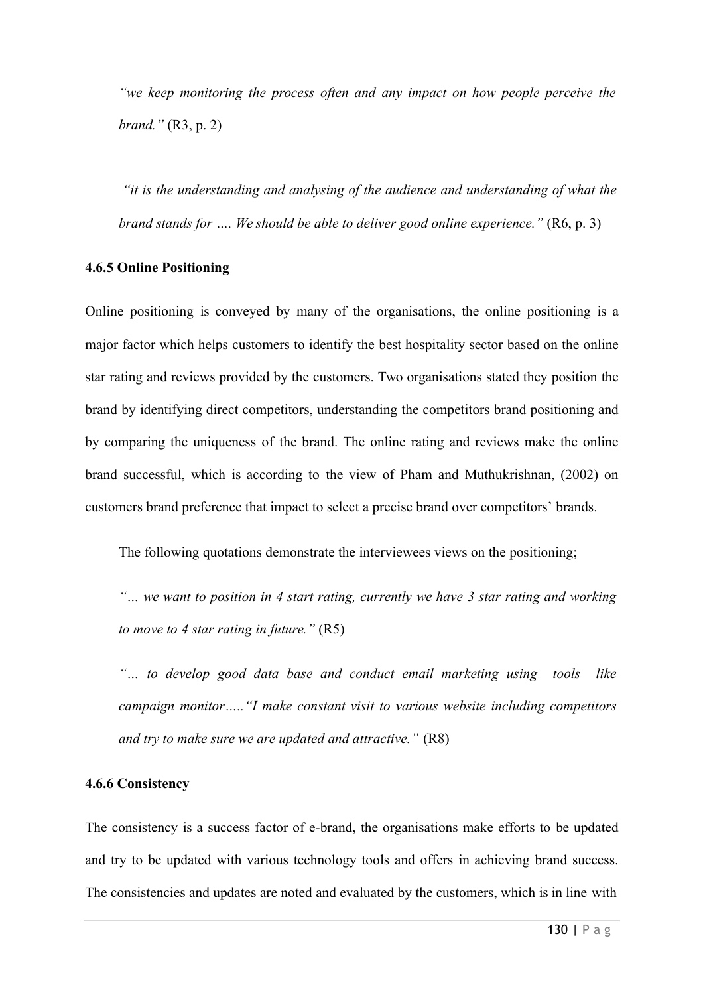*"we keep monitoring the process often and any impact on how people perceive the brand."* (R3, p. 2)

*"it is the understanding and analysing of the audience and understanding of what the brand stands for .... We should be able to deliver good online experience.*" (R6, p. 3)

## **4.6.5 Online Positioning**

Online positioning is conveyed by many of the organisations, the online positioning is a major factor which helps customers to identify the best hospitality sector based on the online star rating and reviews provided by the customers. Two organisations stated they position the brand by identifying direct competitors, understanding the competitors brand positioning and by comparing the uniqueness of the brand. The online rating and reviews make the online brand successful, which is according to the view of Pham and Muthukrishnan, (2002) on customers brand preference that impact to select a precise brand over competitors' brands.

The following quotations demonstrate the interviewees views on the positioning;

*"… we want to position in 4 start rating, currently we have 3 star rating and working to move to 4 star rating in future."* (R5)

*"… to develop good data base and conduct email marketing using tools like campaign monitor….."I make constant visit to various website including competitors and try to make sure we are updated and attractive."* (R8)

# **4.6.6 Consistency**

The consistency is a success factor of e-brand, the organisations make efforts to be updated and try to be updated with various technology tools and offers in achieving brand success. The consistencies and updates are noted and evaluated by the customers, which is in line with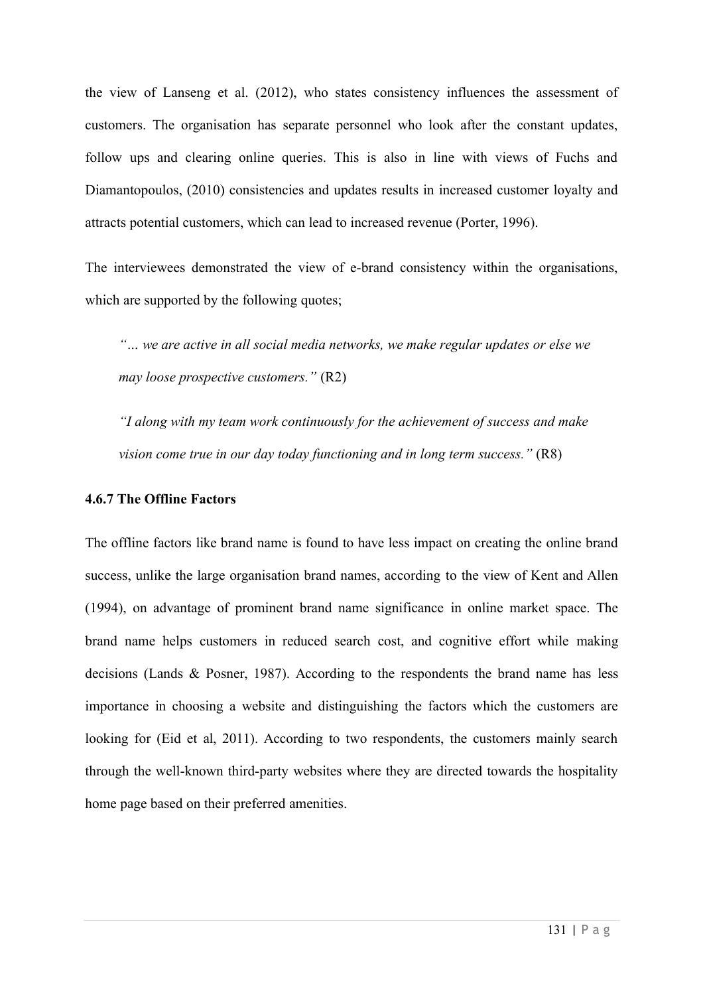the view of Lanseng et al. (2012), who states consistency influences the assessment of customers. The organisation has separate personnel who look after the constant updates, follow ups and clearing online queries. This is also in line with views of Fuchs and Diamantopoulos, (2010) consistencies and updates results in increased customer loyalty and attracts potential customers, which can lead to increased revenue (Porter, 1996).

The interviewees demonstrated the view of e-brand consistency within the organisations, which are supported by the following quotes;

*"… we are active in all social media networks, we make regular updates or else we may loose prospective customers."* (R2)

*"I along with my team work continuously for the achievement of success and make vision come true in our day today functioning and in long term success."* (R8)

# **4.6.7 The Offline Factors**

The offline factors like brand name is found to have less impact on creating the online brand success, unlike the large organisation brand names, according to the view of Kent and Allen (1994), on advantage of prominent brand name significance in online market space. The brand name helps customers in reduced search cost, and cognitive effort while making decisions (Lands & Posner, 1987). According to the respondents the brand name has less importance in choosing a website and distinguishing the factors which the customers are looking for (Eid et al, 2011). According to two respondents, the customers mainly search through the well-known third-party websites where they are directed towards the hospitality home page based on their preferred amenities.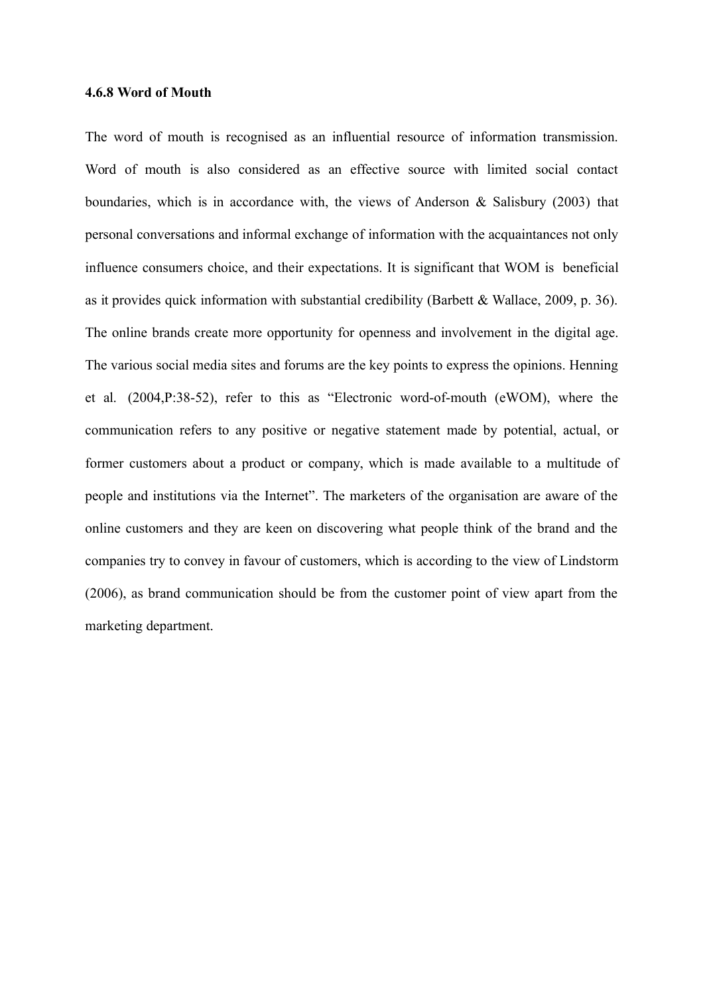#### **4.6.8 Word of Mouth**

The word of mouth is recognised as an influential resource of information transmission. Word of mouth is also considered as an effective source with limited social contact boundaries, which is in accordance with, the views of Anderson & Salisbury (2003) that personal conversations and informal exchange of information with the acquaintances not only influence consumers choice, and their expectations. It is significant that WOM is beneficial as it provides quick information with substantial credibility (Barbett & Wallace, 2009, p. 36). The online brands create more opportunity for openness and involvement in the digital age. The various social media sites and forums are the key points to express the opinions. Henning et al. (2004,P:38-52), refer to this as "Electronic word-of-mouth (eWOM), where the communication refers to any positive or negative statement made by potential, actual, or former customers about a product or company, which is made available to a multitude of people and institutions via the Internet". The marketers of the organisation are aware of the online customers and they are keen on discovering what people think of the brand and the companies try to convey in favour of customers, which is according to the view of Lindstorm (2006), as brand communication should be from the customer point of view apart from the marketing department.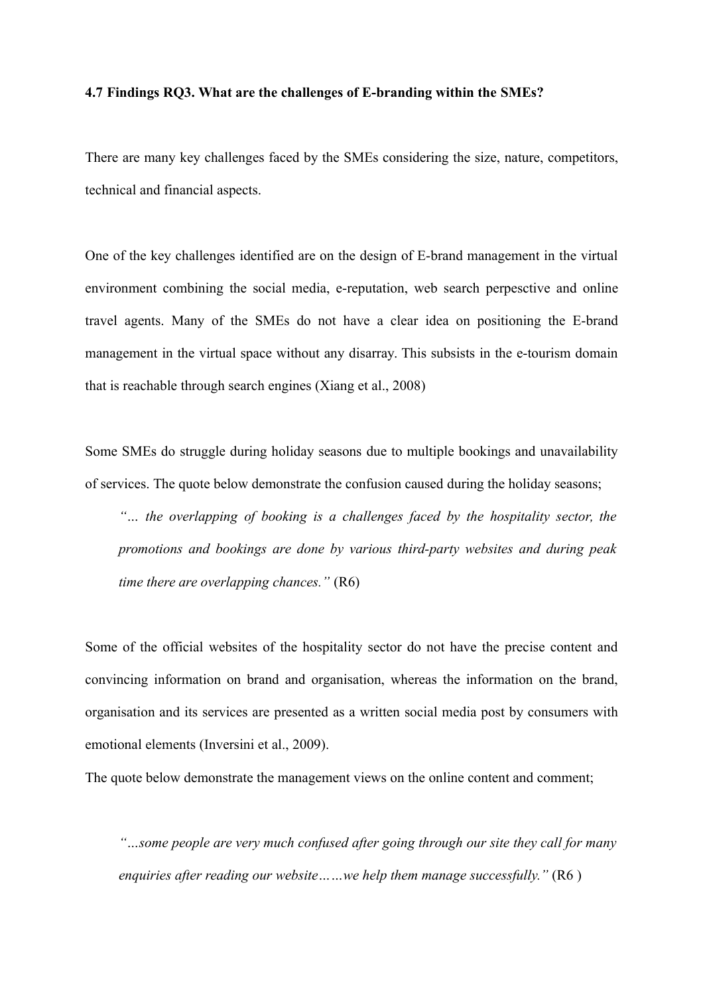#### **4.7 Findings RQ3. What are the challenges of E-branding within the SMEs?**

There are many key challenges faced by the SMEs considering the size, nature, competitors, technical and financial aspects.

One of the key challenges identified are on the design of E-brand management in the virtual environment combining the social media, e-reputation, web search perpesctive and online travel agents. Many of the SMEs do not have a clear idea on positioning the E-brand management in the virtual space without any disarray. This subsists in the e-tourism domain that is reachable through search engines (Xiang et al., 2008)

Some SMEs do struggle during holiday seasons due to multiple bookings and unavailability of services. The quote below demonstrate the confusion caused during the holiday seasons;

*"… the overlapping of booking is a challenges faced by the hospitality sector, the promotions and bookings are done by various third-party websites and during peak time there are overlapping chances."* (R6)

Some of the official websites of the hospitality sector do not have the precise content and convincing information on brand and organisation, whereas the information on the brand, organisation and its services are presented as a written social media post by consumers with emotional elements (Inversini et al., 2009).

The quote below demonstrate the management views on the online content and comment;

*"…some people are very much confused after going through our site they call for many enquiries after reading our website……we help them manage successfully."* (R6 )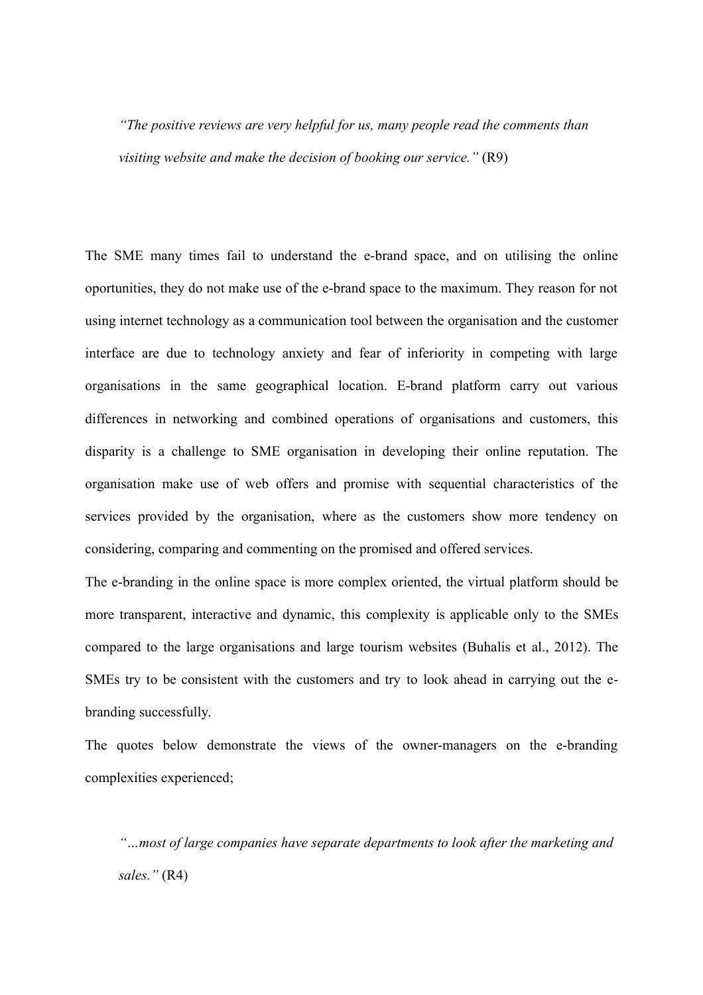*"The positive reviews are very helpful for us, many people read the comments than visiting website and make the decision of booking our service."* (R9)

The SME many times fail to understand the e-brand space, and on utilising the online oportunities, they do not make use of the e-brand space to the maximum. They reason for not using internet technology as a communication tool between the organisation and the customer interface are due to technology anxiety and fear of inferiority in competing with large organisations in the same geographical location. E-brand platform carry out various differences in networking and combined operations of organisations and customers, this disparity is a challenge to SME organisation in developing their online reputation. The organisation make use of web offers and promise with sequential characteristics of the services provided by the organisation, where as the customers show more tendency on considering, comparing and commenting on the promised and offered services.

The e-branding in the online space is more complex oriented, the virtual platform should be more transparent, interactive and dynamic, this complexity is applicable only to the SMEs compared to the large organisations and large tourism websites (Buhalis et al., 2012). The SMEs try to be consistent with the customers and try to look ahead in carrying out the ebranding successfully.

The quotes below demonstrate the views of the owner-managers on the e-branding complexities experienced;

*"…most of large companies have separate departments to look after the marketing and sales."* (R4)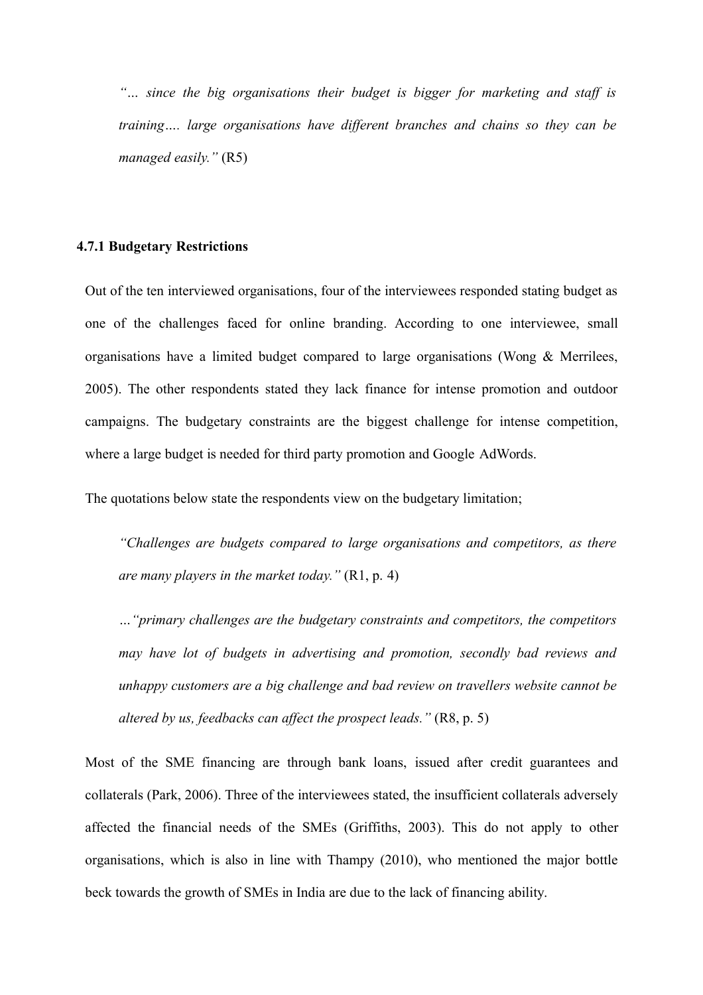*"… since the big organisations their budget is bigger for marketing and staff is training…. large organisations have different branches and chains so they can be managed easily."* (R5)

#### **4.7.1 Budgetary Restrictions**

Out of the ten interviewed organisations, four of the interviewees responded stating budget as one of the challenges faced for online branding. According to one interviewee, small organisations have a limited budget compared to large organisations (Wong & Merrilees, 2005). The other respondents stated they lack finance for intense promotion and outdoor campaigns. The budgetary constraints are the biggest challenge for intense competition, where a large budget is needed for third party promotion and Google AdWords.

The quotations below state the respondents view on the budgetary limitation;

*"Challenges are budgets compared to large organisations and competitors, as there are many players in the market today."* (R1, p. 4)

*…"primary challenges are the budgetary constraints and competitors, the competitors may have lot of budgets in advertising and promotion, secondly bad reviews and unhappy customers are a big challenge and bad review on travellers website cannot be altered by us, feedbacks can affect the prospect leads."* (R8, p. 5)

Most of the SME financing are through bank loans, issued after credit guarantees and collaterals (Park, 2006). Three of the interviewees stated, the insufficient collaterals adversely affected the financial needs of the SMEs (Griffiths, 2003). This do not apply to other organisations, which is also in line with Thampy (2010), who mentioned the major bottle beck towards the growth of SMEs in India are due to the lack of financing ability.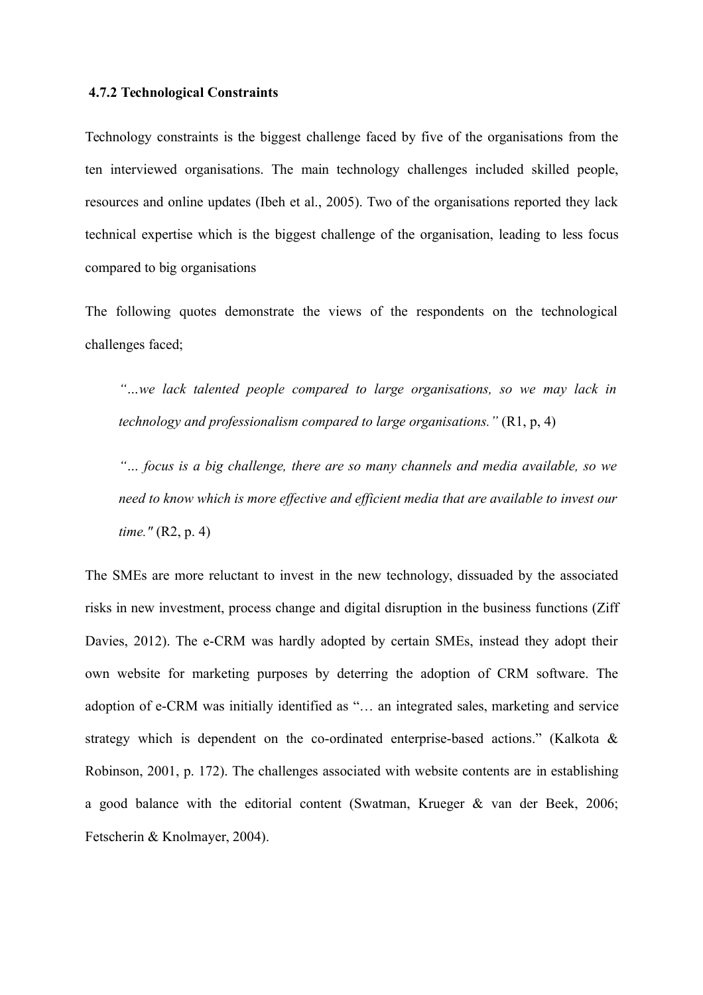#### **4.7.2 Technological Constraints**

Technology constraints is the biggest challenge faced by five of the organisations from the ten interviewed organisations. The main technology challenges included skilled people, resources and online updates (Ibeh et al., 2005). Two of the organisations reported they lack technical expertise which is the biggest challenge of the organisation, leading to less focus compared to big organisations

The following quotes demonstrate the views of the respondents on the technological challenges faced;

*"…we lack talented people compared to large organisations, so we may lack in technology and professionalism compared to large organisations."* (R1, p, 4)

*"… focus is a big challenge, there are so many channels and media available, so we need to know which is more effective and efficient media that are available to invest our time."* (R2, p. 4)

The SMEs are more reluctant to invest in the new technology, dissuaded by the associated risks in new investment, process change and digital disruption in the business functions (Ziff Davies, 2012). The e-CRM was hardly adopted by certain SMEs, instead they adopt their own website for marketing purposes by deterring the adoption of CRM software. The adoption of e-CRM was initially identified as "… an integrated sales, marketing and service strategy which is dependent on the co-ordinated enterprise-based actions." (Kalkota & Robinson, 2001, p. 172). The challenges associated with website contents are in establishing a good balance with the editorial content (Swatman, Krueger & van der Beek, 2006; Fetscherin & Knolmayer, 2004).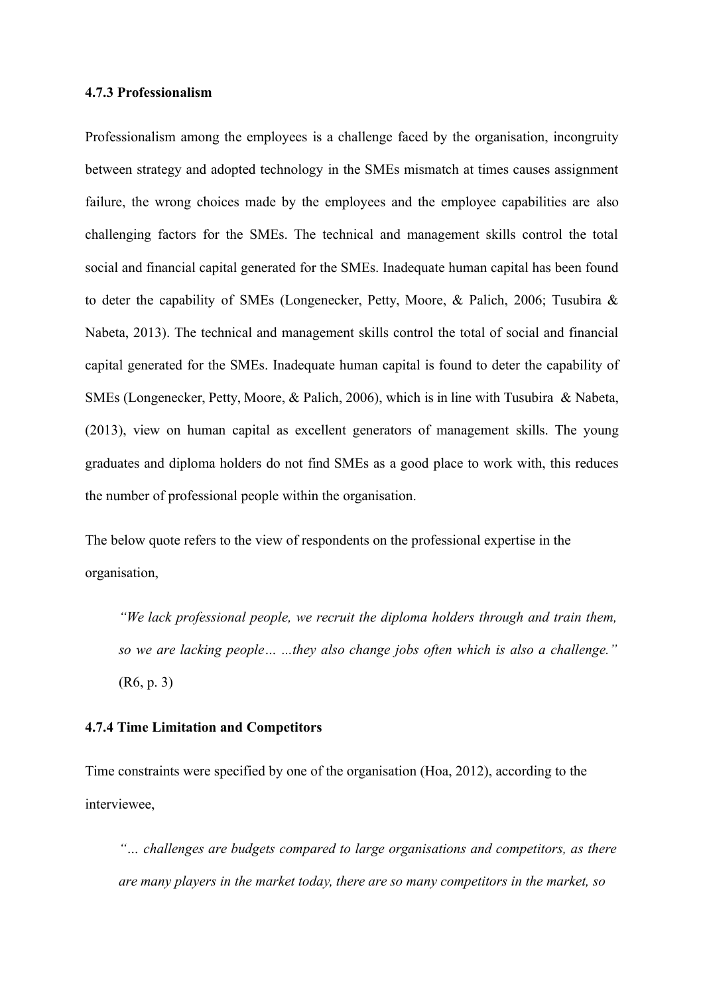## **4.7.3 Professionalism**

Professionalism among the employees is a challenge faced by the organisation, incongruity between strategy and adopted technology in the SMEs mismatch at times causes assignment failure, the wrong choices made by the employees and the employee capabilities are also challenging factors for the SMEs. The technical and management skills control the total social and financial capital generated for the SMEs. Inadequate human capital has been found to deter the capability of SMEs (Longenecker, Petty, Moore, & Palich, 2006; Tusubira & Nabeta, 2013). The technical and management skills control the total of social and financial capital generated for the SMEs. Inadequate human capital is found to deter the capability of SMEs (Longenecker, Petty, Moore, & Palich, 2006), which is in line with Tusubira & Nabeta, (2013), view on human capital as excellent generators of management skills. The young graduates and diploma holders do not find SMEs as a good place to work with, this reduces the number of professional people within the organisation.

The below quote refers to the view of respondents on the professional expertise in the organisation,

*"We lack professional people, we recruit the diploma holders through and train them, so we are lacking people… ...they also change jobs often which is also a challenge."* (R6, p. 3)

## **4.7.4 Time Limitation and Competitors**

Time constraints were specified by one of the organisation (Hoa, 2012), according to the interviewee,

*"… challenges are budgets compared to large organisations and competitors, as there are many players in the market today, there are so many competitors in the market, so*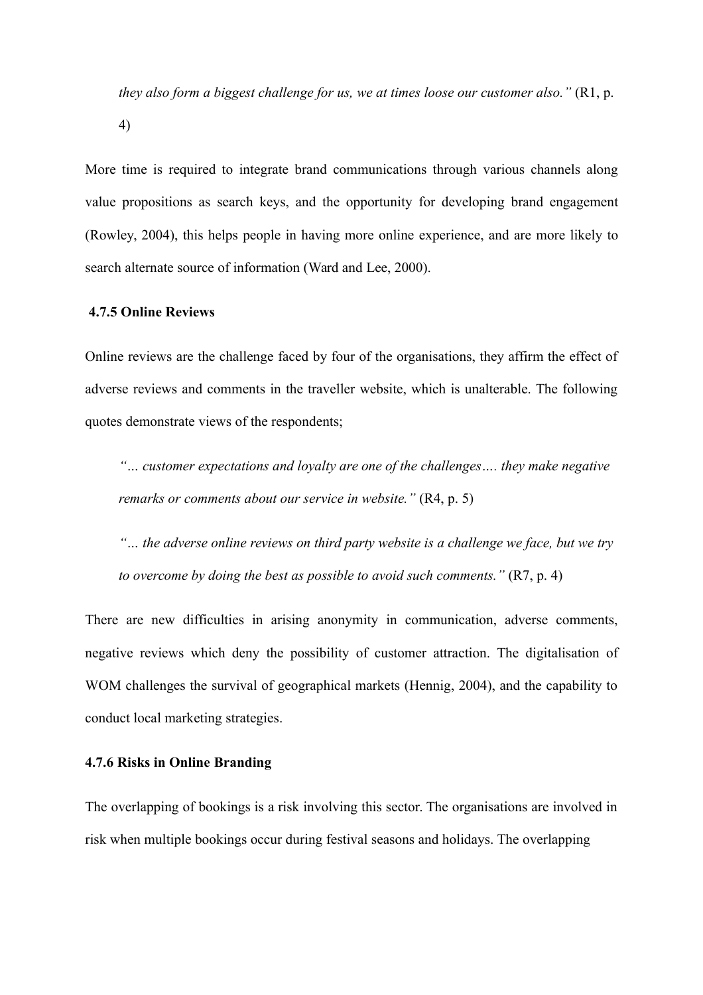*they also form a biggest challenge for us, we at times loose our customer also."* (R1, p. 4)

More time is required to integrate brand communications through various channels along value propositions as search keys, and the opportunity for developing brand engagement (Rowley, 2004), this helps people in having more online experience, and are more likely to search alternate source of information (Ward and Lee, 2000).

#### **4.7.5 Online Reviews**

Online reviews are the challenge faced by four of the organisations, they affirm the effect of adverse reviews and comments in the traveller website, which is unalterable. The following quotes demonstrate views of the respondents;

*"… customer expectations and loyalty are one of the challenges…. they make negative remarks or comments about our service in website.*" (R4, p. 5)

*"… the adverse online reviews on third party website is a challenge we face, but we try to overcome by doing the best as possible to avoid such comments."* (R7, p. 4)

There are new difficulties in arising anonymity in communication, adverse comments, negative reviews which deny the possibility of customer attraction. The digitalisation of WOM challenges the survival of geographical markets (Hennig, 2004), and the capability to conduct local marketing strategies.

## **4.7.6 Risks in Online Branding**

The overlapping of bookings is a risk involving this sector. The organisations are involved in risk when multiple bookings occur during festival seasons and holidays. The overlapping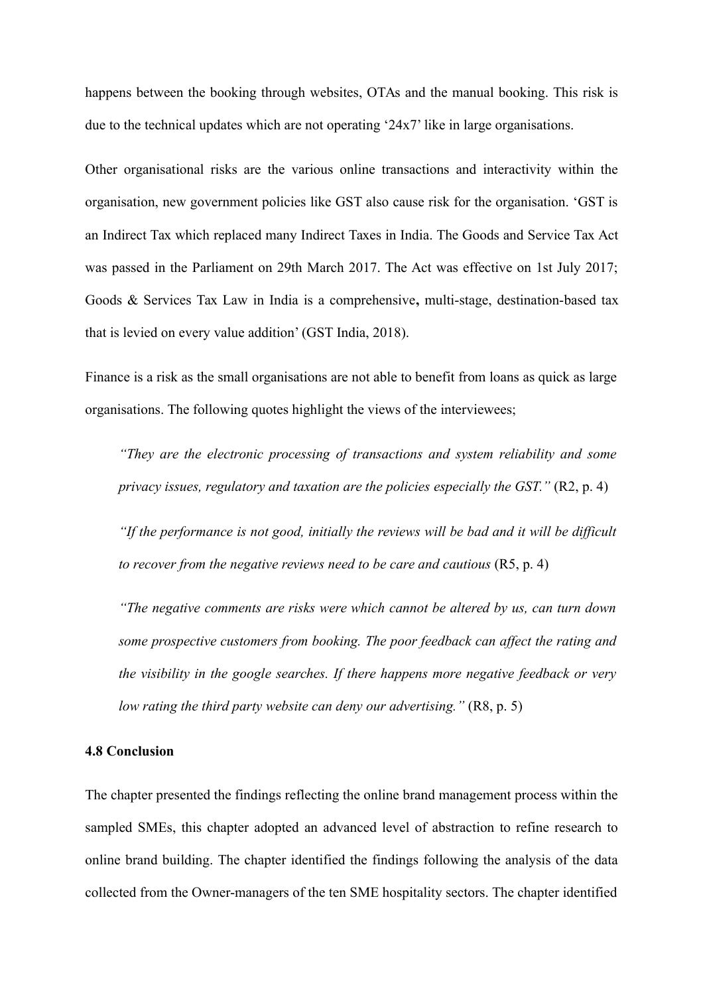happens between the booking through websites, OTAs and the manual booking. This risk is due to the technical updates which are not operating '24x7' like in large organisations.

Other organisational risks are the various online transactions and interactivity within the organisation, new government policies like GST also cause risk for the organisation. 'GST is an Indirect Tax which replaced many Indirect Taxes in India. The Goods and Service Tax Act was passed in the Parliament on 29th March 2017. The Act was effective on 1st July 2017; Goods & Services Tax Law in India is a comprehensive**,** multi-stage, destination-based tax that is levied on every value addition' (GST India, 2018).

Finance is a risk as the small organisations are not able to benefit from loans as quick as large organisations. The following quotes highlight the views of the interviewees;

*"They are the electronic processing of transactions and system reliability and some privacy issues, regulatory and taxation are the policies especially the GST."* (R2, p. 4)

*"If the performance is not good, initially the reviews will be bad and it will be difficult to recover from the negative reviews need to be care and cautious* (R5, p. 4)

*"The negative comments are risks were which cannot be altered by us, can turn down some prospective customers from booking. The poor feedback can affect the rating and the visibility in the google searches. If there happens more negative feedback or very low rating the third party website can deny our advertising."* (R8, p. 5)

## **4.8 Conclusion**

The chapter presented the findings reflecting the online brand management process within the sampled SMEs, this chapter adopted an advanced level of abstraction to refine research to online brand building. The chapter identified the findings following the analysis of the data collected from the Owner-managers of the ten SME hospitality sectors. The chapter identified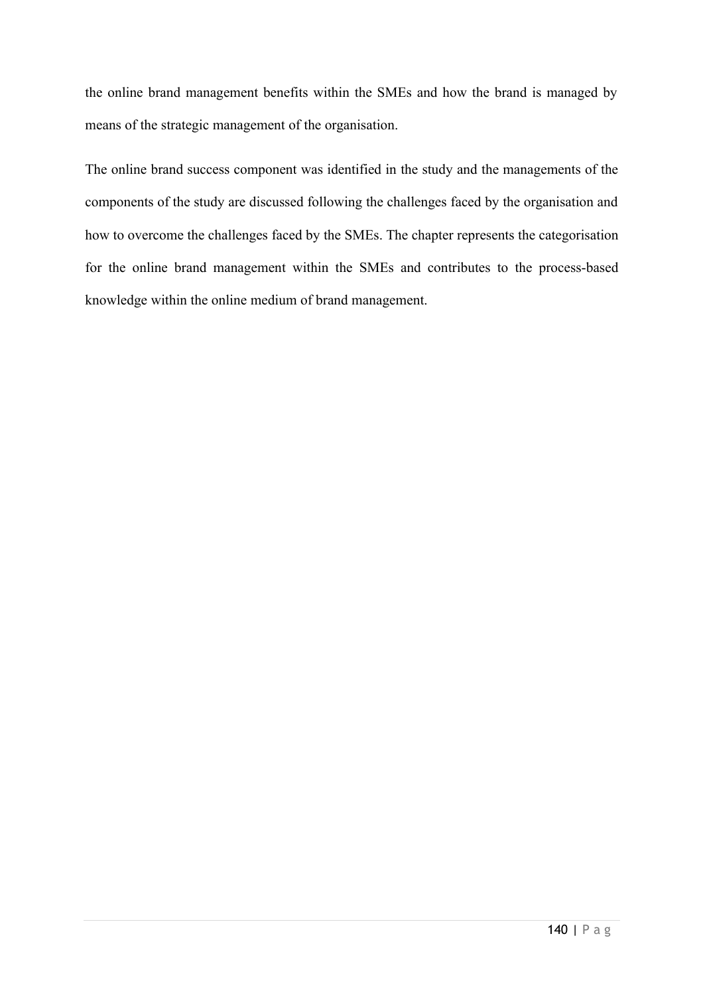the online brand management benefits within the SMEs and how the brand is managed by means of the strategic management of the organisation.

The online brand success component was identified in the study and the managements of the components of the study are discussed following the challenges faced by the organisation and how to overcome the challenges faced by the SMEs. The chapter represents the categorisation for the online brand management within the SMEs and contributes to the process-based knowledge within the online medium of brand management.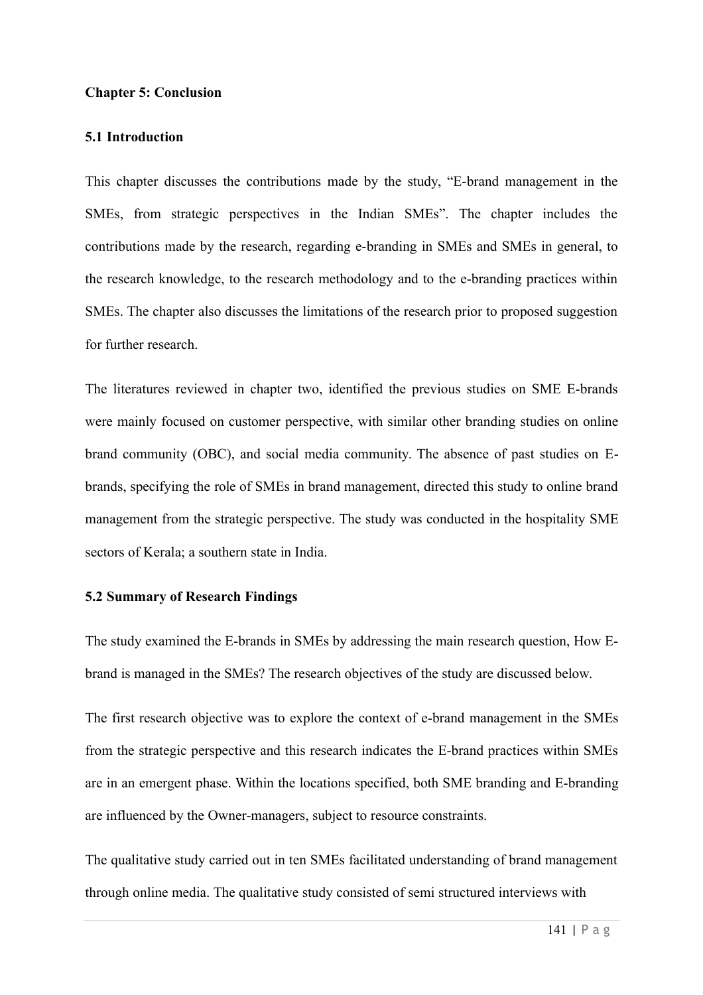## **Chapter 5: Conclusion**

## **5.1 Introduction**

This chapter discusses the contributions made by the study, "E-brand management in the SMEs, from strategic perspectives in the Indian SMEs". The chapter includes the contributions made by the research, regarding e-branding in SMEs and SMEs in general, to the research knowledge, to the research methodology and to the e-branding practices within SMEs. The chapter also discusses the limitations of the research prior to proposed suggestion for further research.

The literatures reviewed in chapter two, identified the previous studies on SME E-brands were mainly focused on customer perspective, with similar other branding studies on online brand community (OBC), and social media community. The absence of past studies on Ebrands, specifying the role of SMEs in brand management, directed this study to online brand management from the strategic perspective. The study was conducted in the hospitality SME sectors of Kerala; a southern state in India.

## **5.2 Summary of Research Findings**

The study examined the E-brands in SMEs by addressing the main research question, How Ebrand is managed in the SMEs? The research objectives of the study are discussed below.

The first research objective was to explore the context of e-brand management in the SMEs from the strategic perspective and this research indicates the E-brand practices within SMEs are in an emergent phase. Within the locations specified, both SME branding and E-branding are influenced by the Owner-managers, subject to resource constraints.

The qualitative study carried out in ten SMEs facilitated understanding of brand management through online media. The qualitative study consisted of semi structured interviews with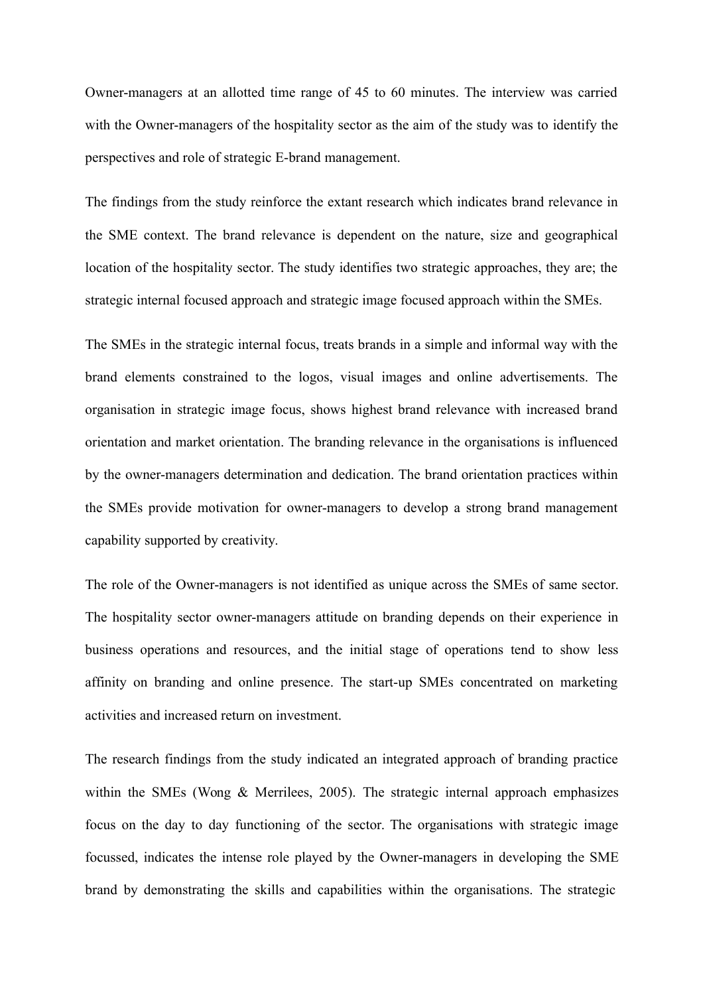Owner-managers at an allotted time range of 45 to 60 minutes. The interview was carried with the Owner-managers of the hospitality sector as the aim of the study was to identify the perspectives and role of strategic E-brand management.

The findings from the study reinforce the extant research which indicates brand relevance in the SME context. The brand relevance is dependent on the nature, size and geographical location of the hospitality sector. The study identifies two strategic approaches, they are; the strategic internal focused approach and strategic image focused approach within the SMEs.

The SMEs in the strategic internal focus, treats brands in a simple and informal way with the brand elements constrained to the logos, visual images and online advertisements. The organisation in strategic image focus, shows highest brand relevance with increased brand orientation and market orientation. The branding relevance in the organisations is influenced by the owner-managers determination and dedication. The brand orientation practices within the SMEs provide motivation for owner-managers to develop a strong brand management capability supported by creativity.

The role of the Owner-managers is not identified as unique across the SMEs of same sector. The hospitality sector owner-managers attitude on branding depends on their experience in business operations and resources, and the initial stage of operations tend to show less affinity on branding and online presence. The start-up SMEs concentrated on marketing activities and increased return on investment.

The research findings from the study indicated an integrated approach of branding practice within the SMEs (Wong & Merrilees, 2005). The strategic internal approach emphasizes focus on the day to day functioning of the sector. The organisations with strategic image focussed, indicates the intense role played by the Owner-managers in developing the SME brand by demonstrating the skills and capabilities within the organisations. The strategic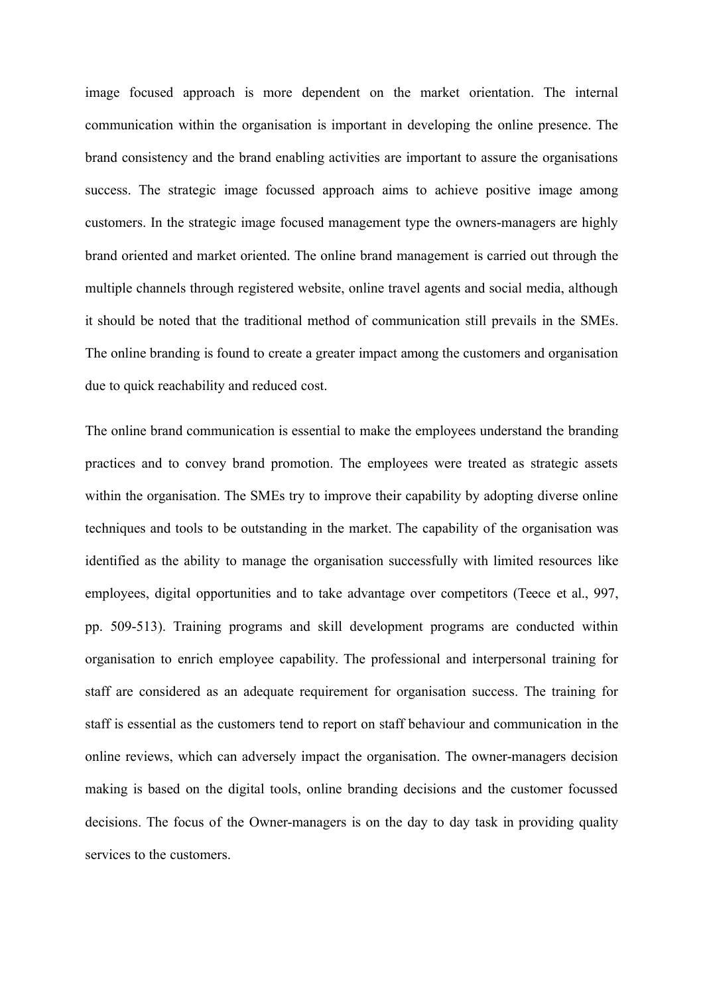image focused approach is more dependent on the market orientation. The internal communication within the organisation is important in developing the online presence. The brand consistency and the brand enabling activities are important to assure the organisations success. The strategic image focussed approach aims to achieve positive image among customers. In the strategic image focused management type the owners-managers are highly brand oriented and market oriented. The online brand management is carried out through the multiple channels through registered website, online travel agents and social media, although it should be noted that the traditional method of communication still prevails in the SMEs. The online branding is found to create a greater impact among the customers and organisation due to quick reachability and reduced cost.

The online brand communication is essential to make the employees understand the branding practices and to convey brand promotion. The employees were treated as strategic assets within the organisation. The SMEs try to improve their capability by adopting diverse online techniques and tools to be outstanding in the market. The capability of the organisation was identified as the ability to manage the organisation successfully with limited resources like employees, digital opportunities and to take advantage over competitors (Teece et al., 997, pp. 509-513). Training programs and skill development programs are conducted within organisation to enrich employee capability. The professional and interpersonal training for staff are considered as an adequate requirement for organisation success. The training for staff is essential as the customers tend to report on staff behaviour and communication in the online reviews, which can adversely impact the organisation. The owner-managers decision making is based on the digital tools, online branding decisions and the customer focussed decisions. The focus of the Owner-managers is on the day to day task in providing quality services to the customers.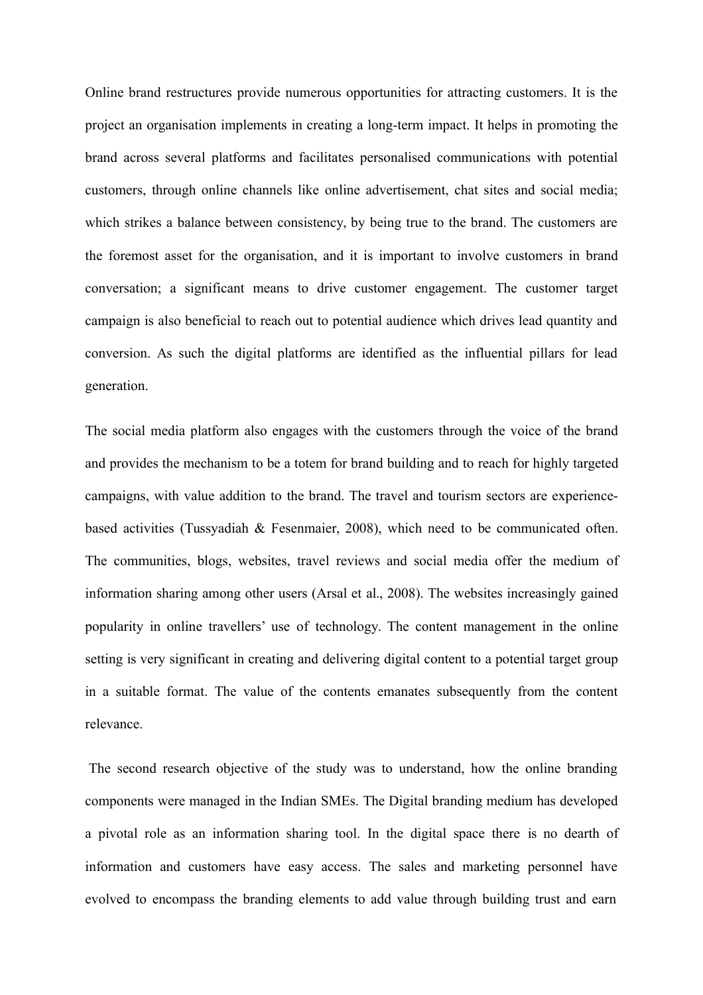Online brand restructures provide numerous opportunities for attracting customers. It is the project an organisation implements in creating a long-term impact. It helps in promoting the brand across several platforms and facilitates personalised communications with potential customers, through online channels like online advertisement, chat sites and social media; which strikes a balance between consistency, by being true to the brand. The customers are the foremost asset for the organisation, and it is important to involve customers in brand conversation; a significant means to drive customer engagement. The customer target campaign is also beneficial to reach out to potential audience which drives lead quantity and conversion. As such the digital platforms are identified as the influential pillars for lead generation.

The social media platform also engages with the customers through the voice of the brand and provides the mechanism to be a totem for brand building and to reach for highly targeted campaigns, with value addition to the brand. The travel and tourism sectors are experiencebased activities (Tussyadiah & Fesenmaier, 2008), which need to be communicated often. The communities, blogs, websites, travel reviews and social media offer the medium of information sharing among other users (Arsal et al., 2008). The websites increasingly gained popularity in online travellers' use of technology. The content management in the online setting is very significant in creating and delivering digital content to a potential target group in a suitable format. The value of the contents emanates subsequently from the content relevance.

The second research objective of the study was to understand, how the online branding components were managed in the Indian SMEs. The Digital branding medium has developed a pivotal role as an information sharing tool. In the digital space there is no dearth of information and customers have easy access. The sales and marketing personnel have evolved to encompass the branding elements to add value through building trust and earn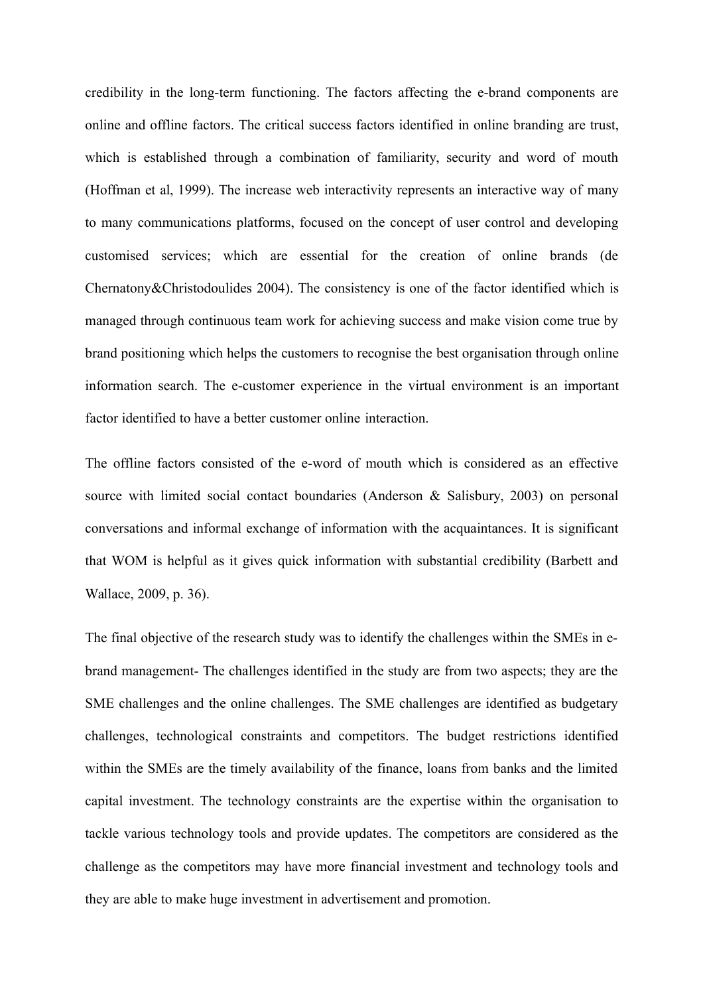credibility in the long-term functioning. The factors affecting the e-brand components are online and offline factors. The critical success factors identified in online branding are trust, which is established through a combination of familiarity, security and word of mouth (Hoffman et al, 1999). The increase web interactivity represents an interactive way of many to many communications platforms, focused on the concept of user control and developing customised services; which are essential for the creation of online brands (de Chernatony&Christodoulides 2004). The consistency is one of the factor identified which is managed through continuous team work for achieving success and make vision come true by brand positioning which helps the customers to recognise the best organisation through online information search. The e-customer experience in the virtual environment is an important factor identified to have a better customer online interaction.

The offline factors consisted of the e-word of mouth which is considered as an effective source with limited social contact boundaries (Anderson & Salisbury, 2003) on personal conversations and informal exchange of information with the acquaintances. It is significant that WOM is helpful as it gives quick information with substantial credibility (Barbett and Wallace, 2009, p. 36).

The final objective of the research study was to identify the challenges within the SMEs in ebrand management- The challenges identified in the study are from two aspects; they are the SME challenges and the online challenges. The SME challenges are identified as budgetary challenges, technological constraints and competitors. The budget restrictions identified within the SMEs are the timely availability of the finance, loans from banks and the limited capital investment. The technology constraints are the expertise within the organisation to tackle various technology tools and provide updates. The competitors are considered as the challenge as the competitors may have more financial investment and technology tools and they are able to make huge investment in advertisement and promotion.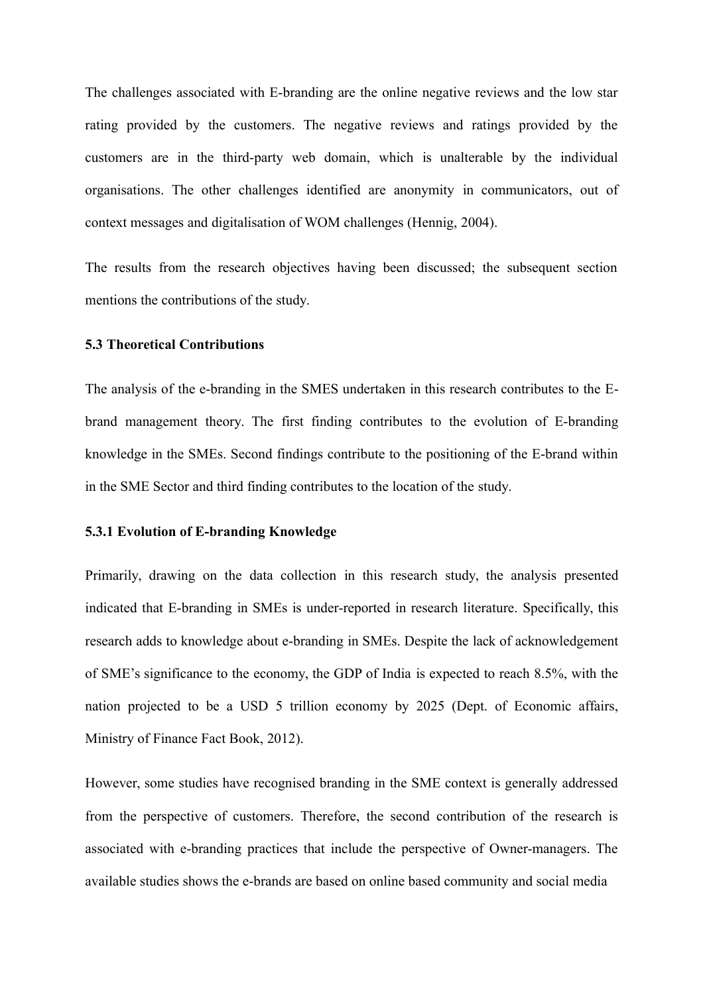The challenges associated with E-branding are the online negative reviews and the low star rating provided by the customers. The negative reviews and ratings provided by the customers are in the third-party web domain, which is unalterable by the individual organisations. The other challenges identified are anonymity in communicators, out of context messages and digitalisation of WOM challenges (Hennig, 2004).

The results from the research objectives having been discussed; the subsequent section mentions the contributions of the study.

### **5.3 Theoretical Contributions**

The analysis of the e-branding in the SMES undertaken in this research contributes to the Ebrand management theory. The first finding contributes to the evolution of E-branding knowledge in the SMEs. Second findings contribute to the positioning of the E-brand within in the SME Sector and third finding contributes to the location of the study.

## **5.3.1 Evolution of E-branding Knowledge**

Primarily, drawing on the data collection in this research study, the analysis presented indicated that E-branding in SMEs is under-reported in research literature. Specifically, this research adds to knowledge about e-branding in SMEs. Despite the lack of acknowledgement of SME's significance to the economy, the GDP of India is expected to reach 8.5%, with the nation projected to be a USD 5 trillion economy by 2025 (Dept. of Economic affairs, Ministry of Finance Fact Book, 2012).

However, some studies have recognised branding in the SME context is generally addressed from the perspective of customers. Therefore, the second contribution of the research is associated with e-branding practices that include the perspective of Owner-managers. The available studies shows the e-brands are based on online based community and social media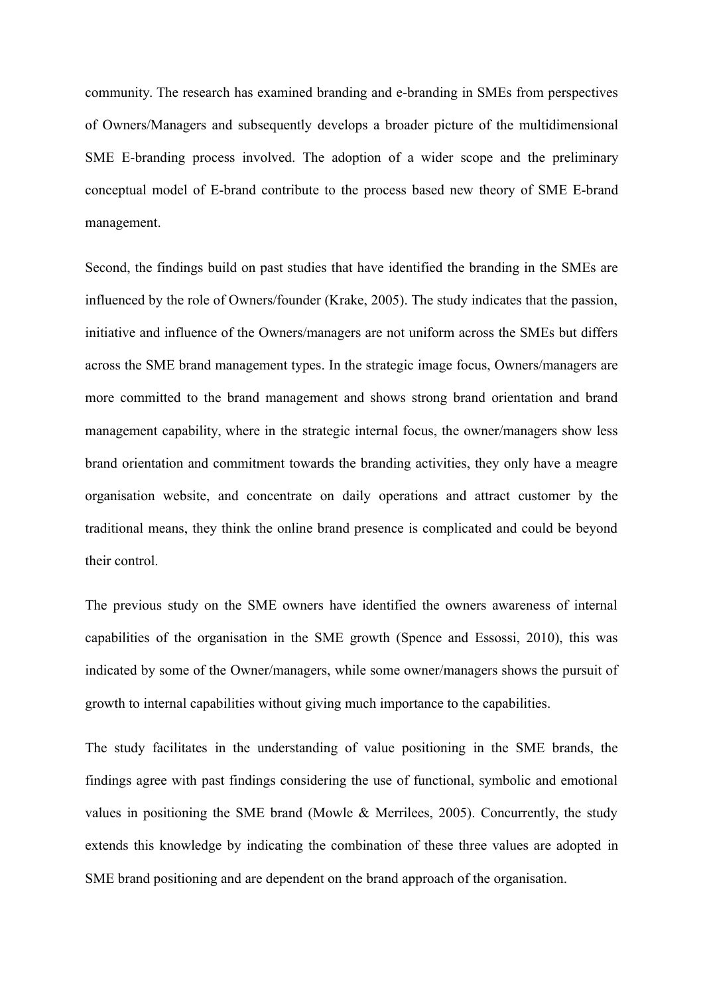community. The research has examined branding and e-branding in SMEs from perspectives of Owners/Managers and subsequently develops a broader picture of the multidimensional SME E-branding process involved. The adoption of a wider scope and the preliminary conceptual model of E-brand contribute to the process based new theory of SME E-brand management.

Second, the findings build on past studies that have identified the branding in the SMEs are influenced by the role of Owners/founder (Krake, 2005). The study indicates that the passion, initiative and influence of the Owners/managers are not uniform across the SMEs but differs across the SME brand management types. In the strategic image focus, Owners/managers are more committed to the brand management and shows strong brand orientation and brand management capability, where in the strategic internal focus, the owner/managers show less brand orientation and commitment towards the branding activities, they only have a meagre organisation website, and concentrate on daily operations and attract customer by the traditional means, they think the online brand presence is complicated and could be beyond their control.

The previous study on the SME owners have identified the owners awareness of internal capabilities of the organisation in the SME growth (Spence and Essossi, 2010), this was indicated by some of the Owner/managers, while some owner/managers shows the pursuit of growth to internal capabilities without giving much importance to the capabilities.

The study facilitates in the understanding of value positioning in the SME brands, the findings agree with past findings considering the use of functional, symbolic and emotional values in positioning the SME brand (Mowle & Merrilees, 2005). Concurrently, the study extends this knowledge by indicating the combination of these three values are adopted in SME brand positioning and are dependent on the brand approach of the organisation.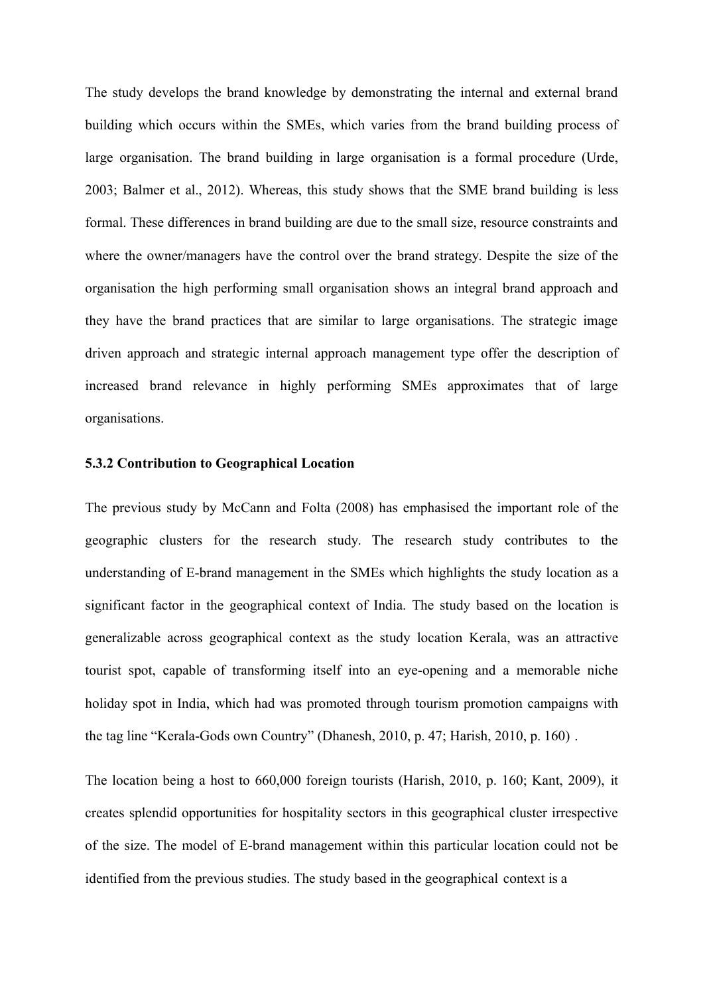The study develops the brand knowledge by demonstrating the internal and external brand building which occurs within the SMEs, which varies from the brand building process of large organisation. The brand building in large organisation is a formal procedure (Urde, 2003; Balmer et al., 2012). Whereas, this study shows that the SME brand building is less formal. These differences in brand building are due to the small size, resource constraints and where the owner/managers have the control over the brand strategy. Despite the size of the organisation the high performing small organisation shows an integral brand approach and they have the brand practices that are similar to large organisations. The strategic image driven approach and strategic internal approach management type offer the description of increased brand relevance in highly performing SMEs approximates that of large organisations.

## **5.3.2 Contribution to Geographical Location**

The previous study by McCann and Folta (2008) has emphasised the important role of the geographic clusters for the research study. The research study contributes to the understanding of E-brand management in the SMEs which highlights the study location as a significant factor in the geographical context of India. The study based on the location is generalizable across geographical context as the study location Kerala, was an attractive tourist spot, capable of transforming itself into an eye-opening and a memorable niche holiday spot in India, which had was promoted through tourism promotion campaigns with the tag line "Kerala-Gods own Country" (Dhanesh, 2010, p. 47; Harish, 2010, p. 160) .

The location being a host to 660,000 foreign tourists (Harish, 2010, p. 160; Kant, 2009), it creates splendid opportunities for hospitality sectors in this geographical cluster irrespective of the size. The model of E-brand management within this particular location could not be identified from the previous studies. The study based in the geographical context is a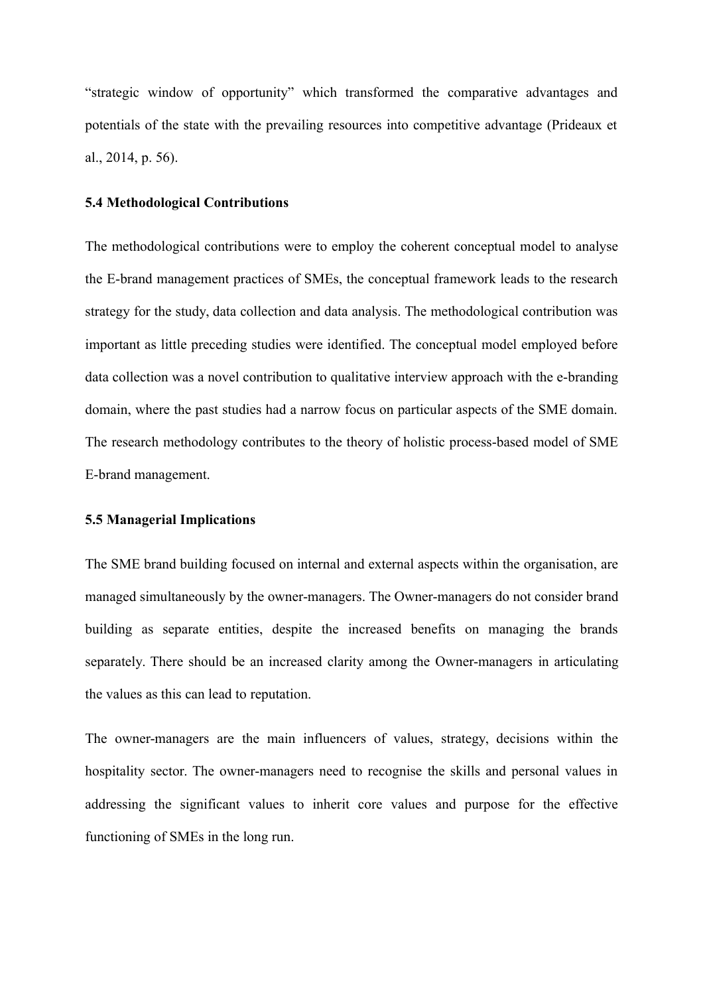"strategic window of opportunity" which transformed the comparative advantages and potentials of the state with the prevailing resources into competitive advantage (Prideaux et al., 2014, p. 56).

## **5.4 Methodological Contributions**

The methodological contributions were to employ the coherent conceptual model to analyse the E-brand management practices of SMEs, the conceptual framework leads to the research strategy for the study, data collection and data analysis. The methodological contribution was important as little preceding studies were identified. The conceptual model employed before data collection was a novel contribution to qualitative interview approach with the e-branding domain, where the past studies had a narrow focus on particular aspects of the SME domain. The research methodology contributes to the theory of holistic process-based model of SME E-brand management.

### **5.5 Managerial Implications**

The SME brand building focused on internal and external aspects within the organisation, are managed simultaneously by the owner-managers. The Owner-managers do not consider brand building as separate entities, despite the increased benefits on managing the brands separately. There should be an increased clarity among the Owner-managers in articulating the values as this can lead to reputation.

The owner-managers are the main influencers of values, strategy, decisions within the hospitality sector. The owner-managers need to recognise the skills and personal values in addressing the significant values to inherit core values and purpose for the effective functioning of SMEs in the long run.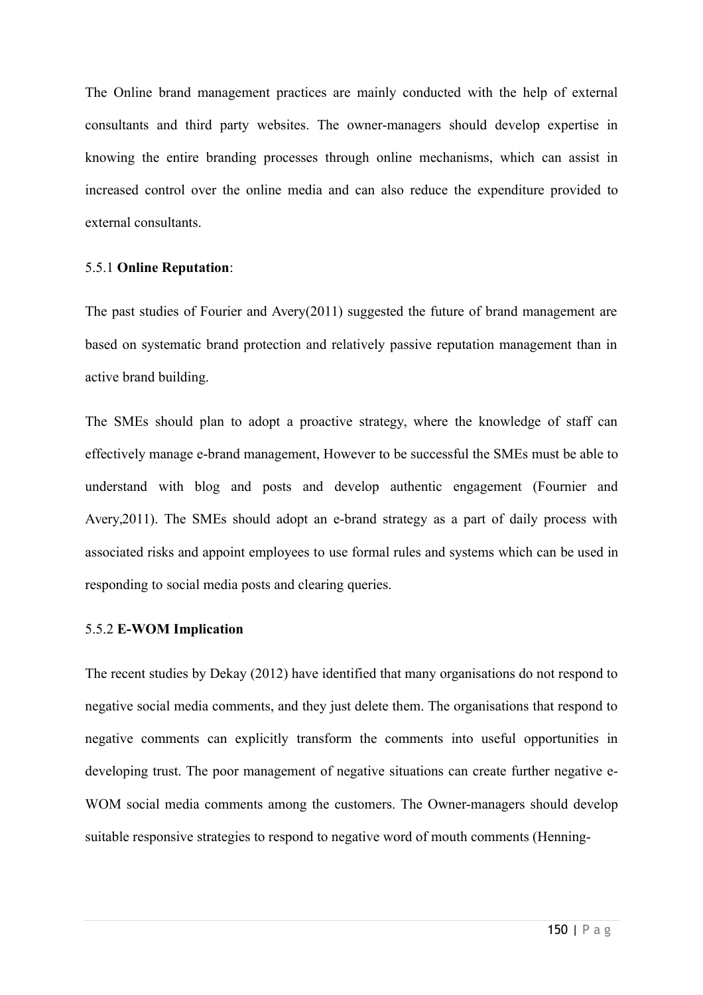The Online brand management practices are mainly conducted with the help of external consultants and third party websites. The owner-managers should develop expertise in knowing the entire branding processes through online mechanisms, which can assist in increased control over the online media and can also reduce the expenditure provided to external consultants.

# 5.5.1 **Online Reputation**:

The past studies of Fourier and Avery(2011) suggested the future of brand management are based on systematic brand protection and relatively passive reputation management than in active brand building.

The SMEs should plan to adopt a proactive strategy, where the knowledge of staff can effectively manage e-brand management, However to be successful the SMEs must be able to understand with blog and posts and develop authentic engagement (Fournier and Avery,2011). The SMEs should adopt an e-brand strategy as a part of daily process with associated risks and appoint employees to use formal rules and systems which can be used in responding to social media posts and clearing queries.

# 5.5.2 **E-WOM Implication**

The recent studies by Dekay (2012) have identified that many organisations do not respond to negative social media comments, and they just delete them. The organisations that respond to negative comments can explicitly transform the comments into useful opportunities in developing trust. The poor management of negative situations can create further negative e-WOM social media comments among the customers. The Owner-managers should develop suitable responsive strategies to respond to negative word of mouth comments (Henning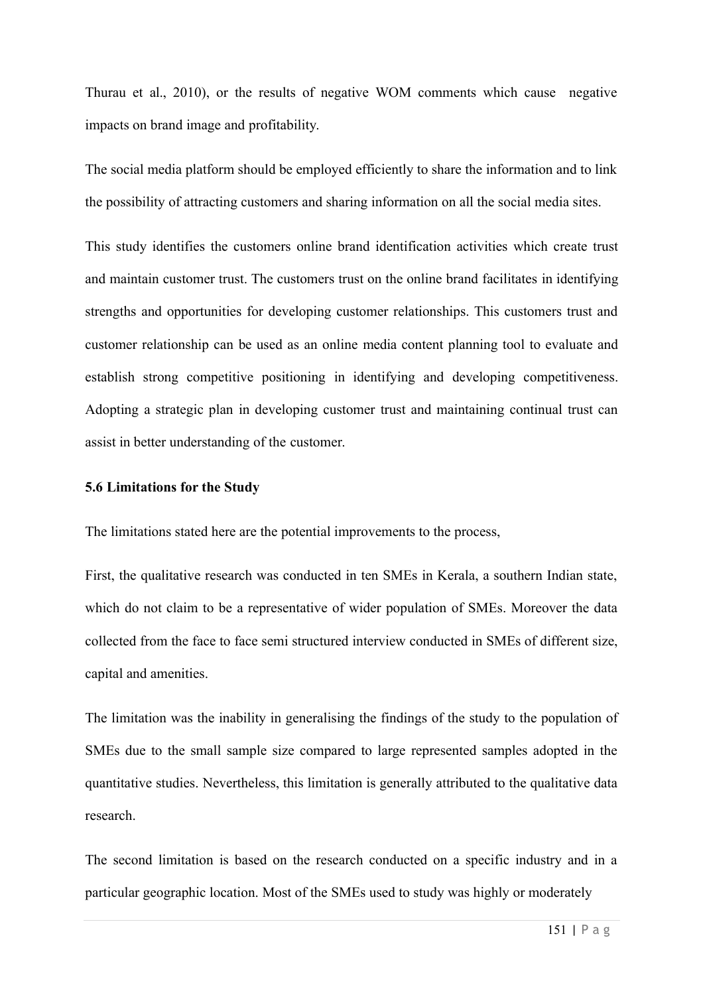Thurau et al., 2010), or the results of negative WOM comments which cause negative impacts on brand image and profitability.

The social media platform should be employed efficiently to share the information and to link the possibility of attracting customers and sharing information on all the social media sites.

This study identifies the customers online brand identification activities which create trust and maintain customer trust. The customers trust on the online brand facilitates in identifying strengths and opportunities for developing customer relationships. This customers trust and customer relationship can be used as an online media content planning tool to evaluate and establish strong competitive positioning in identifying and developing competitiveness. Adopting a strategic plan in developing customer trust and maintaining continual trust can assist in better understanding of the customer.

### **5.6 Limitations for the Study**

The limitations stated here are the potential improvements to the process,

First, the qualitative research was conducted in ten SMEs in Kerala, a southern Indian state, which do not claim to be a representative of wider population of SMEs. Moreover the data collected from the face to face semi structured interview conducted in SMEs of different size, capital and amenities.

The limitation was the inability in generalising the findings of the study to the population of SMEs due to the small sample size compared to large represented samples adopted in the quantitative studies. Nevertheless, this limitation is generally attributed to the qualitative data research.

The second limitation is based on the research conducted on a specific industry and in a particular geographic location. Most of the SMEs used to study was highly or moderately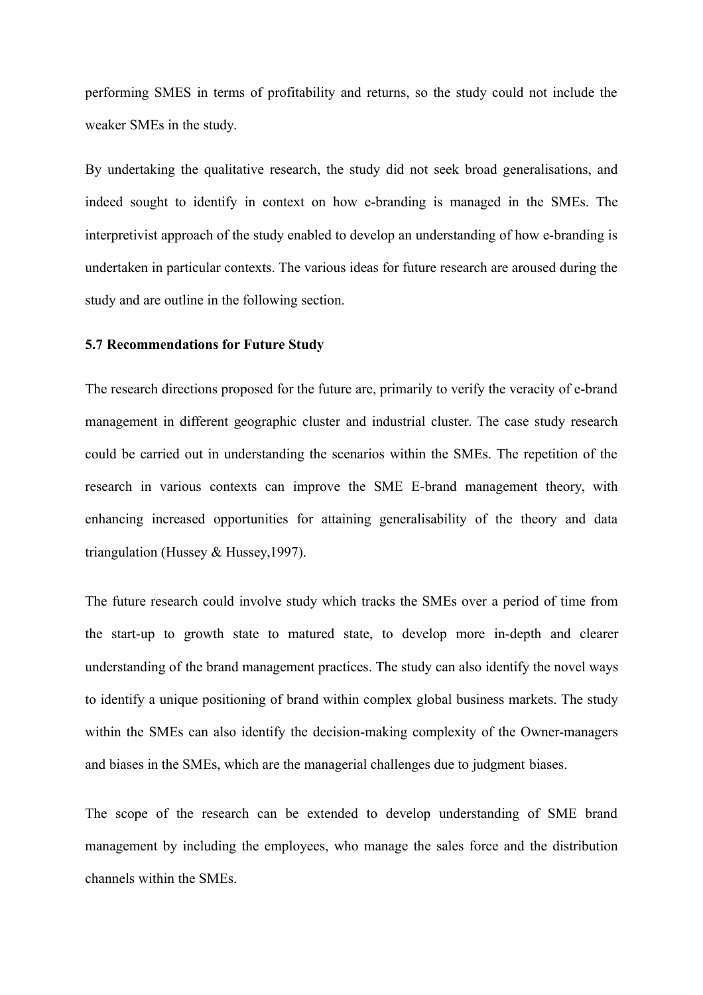performing SMES in terms of profitability and returns, so the study could not include the weaker SMEs in the study.

By undertaking the qualitative research, the study did not seek broad generalisations, and indeed sought to identify in context on how e-branding is managed in the SMEs. The interpretivist approach of the study enabled to develop an understanding of how e-branding is undertaken in particular contexts. The various ideas for future research are aroused during the study and are outline in the following section.

### **5.7 Recommendations for Future Study**

The research directions proposed for the future are, primarily to verify the veracity of e-brand management in different geographic cluster and industrial cluster. The case study research could be carried out in understanding the scenarios within the SMEs. The repetition of the research in various contexts can improve the SME E-brand management theory, with enhancing increased opportunities for attaining generalisability of the theory and data triangulation (Hussey & Hussey,1997).

The future research could involve study which tracks the SMEs over a period of time from the start-up to growth state to matured state, to develop more in-depth and clearer understanding of the brand management practices. The study can also identify the novel ways to identify a unique positioning of brand within complex global business markets. The study within the SMEs can also identify the decision-making complexity of the Owner-managers and biases in the SMEs, which are the managerial challenges due to judgment biases.

The scope of the research can be extended to develop understanding of SME brand management by including the employees, who manage the sales force and the distribution channels within the SMEs.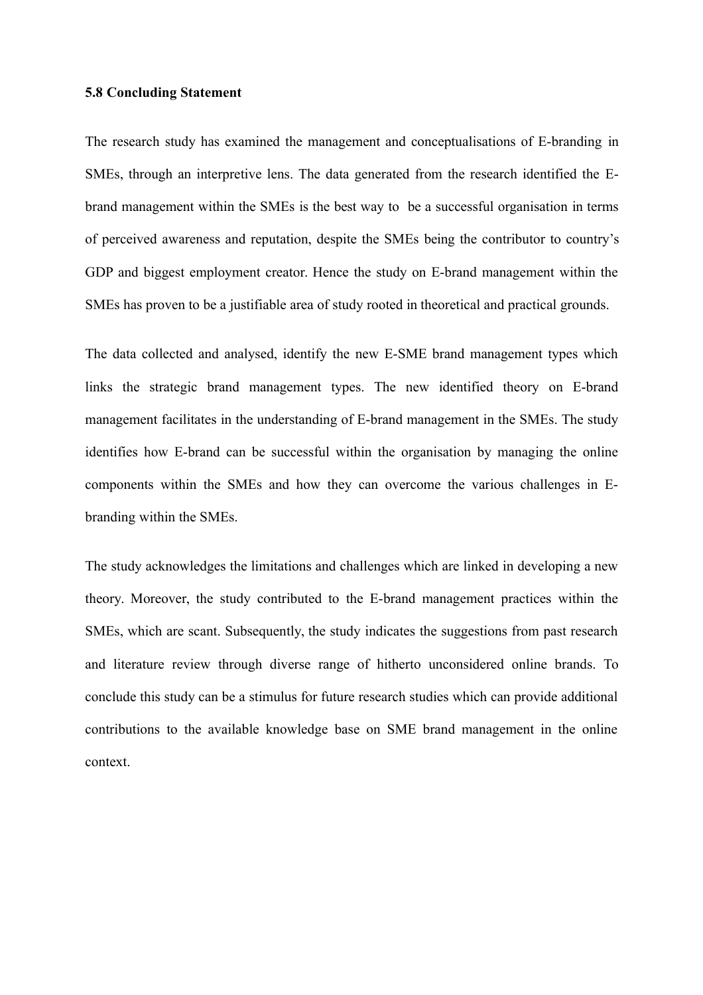### **5.8 Concluding Statement**

The research study has examined the management and conceptualisations of E-branding in SMEs, through an interpretive lens. The data generated from the research identified the Ebrand management within the SMEs is the best way to be a successful organisation in terms of perceived awareness and reputation, despite the SMEs being the contributor to country's GDP and biggest employment creator. Hence the study on E-brand management within the SMEs has proven to be a justifiable area of study rooted in theoretical and practical grounds.

The data collected and analysed, identify the new E-SME brand management types which links the strategic brand management types. The new identified theory on E-brand management facilitates in the understanding of E-brand management in the SMEs. The study identifies how E-brand can be successful within the organisation by managing the online components within the SMEs and how they can overcome the various challenges in Ebranding within the SMEs.

The study acknowledges the limitations and challenges which are linked in developing a new theory. Moreover, the study contributed to the E-brand management practices within the SMEs, which are scant. Subsequently, the study indicates the suggestions from past research and literature review through diverse range of hitherto unconsidered online brands. To conclude this study can be a stimulus for future research studies which can provide additional contributions to the available knowledge base on SME brand management in the online context.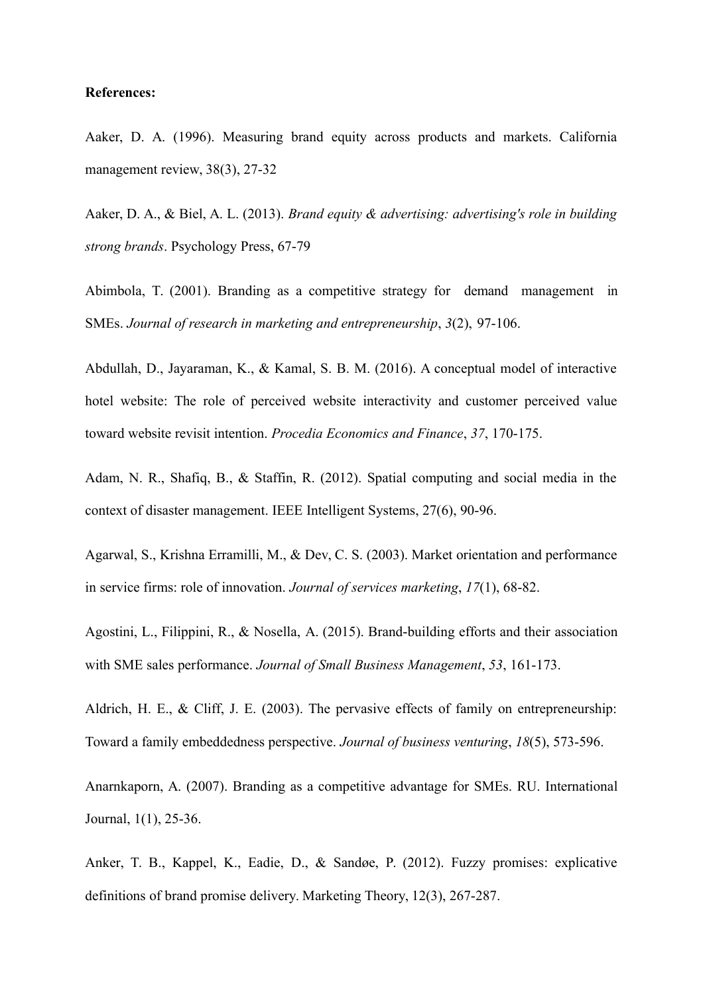### **References:**

Aaker, D. A. (1996). Measuring brand equity across products and markets. California management review, 38(3), 27-32

Aaker, D. A., & Biel, A. L. (2013). *Brand equity & advertising: advertising's role in building strong brands*. Psychology Press, 67-79

Abimbola, T. (2001). Branding as a competitive strategy for demand management in SMEs. *Journal of research in marketing and entrepreneurship*, *3*(2), 97-106.

Abdullah, D., Jayaraman, K., & Kamal, S. B. M. (2016). A conceptual model of interactive hotel website: The role of perceived website interactivity and customer perceived value toward website revisit intention. *Procedia Economics and Finance*, *37*, 170-175.

Adam, N. R., Shafiq, B., & Staffin, R. (2012). Spatial computing and social media in the context of disaster management. IEEE Intelligent Systems, 27(6), 90-96.

Agarwal, S., Krishna Erramilli, M., & Dev, C. S. (2003). Market orientation and performance in service firms: role of innovation. *Journal of services marketing*, *17*(1), 68-82.

Agostini, L., Filippini, R., & Nosella, A. (2015). Brand-building efforts and their association with SME sales performance. *Journal of Small Business Management*, *53*, 161-173.

Aldrich, H. E., & Cliff, J. E. (2003). The pervasive effects of family on entrepreneurship: Toward a family embeddedness perspective. *Journal of business venturing*, *18*(5), 573-596.

Anarnkaporn, A. (2007). Branding as a competitive advantage for SMEs. RU. International Journal, 1(1), 25-36.

Anker, T. B., Kappel, K., Eadie, D., & Sandøe, P. (2012). Fuzzy promises: explicative definitions of brand promise delivery. Marketing Theory, 12(3), 267-287.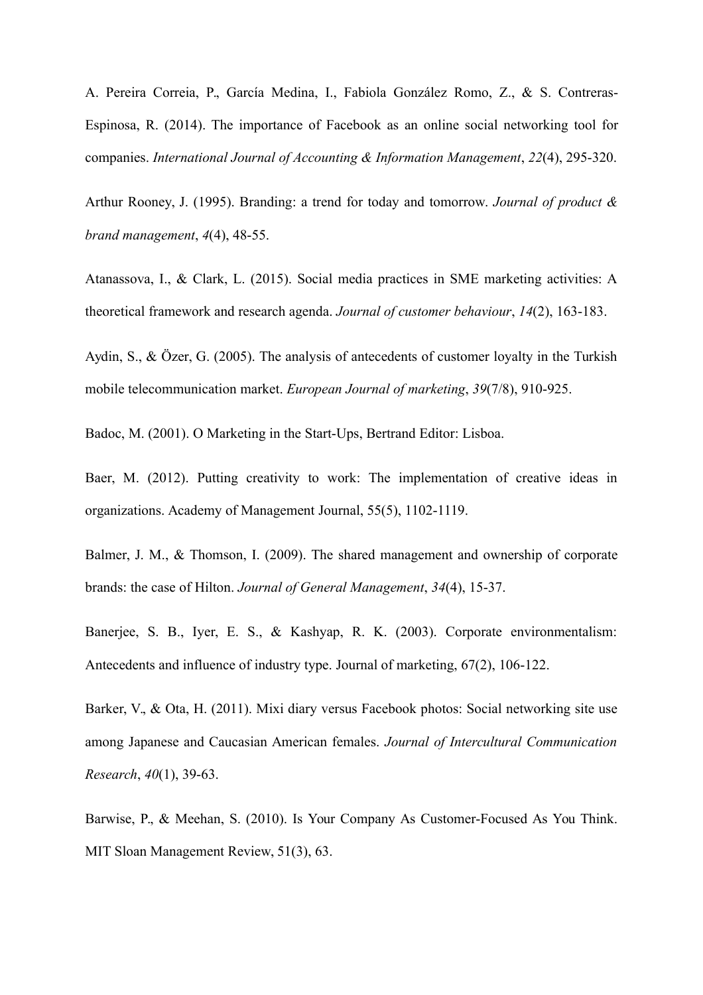A. Pereira Correia, P., García Medina, I., Fabiola González Romo, Z., & S. Contreras-Espinosa, R. (2014). The importance of Facebook as an online social networking tool for companies. *International Journal of Accounting & Information Management*, *22*(4), 295-320.

Arthur Rooney, J. (1995). Branding: a trend for today and tomorrow. *Journal of product & brand management*, *4*(4), 48-55.

Atanassova, I., & Clark, L. (2015). Social media practices in SME marketing activities: A theoretical framework and research agenda. *Journal of customer behaviour*, *14*(2), 163-183.

Aydin, S., & Özer, G. (2005). The analysis of antecedents of customer loyalty in the Turkish mobile telecommunication market. *European Journal of marketing*, *39*(7/8), 910-925.

Badoc, M. (2001). O Marketing in the Start-Ups, Bertrand Editor: Lisboa.

Baer, M. (2012). Putting creativity to work: The implementation of creative ideas in organizations. Academy of Management Journal, 55(5), 1102-1119.

Balmer, J. M., & Thomson, I. (2009). The shared management and ownership of corporate brands: the case of Hilton. *Journal of General Management*, *34*(4), 15-37.

Banerjee, S. B., Iyer, E. S., & Kashyap, R. K. (2003). Corporate environmentalism: Antecedents and influence of industry type. Journal of marketing, 67(2), 106-122.

Barker, V., & Ota, H. (2011). Mixi diary versus Facebook photos: Social networking site use among Japanese and Caucasian American females. *Journal of Intercultural Communication Research*, *40*(1), 39-63.

Barwise, P., & Meehan, S. (2010). Is Your Company As Customer-Focused As You Think. MIT Sloan Management Review, 51(3), 63.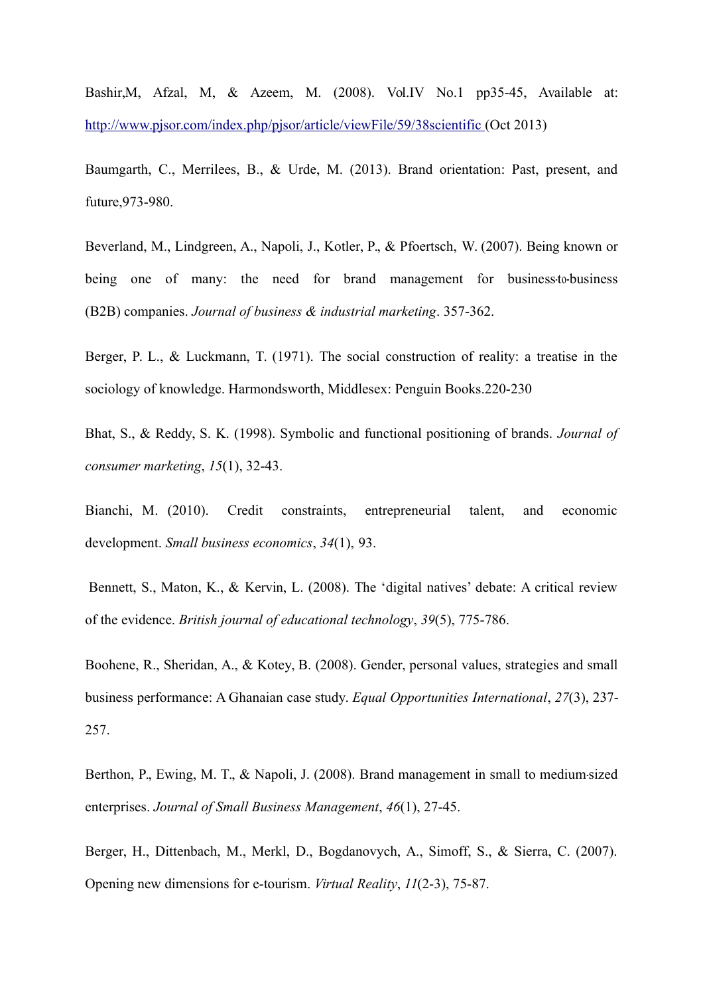Bashir,M, Afzal, M, & Azeem, M. (2008). Vol.IV No.1 pp35-45, Available at[:](http://www.pjsor.com/index.php/pjsor/article/viewFile/59/38scientific) [http://www.pjsor.com/index.php/pjsor/article/viewFile/59/38scientific \(](http://www.pjsor.com/index.php/pjsor/article/viewFile/59/38scientific)Oct 2013)

Baumgarth, C., Merrilees, B., & Urde, M. (2013). Brand orientation: Past, present, and future,973-980.

Beverland, M., Lindgreen, A., Napoli, J., Kotler, P., & Pfoertsch, W. (2007). Being known or being one of many: the need for brand management for business to business (B2B) companies. *Journal of business & industrial marketing*. 357-362.

Berger, P. L., & Luckmann, T. (1971). The social construction of reality: a treatise in the sociology of knowledge. Harmondsworth, Middlesex: Penguin Books.220-230

Bhat, S., & Reddy, S. K. (1998). Symbolic and functional positioning of brands. *Journal of consumer marketing*, *15*(1), 32-43.

Bianchi, M. (2010). Credit constraints, entrepreneurial talent, and economic development. *Small business economics*, *34*(1), 93.

Bennett, S., Maton, K., & Kervin, L. (2008). The 'digital natives' debate: A critical review of the evidence. *British journal of educational technology*, *39*(5), 775-786.

Boohene, R., Sheridan, A., & Kotey, B. (2008). Gender, personal values, strategies and small business performance: A Ghanaian case study. *Equal Opportunities International*, *27*(3), 237- 257.

Berthon, P., Ewing, M. T., & Napoli, J. (2008). Brand management in small to medium-sized enterprises. *Journal of Small Business Management*, *46*(1), 27-45.

Berger, H., Dittenbach, M., Merkl, D., Bogdanovych, A., Simoff, S., & Sierra, C. (2007). Opening new dimensions for e-tourism. *Virtual Reality*, *11*(2-3), 75-87.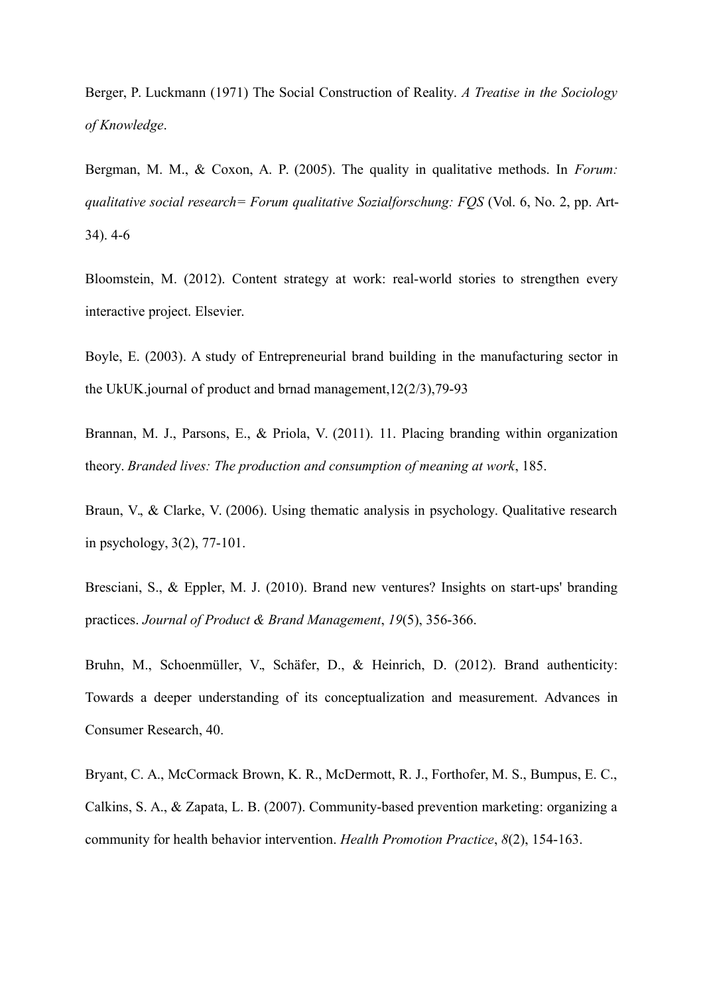Berger, P. Luckmann (1971) The Social Construction of Reality. *A Treatise in the Sociology of Knowledge*.

Bergman, M. M., & Coxon, A. P. (2005). The quality in qualitative methods. In *Forum: qualitative social research= Forum qualitative Sozialforschung: FQS* (Vol. 6, No. 2, pp. Art-34). 4-6

Bloomstein, M. (2012). Content strategy at work: real-world stories to strengthen every interactive project. Elsevier.

Boyle, E. (2003). A study of Entrepreneurial brand building in the manufacturing sector in the UkUK.journal of product and brnad management,12(2/3),79-93

Brannan, M. J., Parsons, E., & Priola, V. (2011). 11. Placing branding within organization theory. *Branded lives: The production and consumption of meaning at work*, 185.

Braun, V., & Clarke, V. (2006). Using thematic analysis in psychology. Qualitative research in psychology, 3(2), 77-101.

Bresciani, S., & Eppler, M. J. (2010). Brand new ventures? Insights on start-ups' branding practices. *Journal of Product & Brand Management*, *19*(5), 356-366.

Bruhn, M., Schoenmüller, V., Schäfer, D., & Heinrich, D. (2012). Brand authenticity: Towards a deeper understanding of its conceptualization and measurement. Advances in Consumer Research, 40.

Bryant, C. A., McCormack Brown, K. R., McDermott, R. J., Forthofer, M. S., Bumpus, E. C., Calkins, S. A., & Zapata, L. B. (2007). Community-based prevention marketing: organizing a community for health behavior intervention. *Health Promotion Practice*, *8*(2), 154-163.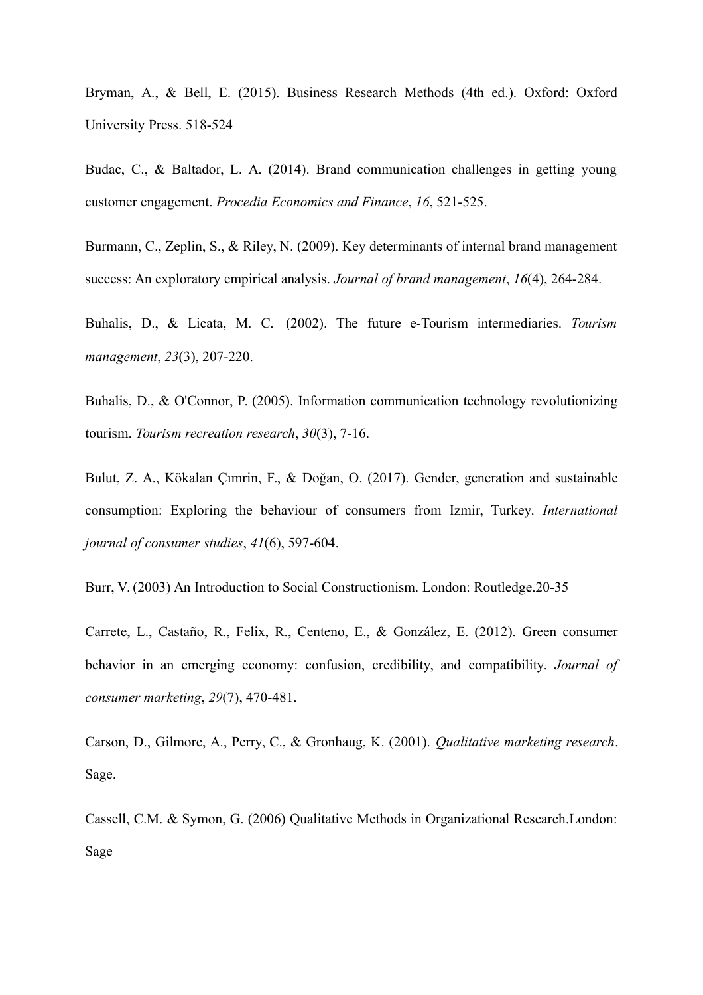Bryman, A., & Bell, E. (2015). Business Research Methods (4th ed.). Oxford: Oxford University Press. 518-524

Budac, C., & Baltador, L. A. (2014). Brand communication challenges in getting young customer engagement. *Procedia Economics and Finance*, *16*, 521-525.

Burmann, C., Zeplin, S., & Riley, N. (2009). Key determinants of internal brand management success: An exploratory empirical analysis. *Journal of brand management*, *16*(4), 264-284.

Buhalis, D., & Licata, M. C. (2002). The future e-Tourism intermediaries. *Tourism management*, *23*(3), 207-220.

Buhalis, D., & O'Connor, P. (2005). Information communication technology revolutionizing tourism. *Tourism recreation research*, *30*(3), 7-16.

Bulut, Z. A., Kökalan Çımrin, F., & Doğan, O. (2017). Gender, generation and sustainable consumption: Exploring the behaviour of consumers from Izmir, Turkey. *International journal of consumer studies*, *41*(6), 597-604.

Burr, V. (2003) An Introduction to Social Constructionism. London: Routledge.20-35

Carrete, L., Castaño, R., Felix, R., Centeno, E., & González, E. (2012). Green consumer behavior in an emerging economy: confusion, credibility, and compatibility. *Journal of consumer marketing*, *29*(7), 470-481.

Carson, D., Gilmore, A., Perry, C., & Gronhaug, K. (2001). *Qualitative marketing research*. Sage.

Cassell, C.M. & Symon, G. (2006) Qualitative Methods in Organizational Research.London: Sage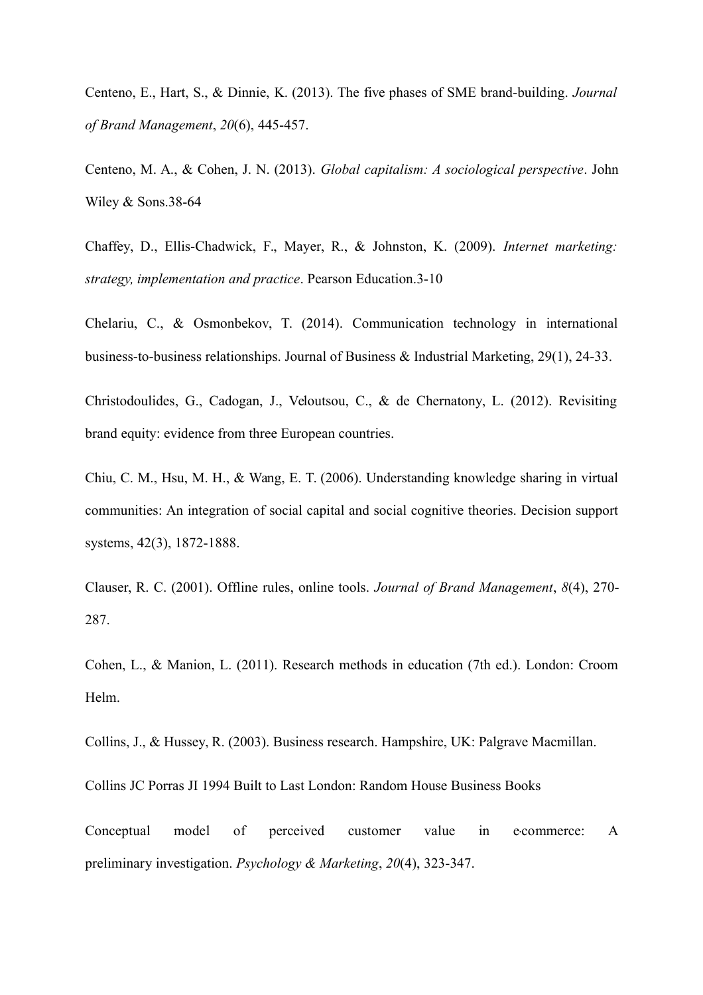Centeno, E., Hart, S., & Dinnie, K. (2013). The five phases of SME brand-building. *Journal of Brand Management*, *20*(6), 445-457.

Centeno, M. A., & Cohen, J. N. (2013). *Global capitalism: A sociological perspective*. John Wiley & Sons.38-64

Chaffey, D., Ellis-Chadwick, F., Mayer, R., & Johnston, K. (2009). *Internet marketing: strategy, implementation and practice*. Pearson Education.3-10

Chelariu, C., & Osmonbekov, T. (2014). Communication technology in international business-to-business relationships. Journal of Business & Industrial Marketing, 29(1), 24-33.

Christodoulides, G., Cadogan, J., Veloutsou, C., & de Chernatony, L. (2012). Revisiting brand equity: evidence from three European countries.

Chiu, C. M., Hsu, M. H., & Wang, E. T. (2006). Understanding knowledge sharing in virtual communities: An integration of social capital and social cognitive theories. Decision support systems, 42(3), 1872-1888.

Clauser, R. C. (2001). Offline rules, online tools. *Journal of Brand Management*, *8*(4), 270- 287.

Cohen, L., & Manion, L. (2011). Research methods in education (7th ed.). London: Croom Helm.

Collins, J., & Hussey, R. (2003). Business research. Hampshire, UK: Palgrave Macmillan.

Collins JC Porras JI 1994 Built to Last London: Random House Business Books

Conceptual model of perceived customer value in e-commerce: A preliminary investigation. *Psychology & Marketing*, *20*(4), 323-347.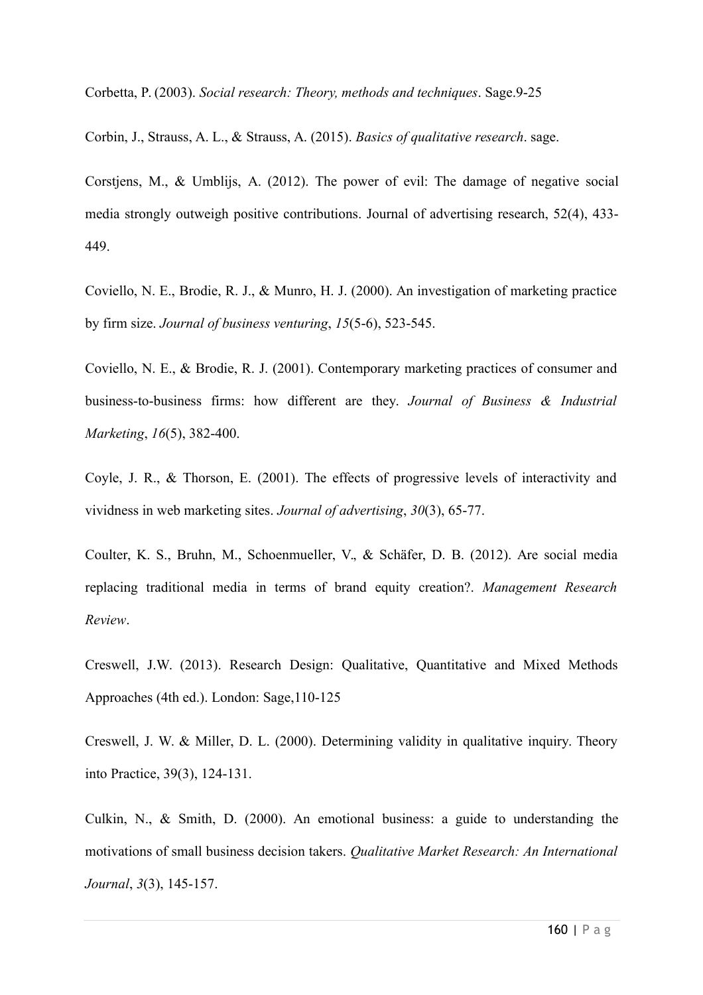Corbetta, P. (2003). *Social research: Theory, methods and techniques*. Sage.9-25

Corbin, J., Strauss, A. L., & Strauss, A. (2015). *Basics of qualitative research*. sage.

Corstjens, M., & Umblijs, A. (2012). The power of evil: The damage of negative social media strongly outweigh positive contributions. Journal of advertising research, 52(4), 433- 449.

Coviello, N. E., Brodie, R. J., & Munro, H. J. (2000). An investigation of marketing practice by firm size. *Journal of business venturing*, *15*(5-6), 523-545.

Coviello, N. E., & Brodie, R. J. (2001). Contemporary marketing practices of consumer and business-to-business firms: how different are they. *Journal of Business & Industrial Marketing*, *16*(5), 382-400.

Coyle, J. R., & Thorson, E. (2001). The effects of progressive levels of interactivity and vividness in web marketing sites. *Journal of advertising*, *30*(3), 65-77.

Coulter, K. S., Bruhn, M., Schoenmueller, V., & Schäfer, D. B. (2012). Are social media replacing traditional media in terms of brand equity creation?. *Management Research Review*.

Creswell, J.W. (2013). Research Design: Qualitative, Quantitative and Mixed Methods Approaches (4th ed.). London: Sage,110-125

Creswell, J. W. & Miller, D. L. (2000). Determining validity in qualitative inquiry. Theory into Practice, 39(3), 124-131.

Culkin, N., & Smith, D. (2000). An emotional business: a guide to understanding the motivations of small business decision takers. *Qualitative Market Research: An International Journal*, *3*(3), 145-157.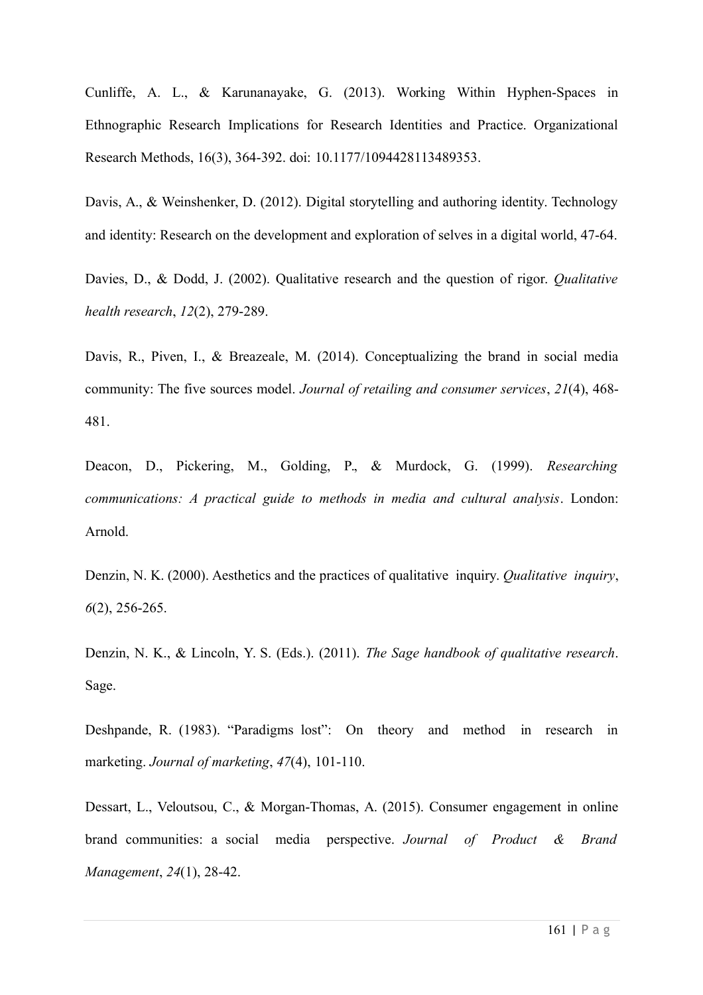Cunliffe, A. L., & Karunanayake, G. (2013). Working Within Hyphen-Spaces in Ethnographic Research Implications for Research Identities and Practice. Organizational Research Methods, 16(3), 364-392. doi: 10.1177/1094428113489353.

Davis, A., & Weinshenker, D. (2012). Digital storytelling and authoring identity. Technology and identity: Research on the development and exploration of selves in a digital world, 47-64.

Davies, D., & Dodd, J. (2002). Qualitative research and the question of rigor. *Qualitative health research*, *12*(2), 279-289.

Davis, R., Piven, I., & Breazeale, M. (2014). Conceptualizing the brand in social media community: The five sources model. *Journal of retailing and consumer services*, *21*(4), 468- 481.

Deacon, D., Pickering, M., Golding, P., & Murdock, G. (1999). *Researching communications: A practical guide to methods in media and cultural analysis*. London: Arnold.

Denzin, N. K. (2000). Aesthetics and the practices of qualitative inquiry. *Qualitative inquiry*, *6*(2), 256-265.

Denzin, N. K., & Lincoln, Y. S. (Eds.). (2011). *The Sage handbook of qualitative research*. Sage.

Deshpande, R. (1983). "Paradigms lost": On theory and method in research in marketing. *Journal of marketing*, *47*(4), 101-110.

Dessart, L., Veloutsou, C., & Morgan-Thomas, A. (2015). Consumer engagement in online brand communities: a social media perspective. *Journal of Product & Brand Management*, *24*(1), 28-42.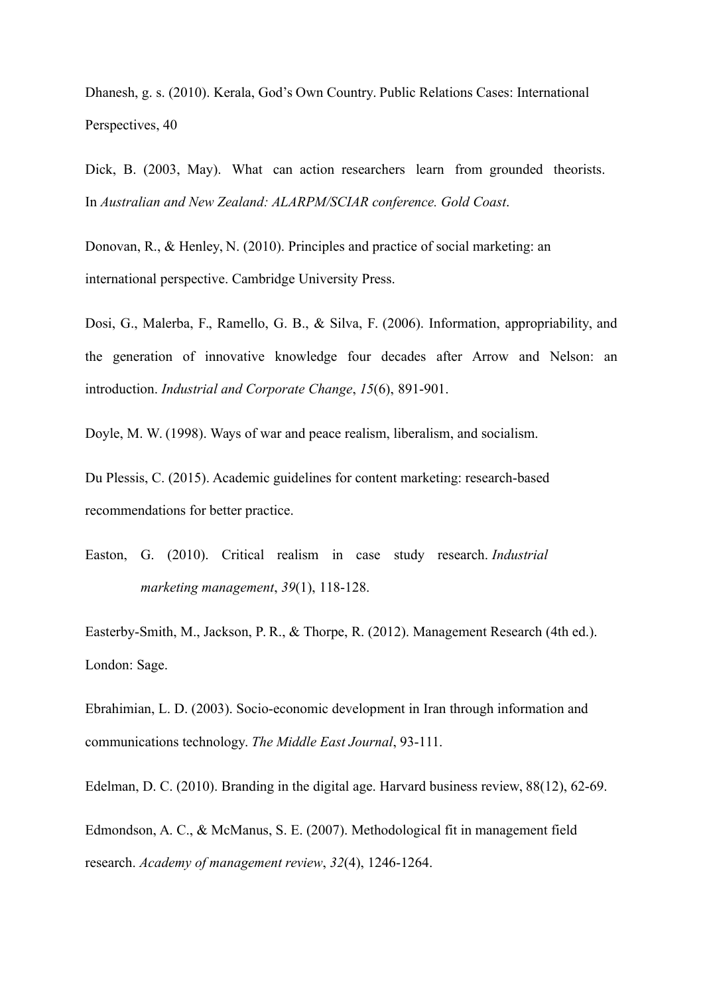Dhanesh, g. s. (2010). Kerala, God's Own Country. Public Relations Cases: International Perspectives, 40

Dick, B. (2003, May). What can action researchers learn from grounded theorists. In *Australian and New Zealand: ALARPM/SCIAR conference. Gold Coast*.

Donovan, R., & Henley, N. (2010). Principles and practice of social marketing: an international perspective. Cambridge University Press.

Dosi, G., Malerba, F., Ramello, G. B., & Silva, F. (2006). Information, appropriability, and the generation of innovative knowledge four decades after Arrow and Nelson: an introduction. *Industrial and Corporate Change*, *15*(6), 891-901.

Doyle, M. W. (1998). Ways of war and peace realism, liberalism, and socialism.

Du Plessis, C. (2015). Academic guidelines for content marketing: research-based recommendations for better practice.

Easton, G. (2010). Critical realism in case study research. *Industrial marketing management*, *39*(1), 118-128.

Easterby-Smith, M., Jackson, P. R., & Thorpe, R. (2012). Management Research (4th ed.). London: Sage.

Ebrahimian, L. D. (2003). Socio-economic development in Iran through information and communications technology. *The Middle East Journal*, 93-111.

Edelman, D. C. (2010). Branding in the digital age. Harvard business review, 88(12), 62-69.

Edmondson, A. C., & McManus, S. E. (2007). Methodological fit in management field research. *Academy of management review*, *32*(4), 1246-1264.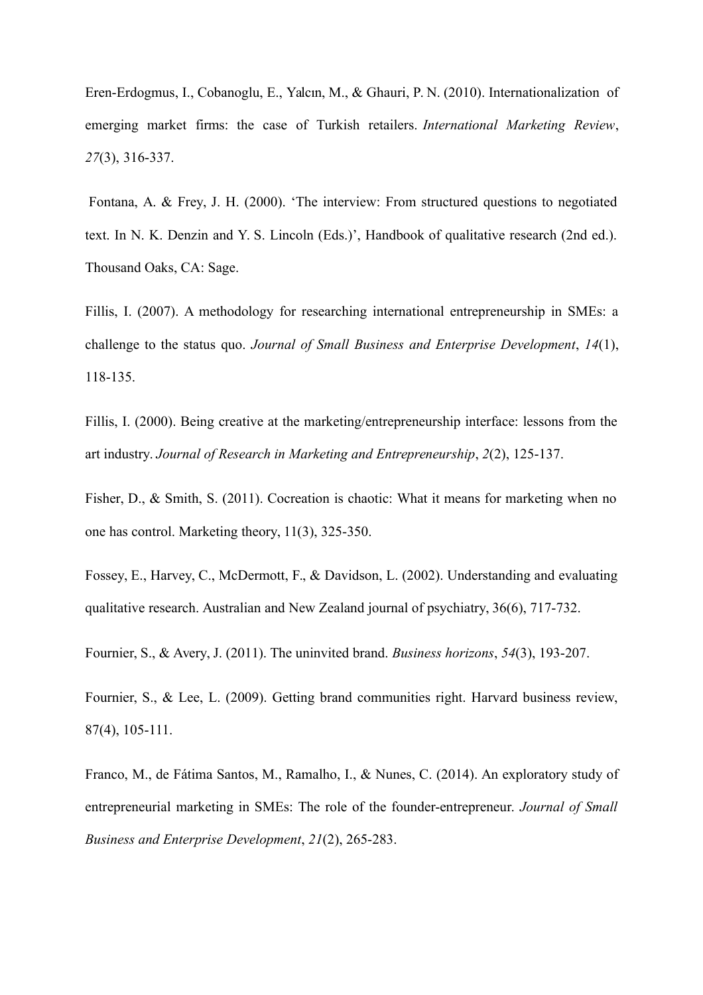Eren-Erdogmus, I., Cobanoglu, E., Yalcın, M., & Ghauri, P. N. (2010). Internationalization of emerging market firms: the case of Turkish retailers. *International Marketing Review*, *27*(3), 316-337.

Fontana, A. & Frey, J. H. (2000). 'The interview: From structured questions to negotiated text. In N. K. Denzin and Y. S. Lincoln (Eds.)', Handbook of qualitative research (2nd ed.). Thousand Oaks, CA: Sage.

Fillis, I. (2007). A methodology for researching international entrepreneurship in SMEs: a challenge to the status quo. *Journal of Small Business and Enterprise Development*, *14*(1), 118-135.

Fillis, I. (2000). Being creative at the marketing/entrepreneurship interface: lessons from the art industry. *Journal of Research in Marketing and Entrepreneurship*, *2*(2), 125-137.

Fisher, D., & Smith, S. (2011). Cocreation is chaotic: What it means for marketing when no one has control. Marketing theory, 11(3), 325-350.

Fossey, E., Harvey, C., McDermott, F., & Davidson, L. (2002). Understanding and evaluating qualitative research. Australian and New Zealand journal of psychiatry, 36(6), 717-732.

Fournier, S., & Avery, J. (2011). The uninvited brand. *Business horizons*, *54*(3), 193-207.

Fournier, S., & Lee, L. (2009). Getting brand communities right. Harvard business review, 87(4), 105-111.

Franco, M., de Fátima Santos, M., Ramalho, I., & Nunes, C. (2014). An exploratory study of entrepreneurial marketing in SMEs: The role of the founder-entrepreneur. *Journal of Small Business and Enterprise Development*, *21*(2), 265-283.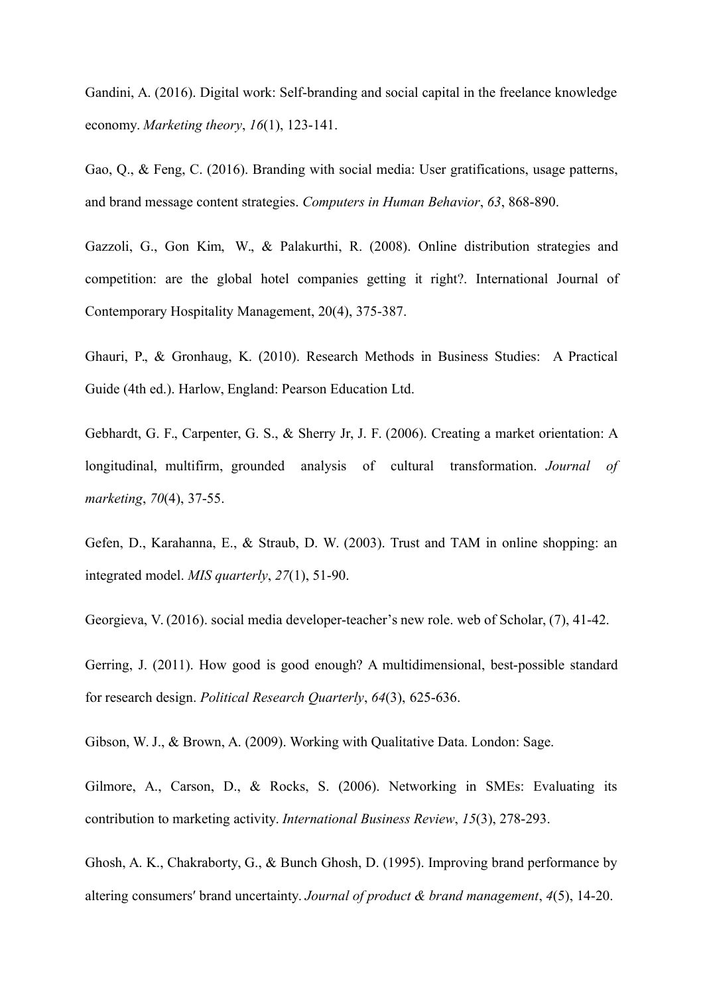Gandini, A. (2016). Digital work: Self-branding and social capital in the freelance knowledge economy. *Marketing theory*, *16*(1), 123-141.

Gao, Q., & Feng, C. (2016). Branding with social media: User gratifications, usage patterns, and brand message content strategies. *Computers in Human Behavior*, *63*, 868-890.

Gazzoli, G., Gon Kim, W., & Palakurthi, R. (2008). Online distribution strategies and competition: are the global hotel companies getting it right?. International Journal of Contemporary Hospitality Management, 20(4), 375-387.

Ghauri, P., & Gronhaug, K. (2010). Research Methods in Business Studies: A Practical Guide (4th ed.). Harlow, England: Pearson Education Ltd.

Gebhardt, G. F., Carpenter, G. S., & Sherry Jr, J. F. (2006). Creating a market orientation: A longitudinal, multifirm, grounded analysis of cultural transformation. *Journal of marketing*, *70*(4), 37-55.

Gefen, D., Karahanna, E., & Straub, D. W. (2003). Trust and TAM in online shopping: an integrated model. *MIS quarterly*, *27*(1), 51-90.

Georgieva, V. (2016). social media developer-teacher's new role. web of Scholar, (7), 41-42.

Gerring, J. (2011). How good is good enough? A multidimensional, best-possible standard for research design. *Political Research Quarterly*, *64*(3), 625-636.

Gibson, W. J., & Brown, A. (2009). Working with Qualitative Data. London: Sage.

Gilmore, A., Carson, D., & Rocks, S. (2006). Networking in SMEs: Evaluating its contribution to marketing activity. *International Business Review*, *15*(3), 278-293.

Ghosh, A. K., Chakraborty, G., & Bunch Ghosh, D. (1995). Improving brand performance by altering consumers′ brand uncertainty. *Journal of product & brand management*, *4*(5), 14-20.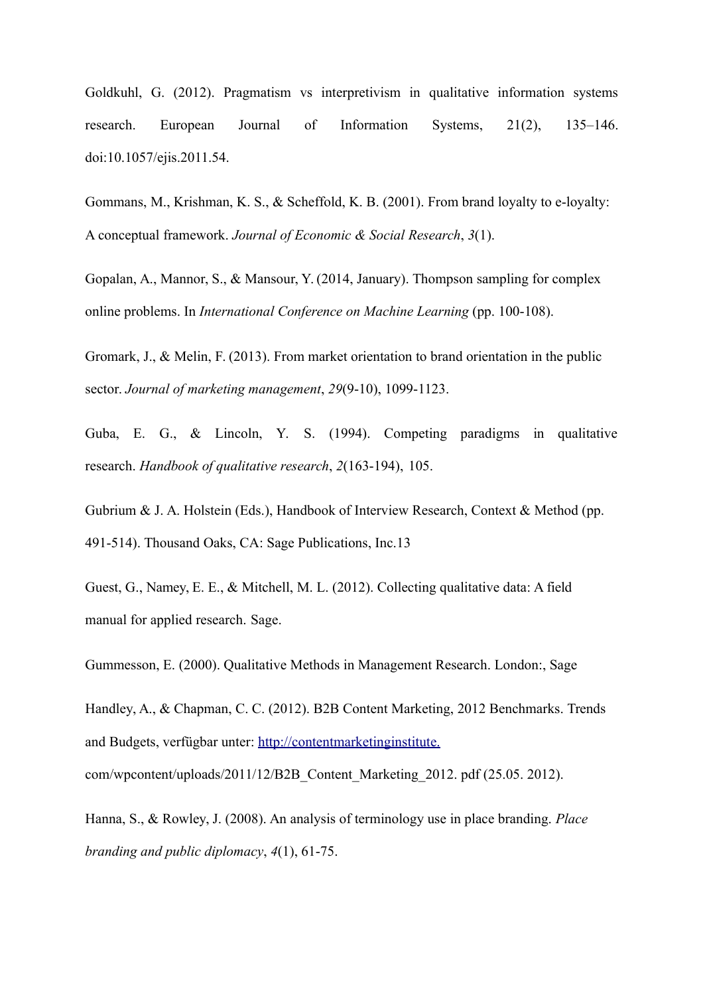Goldkuhl, G. (2012). Pragmatism vs interpretivism in qualitative information systems research. European Journal of Information Systems, 21(2), 135–146. doi:10.1057/ejis.2011.54.

Gommans, M., Krishman, K. S., & Scheffold, K. B. (2001). From brand loyalty to e-loyalty: A conceptual framework. *Journal of Economic & Social Research*, *3*(1).

Gopalan, A., Mannor, S., & Mansour, Y. (2014, January). Thompson sampling for complex online problems. In *International Conference on Machine Learning* (pp. 100-108).

Gromark, J., & Melin, F. (2013). From market orientation to brand orientation in the public sector. *Journal of marketing management*, *29*(9-10), 1099-1123.

Guba, E. G., & Lincoln, Y. S. (1994). Competing paradigms in qualitative research. *Handbook of qualitative research*, *2*(163-194), 105.

Gubrium & J. A. Holstein (Eds.), Handbook of Interview Research, Context & Method (pp. 491-514). Thousand Oaks, CA: Sage Publications, Inc.13

Guest, G., Namey, E. E., & Mitchell, M. L. (2012). Collecting qualitative data: A field manual for applied research. Sage.

Gummesson, E. (2000). Qualitative Methods in Management Research. London:, Sage

Handley, A., & Chapman, C. C. (2012). B2B Content Marketing, 2012 Benchmarks. Trends and Budgets, verfügbar unter: [http://contentmarketinginstitute.](http://contentmarketinginstitute/)

com/wpcontent/uploads/2011/12/B2B\_Content\_Marketing\_2012. pdf (25.05. 2012).

Hanna, S., & Rowley, J. (2008). An analysis of terminology use in place branding. *Place branding and public diplomacy*, *4*(1), 61-75.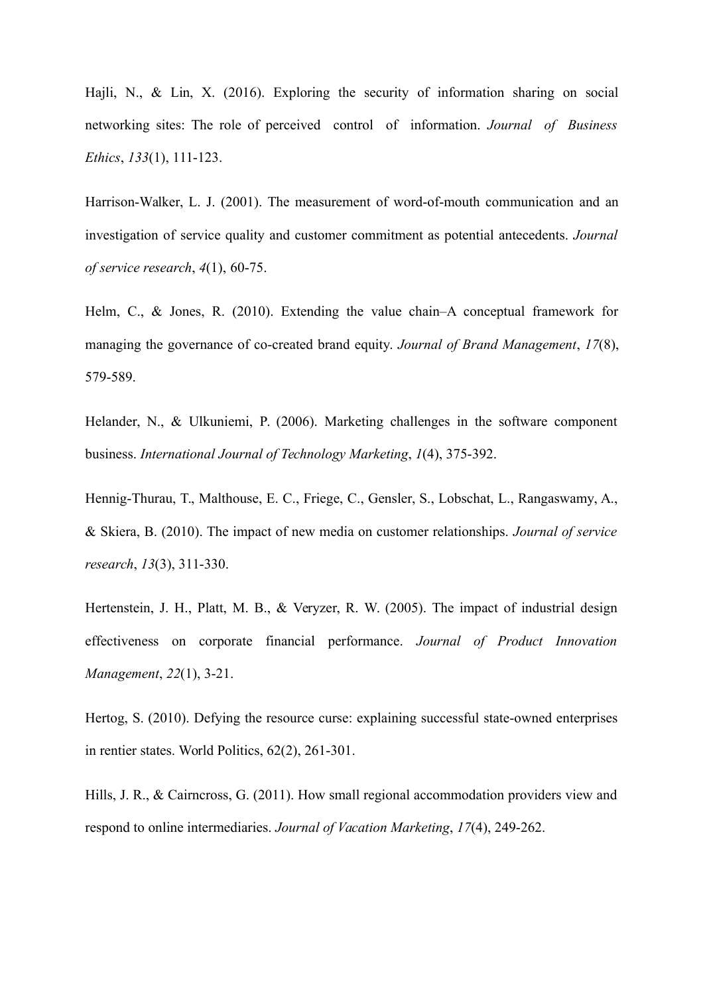Hajli, N., & Lin, X. (2016). Exploring the security of information sharing on social networking sites: The role of perceived control of information. *Journal of Business Ethics*, *133*(1), 111-123.

Harrison-Walker, L. J. (2001). The measurement of word-of-mouth communication and an investigation of service quality and customer commitment as potential antecedents. *Journal of service research*, *4*(1), 60-75.

Helm, C., & Jones, R. (2010). Extending the value chain–A conceptual framework for managing the governance of co-created brand equity. *Journal of Brand Management*, *17*(8), 579-589.

Helander, N., & Ulkuniemi, P. (2006). Marketing challenges in the software component business. *International Journal of Technology Marketing*, *1*(4), 375-392.

Hennig-Thurau, T., Malthouse, E. C., Friege, C., Gensler, S., Lobschat, L., Rangaswamy, A., & Skiera, B. (2010). The impact of new media on customer relationships. *Journal of service research*, *13*(3), 311-330.

Hertenstein, J. H., Platt, M. B., & Veryzer, R. W. (2005). The impact of industrial design effectiveness on corporate financial performance. *Journal of Product Innovation Management*, *22*(1), 3-21.

Hertog, S. (2010). Defying the resource curse: explaining successful state-owned enterprises in rentier states. World Politics, 62(2), 261-301.

Hills, J. R., & Cairncross, G. (2011). How small regional accommodation providers view and respond to online intermediaries. *Journal of Vacation Marketing*, *17*(4), 249-262.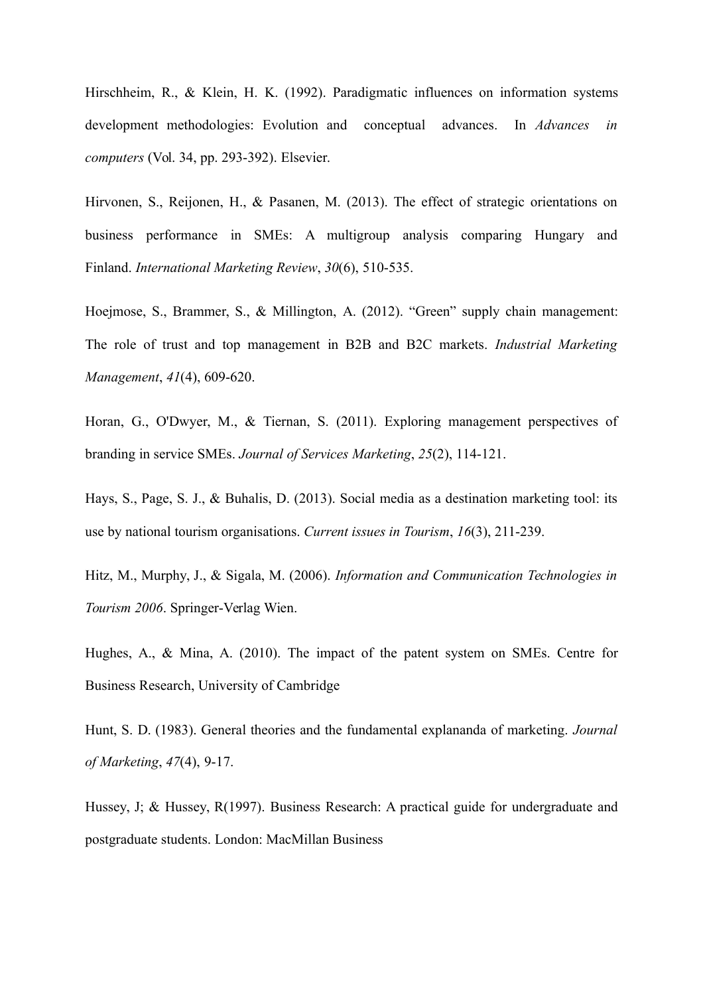Hirschheim, R., & Klein, H. K. (1992). Paradigmatic influences on information systems development methodologies: Evolution and conceptual advances. In *Advances in computers* (Vol. 34, pp. 293-392). Elsevier.

Hirvonen, S., Reijonen, H., & Pasanen, M. (2013). The effect of strategic orientations on business performance in SMEs: A multigroup analysis comparing Hungary and Finland. *International Marketing Review*, *30*(6), 510-535.

Hoejmose, S., Brammer, S., & Millington, A. (2012). "Green" supply chain management: The role of trust and top management in B2B and B2C markets. *Industrial Marketing Management*, *41*(4), 609-620.

Horan, G., O'Dwyer, M., & Tiernan, S. (2011). Exploring management perspectives of branding in service SMEs. *Journal of Services Marketing*, *25*(2), 114-121.

Hays, S., Page, S. J., & Buhalis, D. (2013). Social media as a destination marketing tool: its use by national tourism organisations. *Current issues in Tourism*, *16*(3), 211-239.

Hitz, M., Murphy, J., & Sigala, M. (2006). *Information and Communication Technologies in Tourism 2006*. Springer-Verlag Wien.

Hughes, A., & Mina, A. (2010). The impact of the patent system on SMEs. Centre for Business Research, University of Cambridge

Hunt, S. D. (1983). General theories and the fundamental explananda of marketing. *Journal of Marketing*, *47*(4), 9-17.

Hussey, J; & Hussey, R(1997). Business Research: A practical guide for undergraduate and postgraduate students. London: MacMillan Business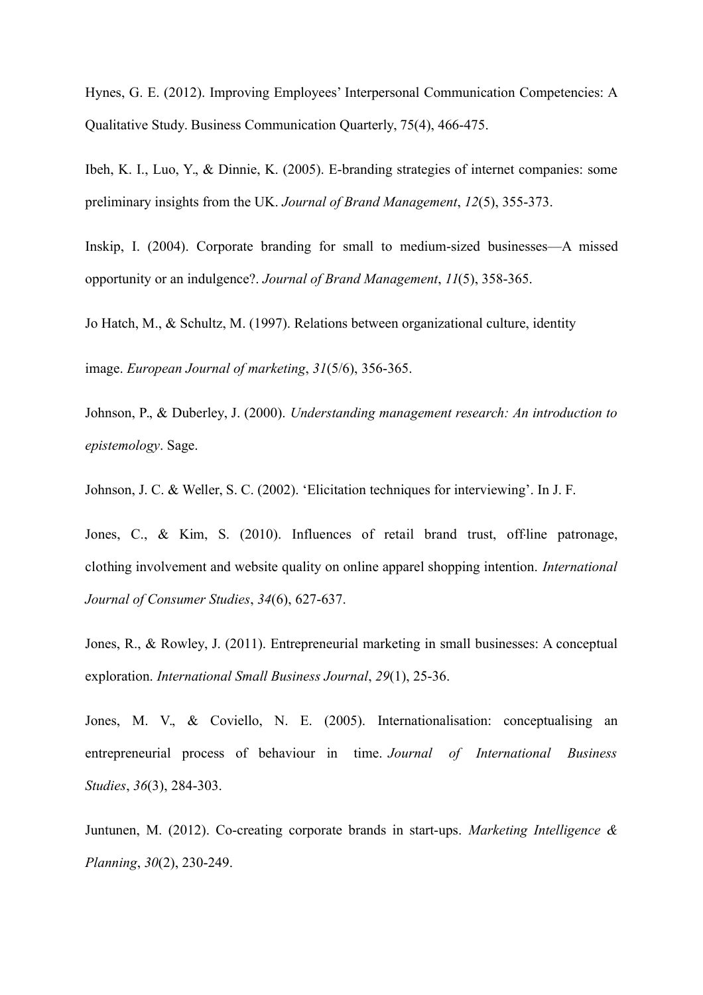Hynes, G. E. (2012). Improving Employees' Interpersonal Communication Competencies: A Qualitative Study. Business Communication Quarterly, 75(4), 466-475.

Ibeh, K. I., Luo, Y., & Dinnie, K. (2005). E-branding strategies of internet companies: some preliminary insights from the UK. *Journal of Brand Management*, *12*(5), 355-373.

Inskip, I. (2004). Corporate branding for small to medium-sized businesses—A missed opportunity or an indulgence?. *Journal of Brand Management*, *11*(5), 358-365.

Jo Hatch, M., & Schultz, M. (1997). Relations between organizational culture, identity

image. *European Journal of marketing*, *31*(5/6), 356-365.

Johnson, P., & Duberley, J. (2000). *Understanding management research: An introduction to epistemology*. Sage.

Johnson, J. C. & Weller, S. C. (2002). 'Elicitation techniques for interviewing'. In J. F.

Jones, C., & Kim, S. (2010). Influences of retail brand trust, off-line patronage, clothing involvement and website quality on online apparel shopping intention. *International Journal of Consumer Studies*, *34*(6), 627-637.

Jones, R., & Rowley, J. (2011). Entrepreneurial marketing in small businesses: A conceptual exploration. *International Small Business Journal*, *29*(1), 25-36.

Jones, M. V., & Coviello, N. E. (2005). Internationalisation: conceptualising an entrepreneurial process of behaviour in time. *Journal of International Business Studies*, *36*(3), 284-303.

Juntunen, M. (2012). Co-creating corporate brands in start-ups. *Marketing Intelligence & Planning*, *30*(2), 230-249.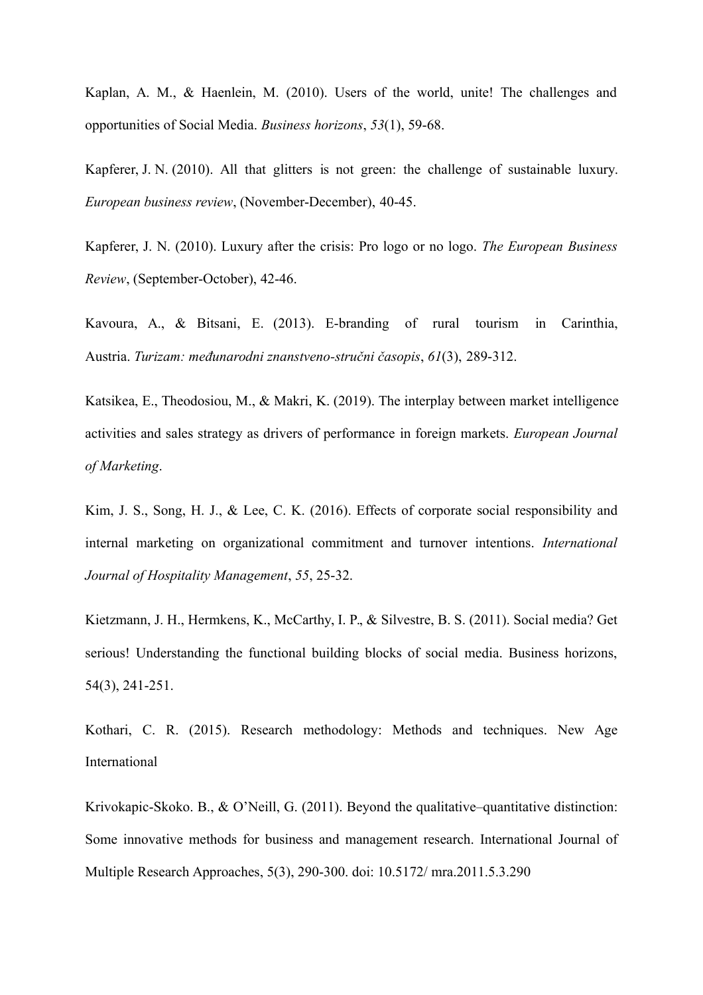Kaplan, A. M., & Haenlein, M. (2010). Users of the world, unite! The challenges and opportunities of Social Media. *Business horizons*, *53*(1), 59-68.

Kapferer, J. N. (2010). All that glitters is not green: the challenge of sustainable luxury. *European business review*, (November-December), 40-45.

Kapferer, J. N. (2010). Luxury after the crisis: Pro logo or no logo. *The European Business Review*, (September-October), 42-46.

Kavoura, A., & Bitsani, E. (2013). E-branding of rural tourism in Carinthia, Austria. *Turizam: međunarodni znanstveno-stručni časopis*, *61*(3), 289-312.

Katsikea, E., Theodosiou, M., & Makri, K. (2019). The interplay between market intelligence activities and sales strategy as drivers of performance in foreign markets. *European Journal of Marketing*.

Kim, J. S., Song, H. J., & Lee, C. K. (2016). Effects of corporate social responsibility and internal marketing on organizational commitment and turnover intentions. *International Journal of Hospitality Management*, *55*, 25-32.

Kietzmann, J. H., Hermkens, K., McCarthy, I. P., & Silvestre, B. S. (2011). Social media? Get serious! Understanding the functional building blocks of social media. Business horizons, 54(3), 241-251.

Kothari, C. R. (2015). Research methodology: Methods and techniques. New Age International

Krivokapic-Skoko. B., & O'Neill, G. (2011). Beyond the qualitative–quantitative distinction: Some innovative methods for business and management research. International Journal of Multiple Research Approaches, 5(3), 290-300. doi: 10.5172/ mra.2011.5.3.290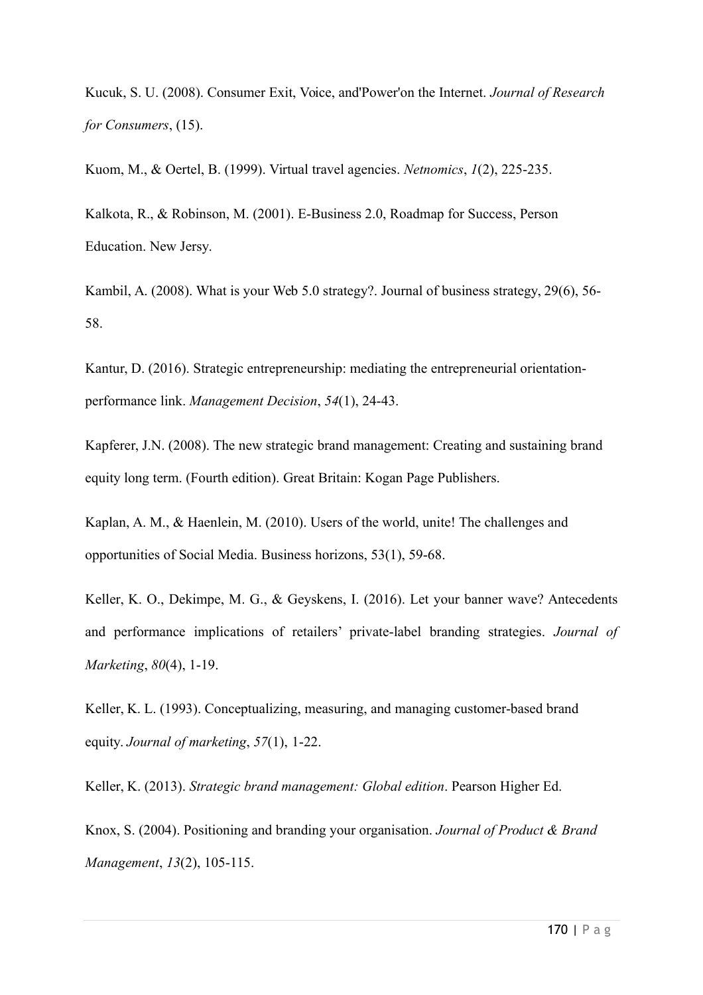Kucuk, S. U. (2008). Consumer Exit, Voice, and'Power'on the Internet. *Journal of Research for Consumers*, (15).

Kuom, M., & Oertel, B. (1999). Virtual travel agencies. *Netnomics*, *1*(2), 225-235.

Kalkota, R., & Robinson, M. (2001). E-Business 2.0, Roadmap for Success, Person Education. New Jersy.

Kambil, A. (2008). What is your Web 5.0 strategy?. Journal of business strategy, 29(6), 56- 58.

Kantur, D. (2016). Strategic entrepreneurship: mediating the entrepreneurial orientationperformance link. *Management Decision*, *54*(1), 24-43.

Kapferer, J.N. (2008). The new strategic brand management: Creating and sustaining brand equity long term. (Fourth edition). Great Britain: Kogan Page Publishers.

Kaplan, A. M., & Haenlein, M. (2010). Users of the world, unite! The challenges and opportunities of Social Media. Business horizons, 53(1), 59-68.

Keller, K. O., Dekimpe, M. G., & Geyskens, I. (2016). Let your banner wave? Antecedents and performance implications of retailers' private-label branding strategies. *Journal of Marketing*, *80*(4), 1-19.

Keller, K. L. (1993). Conceptualizing, measuring, and managing customer-based brand equity. *Journal of marketing*, *57*(1), 1-22.

Keller, K. (2013). *Strategic brand management: Global edition*. Pearson Higher Ed.

Knox, S. (2004). Positioning and branding your organisation. *Journal of Product & Brand Management*, *13*(2), 105-115.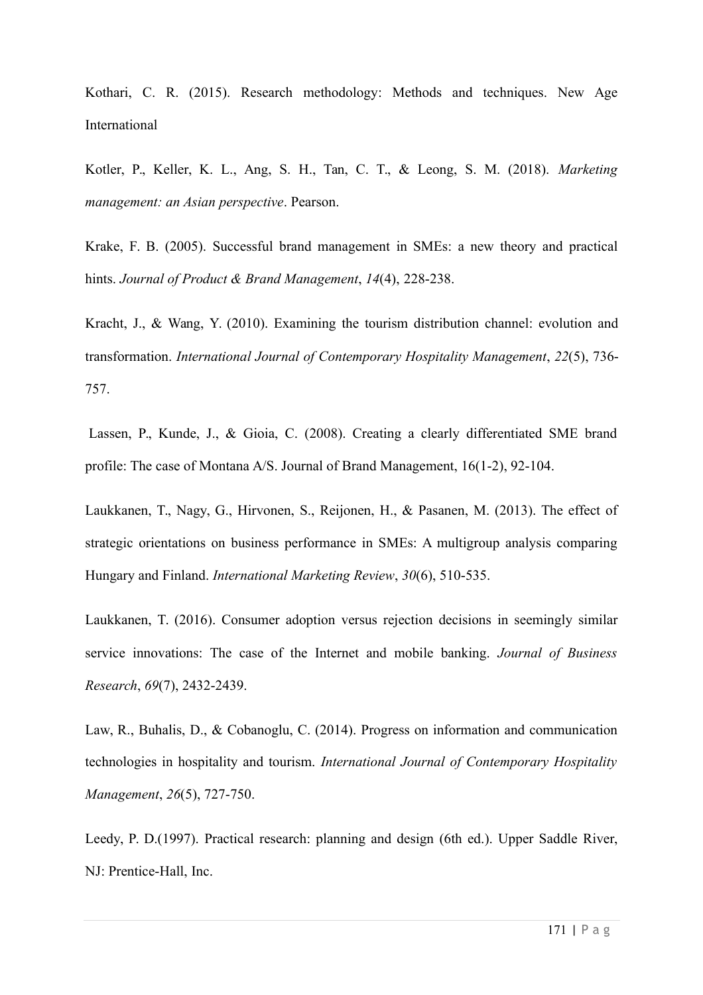Kothari, C. R. (2015). Research methodology: Methods and techniques. New Age International

Kotler, P., Keller, K. L., Ang, S. H., Tan, C. T., & Leong, S. M. (2018). *Marketing management: an Asian perspective*. Pearson.

Krake, F. B. (2005). Successful brand management in SMEs: a new theory and practical hints. *Journal of Product & Brand Management*, *14*(4), 228-238.

Kracht, J., & Wang, Y. (2010). Examining the tourism distribution channel: evolution and transformation. *International Journal of Contemporary Hospitality Management*, *22*(5), 736- 757.

Lassen, P., Kunde, J., & Gioia, C. (2008). Creating a clearly differentiated SME brand profile: The case of Montana A/S. Journal of Brand Management, 16(1-2), 92-104.

Laukkanen, T., Nagy, G., Hirvonen, S., Reijonen, H., & Pasanen, M. (2013). The effect of strategic orientations on business performance in SMEs: A multigroup analysis comparing Hungary and Finland. *International Marketing Review*, *30*(6), 510-535.

Laukkanen, T. (2016). Consumer adoption versus rejection decisions in seemingly similar service innovations: The case of the Internet and mobile banking. *Journal of Business Research*, *69*(7), 2432-2439.

Law, R., Buhalis, D., & Cobanoglu, C. (2014). Progress on information and communication technologies in hospitality and tourism. *International Journal of Contemporary Hospitality Management*, *26*(5), 727-750.

Leedy, P. D.(1997). Practical research: planning and design (6th ed.). Upper Saddle River, NJ: Prentice-Hall, Inc.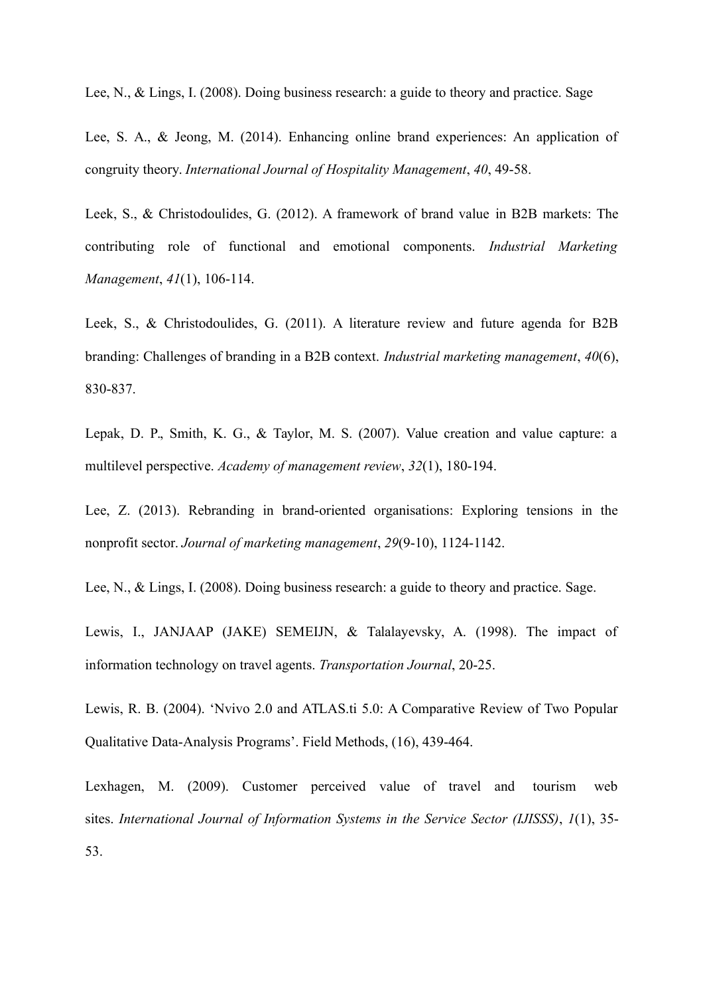Lee, N., & Lings, I. (2008). Doing business research: a guide to theory and practice. Sage

Lee, S. A., & Jeong, M. (2014). Enhancing online brand experiences: An application of congruity theory. *International Journal of Hospitality Management*, *40*, 49-58.

Leek, S., & Christodoulides, G. (2012). A framework of brand value in B2B markets: The contributing role of functional and emotional components. *Industrial Marketing Management*, *41*(1), 106-114.

Leek, S., & Christodoulides, G. (2011). A literature review and future agenda for B2B branding: Challenges of branding in a B2B context. *Industrial marketing management*, *40*(6), 830-837.

Lepak, D. P., Smith, K. G., & Taylor, M. S. (2007). Value creation and value capture: a multilevel perspective. *Academy of management review*, *32*(1), 180-194.

Lee, Z. (2013). Rebranding in brand-oriented organisations: Exploring tensions in the nonprofit sector. *Journal of marketing management*, *29*(9-10), 1124-1142.

Lee, N., & Lings, I. (2008). Doing business research: a guide to theory and practice. Sage.

Lewis, I., JANJAAP (JAKE) SEMEIJN, & Talalayevsky, A. (1998). The impact of information technology on travel agents. *Transportation Journal*, 20-25.

Lewis, R. B. (2004). 'Nvivo 2.0 and ATLAS.ti 5.0: A Comparative Review of Two Popular Qualitative Data-Analysis Programs'. Field Methods, (16), 439-464.

Lexhagen, M. (2009). Customer perceived value of travel and tourism web sites. *International Journal of Information Systems in the Service Sector (IJISSS)*, *1*(1), 35- 53.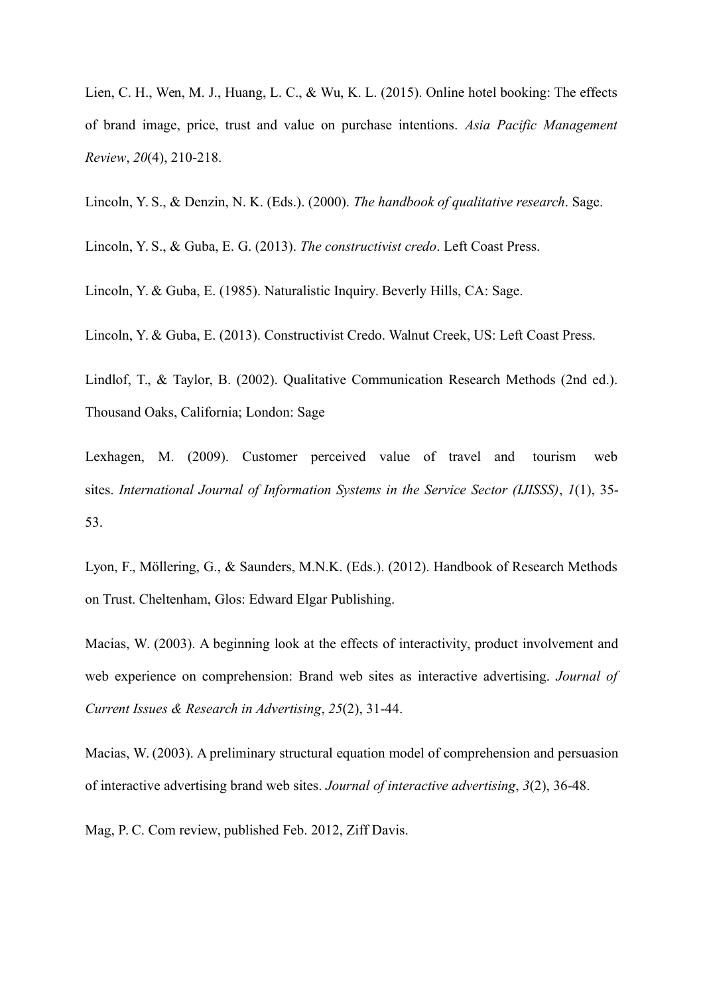Lien, C. H., Wen, M. J., Huang, L. C., & Wu, K. L. (2015). Online hotel booking: The effects of brand image, price, trust and value on purchase intentions. *Asia Pacific Management Review*, *20*(4), 210-218.

Lincoln, Y. S., & Denzin, N. K. (Eds.). (2000). *The handbook of qualitative research*. Sage.

Lincoln, Y. S., & Guba, E. G. (2013). *The constructivist credo*. Left Coast Press.

Lincoln, Y. & Guba, E. (1985). Naturalistic Inquiry. Beverly Hills, CA: Sage.

Lincoln, Y. & Guba, E. (2013). Constructivist Credo. Walnut Creek, US: Left Coast Press.

Lindlof, T., & Taylor, B. (2002). Qualitative Communication Research Methods (2nd ed.). Thousand Oaks, California; London: Sage

Lexhagen, M. (2009). Customer perceived value of travel and tourism web sites. *International Journal of Information Systems in the Service Sector (IJISSS)*, *1*(1), 35- 53.

Lyon, F., Möllering, G., & Saunders, M.N.K. (Eds.). (2012). Handbook of Research Methods on Trust. Cheltenham, Glos: Edward Elgar Publishing.

Macias, W. (2003). A beginning look at the effects of interactivity, product involvement and web experience on comprehension: Brand web sites as interactive advertising. *Journal of Current Issues & Research in Advertising*, *25*(2), 31-44.

Macias, W. (2003). A preliminary structural equation model of comprehension and persuasion of interactive advertising brand web sites. *Journal of interactive advertising*, *3*(2), 36-48.

Mag, P. C. Com review, published Feb. 2012, Ziff Davis.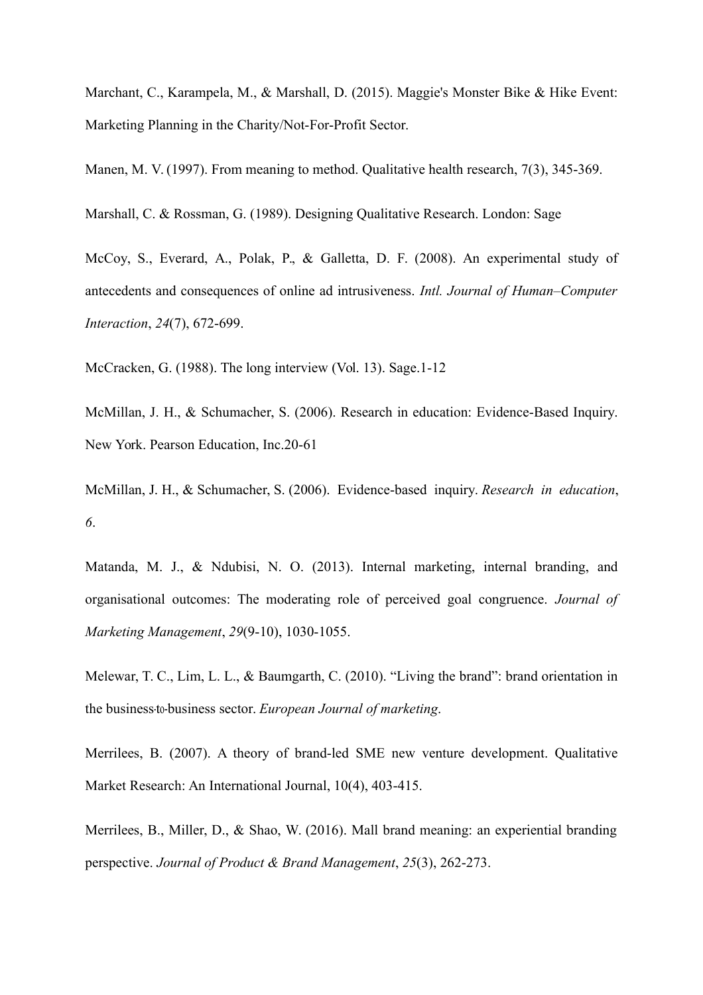Marchant, C., Karampela, M., & Marshall, D. (2015). Maggie's Monster Bike & Hike Event: Marketing Planning in the Charity/Not-For-Profit Sector.

Manen, M. V. (1997). From meaning to method. Qualitative health research, 7(3), 345-369.

Marshall, C. & Rossman, G. (1989). Designing Qualitative Research. London: Sage

McCoy, S., Everard, A., Polak, P., & Galletta, D. F. (2008). An experimental study of antecedents and consequences of online ad intrusiveness. *Intl. Journal of Human–Computer Interaction*, *24*(7), 672-699.

McCracken, G. (1988). The long interview (Vol. 13). Sage.1-12

McMillan, J. H., & Schumacher, S. (2006). Research in education: Evidence-Based Inquiry. New York. Pearson Education, Inc.20-61

McMillan, J. H., & Schumacher, S. (2006). Evidence-based inquiry. *Research in education*, *6*.

Matanda, M. J., & Ndubisi, N. O. (2013). Internal marketing, internal branding, and organisational outcomes: The moderating role of perceived goal congruence. *Journal of Marketing Management*, *29*(9-10), 1030-1055.

Melewar, T. C., Lim, L. L., & Baumgarth, C. (2010). "Living the brand": brand orientation in the business‐to‐business sector. *European Journal of marketing*.

Merrilees, B. (2007). A theory of brand-led SME new venture development. Qualitative Market Research: An International Journal, 10(4), 403-415.

Merrilees, B., Miller, D., & Shao, W. (2016). Mall brand meaning: an experiential branding perspective. *Journal of Product & Brand Management*, *25*(3), 262-273.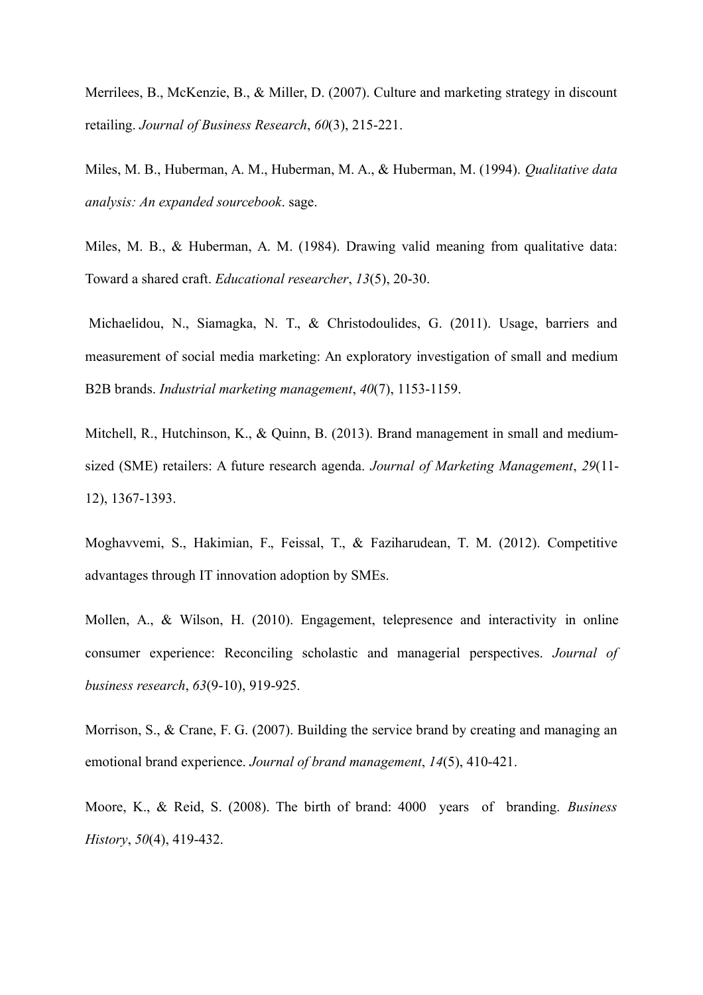Merrilees, B., McKenzie, B., & Miller, D. (2007). Culture and marketing strategy in discount retailing. *Journal of Business Research*, *60*(3), 215-221.

Miles, M. B., Huberman, A. M., Huberman, M. A., & Huberman, M. (1994). *Qualitative data analysis: An expanded sourcebook*. sage.

Miles, M. B., & Huberman, A. M. (1984). Drawing valid meaning from qualitative data: Toward a shared craft. *Educational researcher*, *13*(5), 20-30.

Michaelidou, N., Siamagka, N. T., & Christodoulides, G. (2011). Usage, barriers and measurement of social media marketing: An exploratory investigation of small and medium B2B brands. *Industrial marketing management*, *40*(7), 1153-1159.

Mitchell, R., Hutchinson, K., & Ouinn, B. (2013). Brand management in small and mediumsized (SME) retailers: A future research agenda. *Journal of Marketing Management*, *29*(11- 12), 1367-1393.

Moghavvemi, S., Hakimian, F., Feissal, T., & Faziharudean, T. M. (2012). Competitive advantages through IT innovation adoption by SMEs.

Mollen, A., & Wilson, H. (2010). Engagement, telepresence and interactivity in online consumer experience: Reconciling scholastic and managerial perspectives. *Journal of business research*, *63*(9-10), 919-925.

Morrison, S., & Crane, F. G. (2007). Building the service brand by creating and managing an emotional brand experience. *Journal of brand management*, *14*(5), 410-421.

Moore, K., & Reid, S. (2008). The birth of brand: 4000 years of branding. *Business History*, *50*(4), 419-432.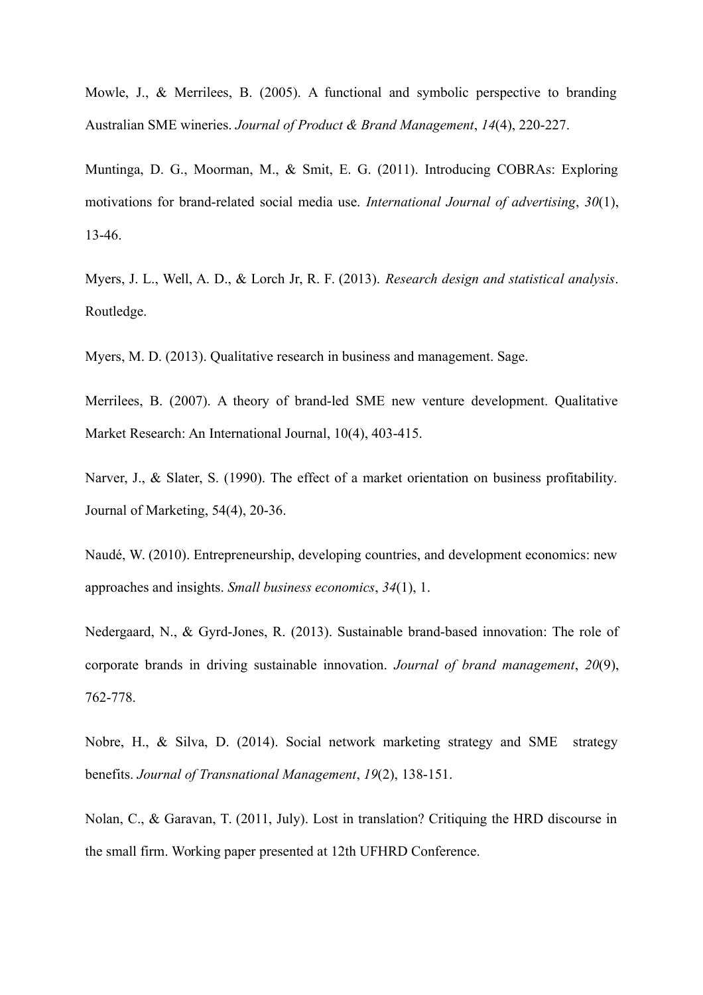Mowle, J., & Merrilees, B. (2005). A functional and symbolic perspective to branding Australian SME wineries. *Journal of Product & Brand Management*, *14*(4), 220-227.

Muntinga, D. G., Moorman, M., & Smit, E. G. (2011). Introducing COBRAs: Exploring motivations for brand-related social media use. *International Journal of advertising*, *30*(1), 13-46.

Myers, J. L., Well, A. D., & Lorch Jr, R. F. (2013). *Research design and statistical analysis*. Routledge.

Myers, M. D. (2013). Qualitative research in business and management. Sage.

Merrilees, B. (2007). A theory of brand-led SME new venture development. Qualitative Market Research: An International Journal, 10(4), 403-415.

Narver, J., & Slater, S. (1990). The effect of a market orientation on business profitability. Journal of Marketing, 54(4), 20-36.

Naudé, W. (2010). Entrepreneurship, developing countries, and development economics: new approaches and insights. *Small business economics*, *34*(1), 1.

Nedergaard, N., & Gyrd-Jones, R. (2013). Sustainable brand-based innovation: The role of corporate brands in driving sustainable innovation. *Journal of brand management*, *20*(9), 762-778.

Nobre, H., & Silva, D. (2014). Social network marketing strategy and SME strategy benefits. *Journal of Transnational Management*, *19*(2), 138-151.

Nolan, C., & Garavan, T. (2011, July). Lost in translation? Critiquing the HRD discourse in the small firm. Working paper presented at 12th UFHRD Conference.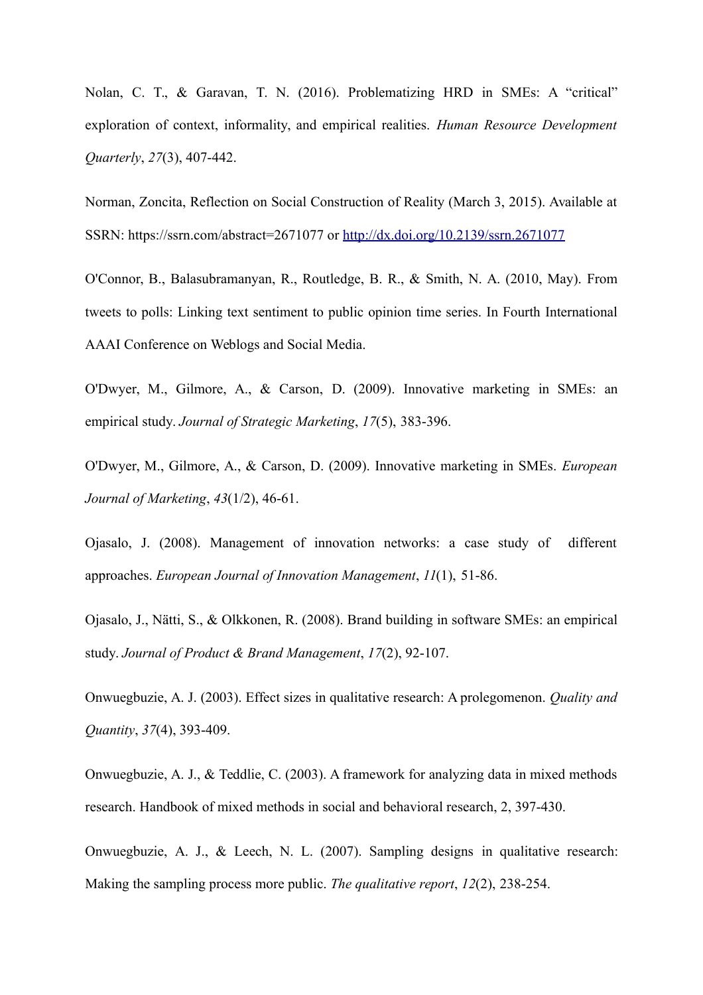Nolan, C. T., & Garavan, T. N. (2016). Problematizing HRD in SMEs: A "critical" exploration of context, informality, and empirical realities. *Human Resource Development Quarterly*, *27*(3), 407-442.

Norman, Zoncita, Reflection on Social Construction of Reality (March 3, 2015). Available at SSRN: https://ssrn.com/abstract=2671077 or<http://dx.doi.org/10.2139/ssrn.2671077>

O'Connor, B., Balasubramanyan, R., Routledge, B. R., & Smith, N. A. (2010, May). From tweets to polls: Linking text sentiment to public opinion time series. In Fourth International AAAI Conference on Weblogs and Social Media.

O'Dwyer, M., Gilmore, A., & Carson, D. (2009). Innovative marketing in SMEs: an empirical study. *Journal of Strategic Marketing*, *17*(5), 383-396.

O'Dwyer, M., Gilmore, A., & Carson, D. (2009). Innovative marketing in SMEs. *European Journal of Marketing*, *43*(1/2), 46-61.

Ojasalo, J. (2008). Management of innovation networks: a case study of different approaches. *European Journal of Innovation Management*, *11*(1), 51-86.

Ojasalo, J., Nätti, S., & Olkkonen, R. (2008). Brand building in software SMEs: an empirical study. *Journal of Product & Brand Management*, *17*(2), 92-107.

Onwuegbuzie, A. J. (2003). Effect sizes in qualitative research: A prolegomenon. *Quality and Quantity*, *37*(4), 393-409.

Onwuegbuzie, A. J., & Teddlie, C. (2003). A framework for analyzing data in mixed methods research. Handbook of mixed methods in social and behavioral research, 2, 397-430.

Onwuegbuzie, A. J., & Leech, N. L. (2007). Sampling designs in qualitative research: Making the sampling process more public. *The qualitative report*, *12*(2), 238-254.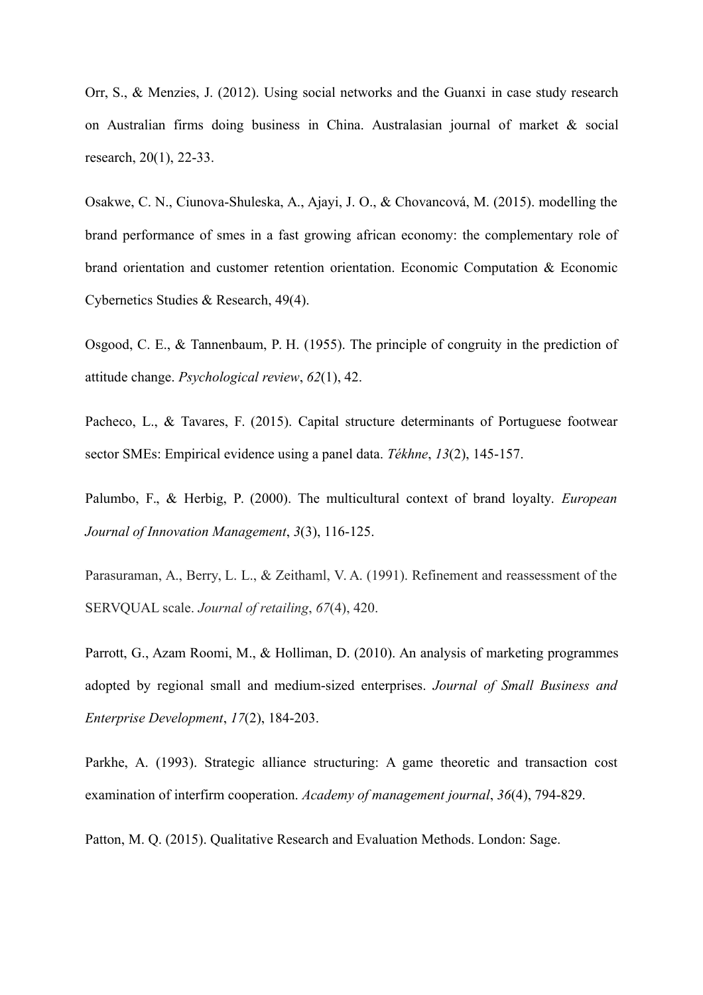Orr, S., & Menzies, J. (2012). Using social networks and the Guanxi in case study research on Australian firms doing business in China. Australasian journal of market & social research, 20(1), 22-33.

Osakwe, C. N., Ciunova-Shuleska, A., Ajayi, J. O., & Chovancová, M. (2015). modelling the brand performance of smes in a fast growing african economy: the complementary role of brand orientation and customer retention orientation. Economic Computation & Economic Cybernetics Studies & Research, 49(4).

Osgood, C. E., & Tannenbaum, P. H. (1955). The principle of congruity in the prediction of attitude change. *Psychological review*, *62*(1), 42.

Pacheco, L., & Tavares, F. (2015). Capital structure determinants of Portuguese footwear sector SMEs: Empirical evidence using a panel data. *Tékhne*, *13*(2), 145-157.

Palumbo, F., & Herbig, P. (2000). The multicultural context of brand loyalty. *European Journal of Innovation Management*, *3*(3), 116-125.

Parasuraman, A., Berry, L. L., & Zeithaml, V. A. (1991). Refinement and reassessment of the SERVQUAL scale. *Journal of retailing*, *67*(4), 420.

Parrott, G., Azam Roomi, M., & Holliman, D. (2010). An analysis of marketing programmes adopted by regional small and medium-sized enterprises. *Journal of Small Business and Enterprise Development*, *17*(2), 184-203.

Parkhe, A. (1993). Strategic alliance structuring: A game theoretic and transaction cost examination of interfirm cooperation. *Academy of management journal*, *36*(4), 794-829.

Patton, M. Q. (2015). Qualitative Research and Evaluation Methods. London: Sage.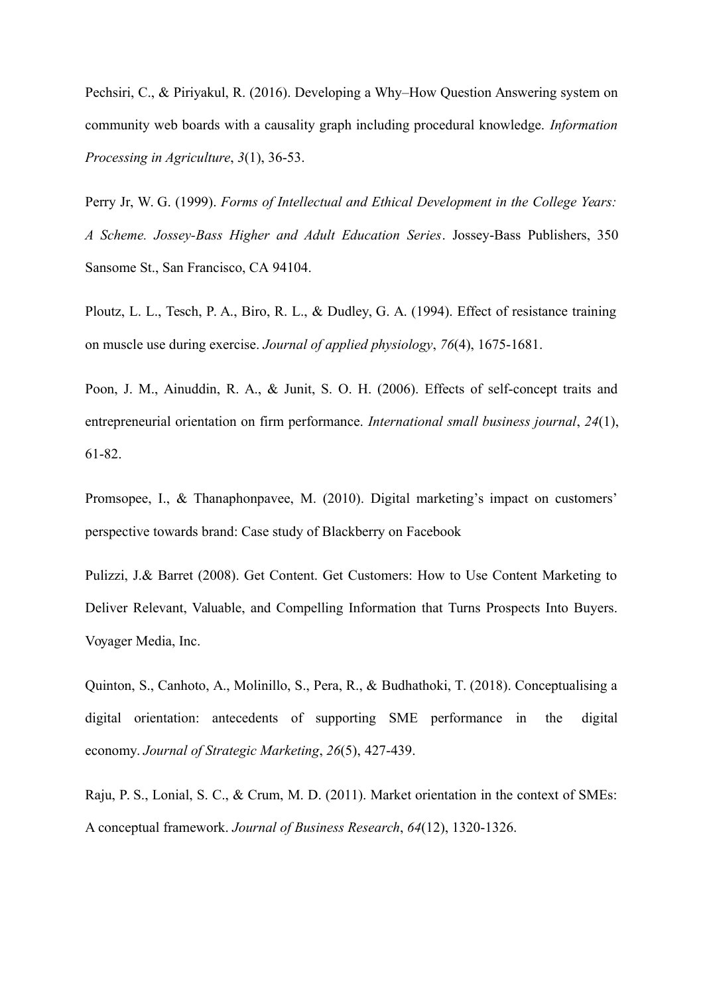Pechsiri, C., & Piriyakul, R. (2016). Developing a Why–How Question Answering system on community web boards with a causality graph including procedural knowledge. *Information Processing in Agriculture*, *3*(1), 36-53.

Perry Jr, W. G. (1999). *Forms of Intellectual and Ethical Development in the College Years: A Scheme. Jossey-Bass Higher and Adult Education Series*. Jossey-Bass Publishers, 350 Sansome St., San Francisco, CA 94104.

Ploutz, L. L., Tesch, P. A., Biro, R. L., & Dudley, G. A. (1994). Effect of resistance training on muscle use during exercise. *Journal of applied physiology*, *76*(4), 1675-1681.

Poon, J. M., Ainuddin, R. A., & Junit, S. O. H. (2006). Effects of self-concept traits and entrepreneurial orientation on firm performance. *International small business journal*, *24*(1), 61-82.

Promsopee, I., & Thanaphonpavee, M. (2010). Digital marketing's impact on customers' perspective towards brand: Case study of Blackberry on Facebook

Pulizzi, J.& Barret (2008). Get Content. Get Customers: How to Use Content Marketing to Deliver Relevant, Valuable, and Compelling Information that Turns Prospects Into Buyers. Voyager Media, Inc.

Quinton, S., Canhoto, A., Molinillo, S., Pera, R., & Budhathoki, T. (2018). Conceptualising a digital orientation: antecedents of supporting SME performance in the digital economy. *Journal of Strategic Marketing*, *26*(5), 427-439.

Raju, P. S., Lonial, S. C., & Crum, M. D. (2011). Market orientation in the context of SMEs: A conceptual framework. *Journal of Business Research*, *64*(12), 1320-1326.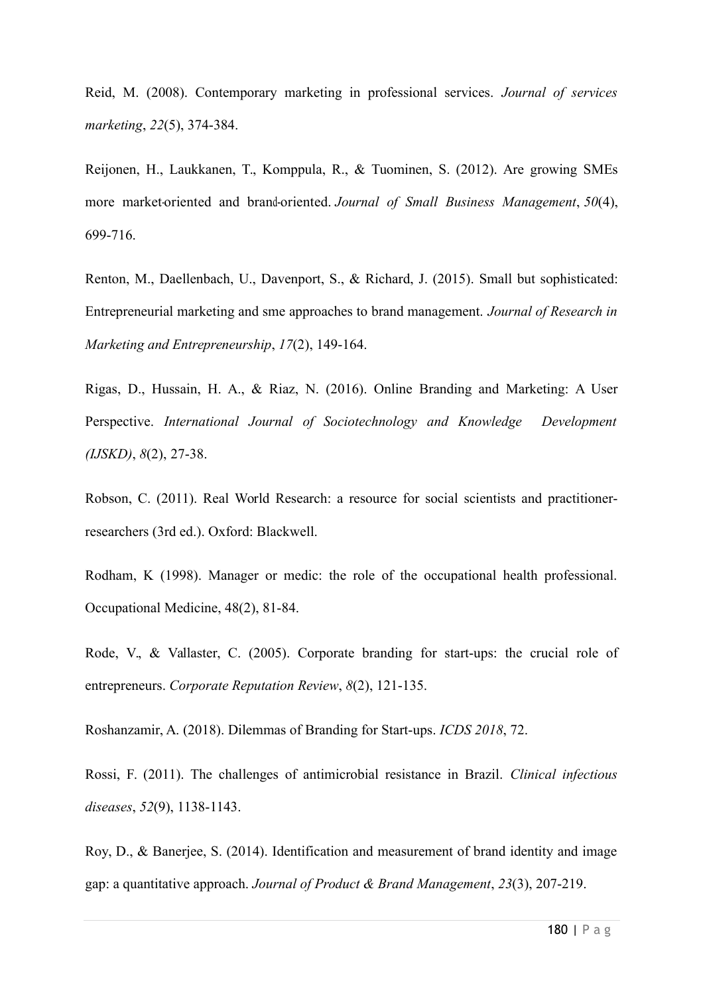Reid, M. (2008). Contemporary marketing in professional services. *Journal of services marketing*, *22*(5), 374-384.

Reijonen, H., Laukkanen, T., Komppula, R., & Tuominen, S. (2012). Are growing SMEs more market-oriented and brand-oriented. *Journal of Small Business Management*, 50(4), 699-716.

Renton, M., Daellenbach, U., Davenport, S., & Richard, J. (2015). Small but sophisticated: Entrepreneurial marketing and sme approaches to brand management. *Journal of Research in Marketing and Entrepreneurship*, *17*(2), 149-164.

Rigas, D., Hussain, H. A., & Riaz, N. (2016). Online Branding and Marketing: A User Perspective. *International Journal of Sociotechnology and Knowledge Development (IJSKD)*, *8*(2), 27-38.

Robson, C. (2011). Real World Research: a resource for social scientists and practitionerresearchers (3rd ed.). Oxford: Blackwell.

Rodham, K (1998). Manager or medic: the role of the occupational health professional. Occupational Medicine, 48(2), 81-84.

Rode, V., & Vallaster, C. (2005). Corporate branding for start-ups: the crucial role of entrepreneurs. *Corporate Reputation Review*, *8*(2), 121-135.

Roshanzamir, A. (2018). Dilemmas of Branding for Start-ups. *ICDS 2018*, 72.

Rossi, F. (2011). The challenges of antimicrobial resistance in Brazil. *Clinical infectious diseases*, *52*(9), 1138-1143.

Roy, D., & Banerjee, S. (2014). Identification and measurement of brand identity and image gap: a quantitative approach. *Journal of Product & Brand Management*, *23*(3), 207-219.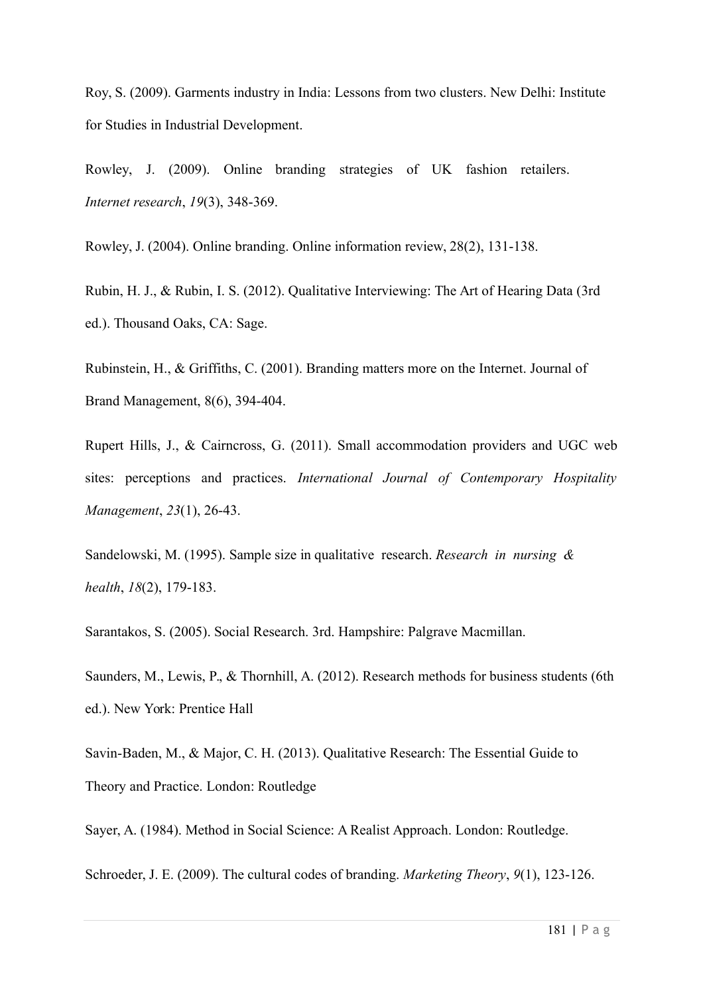Roy, S. (2009). Garments industry in India: Lessons from two clusters. New Delhi: Institute for Studies in Industrial Development.

Rowley, J. (2009). Online branding strategies of UK fashion retailers. *Internet research*, *19*(3), 348-369.

Rowley, J. (2004). Online branding. Online information review, 28(2), 131-138.

Rubin, H. J., & Rubin, I. S. (2012). Qualitative Interviewing: The Art of Hearing Data (3rd ed.). Thousand Oaks, CA: Sage.

Rubinstein, H., & Griffiths, C. (2001). Branding matters more on the Internet. Journal of Brand Management, 8(6), 394-404.

Rupert Hills, J., & Cairncross, G. (2011). Small accommodation providers and UGC web sites: perceptions and practices. *International Journal of Contemporary Hospitality Management*, *23*(1), 26-43.

Sandelowski, M. (1995). Sample size in qualitative research. *Research in nursing & health*, *18*(2), 179-183.

Sarantakos, S. (2005). Social Research. 3rd. Hampshire: Palgrave Macmillan.

Saunders, M., Lewis, P., & Thornhill, A. (2012). Research methods for business students (6th ed.). New York: Prentice Hall

Savin-Baden, M., & Major, C. H. (2013). Qualitative Research: The Essential Guide to Theory and Practice. London: Routledge

Sayer, A. (1984). Method in Social Science: A Realist Approach. London: Routledge.

Schroeder, J. E. (2009). The cultural codes of branding. *Marketing Theory*, *9*(1), 123-126.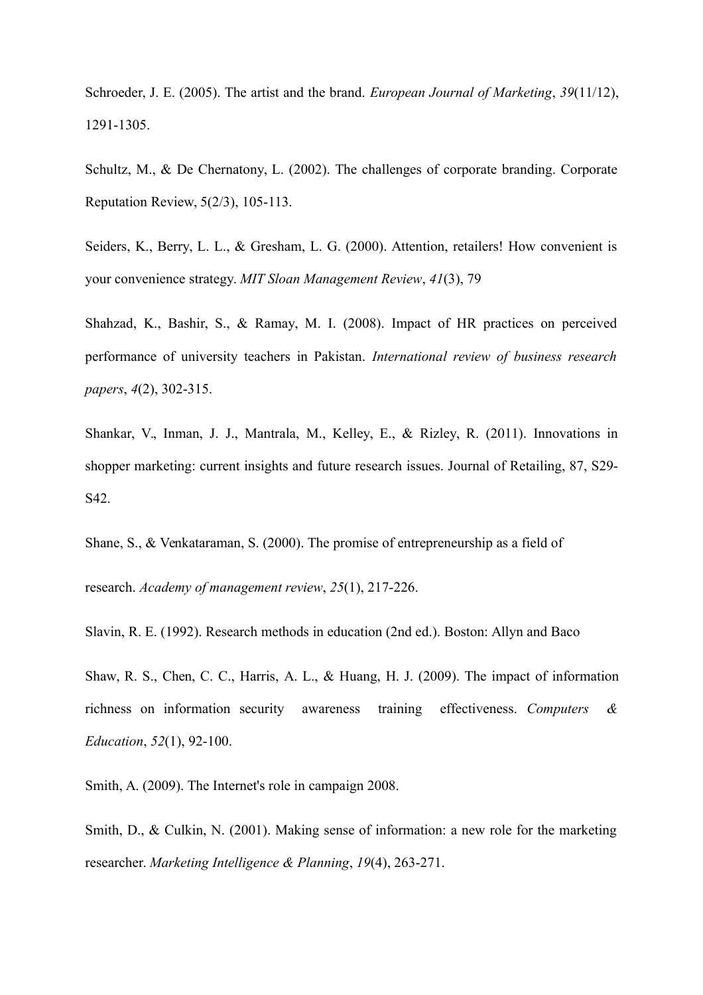Schroeder, J. E. (2005). The artist and the brand. *European Journal of Marketing*, *39*(11/12), 1291-1305.

Schultz, M., & De Chernatony, L. (2002). The challenges of corporate branding. Corporate Reputation Review, 5(2/3), 105-113.

Seiders, K., Berry, L. L., & Gresham, L. G. (2000). Attention, retailers! How convenient is your convenience strategy. *MIT Sloan Management Review*, *41*(3), 79

Shahzad, K., Bashir, S., & Ramay, M. I. (2008). Impact of HR practices on perceived performance of university teachers in Pakistan. *International review of business research papers*, *4*(2), 302-315.

Shankar, V., Inman, J. J., Mantrala, M., Kelley, E., & Rizley, R. (2011). Innovations in shopper marketing: current insights and future research issues. Journal of Retailing, 87, S29- S42.

Shane, S., & Venkataraman, S. (2000). The promise of entrepreneurship as a field of research. *Academy of management review*, *25*(1), 217-226.

Slavin, R. E. (1992). Research methods in education (2nd ed.). Boston: Allyn and Baco

Shaw, R. S., Chen, C. C., Harris, A. L., & Huang, H. J. (2009). The impact of information richness on information security awareness training effectiveness. *Computers & Education*, *52*(1), 92-100.

Smith, A. (2009). The Internet's role in campaign 2008.

Smith, D., & Culkin, N. (2001). Making sense of information: a new role for the marketing researcher. *Marketing Intelligence & Planning*, *19*(4), 263-271.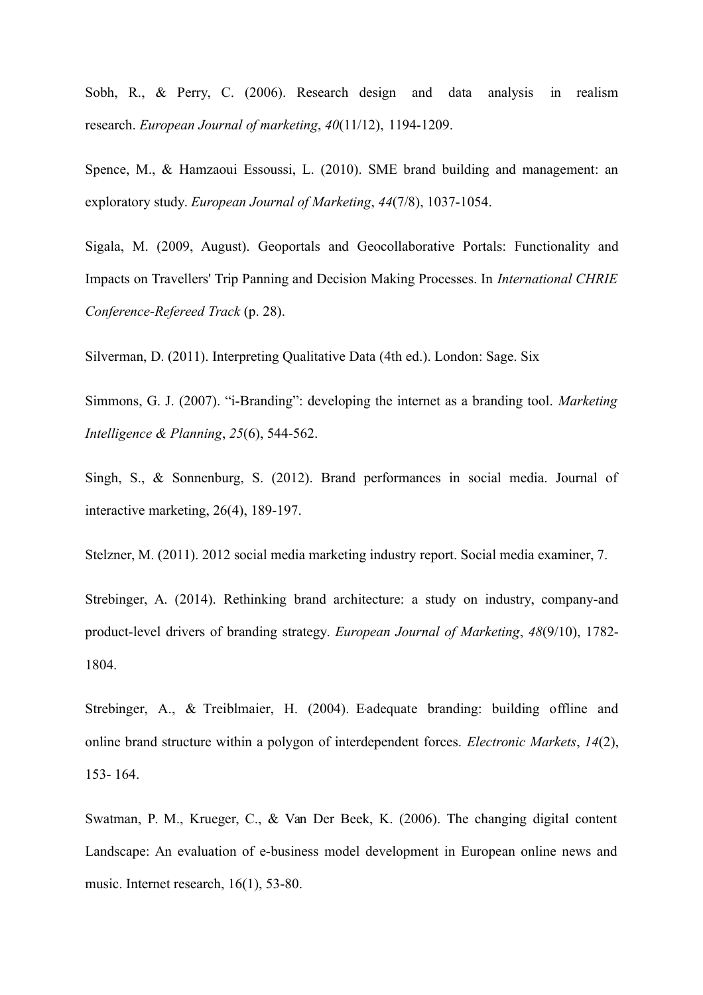Sobh, R., & Perry, C. (2006). Research design and data analysis in realism research. *European Journal of marketing*, *40*(11/12), 1194-1209.

Spence, M., & Hamzaoui Essoussi, L. (2010). SME brand building and management: an exploratory study. *European Journal of Marketing*, *44*(7/8), 1037-1054.

Sigala, M. (2009, August). Geoportals and Geocollaborative Portals: Functionality and Impacts on Travellers' Trip Panning and Decision Making Processes. In *International CHRIE Conference-Refereed Track* (p. 28).

Silverman, D. (2011). Interpreting Qualitative Data (4th ed.). London: Sage. Six

Simmons, G. J. (2007). "i-Branding": developing the internet as a branding tool. *Marketing Intelligence & Planning*, *25*(6), 544-562.

Singh, S., & Sonnenburg, S. (2012). Brand performances in social media. Journal of interactive marketing, 26(4), 189-197.

Stelzner, M. (2011). 2012 social media marketing industry report. Social media examiner, 7.

Strebinger, A. (2014). Rethinking brand architecture: a study on industry, company-and product-level drivers of branding strategy. *European Journal of Marketing*, *48*(9/10), 1782- 1804.

Strebinger, A., & Treiblmaier, H. (2004). E-adequate branding: building offline and online brand structure within a polygon of interdependent forces. *Electronic Markets*, *14*(2), 153- 164.

Swatman, P. M., Krueger, C., & Van Der Beek, K. (2006). The changing digital content Landscape: An evaluation of e-business model development in European online news and music. Internet research, 16(1), 53-80.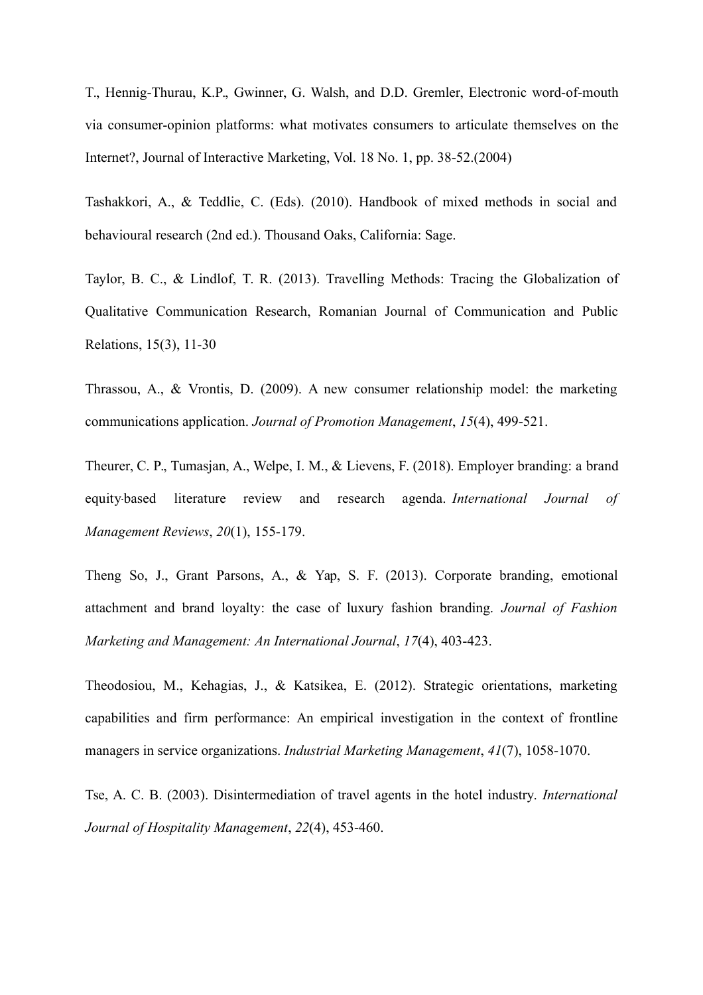T., Hennig-Thurau, K.P., Gwinner, G. Walsh, and D.D. Gremler, Electronic word-of-mouth via consumer-opinion platforms: what motivates consumers to articulate themselves on the Internet?, Journal of Interactive Marketing, Vol. 18 No. 1, pp. 38-52.(2004)

Tashakkori, A., & Teddlie, C. (Eds). (2010). Handbook of mixed methods in social and behavioural research (2nd ed.). Thousand Oaks, California: Sage.

Taylor, B. C., & Lindlof, T. R. (2013). Travelling Methods: Tracing the Globalization of Qualitative Communication Research, Romanian Journal of Communication and Public Relations, 15(3), 11-30

Thrassou, A., & Vrontis, D. (2009). A new consumer relationship model: the marketing communications application. *Journal of Promotion Management*, *15*(4), 499-521.

Theurer, C. P., Tumasjan, A., Welpe, I. M., & Lievens, F. (2018). Employer branding: a brand equity‐based literature review and research agenda. *International Journal of Management Reviews*, *20*(1), 155-179.

Theng So, J., Grant Parsons, A., & Yap, S. F. (2013). Corporate branding, emotional attachment and brand loyalty: the case of luxury fashion branding. *Journal of Fashion Marketing and Management: An International Journal*, *17*(4), 403-423.

Theodosiou, M., Kehagias, J., & Katsikea, E. (2012). Strategic orientations, marketing capabilities and firm performance: An empirical investigation in the context of frontline managers in service organizations. *Industrial Marketing Management*, *41*(7), 1058-1070.

Tse, A. C. B. (2003). Disintermediation of travel agents in the hotel industry. *International Journal of Hospitality Management*, *22*(4), 453-460.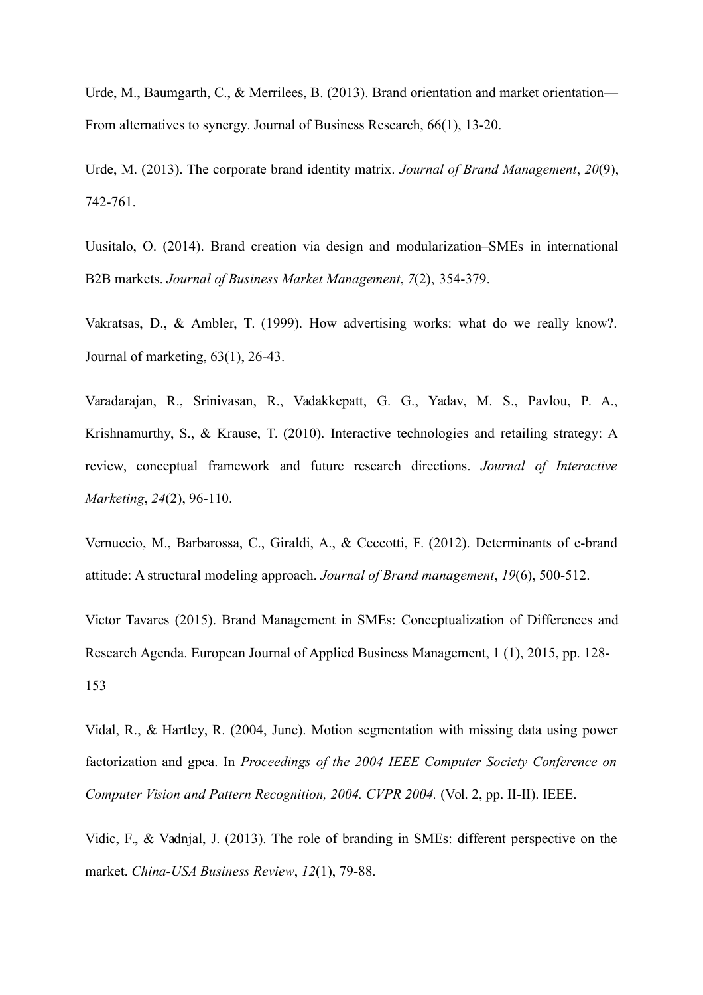Urde, M., Baumgarth, C., & Merrilees, B. (2013). Brand orientation and market orientation— From alternatives to synergy. Journal of Business Research, 66(1), 13-20.

Urde, M. (2013). The corporate brand identity matrix. *Journal of Brand Management*, *20*(9), 742-761.

Uusitalo, O. (2014). Brand creation via design and modularization–SMEs in international B2B markets. *Journal of Business Market Management*, *7*(2), 354-379.

Vakratsas, D., & Ambler, T. (1999). How advertising works: what do we really know?. Journal of marketing, 63(1), 26-43.

Varadarajan, R., Srinivasan, R., Vadakkepatt, G. G., Yadav, M. S., Pavlou, P. A., Krishnamurthy, S., & Krause, T. (2010). Interactive technologies and retailing strategy: A review, conceptual framework and future research directions. *Journal of Interactive Marketing*, *24*(2), 96-110.

Vernuccio, M., Barbarossa, C., Giraldi, A., & Ceccotti, F. (2012). Determinants of e-brand attitude: A structural modeling approach. *Journal of Brand management*, *19*(6), 500-512.

Victor Tavares (2015). Brand Management in SMEs: Conceptualization of Differences and Research Agenda. European Journal of Applied Business Management, 1 (1), 2015, pp. 128- 153

Vidal, R., & Hartley, R. (2004, June). Motion segmentation with missing data using power factorization and gpca. In *Proceedings of the 2004 IEEE Computer Society Conference on Computer Vision and Pattern Recognition, 2004. CVPR 2004.* (Vol. 2, pp. II-II). IEEE.

Vidic, F., & Vadnjal, J. (2013). The role of branding in SMEs: different perspective on the market. *China-USA Business Review*, *12*(1), 79-88.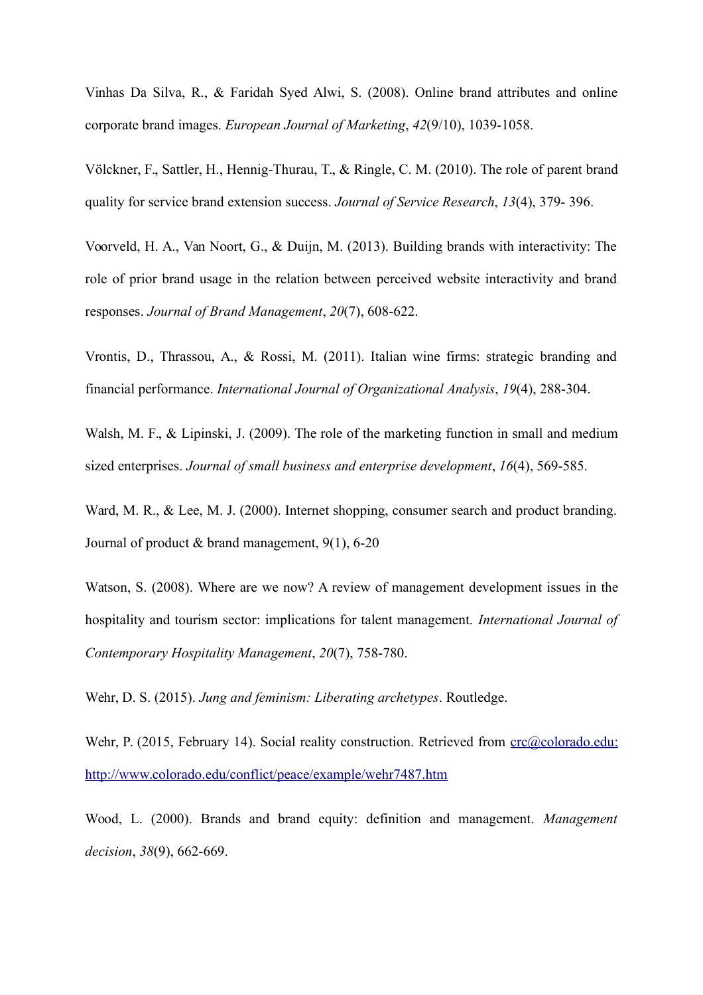Vinhas Da Silva, R., & Faridah Syed Alwi, S. (2008). Online brand attributes and online corporate brand images. *European Journal of Marketing*, *42*(9/10), 1039-1058.

Völckner, F., Sattler, H., Hennig-Thurau, T., & Ringle, C. M. (2010). The role of parent brand quality for service brand extension success. *Journal of Service Research*, *13*(4), 379- 396.

Voorveld, H. A., Van Noort, G., & Duijn, M. (2013). Building brands with interactivity: The role of prior brand usage in the relation between perceived website interactivity and brand responses. *Journal of Brand Management*, *20*(7), 608-622.

Vrontis, D., Thrassou, A., & Rossi, M. (2011). Italian wine firms: strategic branding and financial performance. *International Journal of Organizational Analysis*, *19*(4), 288-304.

Walsh, M. F., & Lipinski, J. (2009). The role of the marketing function in small and medium sized enterprises. *Journal of small business and enterprise development*, *16*(4), 569-585.

Ward, M. R., & Lee, M. J. (2000). Internet shopping, consumer search and product branding. Journal of product  $&$  brand management, 9(1), 6-20

Watson, S. (2008). Where are we now? A review of management development issues in the hospitality and tourism sector: implications for talent management. *International Journal of Contemporary Hospitality Management*, *20*(7), 758-780.

Wehr, D. S. (2015). *Jung and feminism: Liberating archetypes*. Routledge.

Wehr, P. (2015, February 14). Social reality construction. Retrieved from [crc@colorado.edu:](mailto:crc@colorado.edu) <http://www.colorado.edu/conflict/peace/example/wehr7487.htm>

Wood, L. (2000). Brands and brand equity: definition and management. *Management decision*, *38*(9), 662-669.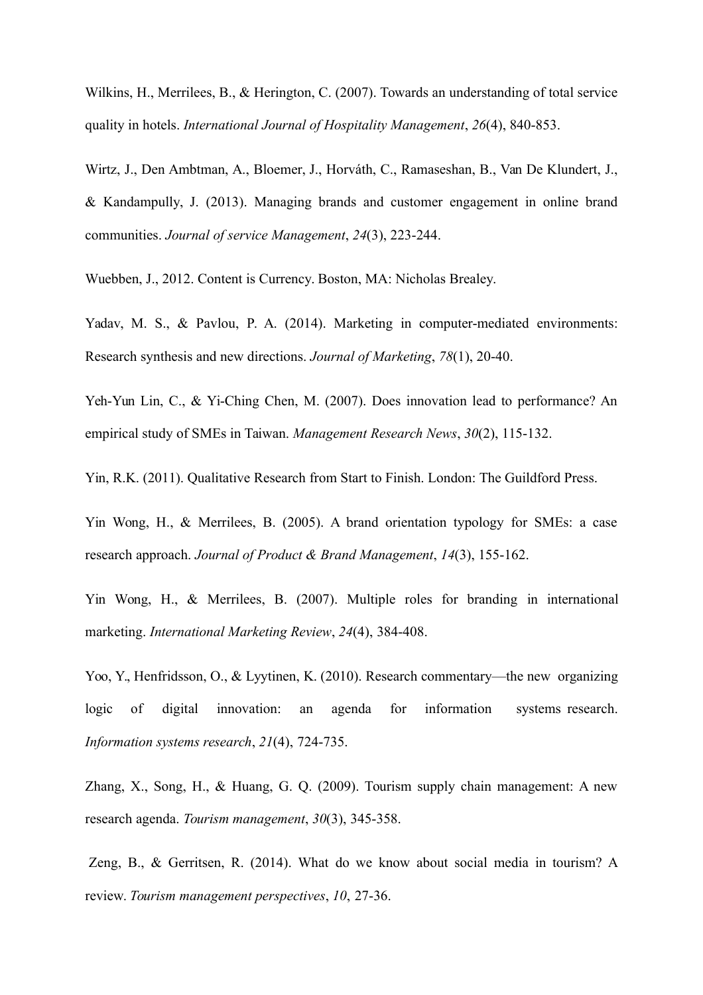Wilkins, H., Merrilees, B., & Herington, C. (2007). Towards an understanding of total service quality in hotels. *International Journal of Hospitality Management*, *26*(4), 840-853.

Wirtz, J., Den Ambtman, A., Bloemer, J., Horváth, C., Ramaseshan, B., Van De Klundert, J., & Kandampully, J. (2013). Managing brands and customer engagement in online brand communities. *Journal of service Management*, *24*(3), 223-244.

Wuebben, J., 2012. Content is Currency. Boston, MA: Nicholas Brealey.

Yadav, M. S., & Pavlou, P. A. (2014). Marketing in computer-mediated environments: Research synthesis and new directions. *Journal of Marketing*, *78*(1), 20-40.

Yeh-Yun Lin, C., & Yi-Ching Chen, M. (2007). Does innovation lead to performance? An empirical study of SMEs in Taiwan. *Management Research News*, *30*(2), 115-132.

Yin, R.K. (2011). Qualitative Research from Start to Finish. London: The Guildford Press.

Yin Wong, H., & Merrilees, B. (2005). A brand orientation typology for SMEs: a case research approach. *Journal of Product & Brand Management*, *14*(3), 155-162.

Yin Wong, H., & Merrilees, B. (2007). Multiple roles for branding in international marketing. *International Marketing Review*, *24*(4), 384-408.

Yoo, Y., Henfridsson, O., & Lyytinen, K. (2010). Research commentary—the new organizing logic of digital innovation: an agenda for information systems research. *Information systems research*, *21*(4), 724-735.

Zhang, X., Song, H., & Huang, G. Q. (2009). Tourism supply chain management: A new research agenda. *Tourism management*, *30*(3), 345-358.

Zeng, B., & Gerritsen, R. (2014). What do we know about social media in tourism? A review. *Tourism management perspectives*, *10*, 27-36.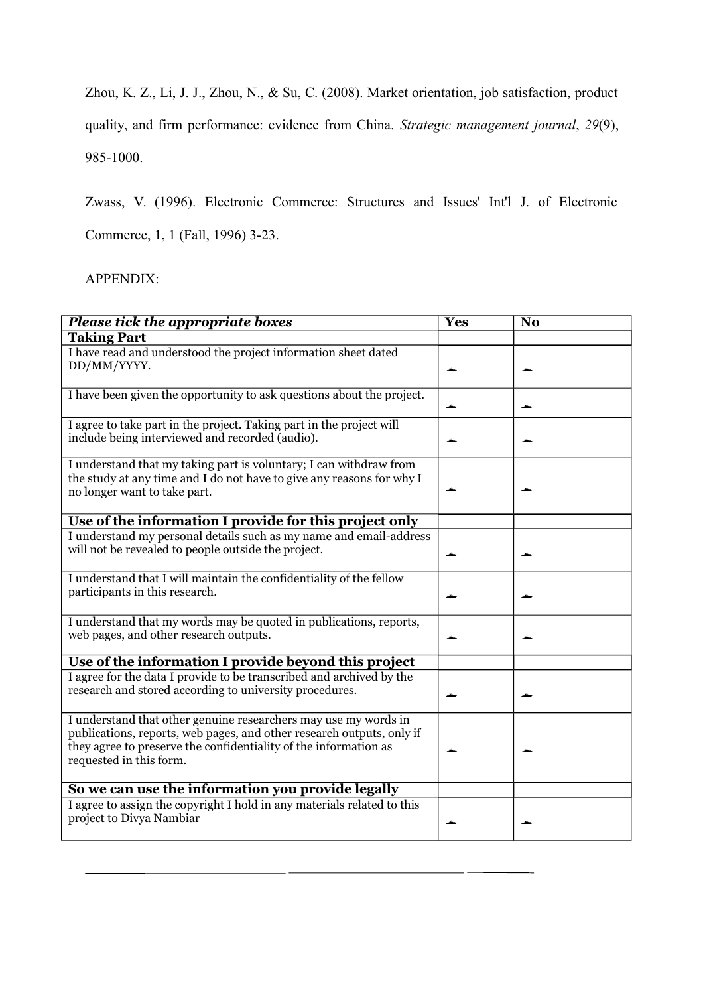Zhou, K. Z., Li, J. J., Zhou, N., & Su, C. (2008). Market orientation, job satisfaction, product

quality, and firm performance: evidence from China. *Strategic management journal*, *29*(9), 985-1000.

Zwass, V. (1996). Electronic Commerce: Structures and Issues' Int'l J. of Electronic

Commerce, 1, 1 (Fall, 1996) 3-23.

#### APPENDIX:

| <b>Please tick the appropriate boxes</b>                                                                                                                                                                                                | <b>Yes</b> | $\overline{\text{No}}$ |
|-----------------------------------------------------------------------------------------------------------------------------------------------------------------------------------------------------------------------------------------|------------|------------------------|
| <b>Taking Part</b>                                                                                                                                                                                                                      |            |                        |
| I have read and understood the project information sheet dated<br>DD/MM/YYYY.                                                                                                                                                           |            |                        |
|                                                                                                                                                                                                                                         |            |                        |
| I have been given the opportunity to ask questions about the project.                                                                                                                                                                   |            |                        |
| I agree to take part in the project. Taking part in the project will<br>include being interviewed and recorded (audio).                                                                                                                 |            |                        |
| I understand that my taking part is voluntary; I can withdraw from<br>the study at any time and I do not have to give any reasons for why I<br>no longer want to take part.                                                             |            |                        |
| Use of the information I provide for this project only                                                                                                                                                                                  |            |                        |
| I understand my personal details such as my name and email-address<br>will not be revealed to people outside the project.                                                                                                               |            |                        |
| I understand that I will maintain the confidentiality of the fellow<br>participants in this research.                                                                                                                                   |            |                        |
| I understand that my words may be quoted in publications, reports,<br>web pages, and other research outputs.                                                                                                                            |            |                        |
| Use of the information I provide beyond this project                                                                                                                                                                                    |            |                        |
| I agree for the data I provide to be transcribed and archived by the<br>research and stored according to university procedures.                                                                                                         |            |                        |
| I understand that other genuine researchers may use my words in<br>publications, reports, web pages, and other research outputs, only if<br>they agree to preserve the confidentiality of the information as<br>requested in this form. |            |                        |
| So we can use the information you provide legally                                                                                                                                                                                       |            |                        |
| I agree to assign the copyright I hold in any materials related to this<br>project to Divya Nambiar                                                                                                                                     |            |                        |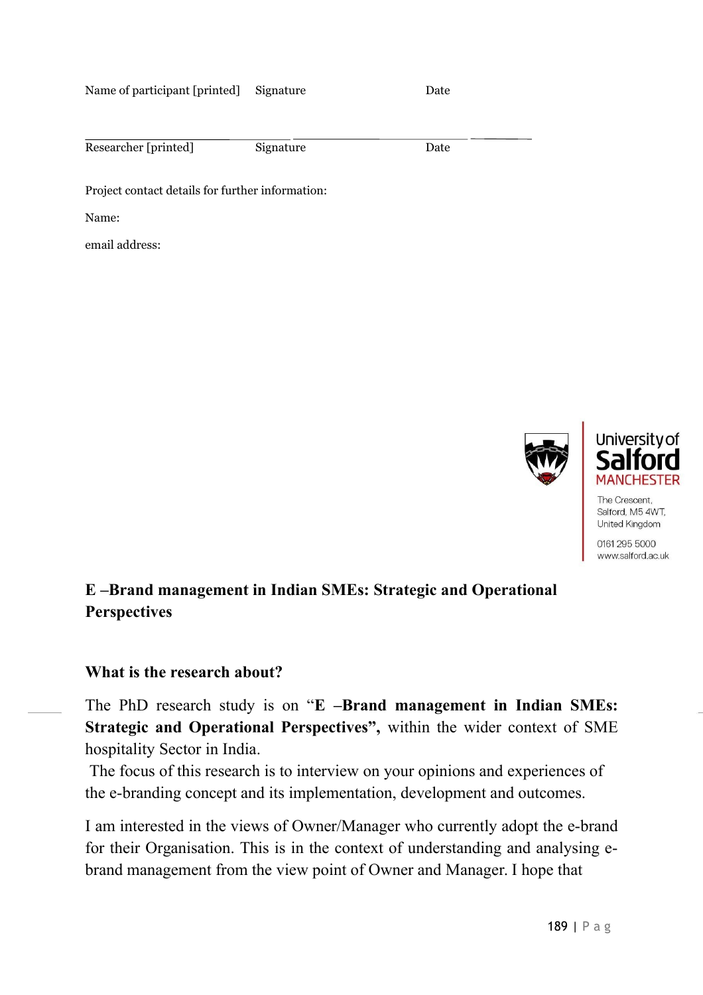Name of participant [printed] Signature Date

| Researcher [printed] | Signature | Date |  |
|----------------------|-----------|------|--|

Project contact details for further information:

Name:

email address:





Salford, M5 4WT, United Kingdom

0161 295 5000 www.salford.ac.uk

## **E –Brand management in Indian SMEs: Strategic and Operational Perspectives**

#### **What is the research about?**

The PhD research study is on "**E –Brand management in Indian SMEs: Strategic and Operational Perspectives",** within the wider context of SME hospitality Sector in India.

The focus of this research is to interview on your opinions and experiences of the e-branding concept and its implementation, development and outcomes.

I am interested in the views of Owner/Manager who currently adopt the e-brand for their Organisation. This is in the context of understanding and analysing ebrand management from the view point of Owner and Manager. I hope that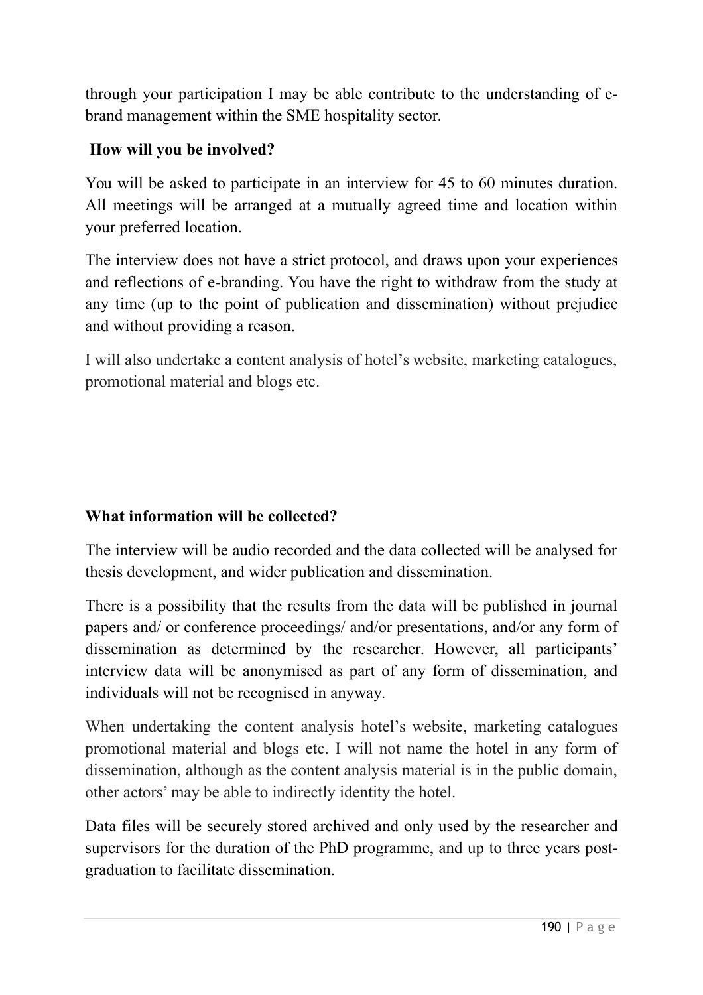through your participation I may be able contribute to the understanding of ebrand management within the SME hospitality sector.

## **How will you be involved?**

You will be asked to participate in an interview for 45 to 60 minutes duration. All meetings will be arranged at a mutually agreed time and location within your preferred location.

The interview does not have a strict protocol, and draws upon your experiences and reflections of e-branding. You have the right to withdraw from the study at any time (up to the point of publication and dissemination) without prejudice and without providing a reason.

I will also undertake a content analysis of hotel's website, marketing catalogues, promotional material and blogs etc.

# **What information will be collected?**

The interview will be audio recorded and the data collected will be analysed for thesis development, and wider publication and dissemination.

There is a possibility that the results from the data will be published in journal papers and/ or conference proceedings/ and/or presentations, and/or any form of dissemination as determined by the researcher. However, all participants' interview data will be anonymised as part of any form of dissemination, and individuals will not be recognised in anyway.

When undertaking the content analysis hotel's website, marketing catalogues promotional material and blogs etc. I will not name the hotel in any form of dissemination, although as the content analysis material is in the public domain, other actors' may be able to indirectly identity the hotel.

Data files will be securely stored archived and only used by the researcher and supervisors for the duration of the PhD programme, and up to three years postgraduation to facilitate dissemination.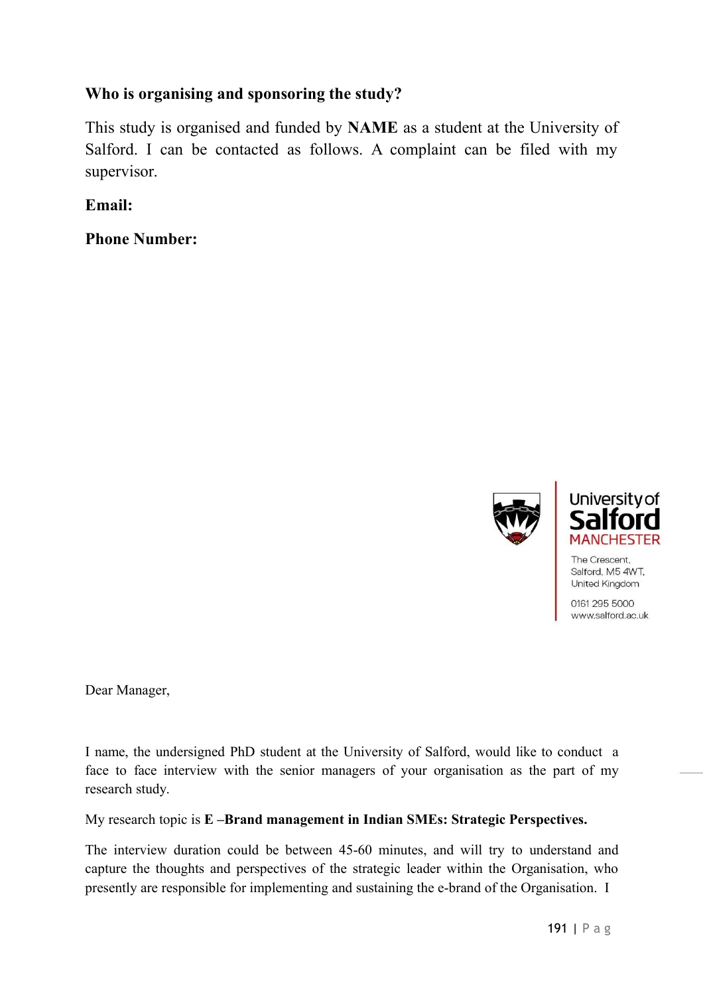### **Who is organising and sponsoring the study?**

This study is organised and funded by **NAME** as a student at the University of Salford. I can be contacted as follows. A complaint can be filed with my supervisor.

**Email:**

**Phone Number:**





The Crescent, Salford, M5 4WT. United Kingdom

0161 295 5000 www.salford.ac.uk

Dear Manager,

I name, the undersigned PhD student at the University of Salford, would like to conduct a face to face interview with the senior managers of your organisation as the part of my research study.

My research topic is **E –Brand management in Indian SMEs: Strategic Perspectives.**

The interview duration could be between 45-60 minutes, and will try to understand and capture the thoughts and perspectives of the strategic leader within the Organisation, who presently are responsible for implementing and sustaining the e-brand of the Organisation. I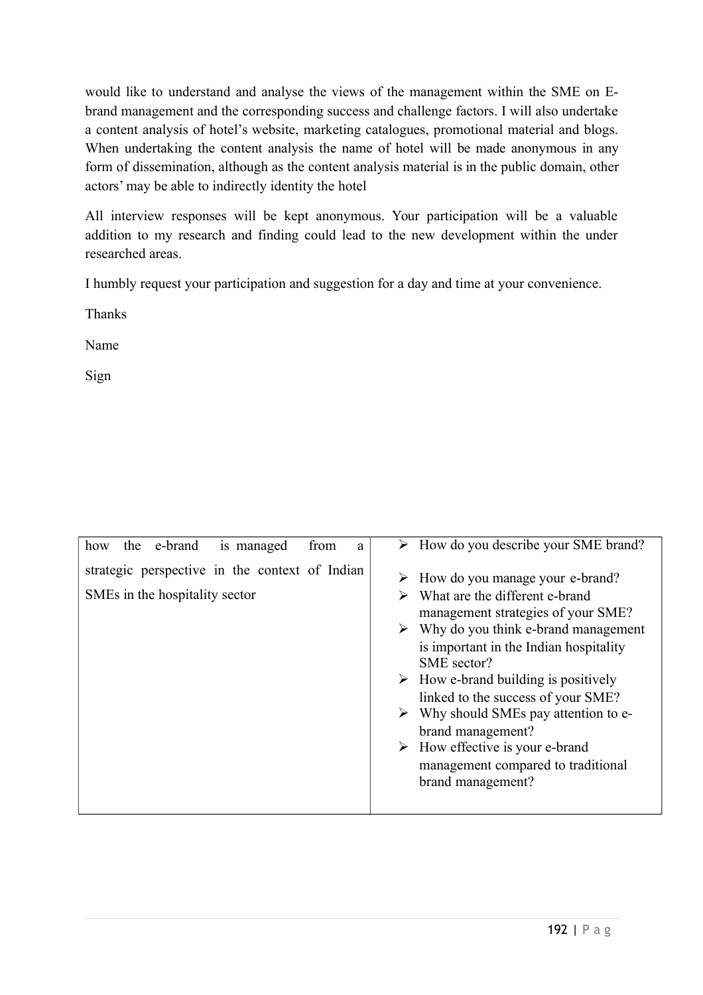would like to understand and analyse the views of the management within the SME on Ebrand management and the corresponding success and challenge factors. I will also undertake a content analysis of hotel's website, marketing catalogues, promotional material and blogs. When undertaking the content analysis the name of hotel will be made anonymous in any form of dissemination, although as the content analysis material is in the public domain, other actors' may be able to indirectly identity the hotel

All interview responses will be kept anonymous. Your participation will be a valuable addition to my research and finding could lead to the new development within the under researched areas.

I humbly request your participation and suggestion for a day and time at your convenience.

Thanks

Name

Sign

| how | the e-brand                    | is managed                                     | from | a | $\triangleright$ How do you describe your SME brand? |
|-----|--------------------------------|------------------------------------------------|------|---|------------------------------------------------------|
|     |                                |                                                |      |   |                                                      |
|     |                                | strategic perspective in the context of Indian |      |   |                                                      |
|     |                                |                                                |      |   | $\triangleright$ How do you manage your e-brand?     |
|     | SMEs in the hospitality sector |                                                |      |   | What are the different e-brand                       |
|     |                                |                                                |      |   |                                                      |
|     |                                |                                                |      |   | management strategies of your SME?                   |
|     |                                |                                                |      |   | $\triangleright$ Why do you think e-brand management |
|     |                                |                                                |      |   | is important in the Indian hospitality               |
|     |                                |                                                |      |   |                                                      |
|     |                                |                                                |      |   | SME sector?                                          |
|     |                                |                                                |      |   | $\triangleright$ How e-brand building is positively  |
|     |                                |                                                |      |   | linked to the success of your SME?                   |
|     |                                |                                                |      |   | $\triangleright$ Why should SMEs pay attention to e- |
|     |                                |                                                |      |   | brand management?                                    |
|     |                                |                                                |      |   |                                                      |
|     |                                |                                                |      |   | $\triangleright$ How effective is your e-brand       |
|     |                                |                                                |      |   | management compared to traditional                   |
|     |                                |                                                |      |   | brand management?                                    |
|     |                                |                                                |      |   |                                                      |
|     |                                |                                                |      |   |                                                      |
|     |                                |                                                |      |   |                                                      |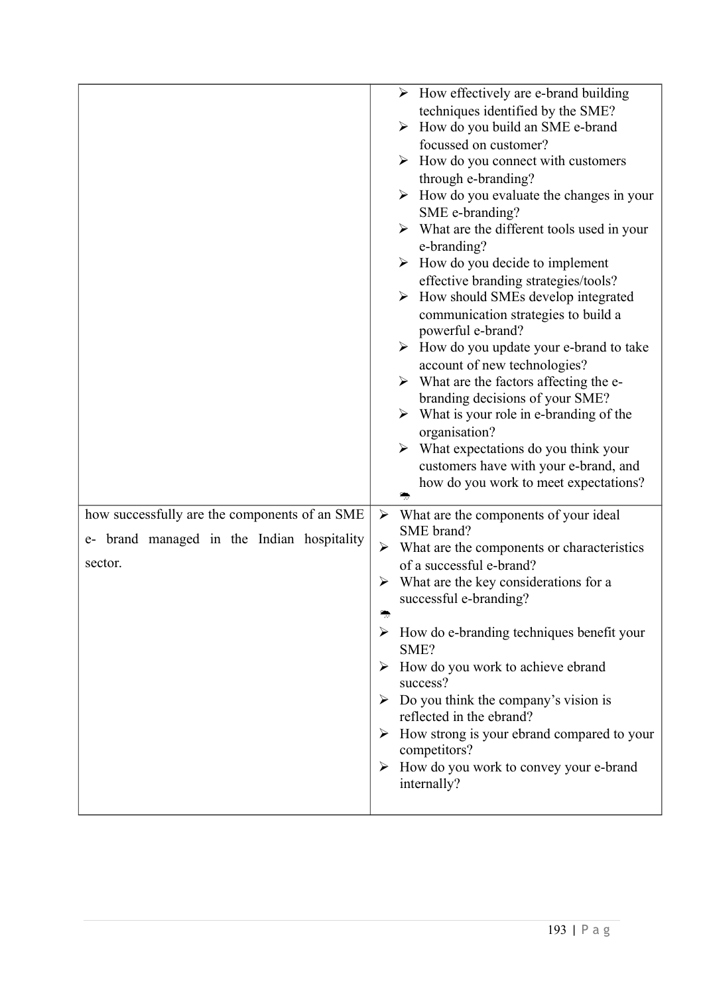|                                               | $\triangleright$ How effectively are e-brand building                    |
|-----------------------------------------------|--------------------------------------------------------------------------|
|                                               | techniques identified by the SME?                                        |
|                                               | $\triangleright$ How do you build an SME e-brand                         |
|                                               | focussed on customer?                                                    |
|                                               | $\triangleright$ How do you connect with customers                       |
|                                               | through e-branding?                                                      |
|                                               | $\triangleright$ How do you evaluate the changes in your                 |
|                                               | SME e-branding?                                                          |
|                                               | $\triangleright$ What are the different tools used in your               |
|                                               | e-branding?                                                              |
|                                               | $\triangleright$ How do you decide to implement                          |
|                                               | effective branding strategies/tools?                                     |
|                                               | How should SMEs develop integrated<br>➤                                  |
|                                               | communication strategies to build a                                      |
|                                               | powerful e-brand?                                                        |
|                                               | $\triangleright$ How do you update your e-brand to take                  |
|                                               | account of new technologies?                                             |
|                                               | $\triangleright$ What are the factors affecting the e-                   |
|                                               | branding decisions of your SME?                                          |
|                                               | $\triangleright$ What is your role in e-branding of the<br>organisation? |
|                                               | $\triangleright$ What expectations do you think your                     |
|                                               | customers have with your e-brand, and                                    |
|                                               | how do you work to meet expectations?                                    |
|                                               |                                                                          |
| how successfully are the components of an SME | $\blacktriangleright$<br>What are the components of your ideal           |
| e- brand managed in the Indian hospitality    | SME brand?                                                               |
|                                               | $\triangleright$ What are the components or characteristics              |
| sector.                                       | of a successful e-brand?                                                 |
|                                               | What are the key considerations for a<br>➤                               |
|                                               | successful e-branding?                                                   |
|                                               |                                                                          |
|                                               |                                                                          |
|                                               | $\triangleright$ How do e-branding techniques benefit your               |
|                                               | SME?                                                                     |
|                                               | How do you work to achieve ebrand<br>➤                                   |
|                                               | success?                                                                 |
|                                               | $\triangleright$ Do you think the company's vision is                    |
|                                               | reflected in the ebrand?                                                 |
|                                               | How strong is your ebrand compared to your<br>➤                          |
|                                               | competitors?                                                             |
|                                               | $\triangleright$ How do you work to convey your e-brand<br>internally?   |
|                                               |                                                                          |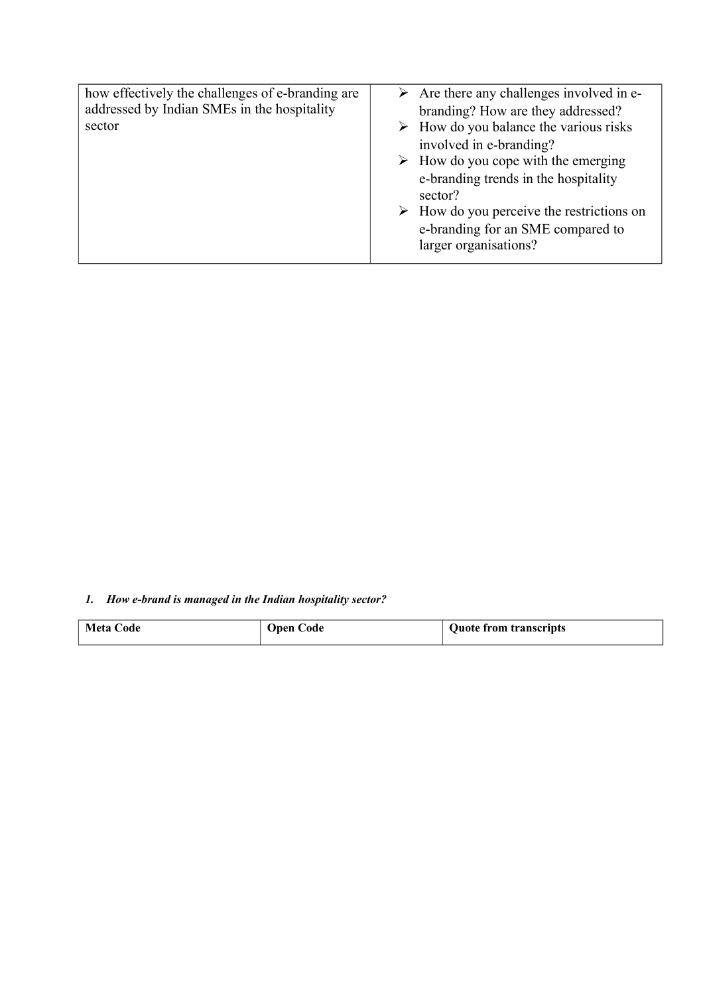| how effectively the challenges of e-branding are<br>addressed by Indian SMEs in the hospitality<br>sector | $\triangleright$ Are there any challenges involved in e-<br>branding? How are they addressed?<br>$\triangleright$ How do you balance the various risks<br>involved in e-branding?<br>$\triangleright$ How do you cope with the emerging<br>e-branding trends in the hospitality<br>sector?<br>$\triangleright$ How do you perceive the restrictions on<br>e-branding for an SME compared to<br>larger organisations? |
|-----------------------------------------------------------------------------------------------------------|----------------------------------------------------------------------------------------------------------------------------------------------------------------------------------------------------------------------------------------------------------------------------------------------------------------------------------------------------------------------------------------------------------------------|
|                                                                                                           |                                                                                                                                                                                                                                                                                                                                                                                                                      |
|                                                                                                           |                                                                                                                                                                                                                                                                                                                                                                                                                      |

*1. How e-brand is managed in the Indian hospitality sector?*

| <b>Meta Code</b> | <b>Open Code</b> | <b>Quote from transcripts</b> |
|------------------|------------------|-------------------------------|
|                  |                  |                               |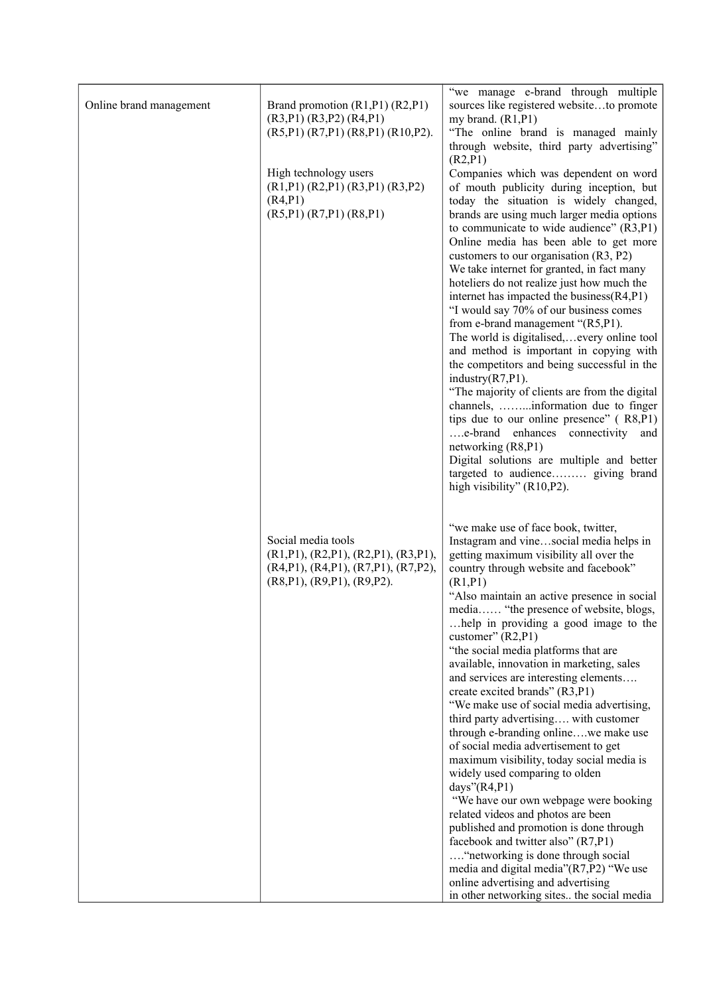| Online brand management | Brand promotion (R1,P1) (R2,P1)<br>$(R3,P1)$ $(R3,P2)$ $(R4,P1)$<br>$(R5,P1)$ $(R7,P1)$ $(R8,P1)$ $(R10,P2)$ .<br>High technology users<br>$(R1,P1)$ $(R2,P1)$ $(R3,P1)$ $(R3,P2)$<br>(R4, P1)<br>(R5,P1) (R7,P1) (R8,P1) | "we manage e-brand through multiple<br>sources like registered websiteto promote<br>my brand. $(R1, P1)$<br>"The online brand is managed mainly<br>through website, third party advertising"<br>(R2, P1)<br>Companies which was dependent on word<br>of mouth publicity during inception, but<br>today the situation is widely changed,<br>brands are using much larger media options<br>to communicate to wide audience" $(R3, P1)$<br>Online media has been able to get more<br>customers to our organisation (R3, P2)<br>We take internet for granted, in fact many<br>hoteliers do not realize just how much the<br>internet has impacted the business(R4,P1)<br>"I would say 70% of our business comes<br>from e-brand management "(R5,P1).<br>The world is digitalised,every online tool<br>and method is important in copying with<br>the competitors and being successful in the<br>industry $(R7,P1)$ .<br>"The majority of clients are from the digital<br>channels, information due to finger<br>tips due to our online presence" (R8,P1)<br>e-brand enhances connectivity and<br>networking (R8,P1)<br>Digital solutions are multiple and better                              |
|-------------------------|---------------------------------------------------------------------------------------------------------------------------------------------------------------------------------------------------------------------------|-------------------------------------------------------------------------------------------------------------------------------------------------------------------------------------------------------------------------------------------------------------------------------------------------------------------------------------------------------------------------------------------------------------------------------------------------------------------------------------------------------------------------------------------------------------------------------------------------------------------------------------------------------------------------------------------------------------------------------------------------------------------------------------------------------------------------------------------------------------------------------------------------------------------------------------------------------------------------------------------------------------------------------------------------------------------------------------------------------------------------------------------------------------------------------------------|
|                         | Social media tools<br>$(R1,P1)$ , $(R2,P1)$ , $(R2,P1)$ , $(R3,P1)$ ,<br>(R4,P1), (R4,P1), (R7,P1), (R7,P2),<br>(R8, P1), (R9, P1), (R9, P2).                                                                             | targeted to audience giving brand<br>high visibility" (R10,P2).<br>"we make use of face book, twitter,<br>Instagram and vinesocial media helps in<br>getting maximum visibility all over the<br>country through website and facebook"<br>(R1, P1)<br>"Also maintain an active presence in social<br>media "the presence of website, blogs,<br>help in providing a good image to the<br>customer" $(R2, P1)$<br>"the social media platforms that are<br>available, innovation in marketing, sales<br>and services are interesting elements<br>create excited brands" (R3,P1)<br>"We make use of social media advertising,<br>third party advertising with customer<br>through e-branding onlinewe make use<br>of social media advertisement to get<br>maximum visibility, today social media is<br>widely used comparing to olden<br>days" $(R4, P1)$<br>"We have our own webpage were booking<br>related videos and photos are been<br>published and promotion is done through<br>facebook and twitter also" (R7,P1)<br>"networking is done through social<br>media and digital media"(R7,P2) "We use<br>online advertising and advertising<br>in other networking sites the social media |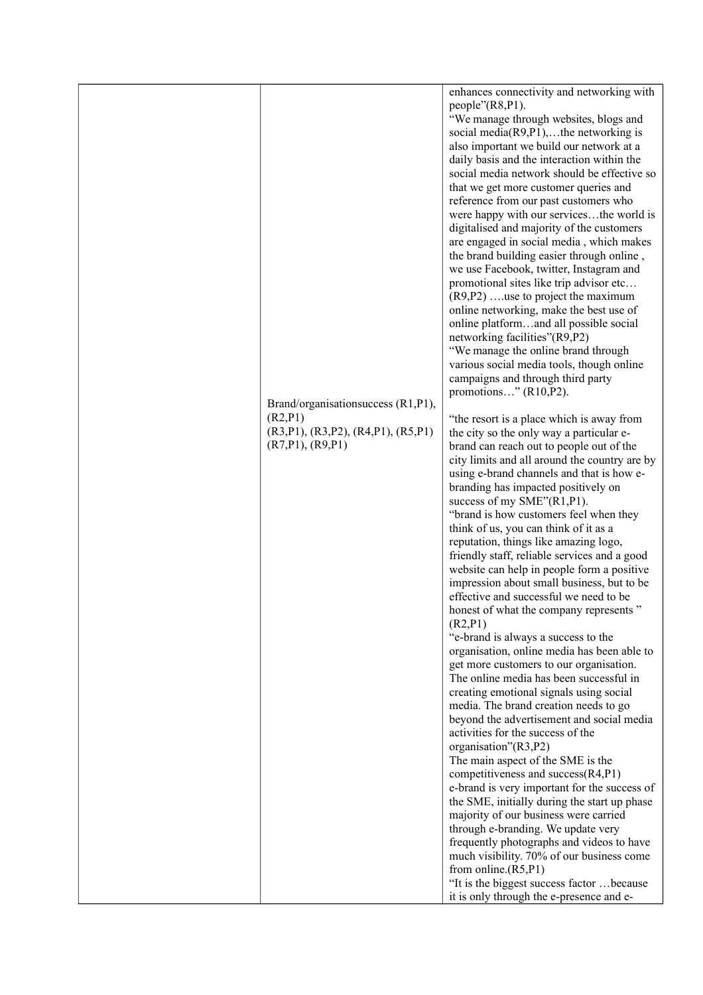|                                                                                                           | enhances connectivity and networking with<br>$people''(R8,P1)$ .<br>"We manage through websites, blogs and<br>social media( $R9, P1$ ),the networking is<br>also important we build our network at a<br>daily basis and the interaction within the<br>social media network should be effective so<br>that we get more customer queries and<br>reference from our past customers who<br>were happy with our servicesthe world is<br>digitalised and majority of the customers<br>are engaged in social media, which makes<br>the brand building easier through online,<br>we use Facebook, twitter, Instagram and                                                                                                                                                                                                                                                                                                                                                                                                                                                                                                                                                                                                                                                                                                                                                                                                                                                                                                                                                                                                                                                                                                                                                                                                                                                                               |
|-----------------------------------------------------------------------------------------------------------|------------------------------------------------------------------------------------------------------------------------------------------------------------------------------------------------------------------------------------------------------------------------------------------------------------------------------------------------------------------------------------------------------------------------------------------------------------------------------------------------------------------------------------------------------------------------------------------------------------------------------------------------------------------------------------------------------------------------------------------------------------------------------------------------------------------------------------------------------------------------------------------------------------------------------------------------------------------------------------------------------------------------------------------------------------------------------------------------------------------------------------------------------------------------------------------------------------------------------------------------------------------------------------------------------------------------------------------------------------------------------------------------------------------------------------------------------------------------------------------------------------------------------------------------------------------------------------------------------------------------------------------------------------------------------------------------------------------------------------------------------------------------------------------------------------------------------------------------------------------------------------------------|
| Brand/organisation success (R1,P1),<br>(R2, P1)<br>(R3,P1), (R3,P2), (R4,P1), (R5,P1)<br>(R7,P1), (R9,P1) | promotional sites like trip advisor etc<br>$(R9, P2)$ use to project the maximum<br>online networking, make the best use of<br>online platformand all possible social<br>networking facilities"(R9,P2)<br>"We manage the online brand through<br>various social media tools, though online<br>campaigns and through third party<br>promotions" $(R10,P2)$ .<br>"the resort is a place which is away from<br>the city so the only way a particular e-<br>brand can reach out to people out of the<br>city limits and all around the country are by<br>using e-brand channels and that is how e-<br>branding has impacted positively on<br>success of my SME"(R1,P1).<br>"brand is how customers feel when they<br>think of us, you can think of it as a<br>reputation, things like amazing logo,<br>friendly staff, reliable services and a good<br>website can help in people form a positive<br>impression about small business, but to be<br>effective and successful we need to be<br>honest of what the company represents"<br>(R2, P1)<br>"e-brand is always a success to the<br>organisation, online media has been able to<br>get more customers to our organisation.<br>The online media has been successful in<br>creating emotional signals using social<br>media. The brand creation needs to go<br>beyond the advertisement and social media<br>activities for the success of the<br>organisation"(R3,P2)<br>The main aspect of the SME is the<br>competitiveness and success(R4,P1)<br>e-brand is very important for the success of<br>the SME, initially during the start up phase<br>majority of our business were carried<br>through e-branding. We update very<br>frequently photographs and videos to have<br>much visibility. 70% of our business come<br>from online. $(R5, P1)$<br>"It is the biggest success factor  because<br>it is only through the e-presence and e- |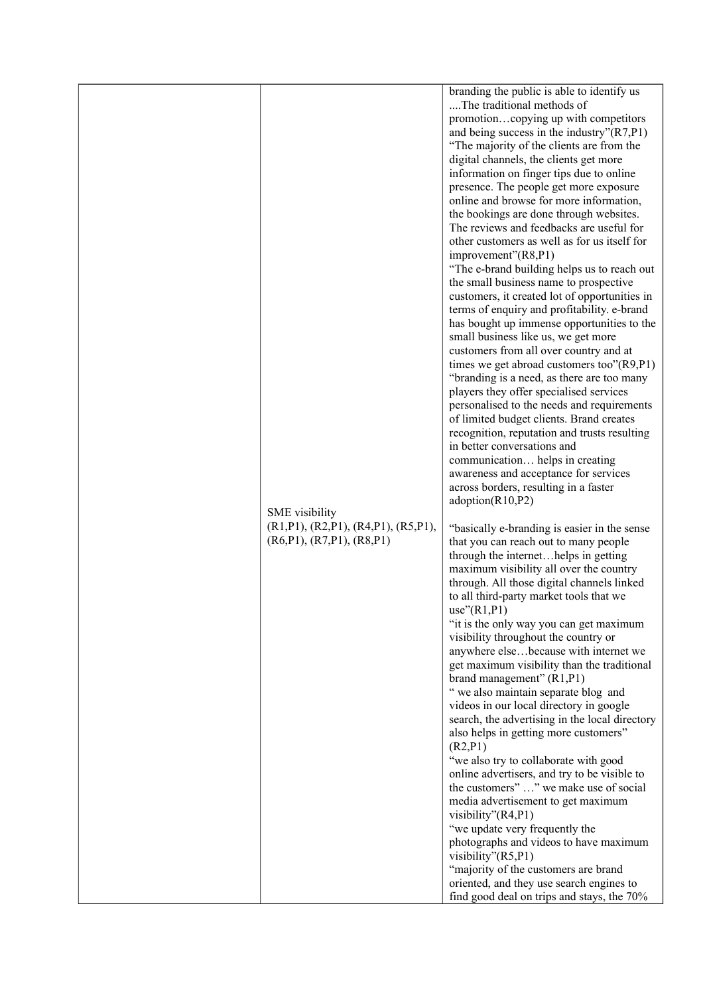|                                     | branding the public is able to identify us<br>The traditional methods of          |
|-------------------------------------|-----------------------------------------------------------------------------------|
|                                     | promotioncopying up with competitors                                              |
|                                     | and being success in the industry" $(R7,P1)$                                      |
|                                     | "The majority of the clients are from the                                         |
|                                     | digital channels, the clients get more                                            |
|                                     | information on finger tips due to online                                          |
|                                     | presence. The people get more exposure<br>online and browse for more information, |
|                                     | the bookings are done through websites.                                           |
|                                     | The reviews and feedbacks are useful for                                          |
|                                     | other customers as well as for us itself for                                      |
|                                     | improvement"(R8,P1)                                                               |
|                                     | "The e-brand building helps us to reach out                                       |
|                                     | the small business name to prospective                                            |
|                                     | customers, it created lot of opportunities in                                     |
|                                     | terms of enquiry and profitability. e-brand                                       |
|                                     | has bought up immense opportunities to the                                        |
|                                     | small business like us, we get more<br>customers from all over country and at     |
|                                     | times we get abroad customers too"(R9,P1)                                         |
|                                     | "branding is a need, as there are too many                                        |
|                                     | players they offer specialised services                                           |
|                                     | personalised to the needs and requirements                                        |
|                                     | of limited budget clients. Brand creates                                          |
|                                     | recognition, reputation and trusts resulting                                      |
|                                     | in better conversations and                                                       |
|                                     | communication helps in creating<br>awareness and acceptance for services          |
|                                     | across borders, resulting in a faster                                             |
|                                     | adoption(R10,P2)                                                                  |
| <b>SME</b> visibility               |                                                                                   |
| (R1,P1), (R2,P1), (R4,P1), (R5,P1), | "basically e-branding is easier in the sense                                      |
| (R6, P1), (R7, P1), (R8, P1)        | that you can reach out to many people                                             |
|                                     | through the internethelps in getting<br>maximum visibility all over the country   |
|                                     | through. All those digital channels linked                                        |
|                                     | to all third-party market tools that we                                           |
|                                     | use''(R1,P1)                                                                      |
|                                     | "it is the only way you can get maximum                                           |
|                                     | visibility throughout the country or                                              |
|                                     | anywhere elsebecause with internet we                                             |
|                                     | get maximum visibility than the traditional                                       |
|                                     | brand management" (R1,P1)<br>" we also maintain separate blog and                 |
|                                     | videos in our local directory in google                                           |
|                                     | search, the advertising in the local directory                                    |
|                                     | also helps in getting more customers"                                             |
|                                     | (R2, P1)                                                                          |
|                                     | "we also try to collaborate with good                                             |
|                                     | online advertisers, and try to be visible to                                      |
|                                     | the customers" " we make use of social                                            |
|                                     | media advertisement to get maximum<br>visibility"(R4,P1)                          |
|                                     | "we update very frequently the                                                    |
|                                     | photographs and videos to have maximum                                            |
|                                     | visibility"(R5,P1)                                                                |
|                                     | "majority of the customers are brand                                              |
|                                     | oriented, and they use search engines to                                          |
|                                     | find good deal on trips and stays, the 70%                                        |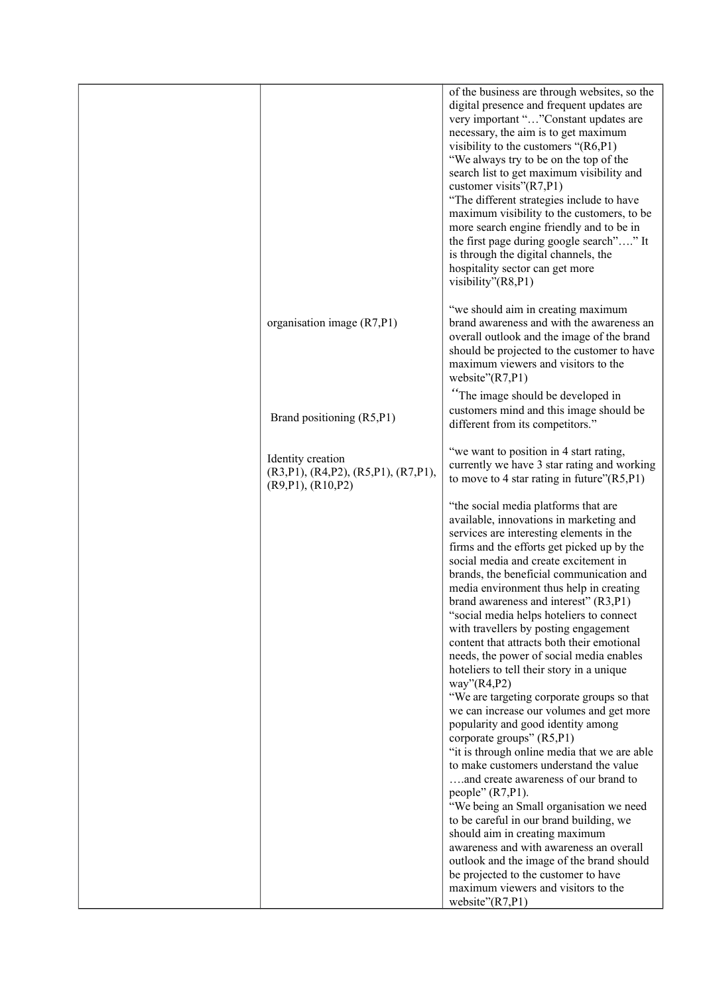|                                                                                      | of the business are through websites, so the<br>digital presence and frequent updates are<br>very important ""Constant updates are<br>necessary, the aim is to get maximum<br>visibility to the customers " $(R6, P1)$<br>"We always try to be on the top of the<br>search list to get maximum visibility and<br>customer visits" $(R7,P1)$<br>"The different strategies include to have<br>maximum visibility to the customers, to be<br>more search engine friendly and to be in<br>the first page during google search"" It<br>is through the digital channels, the<br>hospitality sector can get more<br>visibility"(R8,P1)                                                                                                                                                                                                                                                                                                                                                                                                                                                                                                                                                                                                             |
|--------------------------------------------------------------------------------------|---------------------------------------------------------------------------------------------------------------------------------------------------------------------------------------------------------------------------------------------------------------------------------------------------------------------------------------------------------------------------------------------------------------------------------------------------------------------------------------------------------------------------------------------------------------------------------------------------------------------------------------------------------------------------------------------------------------------------------------------------------------------------------------------------------------------------------------------------------------------------------------------------------------------------------------------------------------------------------------------------------------------------------------------------------------------------------------------------------------------------------------------------------------------------------------------------------------------------------------------|
| organisation image $(R7,P1)$                                                         | "we should aim in creating maximum<br>brand awareness and with the awareness an<br>overall outlook and the image of the brand<br>should be projected to the customer to have<br>maximum viewers and visitors to the<br>website"(R7,P1)                                                                                                                                                                                                                                                                                                                                                                                                                                                                                                                                                                                                                                                                                                                                                                                                                                                                                                                                                                                                      |
| Brand positioning (R5,P1)                                                            | "The image should be developed in<br>customers mind and this image should be<br>different from its competitors."                                                                                                                                                                                                                                                                                                                                                                                                                                                                                                                                                                                                                                                                                                                                                                                                                                                                                                                                                                                                                                                                                                                            |
| Identity creation<br>(R3,P1), (R4,P2), (R5,P1), (R7,P1),<br>$(R9, P1)$ , $(R10, P2)$ | "we want to position in 4 start rating,<br>currently we have 3 star rating and working<br>to move to 4 star rating in future" $(R5, P1)$                                                                                                                                                                                                                                                                                                                                                                                                                                                                                                                                                                                                                                                                                                                                                                                                                                                                                                                                                                                                                                                                                                    |
|                                                                                      | "the social media platforms that are<br>available, innovations in marketing and<br>services are interesting elements in the<br>firms and the efforts get picked up by the<br>social media and create excitement in<br>brands, the beneficial communication and<br>media environment thus help in creating<br>brand awareness and interest" (R3,P1)<br>"social media helps hoteliers to connect<br>with travellers by posting engagement<br>content that attracts both their emotional<br>needs, the power of social media enables<br>hoteliers to tell their story in a unique<br>way" $(R4,P2)$<br>"We are targeting corporate groups so that<br>we can increase our volumes and get more<br>popularity and good identity among<br>corporate groups" (R5,P1)<br>"it is through online media that we are able<br>to make customers understand the value<br>and create awareness of our brand to<br>people" $(R7,P1)$ .<br>"We being an Small organisation we need<br>to be careful in our brand building, we<br>should aim in creating maximum<br>awareness and with awareness an overall<br>outlook and the image of the brand should<br>be projected to the customer to have<br>maximum viewers and visitors to the<br>website" $(R7,P1)$ |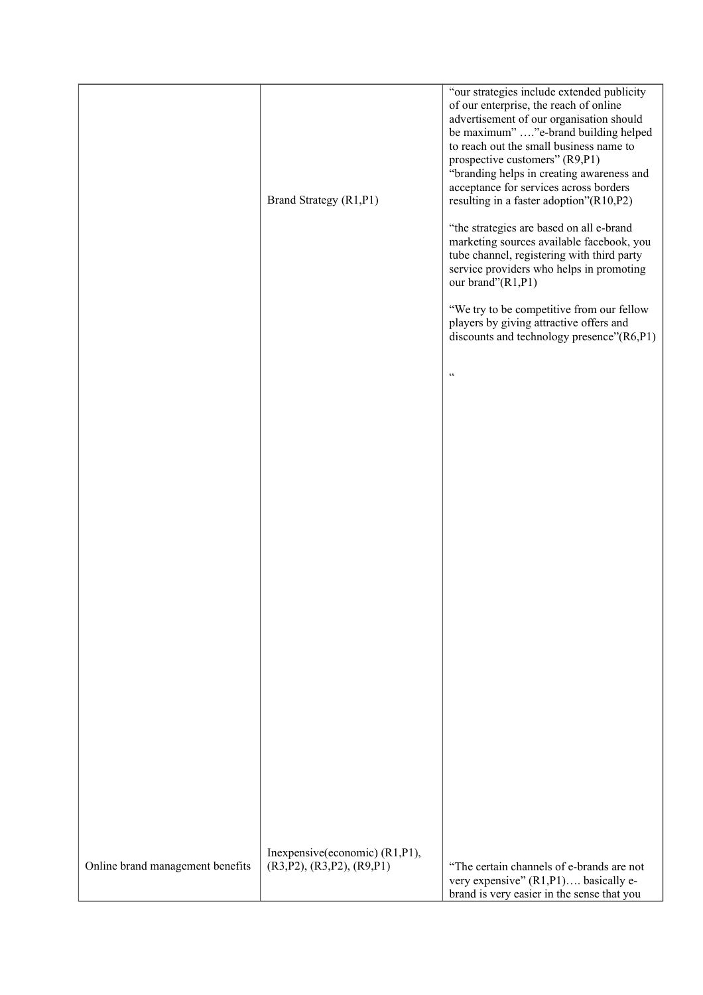|                                  | Brand Strategy (R1,P1)                                      | "our strategies include extended publicity<br>of our enterprise, the reach of online<br>advertisement of our organisation should<br>be maximum" "e-brand building helped<br>to reach out the small business name to<br>prospective customers" (R9,P1)<br>"branding helps in creating awareness and<br>acceptance for services across borders<br>resulting in a faster adoption"(R10,P2)<br>"the strategies are based on all e-brand<br>marketing sources available facebook, you<br>tube channel, registering with third party<br>service providers who helps in promoting<br>our brand"(R1,P1)<br>"We try to be competitive from our fellow<br>players by giving attractive offers and<br>discounts and technology presence"(R6,P1) |
|----------------------------------|-------------------------------------------------------------|--------------------------------------------------------------------------------------------------------------------------------------------------------------------------------------------------------------------------------------------------------------------------------------------------------------------------------------------------------------------------------------------------------------------------------------------------------------------------------------------------------------------------------------------------------------------------------------------------------------------------------------------------------------------------------------------------------------------------------------|
|                                  |                                                             | $\epsilon\epsilon$                                                                                                                                                                                                                                                                                                                                                                                                                                                                                                                                                                                                                                                                                                                   |
|                                  |                                                             |                                                                                                                                                                                                                                                                                                                                                                                                                                                                                                                                                                                                                                                                                                                                      |
|                                  |                                                             |                                                                                                                                                                                                                                                                                                                                                                                                                                                                                                                                                                                                                                                                                                                                      |
|                                  |                                                             |                                                                                                                                                                                                                                                                                                                                                                                                                                                                                                                                                                                                                                                                                                                                      |
|                                  |                                                             |                                                                                                                                                                                                                                                                                                                                                                                                                                                                                                                                                                                                                                                                                                                                      |
|                                  |                                                             |                                                                                                                                                                                                                                                                                                                                                                                                                                                                                                                                                                                                                                                                                                                                      |
|                                  |                                                             |                                                                                                                                                                                                                                                                                                                                                                                                                                                                                                                                                                                                                                                                                                                                      |
|                                  |                                                             |                                                                                                                                                                                                                                                                                                                                                                                                                                                                                                                                                                                                                                                                                                                                      |
| Online brand management benefits | Inexpensive(economic) (R1,P1),<br>(R3,P2), (R3,P2), (R9,P1) | "The certain channels of e-brands are not<br>very expensive" (R1,P1) basically e-<br>brand is very easier in the sense that you                                                                                                                                                                                                                                                                                                                                                                                                                                                                                                                                                                                                      |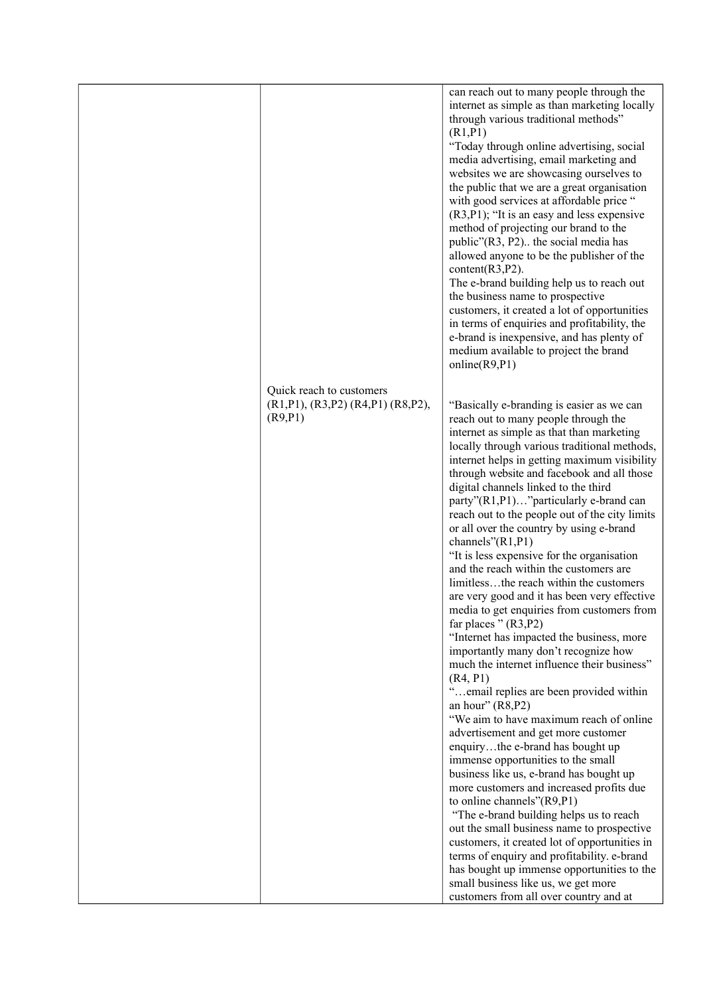|                                                                                     | can reach out to many people through the<br>internet as simple as than marketing locally<br>through various traditional methods"                                                                                                                                                                                                                                                                                                                                                                                                                                                                                                                                                                                                                                                                                                                                                                                                                                                                                                                                                                                                                                                                                                                                                                                                                                                                                                                                                                                                                                       |
|-------------------------------------------------------------------------------------|------------------------------------------------------------------------------------------------------------------------------------------------------------------------------------------------------------------------------------------------------------------------------------------------------------------------------------------------------------------------------------------------------------------------------------------------------------------------------------------------------------------------------------------------------------------------------------------------------------------------------------------------------------------------------------------------------------------------------------------------------------------------------------------------------------------------------------------------------------------------------------------------------------------------------------------------------------------------------------------------------------------------------------------------------------------------------------------------------------------------------------------------------------------------------------------------------------------------------------------------------------------------------------------------------------------------------------------------------------------------------------------------------------------------------------------------------------------------------------------------------------------------------------------------------------------------|
|                                                                                     | (R1, P1)<br>"Today through online advertising, social<br>media advertising, email marketing and<br>websites we are showcasing ourselves to<br>the public that we are a great organisation<br>with good services at affordable price "<br>$(R3, P1)$ ; "It is an easy and less expensive<br>method of projecting our brand to the<br>public"(R3, P2) the social media has<br>allowed anyone to be the publisher of the<br>content $(R3, P2)$ .<br>The e-brand building help us to reach out<br>the business name to prospective<br>customers, it created a lot of opportunities<br>in terms of enquiries and profitability, the<br>e-brand is inexpensive, and has plenty of<br>medium available to project the brand<br>online(R9, P1)                                                                                                                                                                                                                                                                                                                                                                                                                                                                                                                                                                                                                                                                                                                                                                                                                                 |
| Quick reach to customers<br>$(R1,P1)$ , $(R3,P2)$ $(R4,P1)$ $(R8,P2)$ ,<br>(R9, P1) | "Basically e-branding is easier as we can<br>reach out to many people through the<br>internet as simple as that than marketing<br>locally through various traditional methods,<br>internet helps in getting maximum visibility<br>through website and facebook and all those<br>digital channels linked to the third<br>party"(R1,P1)"particularly e-brand can<br>reach out to the people out of the city limits<br>or all over the country by using e-brand<br>channels"(R1,P1)<br>"It is less expensive for the organisation<br>and the reach within the customers are<br>limitlessthe reach within the customers<br>are very good and it has been very effective<br>media to get enquiries from customers from<br>far places " $(R3,P2)$<br>"Internet has impacted the business, more<br>importantly many don't recognize how<br>much the internet influence their business"<br>(R4, P1)<br>"email replies are been provided within<br>an hour" $(R8, P2)$<br>"We aim to have maximum reach of online<br>advertisement and get more customer<br>enquirythe e-brand has bought up<br>immense opportunities to the small<br>business like us, e-brand has bought up<br>more customers and increased profits due<br>to online channels"(R9,P1)<br>"The e-brand building helps us to reach<br>out the small business name to prospective<br>customers, it created lot of opportunities in<br>terms of enquiry and profitability. e-brand<br>has bought up immense opportunities to the<br>small business like us, we get more<br>customers from all over country and at |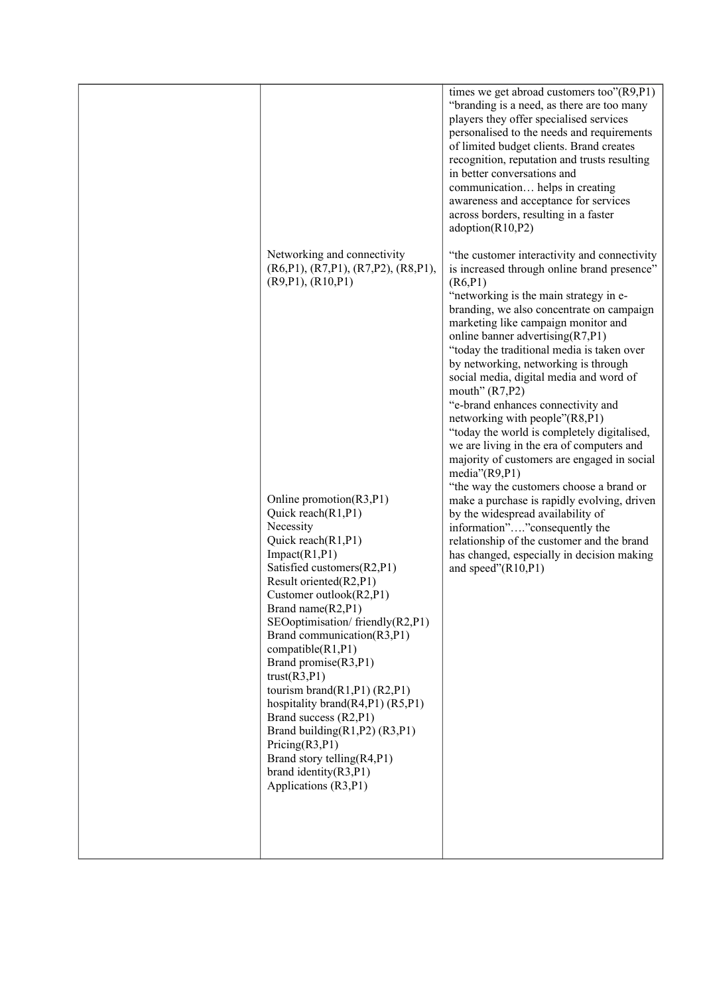|                                                                                                                                                                                                                                                                                                                                                                                                                                                                                                                                                                                            | times we get abroad customers too"(R9,P1)<br>"branding is a need, as there are too many<br>players they offer specialised services<br>personalised to the needs and requirements<br>of limited budget clients. Brand creates<br>recognition, reputation and trusts resulting<br>in better conversations and<br>communication helps in creating<br>awareness and acceptance for services<br>across borders, resulting in a faster<br>adoption(R10,P2)                                                                                                                                                                                                                    |
|--------------------------------------------------------------------------------------------------------------------------------------------------------------------------------------------------------------------------------------------------------------------------------------------------------------------------------------------------------------------------------------------------------------------------------------------------------------------------------------------------------------------------------------------------------------------------------------------|-------------------------------------------------------------------------------------------------------------------------------------------------------------------------------------------------------------------------------------------------------------------------------------------------------------------------------------------------------------------------------------------------------------------------------------------------------------------------------------------------------------------------------------------------------------------------------------------------------------------------------------------------------------------------|
| Networking and connectivity<br>(R6,P1), (R7,P1), (R7,P2), (R8,P1),<br>(R9, P1), (R10, P1)                                                                                                                                                                                                                                                                                                                                                                                                                                                                                                  | "the customer interactivity and connectivity<br>is increased through online brand presence"<br>(R6, P1)<br>"networking is the main strategy in e-<br>branding, we also concentrate on campaign<br>marketing like campaign monitor and<br>online banner advertising(R7,P1)<br>"today the traditional media is taken over<br>by networking, networking is through<br>social media, digital media and word of<br>mouth" $(R7, P2)$<br>"e-brand enhances connectivity and<br>networking with people"(R8,P1)<br>"today the world is completely digitalised,<br>we are living in the era of computers and<br>majority of customers are engaged in social<br>media" $(R9, P1)$ |
| Online promotion(R3,P1)<br>Quick reach(R1,P1)<br>Necessity<br>Quick reach(R1,P1)<br>Import(R1, P1)<br>Satisfied customers(R2,P1)<br>Result oriented(R2,P1)<br>Customer outlook(R2,P1)<br>Brand name(R2,P1)<br>SEOoptimisation/friendly(R2,P1)<br>Brand communication(R3,P1)<br>compatible(R1,P1)<br>Brand promise(R3,P1)<br>trust(R3, P1)<br>tourism brand(R1,P1) $(R2, P1)$<br>hospitality brand(R4,P1) $(R5, P1)$<br>Brand success (R2,P1)<br>Brand building $(R1, P2)$ $(R3, P1)$<br>Pricing(R3, P1)<br>Brand story telling(R4,P1)<br>brand identity $(R3, P1)$<br>Applications (R3,P1) | "the way the customers choose a brand or<br>make a purchase is rapidly evolving, driven<br>by the widespread availability of<br>information""consequently the<br>relationship of the customer and the brand<br>has changed, especially in decision making<br>and speed" $(R10,P1)$                                                                                                                                                                                                                                                                                                                                                                                      |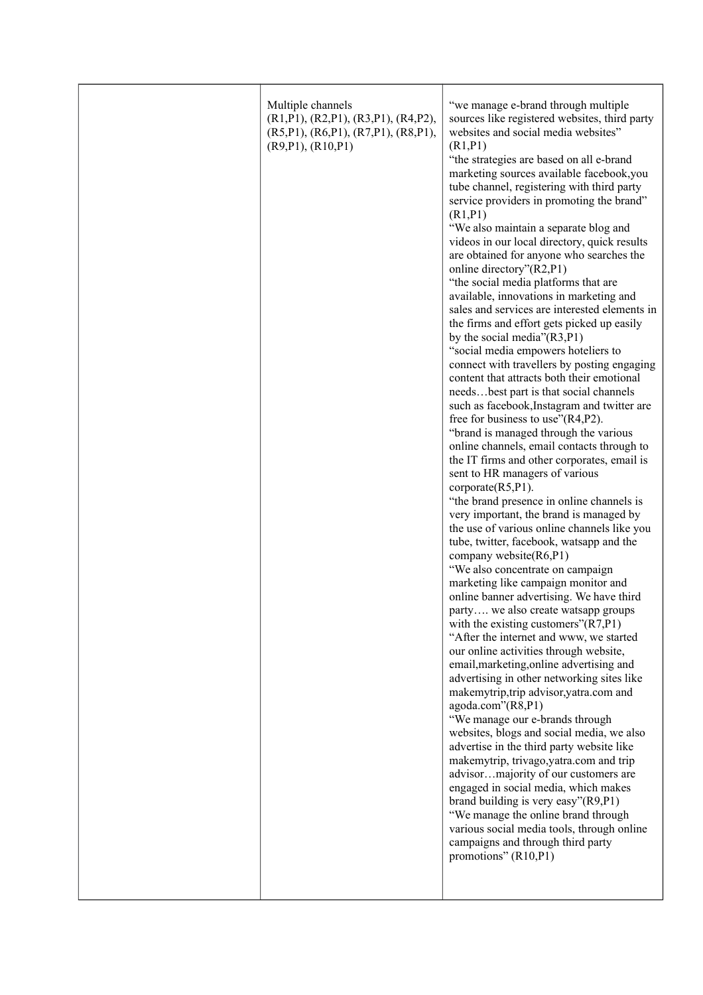|  | Multiple channels<br>$(R1,P1)$ , $(R2,P1)$ , $(R3,P1)$ , $(R4,P2)$ ,<br>(R5,P1), (R6,P1), (R7,P1), (R8,P1),<br>(R9, P1), (R10, P1) | "we manage e-brand through multiple<br>sources like registered websites, third party<br>websites and social media websites"<br>(R1, P1)<br>"the strategies are based on all e-brand<br>marketing sources available facebook, you<br>tube channel, registering with third party<br>service providers in promoting the brand"<br>(R1, P1)<br>"We also maintain a separate blog and<br>videos in our local directory, quick results<br>are obtained for anyone who searches the<br>online directory"(R2,P1)<br>"the social media platforms that are<br>available, innovations in marketing and<br>sales and services are interested elements in<br>the firms and effort gets picked up easily<br>by the social media"(R3,P1)<br>"social media empowers hoteliers to<br>connect with travellers by posting engaging<br>content that attracts both their emotional<br>needsbest part is that social channels<br>such as facebook, Instagram and twitter are<br>free for business to use" $(R4,P2)$ .<br>"brand is managed through the various<br>online channels, email contacts through to<br>the IT firms and other corporates, email is<br>sent to HR managers of various<br>$\text{corporate}(R5, P1)$ .<br>"the brand presence in online channels is<br>very important, the brand is managed by<br>the use of various online channels like you<br>tube, twitter, facebook, watsapp and the<br>company website(R6,P1)<br>"We also concentrate on campaign<br>marketing like campaign monitor and<br>online banner advertising. We have third<br>party we also create watsapp groups<br>with the existing customers" $(R7,P1)$<br>"After the internet and www, we started<br>our online activities through website,<br>email, marketing, online advertising and<br>advertising in other networking sites like<br>makemytrip, trip advisor, yatra.com and<br>agoda.com"(R8,P1)<br>"We manage our e-brands through<br>websites, blogs and social media, we also<br>advertise in the third party website like<br>makemytrip, trivago, yatra.com and trip<br>advisormajority of our customers are<br>engaged in social media, which makes<br>brand building is very easy"(R9,P1)<br>"We manage the online brand through<br>various social media tools, through online<br>campaigns and through third party<br>promotions" (R10,P1) |
|--|------------------------------------------------------------------------------------------------------------------------------------|------------------------------------------------------------------------------------------------------------------------------------------------------------------------------------------------------------------------------------------------------------------------------------------------------------------------------------------------------------------------------------------------------------------------------------------------------------------------------------------------------------------------------------------------------------------------------------------------------------------------------------------------------------------------------------------------------------------------------------------------------------------------------------------------------------------------------------------------------------------------------------------------------------------------------------------------------------------------------------------------------------------------------------------------------------------------------------------------------------------------------------------------------------------------------------------------------------------------------------------------------------------------------------------------------------------------------------------------------------------------------------------------------------------------------------------------------------------------------------------------------------------------------------------------------------------------------------------------------------------------------------------------------------------------------------------------------------------------------------------------------------------------------------------------------------------------------------------------------------------------------------------------------------------------------------------------------------------------------------------------------------------------------------------------------------------------------------------------------------------------------------------------------------------------------------------------------------------------------------------------------------------------------------------------------------------------------|
|--|------------------------------------------------------------------------------------------------------------------------------------|------------------------------------------------------------------------------------------------------------------------------------------------------------------------------------------------------------------------------------------------------------------------------------------------------------------------------------------------------------------------------------------------------------------------------------------------------------------------------------------------------------------------------------------------------------------------------------------------------------------------------------------------------------------------------------------------------------------------------------------------------------------------------------------------------------------------------------------------------------------------------------------------------------------------------------------------------------------------------------------------------------------------------------------------------------------------------------------------------------------------------------------------------------------------------------------------------------------------------------------------------------------------------------------------------------------------------------------------------------------------------------------------------------------------------------------------------------------------------------------------------------------------------------------------------------------------------------------------------------------------------------------------------------------------------------------------------------------------------------------------------------------------------------------------------------------------------------------------------------------------------------------------------------------------------------------------------------------------------------------------------------------------------------------------------------------------------------------------------------------------------------------------------------------------------------------------------------------------------------------------------------------------------------------------------------------------------|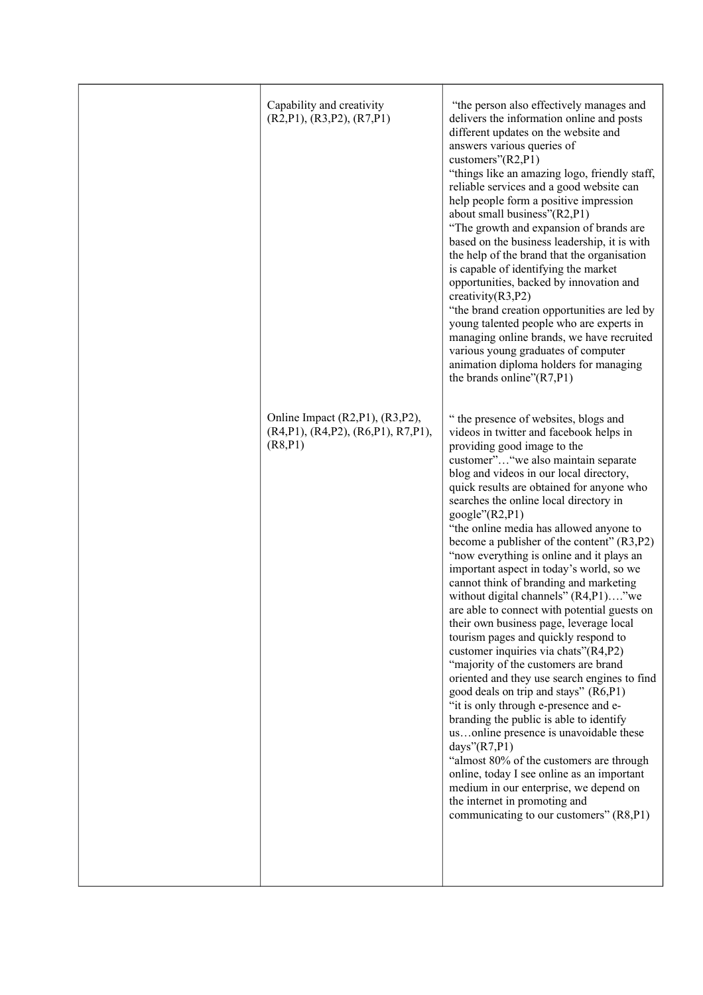| Capability and creativity<br>(R2, P1), (R3, P2), (R7, P1)                               | "the person also effectively manages and<br>delivers the information online and posts<br>different updates on the website and<br>answers various queries of<br>customers" $(R2, P1)$<br>"things like an amazing logo, friendly staff,<br>reliable services and a good website can<br>help people form a positive impression<br>about small business"(R2,P1)<br>"The growth and expansion of brands are<br>based on the business leadership, it is with<br>the help of the brand that the organisation<br>is capable of identifying the market<br>opportunities, backed by innovation and<br>creativity $(R3, P2)$<br>"the brand creation opportunities are led by<br>young talented people who are experts in<br>managing online brands, we have recruited<br>various young graduates of computer<br>animation diploma holders for managing<br>the brands online" $(R7,P1)$                                                                                                                                                                                                                                                                                                                                                                                      |
|-----------------------------------------------------------------------------------------|------------------------------------------------------------------------------------------------------------------------------------------------------------------------------------------------------------------------------------------------------------------------------------------------------------------------------------------------------------------------------------------------------------------------------------------------------------------------------------------------------------------------------------------------------------------------------------------------------------------------------------------------------------------------------------------------------------------------------------------------------------------------------------------------------------------------------------------------------------------------------------------------------------------------------------------------------------------------------------------------------------------------------------------------------------------------------------------------------------------------------------------------------------------------------------------------------------------------------------------------------------------|
| Online Impact (R2,P1), (R3,P2),<br>$(R4, P1), (R4, P2), (R6, P1), R7, P1),$<br>(R8, P1) | " the presence of websites, blogs and<br>videos in twitter and facebook helps in<br>providing good image to the<br>customer" "we also maintain separate<br>blog and videos in our local directory,<br>quick results are obtained for anyone who<br>searches the online local directory in<br>google" $(R2, P1)$<br>"the online media has allowed anyone to<br>become a publisher of the content" (R3,P2)<br>"now everything is online and it plays an<br>important aspect in today's world, so we<br>cannot think of branding and marketing<br>without digital channels" (R4,P1)"we<br>are able to connect with potential guests on<br>their own business page, leverage local<br>tourism pages and quickly respond to<br>customer inquiries via chats"(R4,P2)<br>"majority of the customers are brand<br>oriented and they use search engines to find<br>good deals on trip and stays" (R6,P1)<br>"it is only through e-presence and e-<br>branding the public is able to identify<br>usonline presence is unavoidable these<br>days" $(R7,P1)$<br>"almost 80% of the customers are through<br>online, today I see online as an important<br>medium in our enterprise, we depend on<br>the internet in promoting and<br>communicating to our customers" (R8,P1) |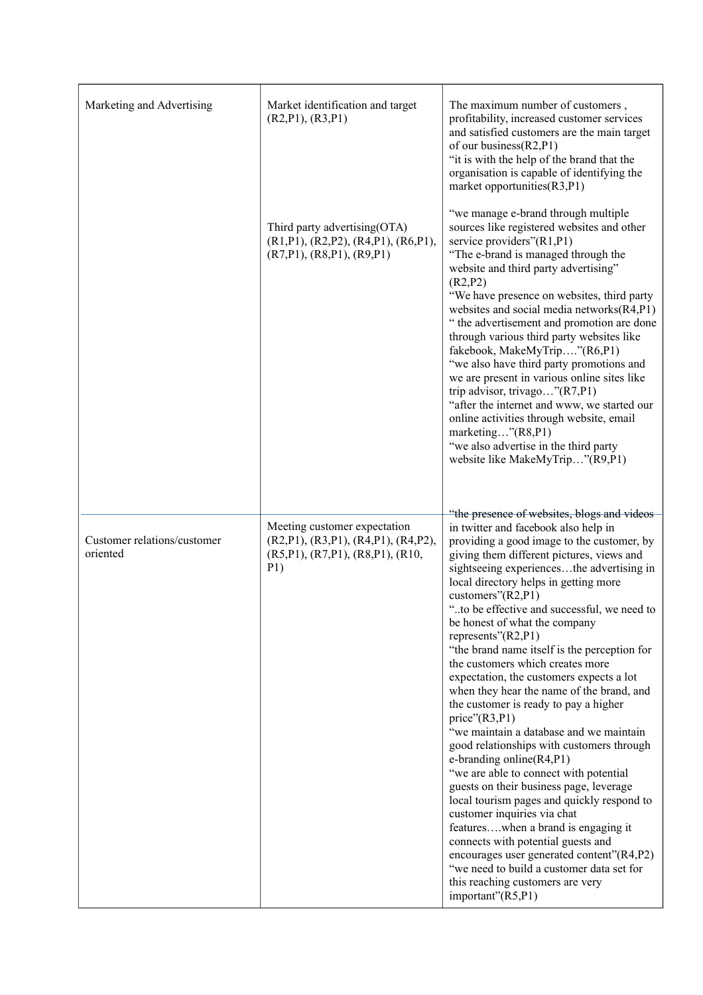| Marketing and Advertising               | Market identification and target<br>(R2, P1), (R3, P1)                                                                        | The maximum number of customers,<br>profitability, increased customer services<br>and satisfied customers are the main target<br>of our business $(R2, P1)$<br>"it is with the help of the brand that the<br>organisation is capable of identifying the<br>market opportunities(R3,P1)                                                                                                                                                                                                                                                                                                                                                                                                                                                                                                                                                                                                                                                                                                                                                                                                                                                                               |
|-----------------------------------------|-------------------------------------------------------------------------------------------------------------------------------|----------------------------------------------------------------------------------------------------------------------------------------------------------------------------------------------------------------------------------------------------------------------------------------------------------------------------------------------------------------------------------------------------------------------------------------------------------------------------------------------------------------------------------------------------------------------------------------------------------------------------------------------------------------------------------------------------------------------------------------------------------------------------------------------------------------------------------------------------------------------------------------------------------------------------------------------------------------------------------------------------------------------------------------------------------------------------------------------------------------------------------------------------------------------|
|                                         | Third party advertising (OTA)<br>$(R1, P1)$ , $(R2, P2)$ , $(R4, P1)$ , $(R6, P1)$ ,<br>$(R7,P1)$ , $(R8,P1)$ , $(R9,P1)$     | "we manage e-brand through multiple<br>sources like registered websites and other<br>service providers"(R1,P1)<br>"The e-brand is managed through the<br>website and third party advertising"<br>(R2, P2)<br>"We have presence on websites, third party<br>websites and social media networks(R4,P1)<br>" the advertisement and promotion are done<br>through various third party websites like<br>fakebook, MakeMyTrip"(R6,P1)<br>"we also have third party promotions and<br>we are present in various online sites like<br>trip advisor, trivago"(R7,P1)<br>"after the internet and www, we started our<br>online activities through website, email<br>marketing"(R8,P1)<br>"we also advertise in the third party<br>website like MakeMyTrip"(R9,P1)                                                                                                                                                                                                                                                                                                                                                                                                              |
| Customer relations/customer<br>oriented | Meeting customer expectation<br>$(R2,P1)$ , $(R3,P1)$ , $(R4,P1)$ , $(R4,P2)$ ,<br>(R5, P1), (R7, P1), (R8, P1), (R10,<br>P1) | "the presence of websites, blogs and videos<br>in twitter and facebook also help in<br>providing a good image to the customer, by<br>giving them different pictures, views and<br>sightseeing experiencesthe advertising in<br>local directory helps in getting more<br>customers" $(R2, P1)$<br>"to be effective and successful, we need to<br>be honest of what the company<br>represents"(R2,P1)<br>"the brand name itself is the perception for<br>the customers which creates more<br>expectation, the customers expects a lot<br>when they hear the name of the brand, and<br>the customer is ready to pay a higher<br>price'(R3,P1)<br>"we maintain a database and we maintain<br>good relationships with customers through<br>e-branding online $(R4, P1)$<br>"we are able to connect with potential<br>guests on their business page, leverage<br>local tourism pages and quickly respond to<br>customer inquiries via chat<br>featureswhen a brand is engaging it<br>connects with potential guests and<br>encourages user generated content"(R4,P2)<br>"we need to build a customer data set for<br>this reaching customers are very<br>important"(R5,P1) |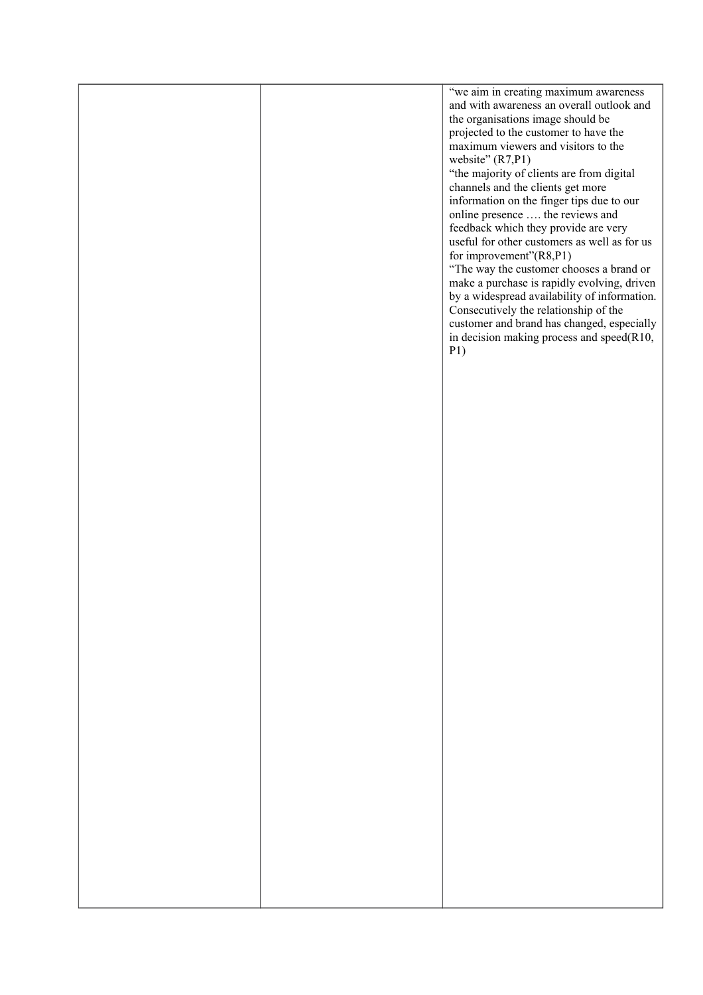|  | "we aim in creating maximum awareness<br>and with awareness an overall outlook and<br>the organisations image should be<br>projected to the customer to have the<br>maximum viewers and visitors to the<br>website" (R7,P1)<br>"the majority of clients are from digital<br>channels and the clients get more<br>information on the finger tips due to our<br>online presence  the reviews and<br>feedback which they provide are very<br>useful for other customers as well as for us<br>for improvement"(R8,P1)<br>"The way the customer chooses a brand or<br>make a purchase is rapidly evolving, driven<br>by a widespread availability of information.<br>Consecutively the relationship of the<br>customer and brand has changed, especially<br>in decision making process and speed(R10,<br>P1) |
|--|---------------------------------------------------------------------------------------------------------------------------------------------------------------------------------------------------------------------------------------------------------------------------------------------------------------------------------------------------------------------------------------------------------------------------------------------------------------------------------------------------------------------------------------------------------------------------------------------------------------------------------------------------------------------------------------------------------------------------------------------------------------------------------------------------------|
|  |                                                                                                                                                                                                                                                                                                                                                                                                                                                                                                                                                                                                                                                                                                                                                                                                         |
|  |                                                                                                                                                                                                                                                                                                                                                                                                                                                                                                                                                                                                                                                                                                                                                                                                         |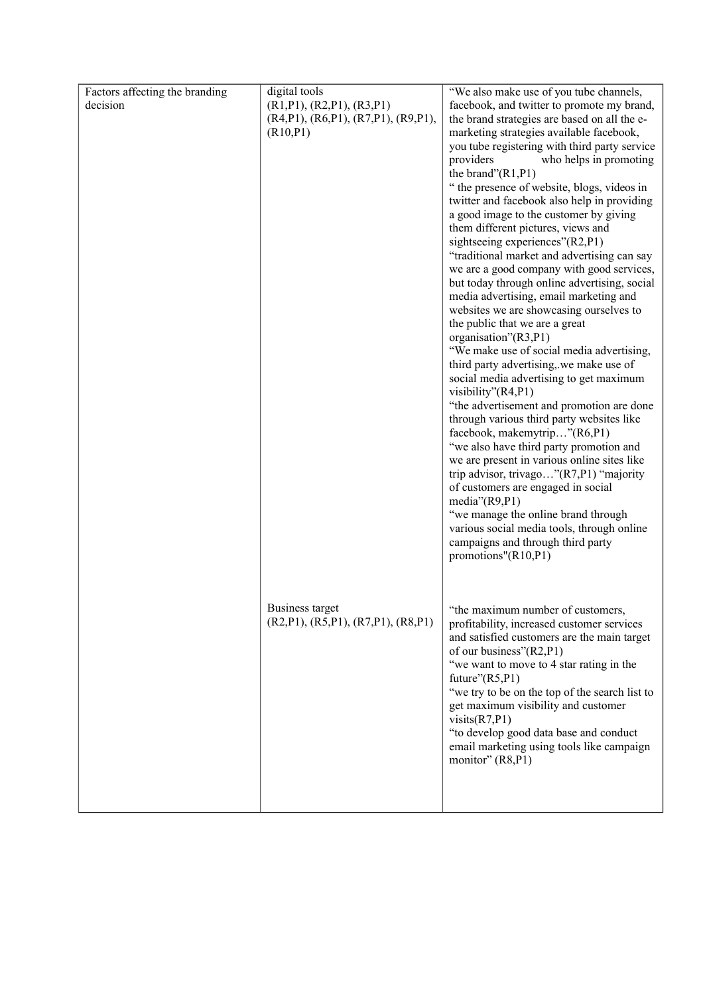| Factors affecting the branding | digital tools                                         | "We also make use of you tube channels,                                                   |
|--------------------------------|-------------------------------------------------------|-------------------------------------------------------------------------------------------|
| decision                       | (R1, P1), (R2, P1), (R3, P1)                          | facebook, and twitter to promote my brand,                                                |
|                                | $(R4, P1)$ , $(R6, P1)$ , $(R7, P1)$ , $(R9, P1)$ ,   | the brand strategies are based on all the e-                                              |
|                                | (R10, P1)                                             | marketing strategies available facebook,                                                  |
|                                |                                                       | you tube registering with third party service                                             |
|                                |                                                       | providers<br>who helps in promoting                                                       |
|                                |                                                       | the brand" $(R1, P1)$                                                                     |
|                                |                                                       | " the presence of website, blogs, videos in                                               |
|                                |                                                       | twitter and facebook also help in providing                                               |
|                                |                                                       | a good image to the customer by giving<br>them different pictures, views and              |
|                                |                                                       | sightseeing experiences"(R2,P1)                                                           |
|                                |                                                       | "traditional market and advertising can say                                               |
|                                |                                                       | we are a good company with good services,                                                 |
|                                |                                                       | but today through online advertising, social                                              |
|                                |                                                       | media advertising, email marketing and                                                    |
|                                |                                                       | websites we are showcasing ourselves to                                                   |
|                                |                                                       | the public that we are a great                                                            |
|                                |                                                       | organisation"(R3,P1)                                                                      |
|                                |                                                       | "We make use of social media advertising,                                                 |
|                                |                                                       | third party advertising, we make use of                                                   |
|                                |                                                       | social media advertising to get maximum                                                   |
|                                |                                                       | visibility"(R4,P1)                                                                        |
|                                |                                                       | "the advertisement and promotion are done                                                 |
|                                |                                                       | through various third party websites like<br>facebook, makemytrip"(R6,P1)                 |
|                                |                                                       | "we also have third party promotion and                                                   |
|                                |                                                       | we are present in various online sites like                                               |
|                                |                                                       | trip advisor, trivago"(R7,P1) "majority                                                   |
|                                |                                                       | of customers are engaged in social                                                        |
|                                |                                                       | media" $(R9, P1)$                                                                         |
|                                |                                                       | "we manage the online brand through                                                       |
|                                |                                                       | various social media tools, through online                                                |
|                                |                                                       | campaigns and through third party                                                         |
|                                |                                                       | promotions"(R10,P1)                                                                       |
|                                |                                                       |                                                                                           |
|                                |                                                       |                                                                                           |
|                                |                                                       |                                                                                           |
|                                | Business target<br>(R2,P1), (R5,P1), (R7,P1), (R8,P1) | "the maximum number of customers.                                                         |
|                                |                                                       | profitability, increased customer services<br>and satisfied customers are the main target |
|                                |                                                       | of our business"(R2,P1)                                                                   |
|                                |                                                       | "we want to move to 4 star rating in the                                                  |
|                                |                                                       | future" $(R5, P1)$                                                                        |
|                                |                                                       | "we try to be on the top of the search list to                                            |
|                                |                                                       | get maximum visibility and customer                                                       |
|                                |                                                       | visits(R7,P1)                                                                             |
|                                |                                                       | "to develop good data base and conduct                                                    |
|                                |                                                       | email marketing using tools like campaign                                                 |
|                                |                                                       | monitor" (R8,P1)                                                                          |
|                                |                                                       |                                                                                           |
|                                |                                                       |                                                                                           |
|                                |                                                       |                                                                                           |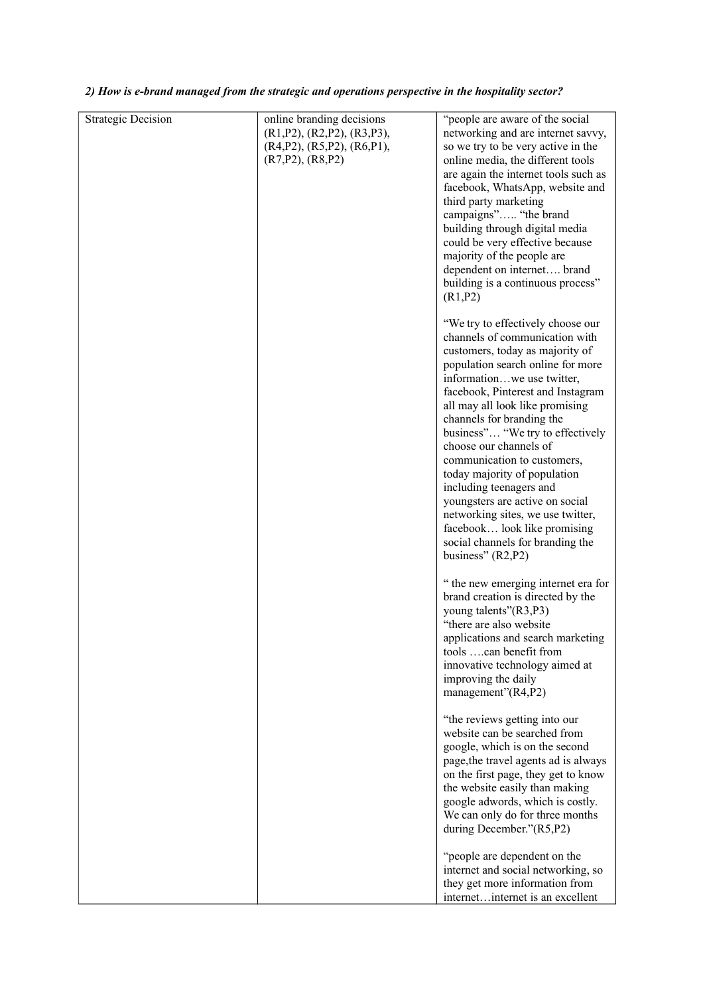| <b>Strategic Decision</b> | online branding decisions<br>(R1, P2), (R2, P2), (R3, P3),<br>$(R4,P2)$ , $(R5,P2)$ , $(R6,P1)$ ,<br>(R7, P2), (R8, P2) | "people are aware of the social<br>networking and are internet savvy,<br>so we try to be very active in the<br>online media, the different tools<br>are again the internet tools such as<br>facebook, WhatsApp, website and<br>third party marketing<br>campaigns" "the brand<br>building through digital media<br>could be very effective because<br>majority of the people are<br>dependent on internet brand<br>building is a continuous process"<br>(R1, P2)                                                                                                                                           |
|---------------------------|-------------------------------------------------------------------------------------------------------------------------|------------------------------------------------------------------------------------------------------------------------------------------------------------------------------------------------------------------------------------------------------------------------------------------------------------------------------------------------------------------------------------------------------------------------------------------------------------------------------------------------------------------------------------------------------------------------------------------------------------|
|                           |                                                                                                                         | "We try to effectively choose our<br>channels of communication with<br>customers, today as majority of<br>population search online for more<br>informationwe use twitter,<br>facebook, Pinterest and Instagram<br>all may all look like promising<br>channels for branding the<br>business" "We try to effectively<br>choose our channels of<br>communication to customers,<br>today majority of population<br>including teenagers and<br>youngsters are active on social<br>networking sites, we use twitter,<br>facebook look like promising<br>social channels for branding the<br>business" $(R2, P2)$ |
|                           |                                                                                                                         | " the new emerging internet era for<br>brand creation is directed by the<br>young talents"(R3,P3)<br>"there are also website<br>applications and search marketing<br>tools can benefit from<br>innovative technology aimed at<br>improving the daily<br>management"(R4,P2)                                                                                                                                                                                                                                                                                                                                 |
|                           |                                                                                                                         | "the reviews getting into our<br>website can be searched from<br>google, which is on the second<br>page, the travel agents ad is always<br>on the first page, they get to know<br>the website easily than making<br>google adwords, which is costly.<br>We can only do for three months<br>during December."(R5,P2)                                                                                                                                                                                                                                                                                        |
|                           |                                                                                                                         | "people are dependent on the<br>internet and social networking, so<br>they get more information from<br>internetinternet is an excellent                                                                                                                                                                                                                                                                                                                                                                                                                                                                   |

#### *2) How is e-brand managed from the strategic and operations perspective in the hospitality sector?*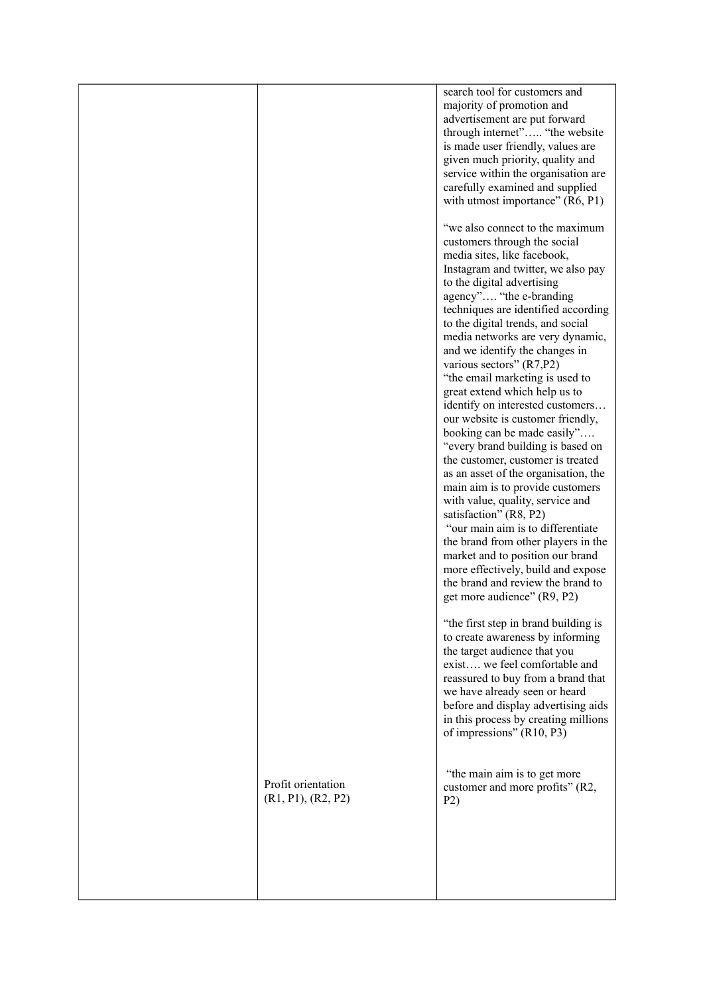|                    | search tool for customers and<br>majority of promotion and<br>advertisement are put forward<br>through internet" "the website<br>is made user friendly, values are<br>given much priority, quality and<br>service within the organisation are<br>carefully examined and supplied<br>with utmost importance" (R6, P1)<br>"we also connect to the maximum<br>customers through the social<br>media sites, like facebook,<br>Instagram and twitter, we also pay<br>to the digital advertising<br>agency" "the e-branding<br>techniques are identified according<br>to the digital trends, and social<br>media networks are very dynamic,<br>and we identify the changes in<br>various sectors" (R7,P2)<br>"the email marketing is used to<br>great extend which help us to<br>identify on interested customers<br>our website is customer friendly,<br>booking can be made easily"<br>"every brand building is based on<br>the customer, customer is treated<br>as an asset of the organisation, the<br>main aim is to provide customers<br>with value, quality, service and<br>satisfaction" (R8, P2)<br>"our main aim is to differentiate<br>the brand from other players in the<br>market and to position our brand<br>more effectively, build and expose<br>the brand and review the brand to<br>get more audience" (R9, P2)<br>"the first step in brand building is<br>to create awareness by informing<br>the target audience that you<br>exist we feel comfortable and<br>reassured to buy from a brand that<br>we have already seen or heard<br>before and display advertising aids<br>in this process by creating millions |
|--------------------|----------------------------------------------------------------------------------------------------------------------------------------------------------------------------------------------------------------------------------------------------------------------------------------------------------------------------------------------------------------------------------------------------------------------------------------------------------------------------------------------------------------------------------------------------------------------------------------------------------------------------------------------------------------------------------------------------------------------------------------------------------------------------------------------------------------------------------------------------------------------------------------------------------------------------------------------------------------------------------------------------------------------------------------------------------------------------------------------------------------------------------------------------------------------------------------------------------------------------------------------------------------------------------------------------------------------------------------------------------------------------------------------------------------------------------------------------------------------------------------------------------------------------------------------------------------------------------------------------------------------------------|
| Profit orientation | of impressions" (R10, P3)<br>"the main aim is to get more<br>customer and more profits" (R2,                                                                                                                                                                                                                                                                                                                                                                                                                                                                                                                                                                                                                                                                                                                                                                                                                                                                                                                                                                                                                                                                                                                                                                                                                                                                                                                                                                                                                                                                                                                                     |
| (R1, P1), (R2, P2) | P2)                                                                                                                                                                                                                                                                                                                                                                                                                                                                                                                                                                                                                                                                                                                                                                                                                                                                                                                                                                                                                                                                                                                                                                                                                                                                                                                                                                                                                                                                                                                                                                                                                              |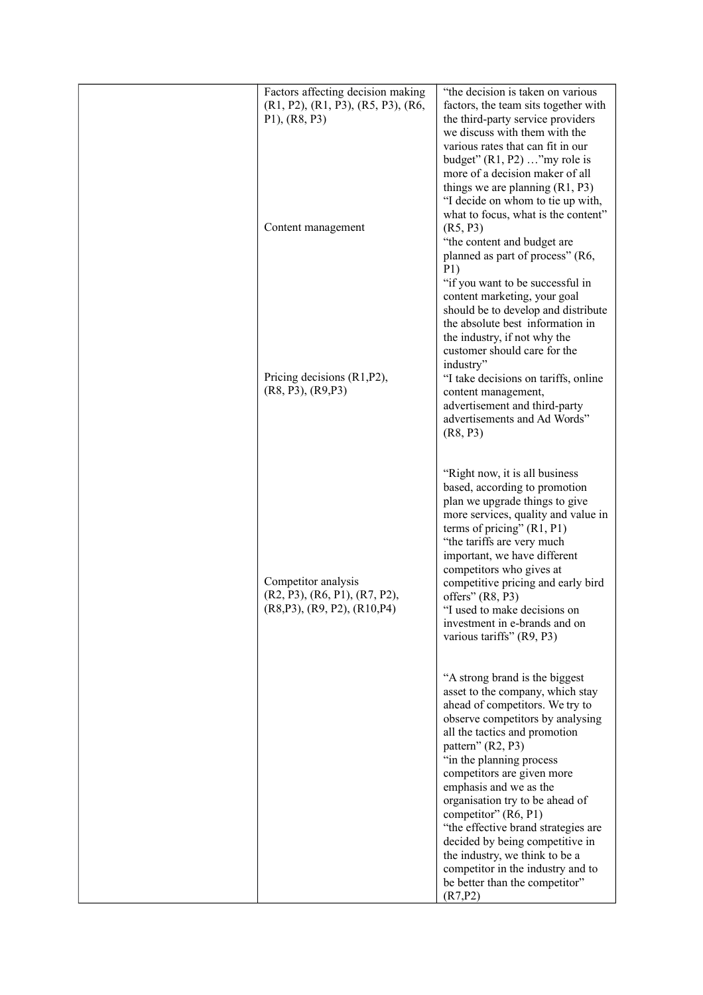| Factors affecting decision making<br>$(R1, P2)$ , $(R1, P3)$ , $(R5, P3)$ , $(R6,$<br>P1), (R8, P3)    | "the decision is taken on various<br>factors, the team sits together with<br>the third-party service providers<br>we discuss with them with the<br>various rates that can fit in our<br>budget" $(R1, P2) \dots$ "my role is<br>more of a decision maker of all<br>things we are planning $(R1, P3)$<br>"I decide on whom to tie up with,<br>what to focus, what is the content"                                             |
|--------------------------------------------------------------------------------------------------------|------------------------------------------------------------------------------------------------------------------------------------------------------------------------------------------------------------------------------------------------------------------------------------------------------------------------------------------------------------------------------------------------------------------------------|
| Content management                                                                                     | (R5, P3)<br>"the content and budget are<br>planned as part of process" (R6,<br>P1)<br>"if you want to be successful in<br>content marketing, your goal<br>should be to develop and distribute<br>the absolute best information in<br>the industry, if not why the<br>customer should care for the                                                                                                                            |
| Pricing decisions $(R1, P2)$ ,<br>(R8, P3), (R9, P3)                                                   | industry"<br>"I take decisions on tariffs, online<br>content management,<br>advertisement and third-party<br>advertisements and Ad Words"<br>(R8, P3)                                                                                                                                                                                                                                                                        |
| Competitor analysis<br>$(R2, P3)$ , $(R6, P1)$ , $(R7, P2)$ ,<br>$(R8, P3)$ , $(R9, P2)$ , $(R10, P4)$ | "Right now, it is all business<br>based, according to promotion<br>plan we upgrade things to give<br>more services, quality and value in<br>terms of pricing" $(R1, P1)$<br>"the tariffs are very much<br>important, we have different<br>competitors who gives at<br>competitive pricing and early bird<br>offers" $(R8, P3)$<br>"I used to make decisions on<br>investment in e-brands and on<br>various tariffs" (R9, P3) |
|                                                                                                        | "A strong brand is the biggest<br>asset to the company, which stay<br>ahead of competitors. We try to<br>observe competitors by analysing<br>all the tactics and promotion<br>pattern" (R2, P3)<br>"in the planning process<br>competitors are given more<br>emphasis and we as the<br>organisation try to be ahead of<br>competitor" (R6, P1)<br>"the effective brand strategies are<br>decided by being competitive in     |
|                                                                                                        | the industry, we think to be a<br>competitor in the industry and to<br>be better than the competitor"<br>(R7, P2)                                                                                                                                                                                                                                                                                                            |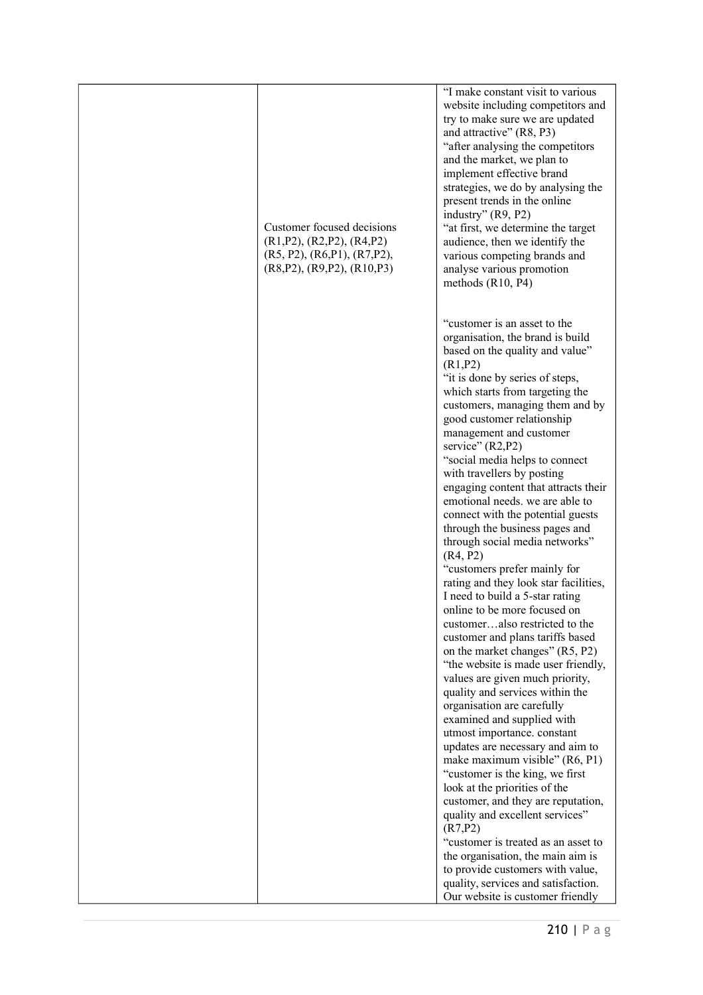| Customer focused decisions<br>(R1, P2), (R2, P2), (R4, P2)<br>(R5, P2), (R6, P1), (R7, P2),<br>(R8, P2), (R9, P2), (R10, P3) | "I make constant visit to various<br>website including competitors and<br>try to make sure we are updated<br>and attractive" (R8, P3)<br>"after analysing the competitors<br>and the market, we plan to<br>implement effective brand<br>strategies, we do by analysing the<br>present trends in the online<br>industry" (R9, P2)<br>"at first, we determine the target<br>audience, then we identify the<br>various competing brands and<br>analyse various promotion<br>methods $(R10, P4)$                                                                                                                                                                                                                                                                                                                                                                                                                                                                                                                                                                                                                                                                                                                                                                                                                                                                                                                                                                 |
|------------------------------------------------------------------------------------------------------------------------------|--------------------------------------------------------------------------------------------------------------------------------------------------------------------------------------------------------------------------------------------------------------------------------------------------------------------------------------------------------------------------------------------------------------------------------------------------------------------------------------------------------------------------------------------------------------------------------------------------------------------------------------------------------------------------------------------------------------------------------------------------------------------------------------------------------------------------------------------------------------------------------------------------------------------------------------------------------------------------------------------------------------------------------------------------------------------------------------------------------------------------------------------------------------------------------------------------------------------------------------------------------------------------------------------------------------------------------------------------------------------------------------------------------------------------------------------------------------|
|                                                                                                                              | "customer is an asset to the<br>organisation, the brand is build<br>based on the quality and value"<br>(R1, P2)<br>"it is done by series of steps,<br>which starts from targeting the<br>customers, managing them and by<br>good customer relationship<br>management and customer<br>service" (R2,P2)<br>"social media helps to connect<br>with travellers by posting<br>engaging content that attracts their<br>emotional needs. we are able to<br>connect with the potential guests<br>through the business pages and<br>through social media networks"<br>(R4, P2)<br>"customers prefer mainly for<br>rating and they look star facilities,<br>I need to build a 5-star rating<br>online to be more focused on<br>customeralso restricted to the<br>customer and plans tariffs based<br>on the market changes" (R5, P2)<br>"the website is made user friendly,<br>values are given much priority,<br>quality and services within the<br>organisation are carefully<br>examined and supplied with<br>utmost importance. constant<br>updates are necessary and aim to<br>make maximum visible" (R6, P1)<br>"customer is the king, we first<br>look at the priorities of the<br>customer, and they are reputation,<br>quality and excellent services"<br>(R7, P2)<br>"customer is treated as an asset to<br>the organisation, the main aim is<br>to provide customers with value,<br>quality, services and satisfaction.<br>Our website is customer friendly |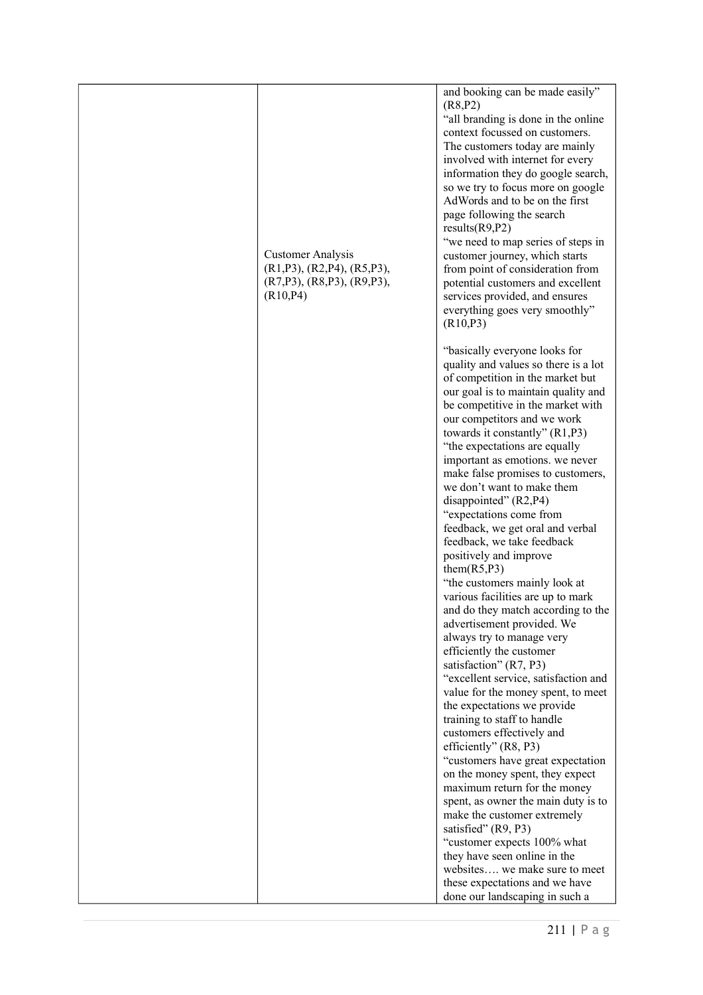| <b>Customer Analysis</b><br>$(R1, P3)$ , $(R2, P4)$ , $(R5, P3)$ ,<br>$(R7,P3)$ , $(R8,P3)$ , $(R9,P3)$ ,<br>(R10, P4) | and booking can be made easily"<br>(R8, P2)<br>"all branding is done in the online<br>context focussed on customers.<br>The customers today are mainly<br>involved with internet for every<br>information they do google search,<br>so we try to focus more on google<br>AdWords and to be on the first<br>page following the search<br>results(R9, P2)<br>"we need to map series of steps in<br>customer journey, which starts<br>from point of consideration from<br>potential customers and excellent<br>services provided, and ensures<br>everything goes very smoothly"<br>(R10, P3)                                                                                                                                                                                                                                                                                                                                                                                                                                                                            |
|------------------------------------------------------------------------------------------------------------------------|----------------------------------------------------------------------------------------------------------------------------------------------------------------------------------------------------------------------------------------------------------------------------------------------------------------------------------------------------------------------------------------------------------------------------------------------------------------------------------------------------------------------------------------------------------------------------------------------------------------------------------------------------------------------------------------------------------------------------------------------------------------------------------------------------------------------------------------------------------------------------------------------------------------------------------------------------------------------------------------------------------------------------------------------------------------------|
|                                                                                                                        | "basically everyone looks for<br>quality and values so there is a lot<br>of competition in the market but<br>our goal is to maintain quality and<br>be competitive in the market with<br>our competitors and we work<br>towards it constantly" (R1,P3)<br>"the expectations are equally<br>important as emotions. we never<br>make false promises to customers,<br>we don't want to make them<br>disappointed" (R2,P4)<br>"expectations come from<br>feedback, we get oral and verbal<br>feedback, we take feedback<br>positively and improve<br>them(R5, P3)<br>"the customers mainly look at<br>various facilities are up to mark<br>and do they match according to the<br>advertisement provided. We<br>always try to manage very<br>efficiently the customer<br>satisfaction" (R7, P3)<br>"excellent service, satisfaction and<br>value for the money spent, to meet<br>the expectations we provide<br>training to staff to handle<br>customers effectively and<br>efficiently" (R8, P3)<br>"customers have great expectation<br>on the money spent, they expect |
|                                                                                                                        | maximum return for the money<br>spent, as owner the main duty is to<br>make the customer extremely<br>satisfied" (R9, P3)<br>"customer expects 100% what<br>they have seen online in the<br>websites we make sure to meet<br>these expectations and we have<br>done our landscaping in such a                                                                                                                                                                                                                                                                                                                                                                                                                                                                                                                                                                                                                                                                                                                                                                        |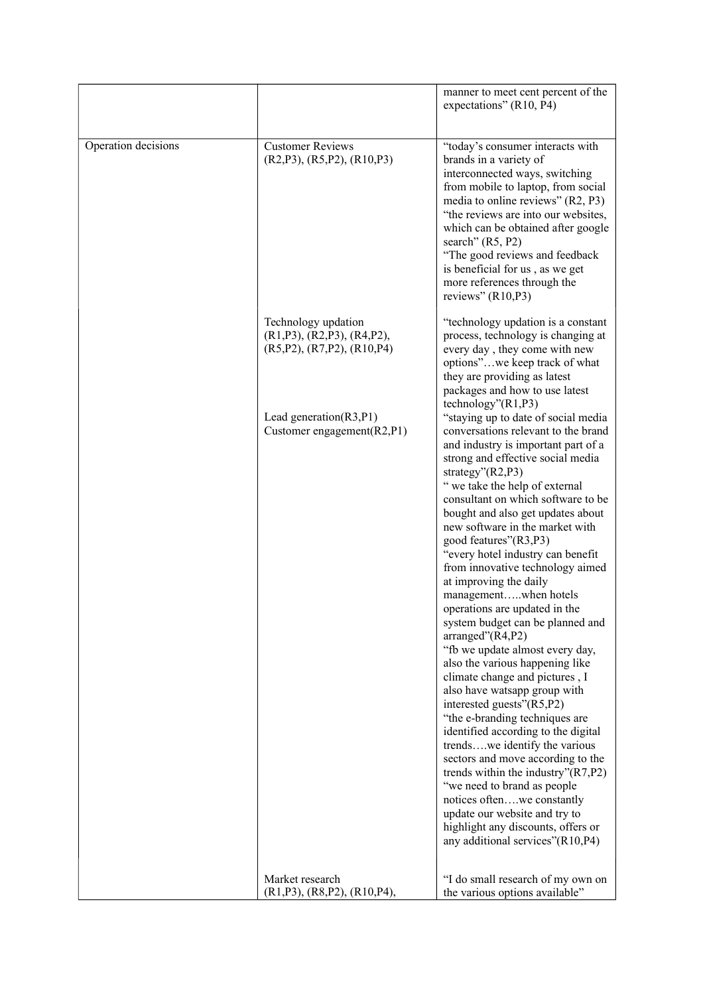|                     |                                                                                                | manner to meet cent percent of the<br>expectations" (R10, P4)                                                                                                                                                                                                                                                                                                                                                                                                                                                                                                                                                                                                                                                                                                                                                                                                                                                                                                                                                                                                                                              |
|---------------------|------------------------------------------------------------------------------------------------|------------------------------------------------------------------------------------------------------------------------------------------------------------------------------------------------------------------------------------------------------------------------------------------------------------------------------------------------------------------------------------------------------------------------------------------------------------------------------------------------------------------------------------------------------------------------------------------------------------------------------------------------------------------------------------------------------------------------------------------------------------------------------------------------------------------------------------------------------------------------------------------------------------------------------------------------------------------------------------------------------------------------------------------------------------------------------------------------------------|
|                     |                                                                                                |                                                                                                                                                                                                                                                                                                                                                                                                                                                                                                                                                                                                                                                                                                                                                                                                                                                                                                                                                                                                                                                                                                            |
| Operation decisions | <b>Customer Reviews</b><br>$(R2, P3)$ , $(R5, P2)$ , $(R10, P3)$                               | "today's consumer interacts with<br>brands in a variety of<br>interconnected ways, switching<br>from mobile to laptop, from social<br>media to online reviews" (R2, P3)<br>"the reviews are into our websites,<br>which can be obtained after google<br>search" $(R5, P2)$<br>"The good reviews and feedback<br>is beneficial for us, as we get<br>more references through the<br>reviews" (R10,P3)                                                                                                                                                                                                                                                                                                                                                                                                                                                                                                                                                                                                                                                                                                        |
|                     | Technology updation<br>$(R1, P3)$ , $(R2, P3)$ , $(R4, P2)$ ,<br>(R5, P2), (R7, P2), (R10, P4) | "technology updation is a constant<br>process, technology is changing at<br>every day, they come with new<br>options"we keep track of what<br>they are providing as latest<br>packages and how to use latest<br>technology''(R1,P3)                                                                                                                                                                                                                                                                                                                                                                                                                                                                                                                                                                                                                                                                                                                                                                                                                                                                        |
|                     | Lead generation $(R3, P1)$<br>Customer engagement $(R2, P1)$                                   | "staying up to date of social media<br>conversations relevant to the brand<br>and industry is important part of a<br>strong and effective social media<br>strategy"(R2,P3)<br>" we take the help of external<br>consultant on which software to be<br>bought and also get updates about<br>new software in the market with<br>good features"(R3,P3)<br>"every hotel industry can benefit<br>from innovative technology aimed<br>at improving the daily<br>managementwhen hotels<br>operations are updated in the<br>system budget can be planned and<br>arranged"(R4,P2)<br>"fb we update almost every day,<br>also the various happening like<br>climate change and pictures, I<br>also have watsapp group with<br>interested guests"(R5,P2)<br>"the e-branding techniques are<br>identified according to the digital<br>trendswe identify the various<br>sectors and move according to the<br>trends within the industry"(R7,P2)<br>"we need to brand as people<br>notices oftenwe constantly<br>update our website and try to<br>highlight any discounts, offers or<br>any additional services"(R10,P4) |
|                     | Market research<br>$(R1, P3)$ , $(R8, P2)$ , $(R10, P4)$ ,                                     | "I do small research of my own on<br>the various options available"                                                                                                                                                                                                                                                                                                                                                                                                                                                                                                                                                                                                                                                                                                                                                                                                                                                                                                                                                                                                                                        |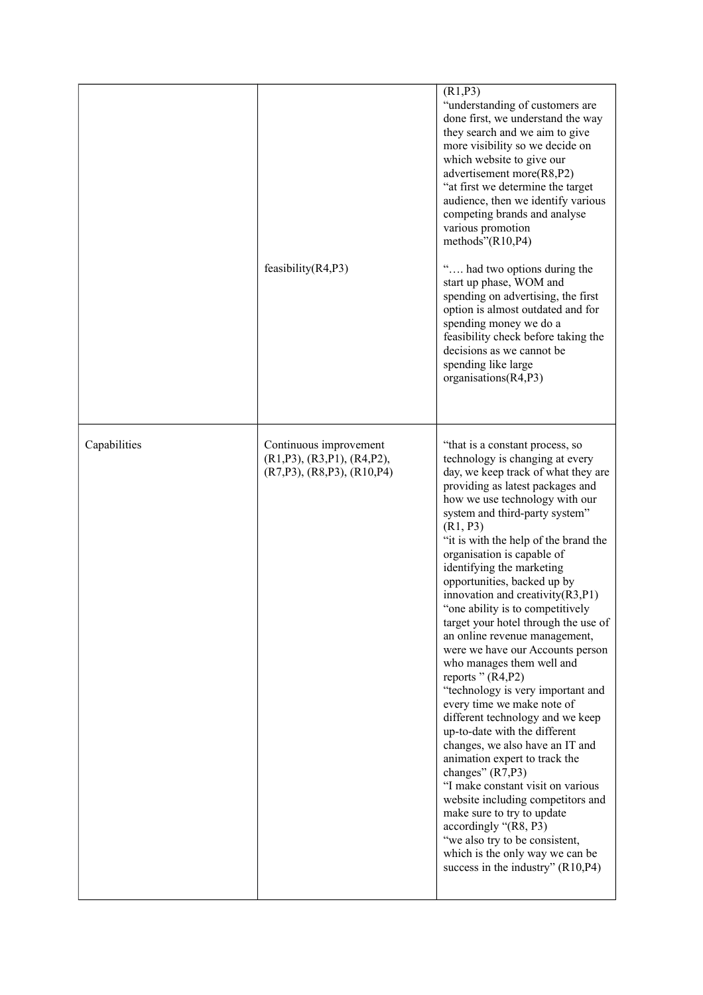|              | feasibility $(R4, P3)$                                                                                    | (R1, P3)<br>"understanding of customers are<br>done first, we understand the way<br>they search and we aim to give<br>more visibility so we decide on<br>which website to give our<br>advertisement more(R8,P2)<br>"at first we determine the target<br>audience, then we identify various<br>competing brands and analyse<br>various promotion<br>methods" $(R10, P4)$<br>" had two options during the<br>start up phase, WOM and<br>spending on advertising, the first<br>option is almost outdated and for<br>spending money we do a<br>feasibility check before taking the<br>decisions as we cannot be<br>spending like large<br>organisations(R4,P3)                                                                                                                                                                                                                                                                                                                                                                                                                                 |
|--------------|-----------------------------------------------------------------------------------------------------------|--------------------------------------------------------------------------------------------------------------------------------------------------------------------------------------------------------------------------------------------------------------------------------------------------------------------------------------------------------------------------------------------------------------------------------------------------------------------------------------------------------------------------------------------------------------------------------------------------------------------------------------------------------------------------------------------------------------------------------------------------------------------------------------------------------------------------------------------------------------------------------------------------------------------------------------------------------------------------------------------------------------------------------------------------------------------------------------------|
| Capabilities | Continuous improvement<br>$(R1, P3)$ , $(R3, P1)$ , $(R4, P2)$ ,<br>$(R7, P3)$ , $(R8, P3)$ , $(R10, P4)$ | "that is a constant process, so<br>technology is changing at every<br>day, we keep track of what they are<br>providing as latest packages and<br>how we use technology with our<br>system and third-party system"<br>(R1, P3)<br>"it is with the help of the brand the<br>organisation is capable of<br>identifying the marketing<br>opportunities, backed up by<br>innovation and creativity $(R3, P1)$<br>"one ability is to competitively<br>target your hotel through the use of<br>an online revenue management,<br>were we have our Accounts person<br>who manages them well and<br>reports " (R4, P2)<br>"technology is very important and<br>every time we make note of<br>different technology and we keep<br>up-to-date with the different<br>changes, we also have an IT and<br>animation expert to track the<br>changes" (R7,P3)<br>"I make constant visit on various<br>website including competitors and<br>make sure to try to update<br>accordingly "(R8, P3)<br>"we also try to be consistent,<br>which is the only way we can be<br>success in the industry" $(R10, P4)$ |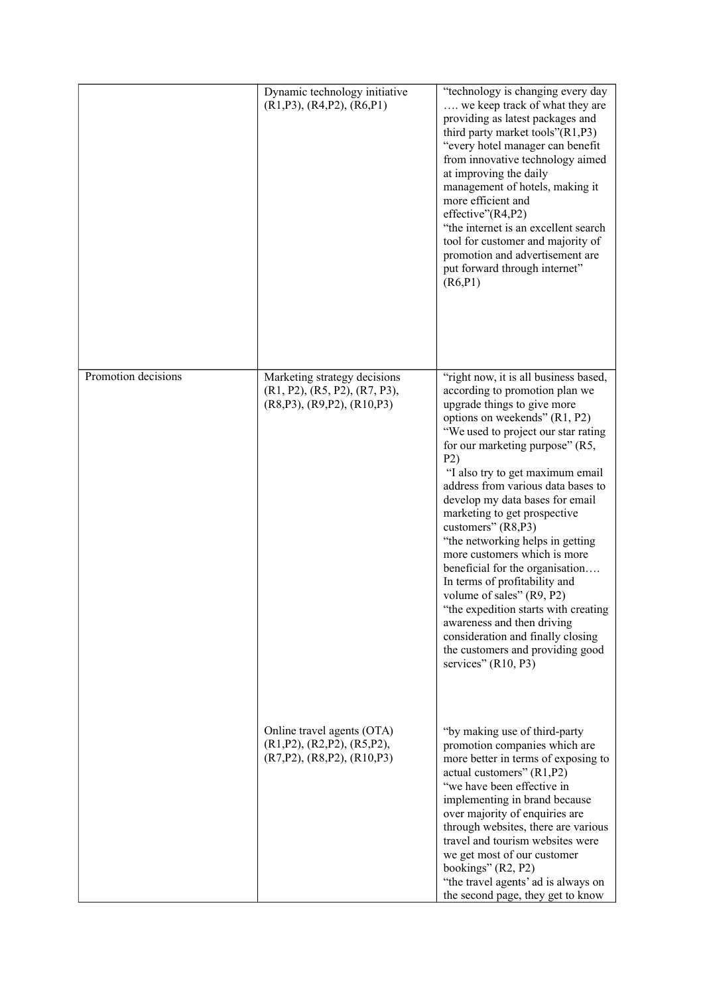|                     | Dynamic technology initiative<br>(R1, P3), (R4, P2), (R6, P1)                                              | "technology is changing every day<br>we keep track of what they are<br>providing as latest packages and<br>third party market tools" $(R1, P3)$<br>"every hotel manager can benefit<br>from innovative technology aimed<br>at improving the daily<br>management of hotels, making it<br>more efficient and<br>effective"(R4,P2)<br>"the internet is an excellent search<br>tool for customer and majority of<br>promotion and advertisement are<br>put forward through internet"<br>(R6, P1)                                                                                                                                                                                                                                           |
|---------------------|------------------------------------------------------------------------------------------------------------|----------------------------------------------------------------------------------------------------------------------------------------------------------------------------------------------------------------------------------------------------------------------------------------------------------------------------------------------------------------------------------------------------------------------------------------------------------------------------------------------------------------------------------------------------------------------------------------------------------------------------------------------------------------------------------------------------------------------------------------|
| Promotion decisions | Marketing strategy decisions<br>(R1, P2), (R5, P2), (R7, P3),<br>$(R8, P3)$ , $(R9, P2)$ , $(R10, P3)$     | "right now, it is all business based,<br>according to promotion plan we<br>upgrade things to give more<br>options on weekends" (R1, P2)<br>"We used to project our star rating<br>for our marketing purpose" (R5,<br>P2)<br>"I also try to get maximum email<br>address from various data bases to<br>develop my data bases for email<br>marketing to get prospective<br>customers" (R8,P3)<br>"the networking helps in getting<br>more customers which is more<br>beneficial for the organisation<br>In terms of profitability and<br>volume of sales" (R9, P2)<br>"the expedition starts with creating<br>awareness and then driving<br>consideration and finally closing<br>the customers and providing good<br>services" (R10, P3) |
|                     | Online travel agents (OTA)<br>$(R1, P2)$ , $(R2, P2)$ , $(R5, P2)$ ,<br>$(R7,P2)$ , $(R8,P2)$ , $(R10,P3)$ | "by making use of third-party<br>promotion companies which are<br>more better in terms of exposing to<br>actual customers" (R1,P2)<br>"we have been effective in<br>implementing in brand because<br>over majority of enquiries are<br>through websites, there are various<br>travel and tourism websites were<br>we get most of our customer<br>bookings" (R2, P2)<br>"the travel agents' ad is always on<br>the second page, they get to know                                                                                                                                                                                                                                                                                        |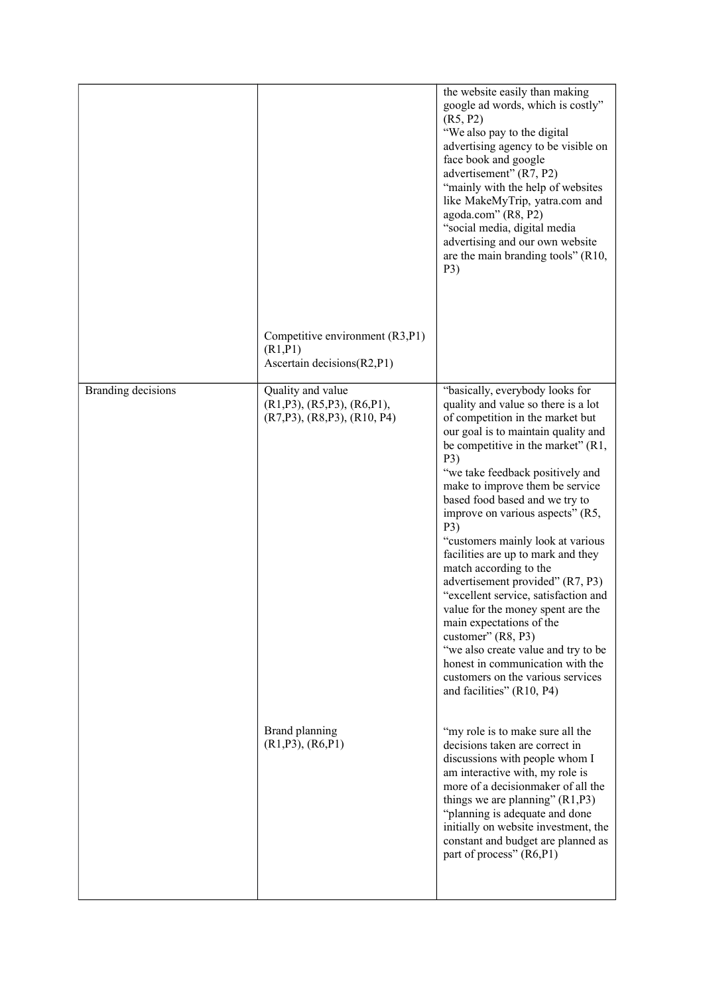|                    | Competitive environment (R3,P1)<br>(R1, P1)<br>Ascertain decisions(R2,P1)                            | the website easily than making<br>google ad words, which is costly"<br>(R5, P2)<br>"We also pay to the digital<br>advertising agency to be visible on<br>face book and google<br>advertisement" (R7, P2)<br>"mainly with the help of websites"<br>like MakeMyTrip, yatra.com and<br>agoda.com" (R8, P2)<br>"social media, digital media<br>advertising and our own website<br>are the main branding tools" (R10,<br>P3)                                                                                                                                                                                                                                                                                                                                                 |
|--------------------|------------------------------------------------------------------------------------------------------|-------------------------------------------------------------------------------------------------------------------------------------------------------------------------------------------------------------------------------------------------------------------------------------------------------------------------------------------------------------------------------------------------------------------------------------------------------------------------------------------------------------------------------------------------------------------------------------------------------------------------------------------------------------------------------------------------------------------------------------------------------------------------|
| Branding decisions | Quality and value<br>$(R1, P3)$ , $(R5, P3)$ , $(R6, P1)$ ,<br>$(R7, P3)$ , $(R8, P3)$ , $(R10, P4)$ | "basically, everybody looks for<br>quality and value so there is a lot<br>of competition in the market but<br>our goal is to maintain quality and<br>be competitive in the market" (R1,<br>P3)<br>"we take feedback positively and<br>make to improve them be service<br>based food based and we try to<br>improve on various aspects" (R5,<br>P3)<br>"customers mainly look at various<br>facilities are up to mark and they<br>match according to the<br>advertisement provided" (R7, P3)<br>"excellent service, satisfaction and<br>value for the money spent are the<br>main expectations of the<br>customer" (R8, P3)<br>"we also create value and try to be<br>honest in communication with the<br>customers on the various services<br>and facilities" (R10, P4) |
|                    | Brand planning<br>$(R1, P3)$ , $(R6, P1)$                                                            | "my role is to make sure all the<br>decisions taken are correct in<br>discussions with people whom I<br>am interactive with, my role is<br>more of a decision maker of all the<br>things we are planning" $(R1, P3)$<br>"planning is adequate and done<br>initially on website investment, the<br>constant and budget are planned as<br>part of process" (R6,P1)                                                                                                                                                                                                                                                                                                                                                                                                        |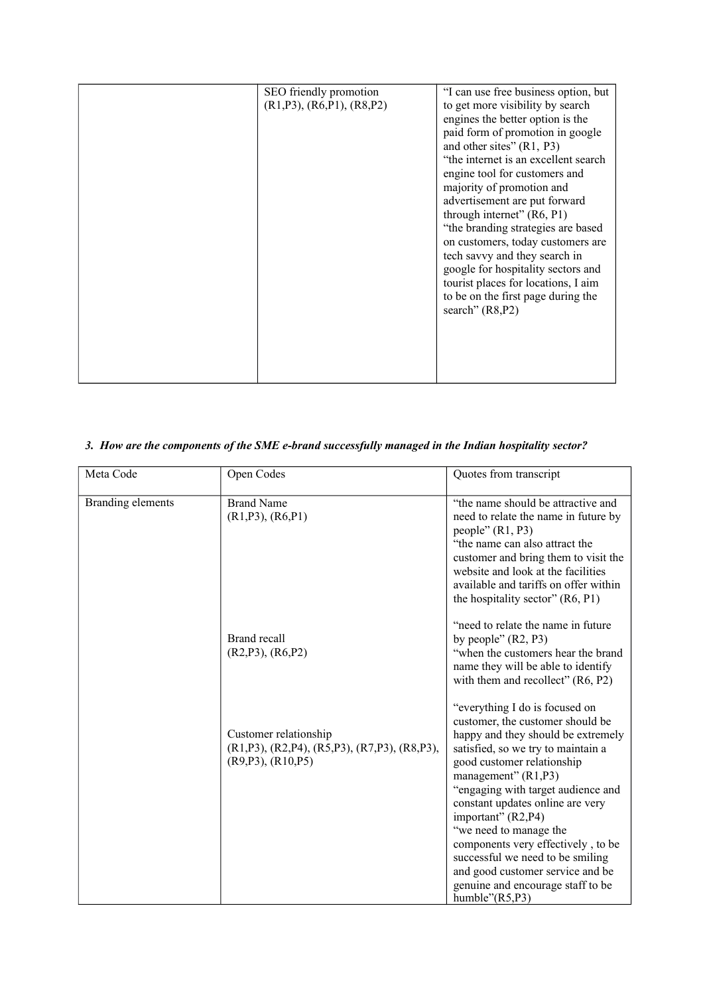| SEO friendly promotion<br>$(R1, P3)$ , $(R6, P1)$ , $(R8, P2)$ | "I can use free business option, but<br>to get more visibility by search<br>engines the better option is the<br>paid form of promotion in google<br>and other sites" $(R1, P3)$<br>"the internet is an excellent search"<br>engine tool for customers and<br>majority of promotion and<br>advertisement are put forward<br>through internet" (R6, P1)<br>"the branding strategies are based<br>on customers, today customers are<br>tech savvy and they search in<br>google for hospitality sectors and<br>tourist places for locations, I aim<br>to be on the first page during the<br>search" (R8,P2) |
|----------------------------------------------------------------|---------------------------------------------------------------------------------------------------------------------------------------------------------------------------------------------------------------------------------------------------------------------------------------------------------------------------------------------------------------------------------------------------------------------------------------------------------------------------------------------------------------------------------------------------------------------------------------------------------|
|                                                                |                                                                                                                                                                                                                                                                                                                                                                                                                                                                                                                                                                                                         |

## *3. How are the components of the SME e-brand successfully managed in the Indian hospitality sector?*

| Meta Code         | Open Codes                                                                                                            | Quotes from transcript                                                                                                                                                                                                                                                                                                                                                                                                                                                                                    |
|-------------------|-----------------------------------------------------------------------------------------------------------------------|-----------------------------------------------------------------------------------------------------------------------------------------------------------------------------------------------------------------------------------------------------------------------------------------------------------------------------------------------------------------------------------------------------------------------------------------------------------------------------------------------------------|
|                   |                                                                                                                       |                                                                                                                                                                                                                                                                                                                                                                                                                                                                                                           |
| Branding elements | <b>Brand Name</b><br>$(R1, P3)$ , $(R6, P1)$                                                                          | "the name should be attractive and<br>need to relate the name in future by<br>people" $(R1, P3)$<br>"the name can also attract the<br>customer and bring them to visit the<br>website and look at the facilities<br>available and tariffs on offer within<br>the hospitality sector" (R6, P1)                                                                                                                                                                                                             |
|                   | Brand recall<br>$(R2, P3)$ , $(R6, P2)$                                                                               | "need to relate the name in future"<br>by people" $(R2, P3)$<br>"when the customers hear the brand"<br>name they will be able to identify<br>with them and recollect" $(R6, P2)$                                                                                                                                                                                                                                                                                                                          |
|                   | Customer relationship<br>$(R1, P3)$ , $(R2, P4)$ , $(R5, P3)$ , $(R7, P3)$ , $(R8, P3)$ ,<br>$(R9, P3)$ , $(R10, P5)$ | "everything I do is focused on<br>customer, the customer should be<br>happy and they should be extremely<br>satisfied, so we try to maintain a<br>good customer relationship<br>management" $(R1, P3)$<br>"engaging with target audience and<br>constant updates online are very<br>important" (R2,P4)<br>"we need to manage the<br>components very effectively, to be<br>successful we need to be smiling<br>and good customer service and be<br>genuine and encourage staff to be<br>humble" $(R5, P3)$ |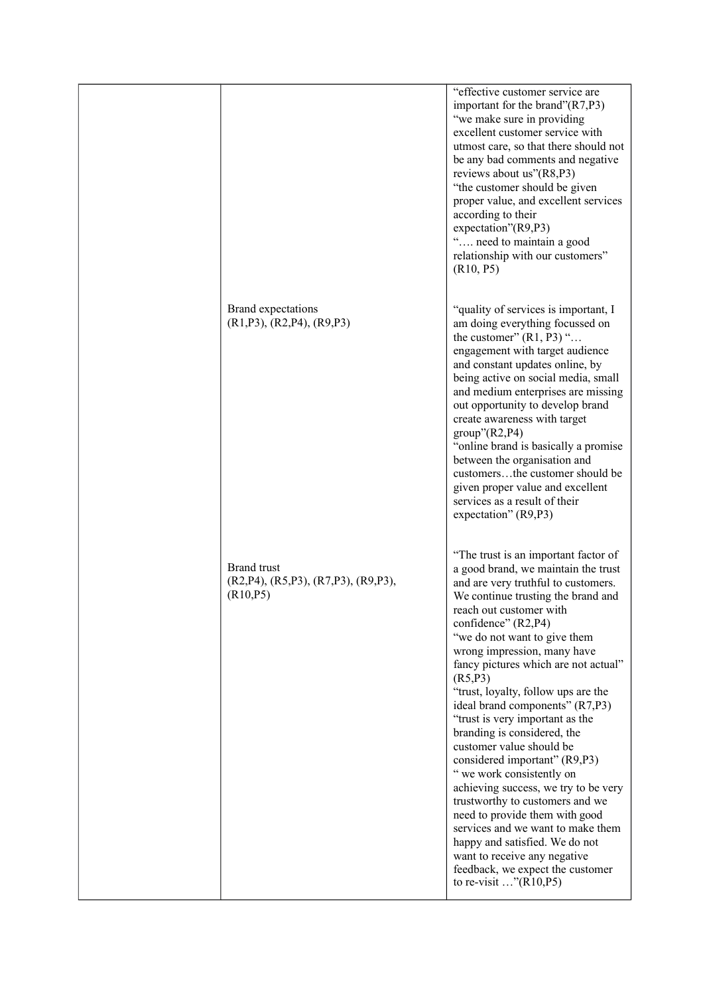|                                                                                        | "effective customer service are<br>important for the brand" $(R7, P3)$<br>"we make sure in providing"<br>excellent customer service with<br>utmost care, so that there should not<br>be any bad comments and negative<br>reviews about us"(R8,P3)<br>"the customer should be given<br>proper value, and excellent services<br>according to their<br>expectation"(R9,P3)<br>" need to maintain a good<br>relationship with our customers"<br>(R10, P5)                                                                                                                                                                                                                                                                                                                                                                                                         |
|----------------------------------------------------------------------------------------|---------------------------------------------------------------------------------------------------------------------------------------------------------------------------------------------------------------------------------------------------------------------------------------------------------------------------------------------------------------------------------------------------------------------------------------------------------------------------------------------------------------------------------------------------------------------------------------------------------------------------------------------------------------------------------------------------------------------------------------------------------------------------------------------------------------------------------------------------------------|
| Brand expectations<br>$(R1, P3)$ , $(R2, P4)$ , $(R9, P3)$                             | "quality of services is important, I<br>am doing everything focussed on<br>the customer" $(R1, P3)$ "<br>engagement with target audience<br>and constant updates online, by<br>being active on social media, small<br>and medium enterprises are missing<br>out opportunity to develop brand<br>create awareness with target<br>$group$ <sup>"</sup> $(R2, P4)$<br>"online brand is basically a promise"<br>between the organisation and<br>customersthe customer should be<br>given proper value and excellent<br>services as a result of their<br>expectation" (R9,P3)                                                                                                                                                                                                                                                                                      |
| <b>Brand</b> trust<br>$(R2, P4)$ , $(R5, P3)$ , $(R7, P3)$ , $(R9, P3)$ ,<br>(R10, P5) | "The trust is an important factor of<br>a good brand, we maintain the trust<br>and are very truthful to customers.<br>We continue trusting the brand and<br>reach out customer with<br>confidence" (R2,P4)<br>"we do not want to give them<br>wrong impression, many have<br>fancy pictures which are not actual"<br>(R5, P3)<br>"trust, loyalty, follow ups are the<br>ideal brand components" (R7,P3)<br>"trust is very important as the<br>branding is considered, the<br>customer value should be<br>considered important" (R9,P3)<br>" we work consistently on<br>achieving success, we try to be very<br>trustworthy to customers and we<br>need to provide them with good<br>services and we want to make them<br>happy and satisfied. We do not<br>want to receive any negative<br>feedback, we expect the customer<br>to re-visit $\ldots$ "(R10,P5) |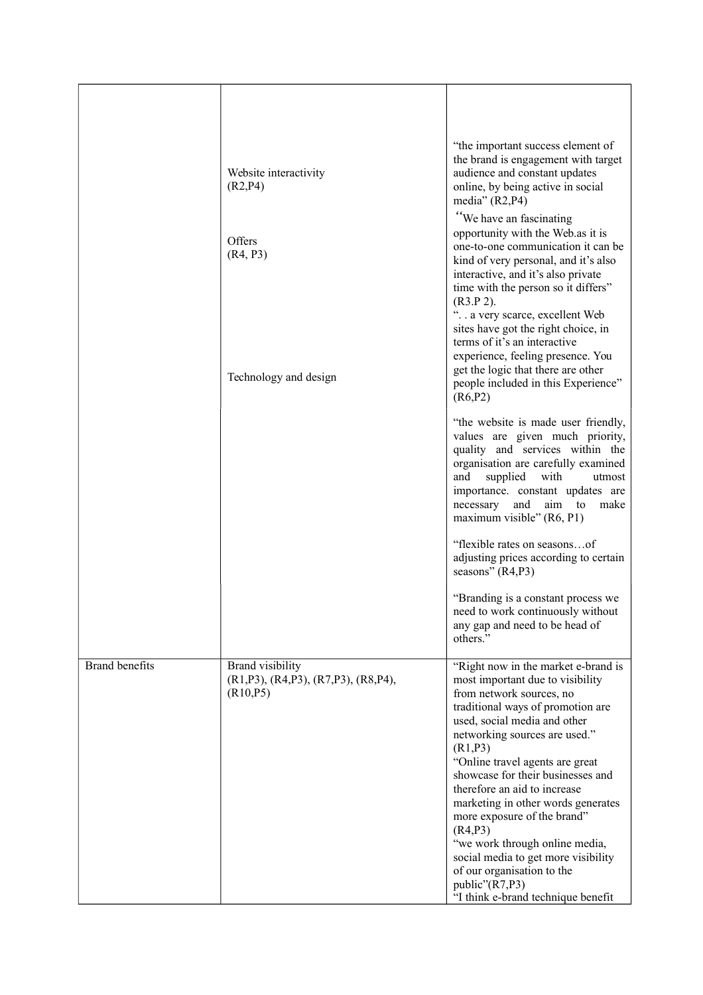|                       | Website interactivity<br>(R2, P4)                                                    | "the important success element of<br>the brand is engagement with target<br>audience and constant updates<br>online, by being active in social<br>media" $(R2, P4)$                                                                                                                                                                                                                                                                                                                                                                                                           |
|-----------------------|--------------------------------------------------------------------------------------|-------------------------------------------------------------------------------------------------------------------------------------------------------------------------------------------------------------------------------------------------------------------------------------------------------------------------------------------------------------------------------------------------------------------------------------------------------------------------------------------------------------------------------------------------------------------------------|
|                       | Offers<br>(R4, P3)                                                                   | "We have an fascinating<br>opportunity with the Web as it is<br>one-to-one communication it can be<br>kind of very personal, and it's also<br>interactive, and it's also private<br>time with the person so it differs"<br>$(R3.P 2)$ .                                                                                                                                                                                                                                                                                                                                       |
|                       | Technology and design                                                                | a very scarce, excellent Web<br>sites have got the right choice, in<br>terms of it's an interactive<br>experience, feeling presence. You<br>get the logic that there are other<br>people included in this Experience"<br>(R6, P2)                                                                                                                                                                                                                                                                                                                                             |
|                       |                                                                                      | "the website is made user friendly,<br>values are given much priority,<br>quality and services within the<br>organisation are carefully examined<br>and<br>supplied<br>with<br>utmost<br>importance. constant updates are<br>and<br>necessary<br>aim to<br>make<br>maximum visible" (R6, P1)                                                                                                                                                                                                                                                                                  |
|                       |                                                                                      | "flexible rates on seasonsof<br>adjusting prices according to certain<br>seasons" (R4,P3)                                                                                                                                                                                                                                                                                                                                                                                                                                                                                     |
|                       |                                                                                      | "Branding is a constant process we<br>need to work continuously without<br>any gap and need to be head of<br>others."                                                                                                                                                                                                                                                                                                                                                                                                                                                         |
| <b>Brand benefits</b> | Brand visibility<br>$(R1, P3)$ , $(R4, P3)$ , $(R7, P3)$ , $(R8, P4)$ ,<br>(R10, P5) | "Right now in the market e-brand is<br>most important due to visibility<br>from network sources, no<br>traditional ways of promotion are<br>used, social media and other<br>networking sources are used."<br>(R1, P3)<br>"Online travel agents are great<br>showcase for their businesses and<br>therefore an aid to increase<br>marketing in other words generates<br>more exposure of the brand"<br>(R4, P3)<br>"we work through online media,<br>social media to get more visibility<br>of our organisation to the<br>public"(R7,P3)<br>"I think e-brand technique benefit |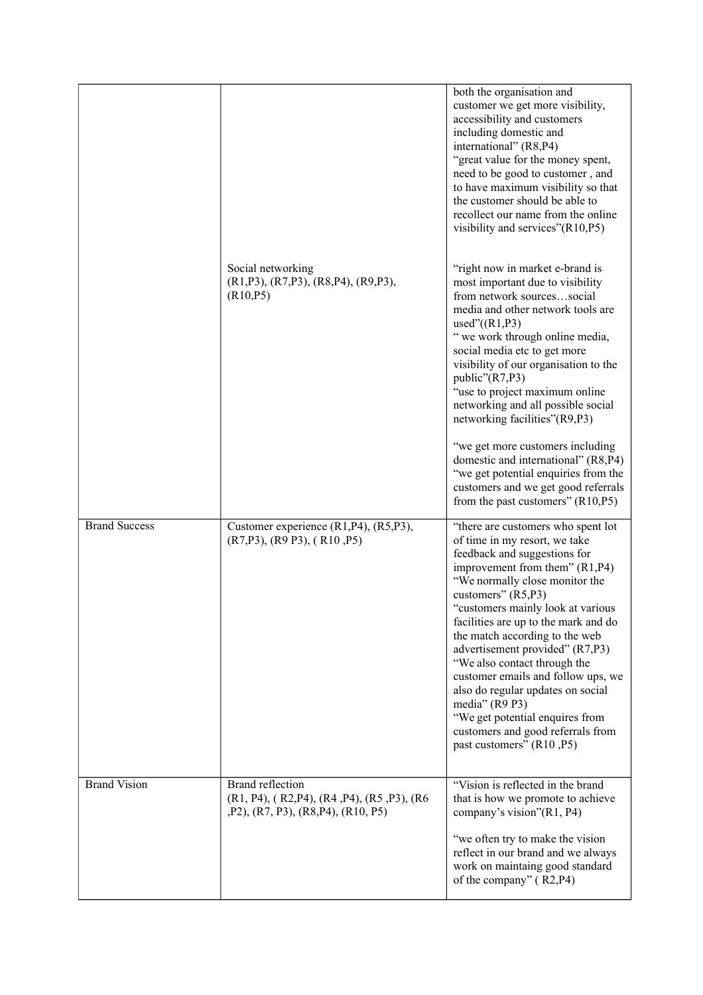|                      |                                                                                                                | both the organisation and<br>customer we get more visibility,<br>accessibility and customers<br>including domestic and<br>international" (R8,P4)<br>"great value for the money spent,<br>need to be good to customer, and<br>to have maximum visibility so that<br>the customer should be able to<br>recollect our name from the online<br>visibility and services"(R10,P5)                                                                                                                                                                                                                          |
|----------------------|----------------------------------------------------------------------------------------------------------------|------------------------------------------------------------------------------------------------------------------------------------------------------------------------------------------------------------------------------------------------------------------------------------------------------------------------------------------------------------------------------------------------------------------------------------------------------------------------------------------------------------------------------------------------------------------------------------------------------|
|                      | Social networking<br>$(R1, P3)$ , $(R7, P3)$ , $(R8, P4)$ , $(R9, P3)$ ,<br>(R10, P5)                          | "right now in market e-brand is<br>most important due to visibility<br>from network sourcessocial<br>media and other network tools are<br>used" $((R1,P3))$<br>" we work through online media,<br>social media etc to get more<br>visibility of our organisation to the<br>public"(R7,P3)<br>"use to project maximum online<br>networking and all possible social<br>networking facilities"(R9,P3)<br>"we get more customers including<br>domestic and international" (R8,P4)<br>"we get potential enquiries from the<br>customers and we get good referrals<br>from the past customers" $(R10, P5)$ |
| <b>Brand Success</b> | Customer experience (R1, P4), (R5, P3),<br>$(R7,P3)$ , $(R9 P3)$ , $(R10 P5)$                                  | "there are customers who spent lot<br>of time in my resort, we take<br>feedback and suggestions for<br>improvement from them" (R1,P4)<br>"We normally close monitor the<br>customers" (R5,P3)<br>"customers mainly look at various"<br>facilities are up to the mark and do<br>the match according to the web<br>advertisement provided" (R7,P3)<br>"We also contact through the<br>customer emails and follow ups, we<br>also do regular updates on social<br>media" (R9 P3)<br>"We get potential enquires from<br>customers and good referrals from<br>past customers" (R10, P5)                   |
| <b>Brand Vision</b>  | <b>Brand reflection</b><br>(R1, P4), (R2, P4), (R4, P4), (R5, P3), (R6<br>, P2), (R7, P3), (R8, P4), (R10, P5) | "Vision is reflected in the brand<br>that is how we promote to achieve<br>company's vision"(R1, P4)<br>"we often try to make the vision<br>reflect in our brand and we always<br>work on maintaing good standard<br>of the company" (R2,P4)                                                                                                                                                                                                                                                                                                                                                          |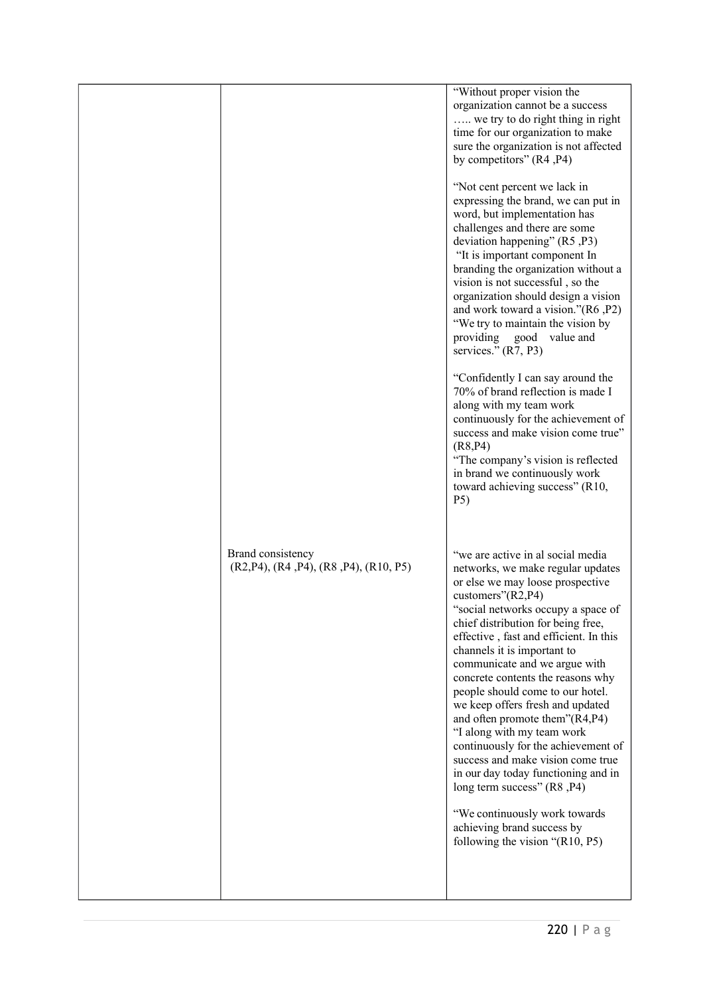|                                                                         | "Without proper vision the<br>organization cannot be a success<br>we try to do right thing in right<br>time for our organization to make<br>sure the organization is not affected<br>by competitors" (R4, P4)<br>"Not cent percent we lack in<br>expressing the brand, we can put in<br>word, but implementation has<br>challenges and there are some<br>deviation happening" (R5, P3)<br>"It is important component In<br>branding the organization without a<br>vision is not successful, so the<br>organization should design a vision<br>and work toward a vision."(R6, P2)<br>"We try to maintain the vision by<br>providing<br>good<br>value and<br>services." (R7, P3)<br>"Confidently I can say around the<br>70% of brand reflection is made I<br>along with my team work<br>continuously for the achievement of<br>success and make vision come true"<br>(R8, P4)<br>"The company's vision is reflected<br>in brand we continuously work<br>toward achieving success" (R10,<br>P <sub>5</sub> ) |
|-------------------------------------------------------------------------|-----------------------------------------------------------------------------------------------------------------------------------------------------------------------------------------------------------------------------------------------------------------------------------------------------------------------------------------------------------------------------------------------------------------------------------------------------------------------------------------------------------------------------------------------------------------------------------------------------------------------------------------------------------------------------------------------------------------------------------------------------------------------------------------------------------------------------------------------------------------------------------------------------------------------------------------------------------------------------------------------------------|
| Brand consistency<br>$(R2, P4)$ , $(R4, P4)$ , $(R8, P4)$ , $(R10, P5)$ | "we are active in al social media<br>networks, we make regular updates<br>or else we may loose prospective<br>customers" $(R2, P4)$<br>"social networks occupy a space of<br>chief distribution for being free,<br>effective, fast and efficient. In this<br>channels it is important to<br>communicate and we argue with<br>concrete contents the reasons why<br>people should come to our hotel.<br>we keep offers fresh and updated<br>and often promote them"(R4,P4)<br>"I along with my team work<br>continuously for the achievement of<br>success and make vision come true<br>in our day today functioning and in<br>long term success" (R8, P4)<br>"We continuously work towards<br>achieving brand success by<br>following the vision " $(R10, P5)$                                                                                                                                                                                                                                             |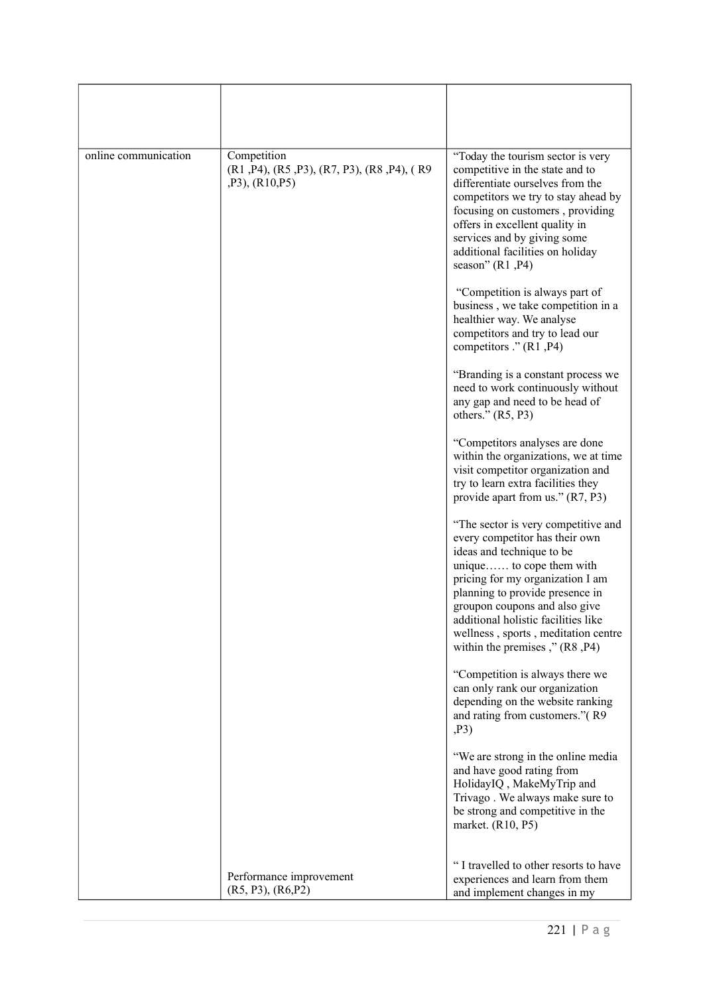| online communication | Competition<br>$(R1, P4)$ , $(R5, P3)$ , $(R7, P3)$ , $(R8, P4)$ , $(R9)$<br>$,P3$ ), $(R10,P5)$ | "Today the tourism sector is very<br>competitive in the state and to<br>differentiate ourselves from the<br>competitors we try to stay ahead by<br>focusing on customers, providing<br>offers in excellent quality in<br>services and by giving some<br>additional facilities on holiday<br>season" (R1, P4)                                           |
|----------------------|--------------------------------------------------------------------------------------------------|--------------------------------------------------------------------------------------------------------------------------------------------------------------------------------------------------------------------------------------------------------------------------------------------------------------------------------------------------------|
|                      |                                                                                                  | "Competition is always part of<br>business, we take competition in a<br>healthier way. We analyse<br>competitors and try to lead our<br>competitors ." (R1, P4)                                                                                                                                                                                        |
|                      |                                                                                                  | "Branding is a constant process we<br>need to work continuously without<br>any gap and need to be head of<br>others." $(R5, P3)$                                                                                                                                                                                                                       |
|                      |                                                                                                  | "Competitors analyses are done<br>within the organizations, we at time<br>visit competitor organization and<br>try to learn extra facilities they<br>provide apart from us." (R7, P3)                                                                                                                                                                  |
|                      |                                                                                                  | "The sector is very competitive and<br>every competitor has their own<br>ideas and technique to be<br>unique to cope them with<br>pricing for my organization I am<br>planning to provide presence in<br>groupon coupons and also give<br>additional holistic facilities like<br>wellness, sports, meditation centre<br>within the premises," (R8, P4) |
|                      |                                                                                                  | "Competition is always there we<br>can only rank our organization<br>depending on the website ranking<br>and rating from customers."(R9<br>,P3)                                                                                                                                                                                                        |
|                      |                                                                                                  | "We are strong in the online media<br>and have good rating from<br>HolidayIQ, MakeMyTrip and<br>Trivago. We always make sure to<br>be strong and competitive in the<br>market. (R10, P5)                                                                                                                                                               |
|                      | Performance improvement<br>(R5, P3), (R6, P2)                                                    | "I travelled to other resorts to have<br>experiences and learn from them<br>and implement changes in my                                                                                                                                                                                                                                                |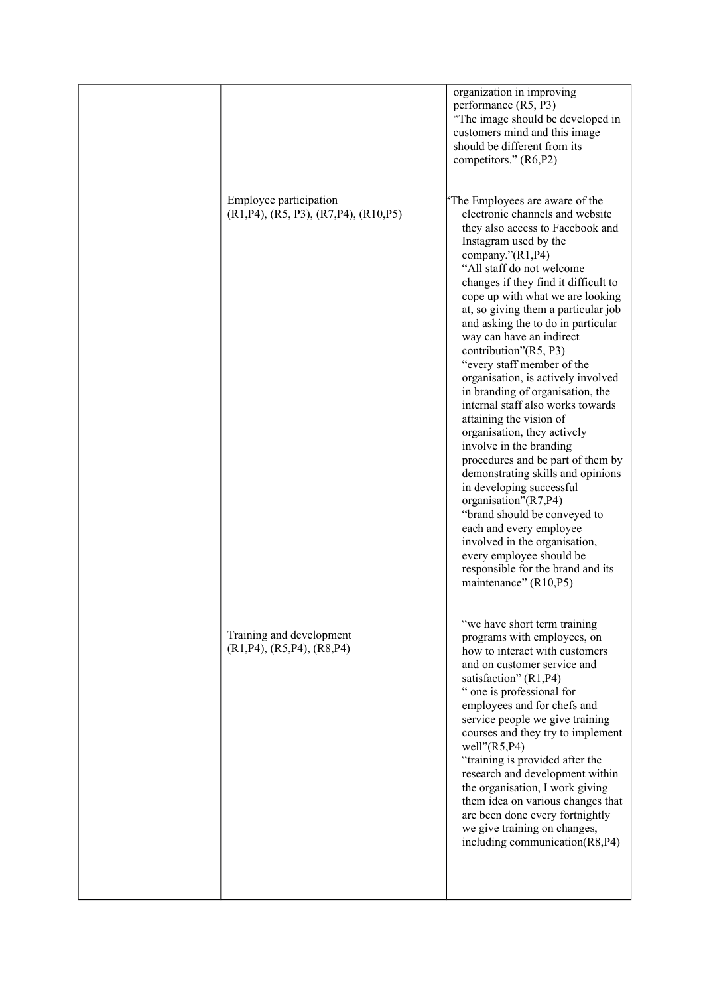|                                                                              | organization in improving<br>performance (R5, P3)<br>"The image should be developed in<br>customers mind and this image<br>should be different from its<br>competitors." (R6,P2)                                                                                                                                                                                                                                                                                                                                                                                                                                                                                                                                                                                                                                                                                                                                                                    |
|------------------------------------------------------------------------------|-----------------------------------------------------------------------------------------------------------------------------------------------------------------------------------------------------------------------------------------------------------------------------------------------------------------------------------------------------------------------------------------------------------------------------------------------------------------------------------------------------------------------------------------------------------------------------------------------------------------------------------------------------------------------------------------------------------------------------------------------------------------------------------------------------------------------------------------------------------------------------------------------------------------------------------------------------|
| Employee participation<br>$(R1, P4)$ , $(R5, P3)$ , $(R7, P4)$ , $(R10, P5)$ | The Employees are aware of the<br>electronic channels and website<br>they also access to Facebook and<br>Instagram used by the<br>company."(R1,P4)<br>"All staff do not welcome<br>changes if they find it difficult to<br>cope up with what we are looking<br>at, so giving them a particular job<br>and asking the to do in particular<br>way can have an indirect<br>contribution"(R5, P3)<br>"every staff member of the<br>organisation, is actively involved<br>in branding of organisation, the<br>internal staff also works towards<br>attaining the vision of<br>organisation, they actively<br>involve in the branding<br>procedures and be part of them by<br>demonstrating skills and opinions<br>in developing successful<br>organisation"(R7,P4)<br>"brand should be conveyed to<br>each and every employee<br>involved in the organisation,<br>every employee should be<br>responsible for the brand and its<br>maintenance" (R10,P5) |
| Training and development<br>$(R1, P4)$ , $(R5, P4)$ , $(R8, P4)$             | "we have short term training<br>programs with employees, on<br>how to interact with customers<br>and on customer service and<br>satisfaction" (R1,P4)<br>" one is professional for<br>employees and for chefs and<br>service people we give training<br>courses and they try to implement<br>well" $(R5, P4)$<br>"training is provided after the<br>research and development within<br>the organisation, I work giving<br>them idea on various changes that<br>are been done every fortnightly<br>we give training on changes,<br>including communication(R8,P4)                                                                                                                                                                                                                                                                                                                                                                                    |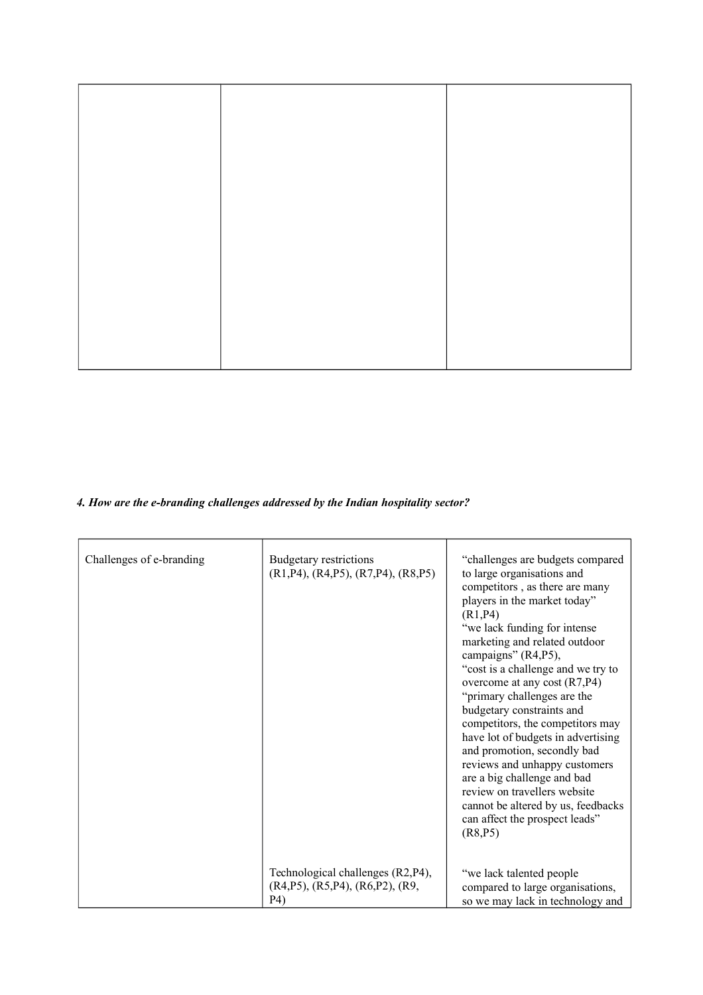## *4. How are the e-branding challenges addressed by the Indian hospitality sector?*

| Challenges of e-branding | Budgetary restrictions<br>$(R1, P4)$ , $(R4, P5)$ , $(R7, P4)$ , $(R8, P5)$                    | "challenges are budgets compared<br>to large organisations and<br>competitors, as there are many<br>players in the market today"<br>(R1, P4)<br>"we lack funding for intense<br>marketing and related outdoor<br>campaigns" (R4,P5),<br>"cost is a challenge and we try to<br>overcome at any cost $(R7, P4)$<br>"primary challenges are the<br>budgetary constraints and<br>competitors, the competitors may<br>have lot of budgets in advertising<br>and promotion, secondly bad<br>reviews and unhappy customers<br>are a big challenge and bad<br>review on travellers website<br>cannot be altered by us, feedbacks<br>can affect the prospect leads"<br>(R8, P5) |
|--------------------------|------------------------------------------------------------------------------------------------|------------------------------------------------------------------------------------------------------------------------------------------------------------------------------------------------------------------------------------------------------------------------------------------------------------------------------------------------------------------------------------------------------------------------------------------------------------------------------------------------------------------------------------------------------------------------------------------------------------------------------------------------------------------------|
|                          | Technological challenges (R2, P4),<br>$(R4, P5)$ , $(R5, P4)$ , $(R6, P2)$ , $(R9, P6)$<br>P4) | "we lack talented people<br>compared to large organisations,<br>so we may lack in technology and                                                                                                                                                                                                                                                                                                                                                                                                                                                                                                                                                                       |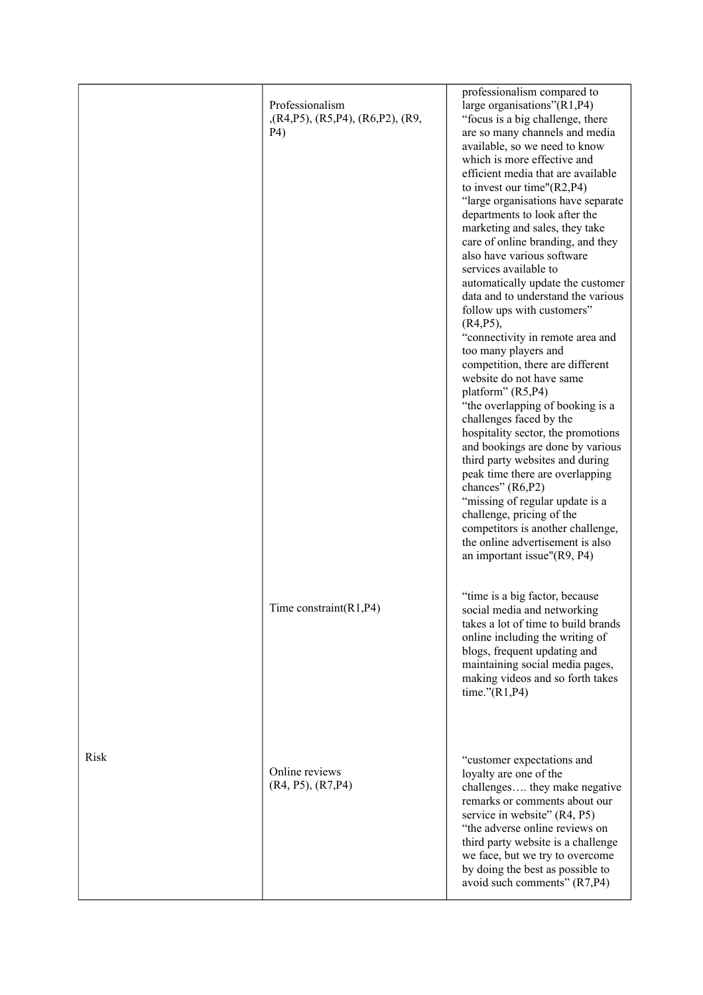|             | Professionalism<br>$(R4,P5)$ , $(R5,P4)$ , $(R6,P2)$ , $(R9)$<br>P4) | professionalism compared to<br>large organisations"(R1,P4)<br>"focus is a big challenge, there<br>are so many channels and media<br>available, so we need to know<br>which is more effective and<br>efficient media that are available<br>to invest our time" $(R2, P4)$<br>"large organisations have separate<br>departments to look after the<br>marketing and sales, they take<br>care of online branding, and they<br>also have various software<br>services available to<br>automatically update the customer<br>data and to understand the various<br>follow ups with customers"<br>$(R4, P5)$ ,<br>"connectivity in remote area and<br>too many players and<br>competition, there are different<br>website do not have same<br>platform" (R5,P4)<br>"the overlapping of booking is a<br>challenges faced by the<br>hospitality sector, the promotions<br>and bookings are done by various<br>third party websites and during<br>peak time there are overlapping<br>chances" (R6,P2)<br>"missing of regular update is a<br>challenge, pricing of the<br>competitors is another challenge,<br>the online advertisement is also<br>an important issue"(R9, P4)<br>"time is a big factor, because |
|-------------|----------------------------------------------------------------------|------------------------------------------------------------------------------------------------------------------------------------------------------------------------------------------------------------------------------------------------------------------------------------------------------------------------------------------------------------------------------------------------------------------------------------------------------------------------------------------------------------------------------------------------------------------------------------------------------------------------------------------------------------------------------------------------------------------------------------------------------------------------------------------------------------------------------------------------------------------------------------------------------------------------------------------------------------------------------------------------------------------------------------------------------------------------------------------------------------------------------------------------------------------------------------------------------|
|             | Time constraint $(R1, P4)$                                           | social media and networking<br>takes a lot of time to build brands<br>online including the writing of<br>blogs, frequent updating and<br>maintaining social media pages,<br>making videos and so forth takes<br>time." $(R1, P4)$                                                                                                                                                                                                                                                                                                                                                                                                                                                                                                                                                                                                                                                                                                                                                                                                                                                                                                                                                                    |
| <b>Risk</b> | Online reviews<br>(R4, P5), (R7, P4)                                 | "customer expectations and<br>loyalty are one of the<br>challenges they make negative<br>remarks or comments about our<br>service in website" (R4, P5)<br>"the adverse online reviews on<br>third party website is a challenge<br>we face, but we try to overcome<br>by doing the best as possible to<br>avoid such comments" (R7,P4)                                                                                                                                                                                                                                                                                                                                                                                                                                                                                                                                                                                                                                                                                                                                                                                                                                                                |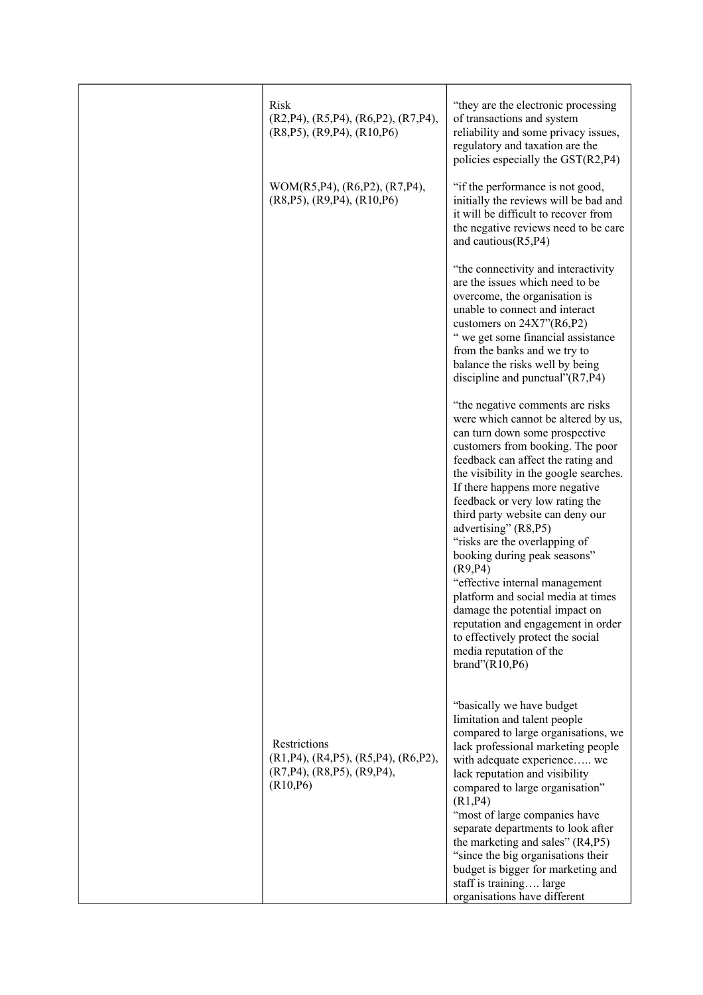| <b>Risk</b><br>$(R2, P4)$ , $(R5, P4)$ , $(R6, P2)$ , $(R7, P4)$ ,<br>$(R8, P5)$ , $(R9, P4)$ , $(R10, P6)$ | "they are the electronic processing"<br>of transactions and system<br>reliability and some privacy issues,<br>regulatory and taxation are the<br>policies especially the GST(R2,P4)                                                                                                                                                                                                                                                                                                                                                                                                                                                                                              |
|-------------------------------------------------------------------------------------------------------------|----------------------------------------------------------------------------------------------------------------------------------------------------------------------------------------------------------------------------------------------------------------------------------------------------------------------------------------------------------------------------------------------------------------------------------------------------------------------------------------------------------------------------------------------------------------------------------------------------------------------------------------------------------------------------------|
| WOM(R5, P4), (R6, P2), (R7, P4),<br>$(R8, P5)$ , $(R9, P4)$ , $(R10, P6)$                                   | "if the performance is not good,<br>initially the reviews will be bad and<br>it will be difficult to recover from<br>the negative reviews need to be care<br>and cautious $(R5, P4)$                                                                                                                                                                                                                                                                                                                                                                                                                                                                                             |
|                                                                                                             | "the connectivity and interactivity<br>are the issues which need to be<br>overcome, the organisation is<br>unable to connect and interact<br>customers on $24X7''(R6,P2)$<br>" we get some financial assistance<br>from the banks and we try to<br>balance the risks well by being<br>discipline and punctual" $(R7, P4)$                                                                                                                                                                                                                                                                                                                                                        |
|                                                                                                             | "the negative comments are risks<br>were which cannot be altered by us,<br>can turn down some prospective<br>customers from booking. The poor<br>feedback can affect the rating and<br>the visibility in the google searches.<br>If there happens more negative<br>feedback or very low rating the<br>third party website can deny our<br>advertising" (R8,P5)<br>"risks are the overlapping of<br>booking during peak seasons"<br>(R9, P4)<br>"effective internal management<br>platform and social media at times<br>damage the potential impact on<br>reputation and engagement in order<br>to effectively protect the social<br>media reputation of the<br>brand" $(R10,P6)$ |
| Restrictions<br>(R1,P4), (R4,P5), (R5,P4), (R6,P2),<br>$(R7, P4)$ , $(R8, P5)$ , $(R9, P4)$ ,<br>(R10, P6)  | "basically we have budget<br>limitation and talent people<br>compared to large organisations, we<br>lack professional marketing people<br>with adequate experience we<br>lack reputation and visibility<br>compared to large organisation"<br>(R1, P4)<br>"most of large companies have<br>separate departments to look after<br>the marketing and sales" (R4,P5)<br>"since the big organisations their<br>budget is bigger for marketing and<br>staff is training large<br>organisations have different                                                                                                                                                                         |